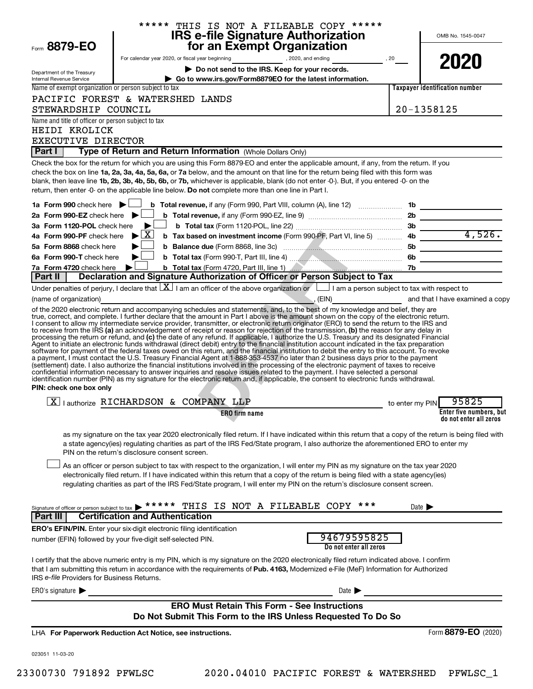|                                                                 | ***** THIS IS NOT A FILEABLE COPY *****                                                                                                                                                                                                                                                                                                                                                                                                                                                                                                                                                                                                                                                                                                                                                                                                                                                                                                 |                 | OMB No. 1545-0047                                                                                                                                                                                                                    |
|-----------------------------------------------------------------|-----------------------------------------------------------------------------------------------------------------------------------------------------------------------------------------------------------------------------------------------------------------------------------------------------------------------------------------------------------------------------------------------------------------------------------------------------------------------------------------------------------------------------------------------------------------------------------------------------------------------------------------------------------------------------------------------------------------------------------------------------------------------------------------------------------------------------------------------------------------------------------------------------------------------------------------|-----------------|--------------------------------------------------------------------------------------------------------------------------------------------------------------------------------------------------------------------------------------|
| Form 8879-EO                                                    | <b>IRS e-file Signature Authorization<br/>for an Exempt Organization</b>                                                                                                                                                                                                                                                                                                                                                                                                                                                                                                                                                                                                                                                                                                                                                                                                                                                                |                 |                                                                                                                                                                                                                                      |
|                                                                 | For calendar year 2020, or fiscal year beginning example to the sequence of the sequence of the sequence of the sequence of the sequence of the sequence of the sequence of the sequence of the sequence of the sequence of th                                                                                                                                                                                                                                                                                                                                                                                                                                                                                                                                                                                                                                                                                                          |                 |                                                                                                                                                                                                                                      |
|                                                                 | Do not send to the IRS. Keep for your records.                                                                                                                                                                                                                                                                                                                                                                                                                                                                                                                                                                                                                                                                                                                                                                                                                                                                                          |                 | 2020                                                                                                                                                                                                                                 |
| Department of the Treasury<br>Internal Revenue Service          | Go to www.irs.gov/Form8879EO for the latest information.                                                                                                                                                                                                                                                                                                                                                                                                                                                                                                                                                                                                                                                                                                                                                                                                                                                                                |                 |                                                                                                                                                                                                                                      |
| Name of exempt organization or person subject to tax            |                                                                                                                                                                                                                                                                                                                                                                                                                                                                                                                                                                                                                                                                                                                                                                                                                                                                                                                                         |                 | Taxpayer identification number                                                                                                                                                                                                       |
|                                                                 | PACIFIC FOREST & WATERSHED LANDS                                                                                                                                                                                                                                                                                                                                                                                                                                                                                                                                                                                                                                                                                                                                                                                                                                                                                                        |                 |                                                                                                                                                                                                                                      |
| STEWARDSHIP COUNCIL                                             |                                                                                                                                                                                                                                                                                                                                                                                                                                                                                                                                                                                                                                                                                                                                                                                                                                                                                                                                         |                 | 20-1358125                                                                                                                                                                                                                           |
| Name and title of officer or person subject to tax              |                                                                                                                                                                                                                                                                                                                                                                                                                                                                                                                                                                                                                                                                                                                                                                                                                                                                                                                                         |                 |                                                                                                                                                                                                                                      |
| HEIDI KROLICK                                                   |                                                                                                                                                                                                                                                                                                                                                                                                                                                                                                                                                                                                                                                                                                                                                                                                                                                                                                                                         |                 |                                                                                                                                                                                                                                      |
| EXECUTIVE DIRECTOR                                              |                                                                                                                                                                                                                                                                                                                                                                                                                                                                                                                                                                                                                                                                                                                                                                                                                                                                                                                                         |                 |                                                                                                                                                                                                                                      |
| Part I I                                                        | Type of Return and Return Information (Whole Dollars Only)                                                                                                                                                                                                                                                                                                                                                                                                                                                                                                                                                                                                                                                                                                                                                                                                                                                                              |                 |                                                                                                                                                                                                                                      |
|                                                                 | Check the box for the return for which you are using this Form 8879-EO and enter the applicable amount, if any, from the return. If you<br>check the box on line 1a, 2a, 3a, 4a, 5a, 6a, or 7a below, and the amount on that line for the return being filed with this form was<br>blank, then leave line 1b, 2b, 3b, 4b, 5b, 6b, or 7b, whichever is applicable, blank (do not enter -0-). But, if you entered -0- on the<br>return, then enter -0- on the applicable line below. Do not complete more than one line in Part I.                                                                                                                                                                                                                                                                                                                                                                                                        |                 |                                                                                                                                                                                                                                      |
| 1a Form 990 check here $\blacktriangleright$                    |                                                                                                                                                                                                                                                                                                                                                                                                                                                                                                                                                                                                                                                                                                                                                                                                                                                                                                                                         |                 |                                                                                                                                                                                                                                      |
| 2a Form 990-EZ check here $\blacktriangleright$                 |                                                                                                                                                                                                                                                                                                                                                                                                                                                                                                                                                                                                                                                                                                                                                                                                                                                                                                                                         |                 |                                                                                                                                                                                                                                      |
| 3a Form 1120-POL check here                                     | $\blacktriangleright$                                                                                                                                                                                                                                                                                                                                                                                                                                                                                                                                                                                                                                                                                                                                                                                                                                                                                                                   |                 |                                                                                                                                                                                                                                      |
| 4a Form 990-PF check here $\blacktriangleright \boxed{X}$       |                                                                                                                                                                                                                                                                                                                                                                                                                                                                                                                                                                                                                                                                                                                                                                                                                                                                                                                                         |                 |                                                                                                                                                                                                                                      |
| 5a Form 8868 check here                                         |                                                                                                                                                                                                                                                                                                                                                                                                                                                                                                                                                                                                                                                                                                                                                                                                                                                                                                                                         |                 | <u> The Communication of the Communication</u>                                                                                                                                                                                       |
| 6a Form 990-T check here                                        | ▶                                                                                                                                                                                                                                                                                                                                                                                                                                                                                                                                                                                                                                                                                                                                                                                                                                                                                                                                       |                 | <u>and the company of the company of the company of the company of the company of the company of the company of the company of the company of the company of the company of the company of the company of the company of the com</u> |
| 7a Form 4720 check here                                         |                                                                                                                                                                                                                                                                                                                                                                                                                                                                                                                                                                                                                                                                                                                                                                                                                                                                                                                                         |                 |                                                                                                                                                                                                                                      |
| Part II                                                         | Declaration and Signature Authorization of Officer or Person Subject to Tax                                                                                                                                                                                                                                                                                                                                                                                                                                                                                                                                                                                                                                                                                                                                                                                                                                                             |                 |                                                                                                                                                                                                                                      |
|                                                                 | Under penalties of perjury, I declare that $\boxed{X}$ I am an officer of the above organization or $\boxed{ }$ I am a person subject to tax with respect to                                                                                                                                                                                                                                                                                                                                                                                                                                                                                                                                                                                                                                                                                                                                                                            |                 |                                                                                                                                                                                                                                      |
| (name of organization)                                          | (EIN) and that I have examined a copy<br><u> 1989 - Johann Stoff, deutscher Stoffen und der Stoffen und der Stoffen und der Stoffen und der Stoffen und der</u><br>of the 2020 electronic return and accompanying schedules and statements, and, to the best of my knowledge and belief, they are                                                                                                                                                                                                                                                                                                                                                                                                                                                                                                                                                                                                                                       |                 |                                                                                                                                                                                                                                      |
| PIN: check one box only                                         | processing the return or refund, and (c) the date of any refund. If applicable, I authorize the U.S. Treasury and its designated Financial<br>Agent to initiate an electronic funds withdrawal (direct debit) entry to the financ<br>software for payment of the federal taxes owed on this return, and the financial institution to debit the entry to this account. To revoke<br>a payment, I must contact the U.S. Treasury Financial Agent at 1-888-353-4537 no later than 2 business days prior to the payment<br>(settlement) date. I also authorize the financial institutions involved in the processing of the electronic payment of taxes to receive<br>confidential information necessary to answer inquiries and resolve issues related to the payment. I have selected a personal<br>identification number (PIN) as my signature for the electronic return and, if applicable, the consent to electronic funds withdrawal. |                 |                                                                                                                                                                                                                                      |
|                                                                 | $\boxed{X}$   authorize RICHARDSON & COMPANY LLP                                                                                                                                                                                                                                                                                                                                                                                                                                                                                                                                                                                                                                                                                                                                                                                                                                                                                        | to enter my PIN | 95825                                                                                                                                                                                                                                |
|                                                                 | ERO firm name                                                                                                                                                                                                                                                                                                                                                                                                                                                                                                                                                                                                                                                                                                                                                                                                                                                                                                                           |                 | Enter five numbers, but<br>do not enter all zeros                                                                                                                                                                                    |
|                                                                 | as my signature on the tax year 2020 electronically filed return. If I have indicated within this return that a copy of the return is being filed with<br>a state agency(ies) regulating charities as part of the IRS Fed/State program, I also authorize the aforementioned ERO to enter my<br>PIN on the return's disclosure consent screen.                                                                                                                                                                                                                                                                                                                                                                                                                                                                                                                                                                                          |                 |                                                                                                                                                                                                                                      |
|                                                                 | As an officer or person subject to tax with respect to the organization, I will enter my PIN as my signature on the tax year 2020<br>electronically filed return. If I have indicated within this return that a copy of the return is being filed with a state agency(ies)<br>regulating charities as part of the IRS Fed/State program, I will enter my PIN on the return's disclosure consent screen.                                                                                                                                                                                                                                                                                                                                                                                                                                                                                                                                 |                 |                                                                                                                                                                                                                                      |
| Signature of officer or person subject to tax<br><b>Part II</b> | THIS IS NOT A FILEABLE COPY<br>***<br><b>Certification and Authentication</b>                                                                                                                                                                                                                                                                                                                                                                                                                                                                                                                                                                                                                                                                                                                                                                                                                                                           |                 | Date $\blacktriangleright$                                                                                                                                                                                                           |
|                                                                 | <b>ERO's EFIN/PIN.</b> Enter your six-digit electronic filing identification                                                                                                                                                                                                                                                                                                                                                                                                                                                                                                                                                                                                                                                                                                                                                                                                                                                            |                 |                                                                                                                                                                                                                                      |
|                                                                 | 94679595825<br>number (EFIN) followed by your five-digit self-selected PIN.<br>Do not enter all zeros                                                                                                                                                                                                                                                                                                                                                                                                                                                                                                                                                                                                                                                                                                                                                                                                                                   |                 |                                                                                                                                                                                                                                      |
| IRS e-file Providers for Business Returns.                      | I certify that the above numeric entry is my PIN, which is my signature on the 2020 electronically filed return indicated above. I confirm<br>that I am submitting this return in accordance with the requirements of Pub. 4163, Modernized e-File (MeF) Information for Authorized                                                                                                                                                                                                                                                                                                                                                                                                                                                                                                                                                                                                                                                     |                 |                                                                                                                                                                                                                                      |
| ERO's signature $\blacktriangleright$                           | Date $\blacktriangleright$                                                                                                                                                                                                                                                                                                                                                                                                                                                                                                                                                                                                                                                                                                                                                                                                                                                                                                              |                 |                                                                                                                                                                                                                                      |
|                                                                 | <b>ERO Must Retain This Form - See Instructions</b><br>Do Not Submit This Form to the IRS Unless Requested To Do So                                                                                                                                                                                                                                                                                                                                                                                                                                                                                                                                                                                                                                                                                                                                                                                                                     |                 |                                                                                                                                                                                                                                      |
|                                                                 | LHA For Paperwork Reduction Act Notice, see instructions.                                                                                                                                                                                                                                                                                                                                                                                                                                                                                                                                                                                                                                                                                                                                                                                                                                                                               |                 | Form 8879-EO (2020)                                                                                                                                                                                                                  |
| 023051 11-03-20                                                 |                                                                                                                                                                                                                                                                                                                                                                                                                                                                                                                                                                                                                                                                                                                                                                                                                                                                                                                                         |                 |                                                                                                                                                                                                                                      |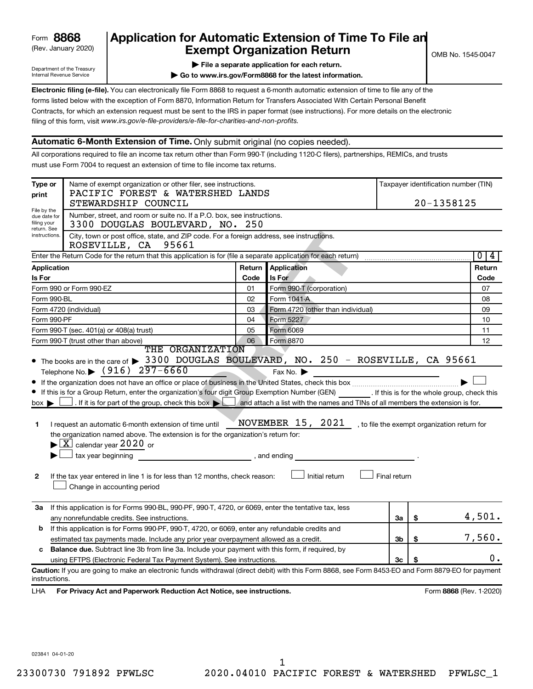| 8868<br>Form |
|--------------|
|--------------|

# (Rev. January 2020) **Cxempt Organization Return** Manuary 2020) and the settern **Canadian Exempt Organization Return Form 8868 Application for Automatic Extension of Time To File an**<br>**Exempt Organization Beturn**

Department of the Treasury Internal Revenue Service

|  | $\blacktriangleright$ File a separate application for each return. |  |
|--|--------------------------------------------------------------------|--|

**| Go to www.irs.gov/Form8868 for the latest information.**

**Electronic filing (e-file).** You can electronically file Form 8868 to request a 6-month automatic extension of time to file any of the filing of this form, visit www.irs.gov/e-file-providers/e-file-for-charities-and-non-profits. forms listed below with the exception of Form 8870, Information Return for Transfers Associated With Certain Personal Benefit Contracts, for which an extension request must be sent to the IRS in paper format (see instructions). For more details on the electronic

### **Automatic 6-Month Extension of Time.** Only submit original (no copies needed).

All corporations required to file an income tax return other than Form 990-T (including 1120-C filers), partnerships, REMICs, and trusts must use Form 7004 to request an extension of time to file income tax returns.

| Type or<br>print                                          | Name of exempt organization or other filer, see instructions.<br>PACIFIC FOREST & WATERSHED LANDS                                                                                                                                                                                                                                                                                                                                                                                                                                                                                                                                                                                    |        |                                     |              |    | Taxpayer identification number (TIN)         |
|-----------------------------------------------------------|--------------------------------------------------------------------------------------------------------------------------------------------------------------------------------------------------------------------------------------------------------------------------------------------------------------------------------------------------------------------------------------------------------------------------------------------------------------------------------------------------------------------------------------------------------------------------------------------------------------------------------------------------------------------------------------|--------|-------------------------------------|--------------|----|----------------------------------------------|
|                                                           | STEWARDSHIP COUNCIL                                                                                                                                                                                                                                                                                                                                                                                                                                                                                                                                                                                                                                                                  |        |                                     |              |    | 20-1358125                                   |
| File by the<br>due date for<br>filing your<br>return. See | Number, street, and room or suite no. If a P.O. box, see instructions.<br>3300 DOUGLAS BOULEVARD, NO. 250                                                                                                                                                                                                                                                                                                                                                                                                                                                                                                                                                                            |        |                                     |              |    |                                              |
| instructions.                                             | City, town or post office, state, and ZIP code. For a foreign address, see instructions.<br>ROSEVILLE, CA 95661                                                                                                                                                                                                                                                                                                                                                                                                                                                                                                                                                                      |        |                                     |              |    |                                              |
|                                                           |                                                                                                                                                                                                                                                                                                                                                                                                                                                                                                                                                                                                                                                                                      |        |                                     |              |    | 0 <br>4                                      |
| Application                                               |                                                                                                                                                                                                                                                                                                                                                                                                                                                                                                                                                                                                                                                                                      | Return | <b>Application</b>                  |              |    | Return                                       |
| <b>Is For</b>                                             |                                                                                                                                                                                                                                                                                                                                                                                                                                                                                                                                                                                                                                                                                      | Code   | Is For                              |              |    | Code                                         |
|                                                           | Form 990 or Form 990-EZ                                                                                                                                                                                                                                                                                                                                                                                                                                                                                                                                                                                                                                                              | 01     | Form 990-T (corporation)            |              |    | 07                                           |
| Form 990-BL                                               |                                                                                                                                                                                                                                                                                                                                                                                                                                                                                                                                                                                                                                                                                      | 02     | Form 1041-A                         |              |    | 08                                           |
|                                                           | Form 4720 (individual)                                                                                                                                                                                                                                                                                                                                                                                                                                                                                                                                                                                                                                                               | 03     | Form 4720 (other than individual)   |              |    | 09                                           |
| Form 990-PF                                               |                                                                                                                                                                                                                                                                                                                                                                                                                                                                                                                                                                                                                                                                                      | 04     | Form 5227                           |              |    | 10                                           |
|                                                           | Form 990-T (sec. 401(a) or 408(a) trust)                                                                                                                                                                                                                                                                                                                                                                                                                                                                                                                                                                                                                                             | 05     | Form 6069                           |              |    | 11                                           |
|                                                           | Form 990-T (trust other than above)<br>THE ORGANIZATION                                                                                                                                                                                                                                                                                                                                                                                                                                                                                                                                                                                                                              | 06     | Form 8870                           |              |    | 12                                           |
| $box \blacktriangleright$<br>1<br>$\mathbf{2}$            | If this is for a Group Return, enter the organization's four digit Group Exemption Number (GEN) [If this is for the whole group, check this<br>If it is for part of the group, check this box $\blacktriangleright$ and attach a list with the names and TINs of all members the extension is for.<br>I request an automatic 6-month extension of time until<br>the organization named above. The extension is for the organization's return for:<br>$\blacktriangleright$ $\lfloor$ X $\rfloor$ calendar year 2020 or<br>tax year beginning<br>and ending, and ending<br>If the tax year entered in line 1 is for less than 12 months, check reason:<br>Change in accounting period |        | NOVEMBER 15, 2021<br>Initial return | Final return |    | , to file the exempt organization return for |
| За                                                        | If this application is for Forms 990-BL, 990-PF, 990-T, 4720, or 6069, enter the tentative tax, less                                                                                                                                                                                                                                                                                                                                                                                                                                                                                                                                                                                 |        |                                     |              |    |                                              |
|                                                           | any nonrefundable credits. See instructions.                                                                                                                                                                                                                                                                                                                                                                                                                                                                                                                                                                                                                                         |        |                                     | За           | \$ | 4,501.                                       |
| b                                                         | If this application is for Forms 990-PF, 990-T, 4720, or 6069, enter any refundable credits and                                                                                                                                                                                                                                                                                                                                                                                                                                                                                                                                                                                      |        |                                     |              |    | 7,560.                                       |
|                                                           | estimated tax payments made. Include any prior year overpayment allowed as a credit.                                                                                                                                                                                                                                                                                                                                                                                                                                                                                                                                                                                                 |        |                                     | 3b           | \$ |                                              |
| c                                                         | <b>Balance due.</b> Subtract line 3b from line 3a. Include your payment with this form, if required, by                                                                                                                                                                                                                                                                                                                                                                                                                                                                                                                                                                              |        |                                     |              |    | 0.                                           |
|                                                           | using EFTPS (Electronic Federal Tax Payment System). See instructions.                                                                                                                                                                                                                                                                                                                                                                                                                                                                                                                                                                                                               |        |                                     | 3c           | \$ |                                              |
| instructions.                                             | Caution: If you are going to make an electronic funds withdrawal (direct debit) with this Form 8868, see Form 8453-EO and Form 8879-EO for payment                                                                                                                                                                                                                                                                                                                                                                                                                                                                                                                                   |        |                                     |              |    |                                              |
| LHA                                                       | For Privacy Act and Paperwork Reduction Act Notice, see instructions.                                                                                                                                                                                                                                                                                                                                                                                                                                                                                                                                                                                                                |        |                                     |              |    | Form 8868 (Rev. 1-2020)                      |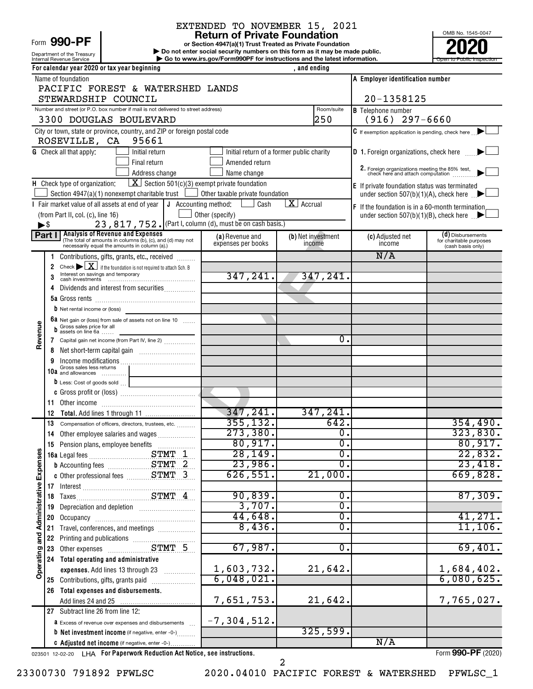# Form 990-PF

Department of the Treasury

# EXTENDED TO NOVEMBER 15, 2021<br>Return of Private Foundation

**or Section 4947(a)(1) Trust Treated as Private Foundation | Do not enter social security numbers on this form as it may be made public. POOPR**<br> **EXECUTER SECUTE AND SOLUTE SECUTE AND SECUTE AND SECUTE AND SECUTE AND SECUTE AND SECUTE AND SECUTE AND SECUTE A<br>
<b>POOPER SECUTE AND SOLUTE AND SOLUTE AND SOLUTE AND SECUTE AND SOLUTE AND SOLUTE AND SOLUTE AND SE** 

OMB No. 1545-0047 Internal Revenue Service **Internal Revenue Service Concernation** Go to www.irs.gov/Form990PF for instructions and the latest information.

|                                      |                          | For calendar year 2020 or tax year beginning                                                          |                                           | , and ending                    |                             |                                                                                                |                                              |
|--------------------------------------|--------------------------|-------------------------------------------------------------------------------------------------------|-------------------------------------------|---------------------------------|-----------------------------|------------------------------------------------------------------------------------------------|----------------------------------------------|
|                                      |                          | Name of foundation                                                                                    |                                           |                                 |                             | A Employer identification number                                                               |                                              |
|                                      |                          | PACIFIC FOREST & WATERSHED LANDS                                                                      |                                           |                                 |                             |                                                                                                |                                              |
|                                      |                          | STEWARDSHIP COUNCIL                                                                                   |                                           |                                 |                             | 20-1358125                                                                                     |                                              |
|                                      |                          | Number and street (or P.O. box number if mail is not delivered to street address)                     |                                           |                                 | Room/suite                  | <b>B</b> Telephone number                                                                      |                                              |
|                                      |                          | 3300 DOUGLAS BOULEVARD                                                                                |                                           |                                 | 250                         | $(916)$ 297-6660                                                                               |                                              |
|                                      |                          | City or town, state or province, country, and ZIP or foreign postal code                              |                                           |                                 |                             | $\mathsf C$ If exemption application is pending, check here $\Box$                             |                                              |
|                                      |                          | 95661<br>ROSEVILLE, CA                                                                                |                                           |                                 |                             |                                                                                                |                                              |
|                                      |                          | <b>G</b> Check all that apply:<br>Initial return                                                      | Initial return of a former public charity |                                 |                             | <b>D</b> 1. Foreign organizations, check here                                                  |                                              |
|                                      |                          | Final return<br>Address change                                                                        | Amended return<br>Name change             |                                 |                             | 2. Foreign organizations meeting the 85% test, check here and attach computation               |                                              |
|                                      |                          | $\boxed{\mathbf{X}}$ Section 501(c)(3) exempt private foundation<br>H Check type of organization:     |                                           |                                 |                             |                                                                                                |                                              |
|                                      |                          | Section 4947(a)(1) nonexempt charitable trust                                                         | Other taxable private foundation          |                                 |                             | E If private foundation status was terminated<br>under section 507(b)(1)(A), check here $\Box$ |                                              |
|                                      |                          | I Fair market value of all assets at end of year $\vert \mathbf{J} \vert$ Accounting method:          | Cash                                      | $\overline{\mathbf{X}}$ Accrual |                             | <b>F</b> If the foundation is in a 60-month termination                                        |                                              |
|                                      |                          | (from Part II, col. (c), line 16)                                                                     | Other (specify)                           |                                 |                             | under section 507(b)(1)(B), check here $\Box$                                                  |                                              |
|                                      | $\blacktriangleright$ \$ | 23, 817, 752. (Part I, column (d), must be on cash basis.)                                            |                                           |                                 |                             |                                                                                                |                                              |
|                                      | Part I                   | <b>Analysis of Revenue and Expenses</b><br>(The total of amounts in columns (b), (c), and (d) may not | (a) Revenue and                           | <b>(b)</b> Net investment       |                             | (c) Adjusted net                                                                               | (d) Disbursements                            |
|                                      |                          | necessarily equal the amounts in column (a).)                                                         | expenses per books                        | income                          |                             | income                                                                                         | for charitable purposes<br>(cash basis only) |
|                                      | 1                        | Contributions, gifts, grants, etc., received                                                          |                                           |                                 |                             | N/A                                                                                            |                                              |
|                                      | 2                        | Check $\blacktriangleright \boxed{\mathbf{X}}$ if the foundation is not required to attach Sch. B     |                                           |                                 |                             |                                                                                                |                                              |
|                                      | 3                        | Interest on savings and temporary                                                                     | 347, 241.                                 |                                 | 347,241.                    |                                                                                                |                                              |
|                                      |                          | Dividends and interest from securities                                                                |                                           |                                 |                             |                                                                                                |                                              |
|                                      |                          |                                                                                                       |                                           |                                 |                             |                                                                                                |                                              |
|                                      |                          | <b>b</b> Net rental income or (loss)                                                                  |                                           |                                 |                             |                                                                                                |                                              |
|                                      |                          | 6a Net gain or (loss) from sale of assets not on line 10<br>Gross sales price for all                 |                                           |                                 |                             |                                                                                                |                                              |
| Revenue                              | b                        | assets on line 6a                                                                                     |                                           |                                 | 0.                          |                                                                                                |                                              |
|                                      | 7<br>8                   | Capital gain net income (from Part IV, line 2)                                                        |                                           |                                 |                             |                                                                                                |                                              |
|                                      | 9                        |                                                                                                       |                                           |                                 |                             |                                                                                                |                                              |
|                                      |                          | Gross sales less returns<br>10 $a$ and allowances                                                     |                                           |                                 |                             |                                                                                                |                                              |
|                                      |                          | D Less: Cost of goods sold                                                                            |                                           |                                 |                             |                                                                                                |                                              |
|                                      |                          |                                                                                                       |                                           |                                 |                             |                                                                                                |                                              |
|                                      | 11                       |                                                                                                       |                                           |                                 |                             |                                                                                                |                                              |
|                                      | 12                       |                                                                                                       | 347,241.                                  |                                 | 347, 241.                   |                                                                                                |                                              |
|                                      | 13                       | Compensation of officers, directors, trustees, etc.                                                   | 355, 132.                                 |                                 | 642.                        |                                                                                                | 354,490.                                     |
|                                      | 14                       | Other employee salaries and wages                                                                     | 273,380.                                  |                                 | $\overline{0}$ .            |                                                                                                | 323,830.                                     |
| ŋ,                                   |                          | 15 Pension plans, employee benefits                                                                   | 80,917.                                   |                                 | $\overline{\mathfrak{o}}$ . |                                                                                                | 80,917.                                      |
|                                      |                          |                                                                                                       | 28, 149.                                  |                                 | $\overline{0}$ .            |                                                                                                | 22,832.                                      |
|                                      |                          | <b>b</b> Accounting fees <b>STMT</b> 2                                                                | 23,986.                                   |                                 | σ.                          |                                                                                                | 23,418.                                      |
|                                      |                          |                                                                                                       | 626,551.                                  |                                 | 21,000.                     |                                                                                                | 669,828.                                     |
|                                      |                          |                                                                                                       | 90,839.                                   |                                 | 0.                          |                                                                                                | 87,309.                                      |
|                                      | 19                       | Depreciation and depletion [11] Depreciation and depletion                                            | 3,707.                                    |                                 | $\overline{\mathfrak{o}}$ . |                                                                                                |                                              |
|                                      | 20                       |                                                                                                       | 44,648.                                   |                                 | Ο.                          |                                                                                                | 41,271.                                      |
|                                      | 21                       | Travel, conferences, and meetings                                                                     | 8,436.                                    |                                 | $\overline{0}$ .            |                                                                                                | 11, 106.                                     |
|                                      | 22                       |                                                                                                       |                                           |                                 |                             |                                                                                                |                                              |
|                                      | 23                       | Printing and publications<br>Other expenses<br>CTMT 5                                                 | 67,987.                                   |                                 | Ο.                          |                                                                                                | 69,401.                                      |
| Operating and Administrative Expense | 24                       | Total operating and administrative                                                                    |                                           |                                 |                             |                                                                                                |                                              |
|                                      |                          | expenses. Add lines 13 through 23                                                                     | 1,603,732.                                |                                 | 21,642.                     |                                                                                                | 1,684,402.                                   |
|                                      |                          | 25 Contributions, gifts, grants paid                                                                  | 6,048,021.                                |                                 |                             |                                                                                                | 6,080,625.                                   |
|                                      | 26                       | Total expenses and disbursements.                                                                     |                                           |                                 |                             |                                                                                                |                                              |
|                                      |                          |                                                                                                       | 7,651,753.                                |                                 | 21,642.                     |                                                                                                | 7,765,027.                                   |
|                                      |                          | 27 Subtract line 26 from line 12:                                                                     |                                           |                                 |                             |                                                                                                |                                              |
|                                      |                          | <b>a</b> Excess of revenue over expenses and disbursements                                            | $-7, 304, 512.$                           |                                 | 325,599.                    |                                                                                                |                                              |
|                                      |                          | <b>b</b> Net investment income (if negative, enter -0-)                                               |                                           |                                 |                             | N/A                                                                                            |                                              |
|                                      |                          | C Adjusted net income (if negative, enter -0-)                                                        |                                           |                                 |                             |                                                                                                |                                              |

023501 12-02-20 **For Paperwork Reduction Act Notice, see instructions.** LHA Form (2020)

Form **990-PF** (2020)

2

23300730 791892 PFWLSC 2020.04010 PACIFIC FOREST & WATERSHED PFWLSC\_1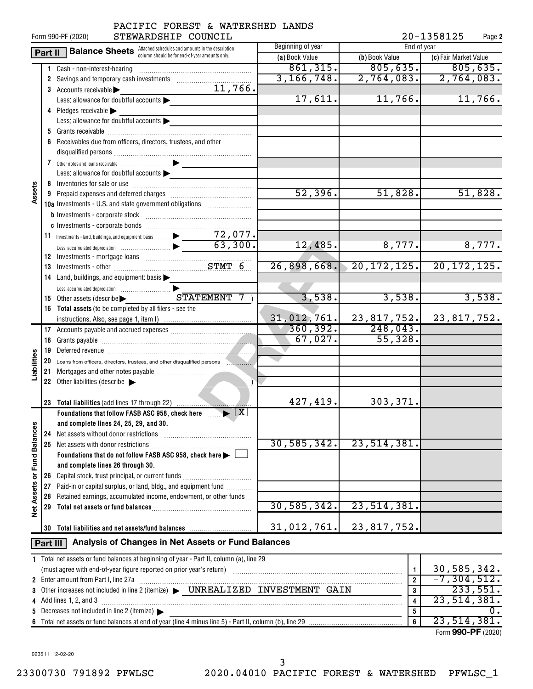|                      | Form 990-PF (2020) | 20-1358125<br>Page 2                                                                                                                                                   |                |                |                       |
|----------------------|--------------------|------------------------------------------------------------------------------------------------------------------------------------------------------------------------|----------------|----------------|-----------------------|
|                      | Part II            | <b>Balance Sheets</b> Attached schedules and amounts in the description                                                                                                | End of year    |                |                       |
|                      |                    | column should be for end-of-year amounts only.                                                                                                                         | (a) Book Value | (b) Book Value | (c) Fair Market Value |
|                      |                    | 1 Cash - non-interest-bearing                                                                                                                                          | 861,315.       | 805, 635.      | 805,635.              |
|                      |                    |                                                                                                                                                                        | 3, 166, 748.   | 2,764,083.     | 2,764,083.            |
|                      |                    | 11,766.<br>3 Accounts receivable                                                                                                                                       |                |                |                       |
|                      |                    | Less: allowance for doubtful accounts                                                                                                                                  | 17,611.        | 11,766.        | 11,766.               |
|                      |                    | 4 Pledges receivable                                                                                                                                                   |                |                |                       |
|                      |                    | Less: allowance for doubtful accounts                                                                                                                                  |                |                |                       |
|                      |                    |                                                                                                                                                                        |                |                |                       |
|                      | 6                  | Receivables due from officers, directors, trustees, and other                                                                                                          |                |                |                       |
|                      |                    |                                                                                                                                                                        |                |                |                       |
|                      |                    |                                                                                                                                                                        |                |                |                       |
|                      |                    | Less: allowance for doubtful accounts                                                                                                                                  |                |                |                       |
|                      |                    |                                                                                                                                                                        |                |                |                       |
| Assets               |                    |                                                                                                                                                                        | 52,396.        | 51,828.        | 51,828.               |
|                      |                    | 10a Investments - U.S. and state government obligations                                                                                                                |                |                |                       |
|                      |                    |                                                                                                                                                                        |                |                |                       |
|                      |                    |                                                                                                                                                                        |                |                |                       |
|                      |                    |                                                                                                                                                                        |                |                |                       |
|                      |                    |                                                                                                                                                                        | 12,485.        | 8,777.         | 8,777.                |
|                      |                    |                                                                                                                                                                        |                |                |                       |
|                      |                    |                                                                                                                                                                        | 26,898,668.    | 20, 172, 125.  | 20, 172, 125.         |
|                      |                    | 14 Land, buildings, and equipment: basis                                                                                                                               |                |                |                       |
|                      |                    |                                                                                                                                                                        |                |                |                       |
|                      |                    | ${\tt S}$ $\overline{\tt T}$ ${\tt A}$ $\overline{\tt T}$ ${\tt M}$ $\overline{\tt E}$ ${\tt M}$ $\overline{\tt T}$<br>15 Other assets (describe $\blacktriangleright$ | 3,538.         | 3,538.         | 3,538.                |
|                      |                    | 16 Total assets (to be completed by all filers - see the                                                                                                               |                |                |                       |
|                      |                    |                                                                                                                                                                        | 31,012,761.    | 23,817,752.    | 23, 817, 752.         |
|                      |                    |                                                                                                                                                                        | 360, 392.      | 248,043.       |                       |
|                      |                    |                                                                                                                                                                        | 67,027.        | 55,328.        |                       |
|                      |                    |                                                                                                                                                                        |                |                |                       |
| Liabilities          |                    | 20 Loans from officers, directors, trustees, and other disqualified persons                                                                                            |                |                |                       |
|                      |                    |                                                                                                                                                                        |                |                |                       |
|                      |                    | 22 Other liabilities (describe                                                                                                                                         |                |                |                       |
|                      |                    |                                                                                                                                                                        |                |                |                       |
|                      |                    | 23 Total liabilities (add lines 17 through 22)                                                                                                                         | 427,419.       | 303,371.       |                       |
|                      |                    | Foundations that follow FASB ASC 958, check here $\ldots$ $\blacktriangleright$ $\boxed{\text{X}}$                                                                     |                |                |                       |
|                      |                    | and complete lines 24, 25, 29, and 30.                                                                                                                                 |                |                |                       |
|                      | 24                 | Net assets without donor restrictions                                                                                                                                  | 30, 585, 342.  | 23,514,381.    |                       |
| <b>Fund Balances</b> | 25                 | Net assets with donor restrictions<br>Foundations that do not follow FASB ASC 958, check here >                                                                        |                |                |                       |
|                      |                    |                                                                                                                                                                        |                |                |                       |
|                      |                    | and complete lines 26 through 30.<br>Capital stock, trust principal, or current funds                                                                                  |                |                |                       |
| ৯                    | 26<br>27           | Paid-in or capital surplus, or land, bldg., and equipment fund <i>minimal</i>                                                                                          |                |                |                       |
|                      | 28                 | Retained earnings, accumulated income, endowment, or other funds                                                                                                       |                |                |                       |
| <b>Net Assets</b>    | 29                 |                                                                                                                                                                        | 30, 585, 342.  | 23, 514, 381.  |                       |
|                      |                    |                                                                                                                                                                        |                |                |                       |
|                      |                    | 30 Total liabilities and net assets/fund balances                                                                                                                      | 31,012,761.    | 23,817,752.    |                       |
|                      |                    |                                                                                                                                                                        |                |                |                       |
|                      | Part III           | Analysis of Changes in Net Assets or Fund Balances                                                                                                                     |                |                |                       |
|                      |                    | 1 Total net assets or fund balances at beginning of year - Part II, column (a), line 29                                                                                |                |                |                       |
|                      |                    |                                                                                                                                                                        |                | $\mathbf{1}$   | 30,585,342.           |
|                      |                    | 2 Enter amount from Part I, line 27a                                                                                                                                   |                | $\overline{2}$ | $-7, 304, 512.$       |
|                      |                    |                                                                                                                                                                        |                | 3              | 233,551.              |
|                      |                    | 4 Add lines 1, 2, and 3                                                                                                                                                |                | 4              | 23, 514, 381.         |
|                      |                    | 5 Decreases not included in line 2 (itemize) $\blacktriangleright$                                                                                                     |                | 5              | $0$ .                 |
|                      |                    |                                                                                                                                                                        |                | 6              | 23,514,381.           |

| (must agree with end-of-year figure reported on prior year's return) |                            |  |  | 30, 385, 344.      |  |  |
|----------------------------------------------------------------------|----------------------------|--|--|--------------------|--|--|
| 2 Enter amount from Part I, line 27a                                 |                            |  |  |                    |  |  |
| 3 Other increases not included in line 2 (itemize) >                 | UNREALIZED INVESTMENT GAIN |  |  | 233.551.           |  |  |
| 4 Add lines 1, 2, and 3                                              |                            |  |  |                    |  |  |
| 5 Decreases not included in line 2 (itemize) $\blacktriangleright$   |                            |  |  |                    |  |  |
|                                                                      |                            |  |  |                    |  |  |
|                                                                      |                            |  |  | Form 990-PF (2020) |  |  |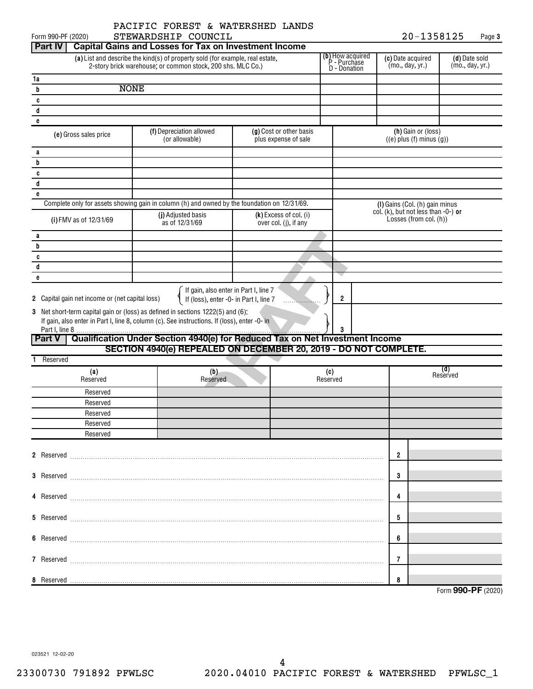$20 - 1358125$  Page 3

| Form 990-PF (2020)                                                                                                                           | STEWARDSHIP COUNCIL                                                                                                                                                             |                                                 |   |                                                         |                                                                  | 20-1358125 |                                  | Page 3 |
|----------------------------------------------------------------------------------------------------------------------------------------------|---------------------------------------------------------------------------------------------------------------------------------------------------------------------------------|-------------------------------------------------|---|---------------------------------------------------------|------------------------------------------------------------------|------------|----------------------------------|--------|
| <b>Part IV</b>                                                                                                                               | <b>Capital Gains and Losses for Tax on Investment Income</b>                                                                                                                    |                                                 |   |                                                         |                                                                  |            |                                  |        |
| (a) List and describe the kind(s) of property sold (for example, real estate,<br>2-story brick warehouse, or common stock, 200 shs. MLC Co.) |                                                                                                                                                                                 |                                                 |   | <b>(b)</b> How acquired<br>P - Purchase<br>D - Donation | (c) Date acquired<br>(mo., day, yr.)                             |            | (d) Date sold<br>(mo., day, yr.) |        |
| 1a                                                                                                                                           |                                                                                                                                                                                 |                                                 |   |                                                         |                                                                  |            |                                  |        |
| <b>NONE</b><br>b                                                                                                                             |                                                                                                                                                                                 |                                                 |   |                                                         |                                                                  |            |                                  |        |
| c                                                                                                                                            |                                                                                                                                                                                 |                                                 |   |                                                         |                                                                  |            |                                  |        |
| d                                                                                                                                            |                                                                                                                                                                                 |                                                 |   |                                                         |                                                                  |            |                                  |        |
| e                                                                                                                                            |                                                                                                                                                                                 |                                                 |   |                                                         |                                                                  |            |                                  |        |
| (e) Gross sales price                                                                                                                        | (f) Depreciation allowed<br>(or allowable)                                                                                                                                      | (g) Cost or other basis<br>plus expense of sale |   |                                                         | (h) Gain or (loss)<br>$((e)$ plus $(f)$ minus $(g)$ )            |            |                                  |        |
| a                                                                                                                                            |                                                                                                                                                                                 |                                                 |   |                                                         |                                                                  |            |                                  |        |
| b                                                                                                                                            |                                                                                                                                                                                 |                                                 |   |                                                         |                                                                  |            |                                  |        |
| c                                                                                                                                            |                                                                                                                                                                                 |                                                 |   |                                                         |                                                                  |            |                                  |        |
| d                                                                                                                                            |                                                                                                                                                                                 |                                                 |   |                                                         |                                                                  |            |                                  |        |
| e                                                                                                                                            |                                                                                                                                                                                 |                                                 |   |                                                         |                                                                  |            |                                  |        |
|                                                                                                                                              | Complete only for assets showing gain in column (h) and owned by the foundation on 12/31/69.                                                                                    |                                                 |   |                                                         | (I) Gains (Col. (h) gain minus                                   |            |                                  |        |
| (i) FMV as of 12/31/69                                                                                                                       | (j) Adjusted basis<br>as of 12/31/69                                                                                                                                            | (k) Excess of col. (i)<br>over col. (j), if any |   |                                                         | col. (k), but not less than $-0$ -) or<br>Losses (from col. (h)) |            |                                  |        |
| a                                                                                                                                            |                                                                                                                                                                                 |                                                 |   |                                                         |                                                                  |            |                                  |        |
| b                                                                                                                                            |                                                                                                                                                                                 |                                                 |   |                                                         |                                                                  |            |                                  |        |
| c                                                                                                                                            |                                                                                                                                                                                 |                                                 |   |                                                         |                                                                  |            |                                  |        |
| d                                                                                                                                            |                                                                                                                                                                                 |                                                 |   |                                                         |                                                                  |            |                                  |        |
| e                                                                                                                                            |                                                                                                                                                                                 |                                                 |   |                                                         |                                                                  |            |                                  |        |
| 2 Capital gain net income or (net capital loss)                                                                                              | If gain, also enter in Part I, line 7<br>If (loss), enter -0- in Part I, line 7                                                                                                 |                                                 | . | $\overline{\mathbf{2}}$                                 |                                                                  |            |                                  |        |
|                                                                                                                                              | 3 Net short-term capital gain or (loss) as defined in sections 1222(5) and (6):<br>If gain, also enter in Part I, line 8, column (c). See instructions. If (loss), enter -0- in |                                                 |   |                                                         |                                                                  |            |                                  |        |
| <b>Part V</b>                                                                                                                                | Qualification Under Section 4940(e) for Reduced Tax on Net Investment Income                                                                                                    |                                                 |   |                                                         |                                                                  |            |                                  |        |
|                                                                                                                                              | SECTION 4940(e) REPEALED ON DECEMBER 20, 2019 - DO NOT COMPLETE.                                                                                                                |                                                 |   |                                                         |                                                                  |            |                                  |        |
| Reserved<br>1.                                                                                                                               |                                                                                                                                                                                 |                                                 |   |                                                         |                                                                  |            |                                  |        |
| (a)                                                                                                                                          | (b)                                                                                                                                                                             |                                                 |   | (c)                                                     |                                                                  |            | (d)                              |        |
| Reserved                                                                                                                                     | Reserved                                                                                                                                                                        |                                                 |   | Reserved                                                |                                                                  |            | Reserved                         |        |
| Reserved                                                                                                                                     |                                                                                                                                                                                 |                                                 |   |                                                         |                                                                  |            |                                  |        |
| Reserved                                                                                                                                     |                                                                                                                                                                                 |                                                 |   |                                                         |                                                                  |            |                                  |        |
| Reserved                                                                                                                                     |                                                                                                                                                                                 |                                                 |   |                                                         |                                                                  |            |                                  |        |
| Reserved                                                                                                                                     |                                                                                                                                                                                 |                                                 |   |                                                         |                                                                  |            |                                  |        |
| Reserved                                                                                                                                     |                                                                                                                                                                                 |                                                 |   |                                                         |                                                                  |            |                                  |        |
|                                                                                                                                              |                                                                                                                                                                                 |                                                 |   |                                                         |                                                                  |            |                                  |        |
|                                                                                                                                              |                                                                                                                                                                                 |                                                 |   |                                                         | $\overline{2}$                                                   |            |                                  |        |
|                                                                                                                                              |                                                                                                                                                                                 |                                                 |   |                                                         |                                                                  |            |                                  |        |
|                                                                                                                                              |                                                                                                                                                                                 |                                                 |   |                                                         | 3                                                                |            |                                  |        |
|                                                                                                                                              |                                                                                                                                                                                 |                                                 |   |                                                         | 4                                                                |            |                                  |        |
|                                                                                                                                              |                                                                                                                                                                                 |                                                 |   |                                                         | 5                                                                |            |                                  |        |
|                                                                                                                                              |                                                                                                                                                                                 |                                                 |   |                                                         | 6                                                                |            |                                  |        |
|                                                                                                                                              |                                                                                                                                                                                 |                                                 |   |                                                         | 7                                                                |            |                                  |        |
|                                                                                                                                              |                                                                                                                                                                                 |                                                 |   |                                                         |                                                                  |            |                                  |        |
|                                                                                                                                              |                                                                                                                                                                                 |                                                 |   |                                                         | 8                                                                |            | Form 990-PF (2020)               |        |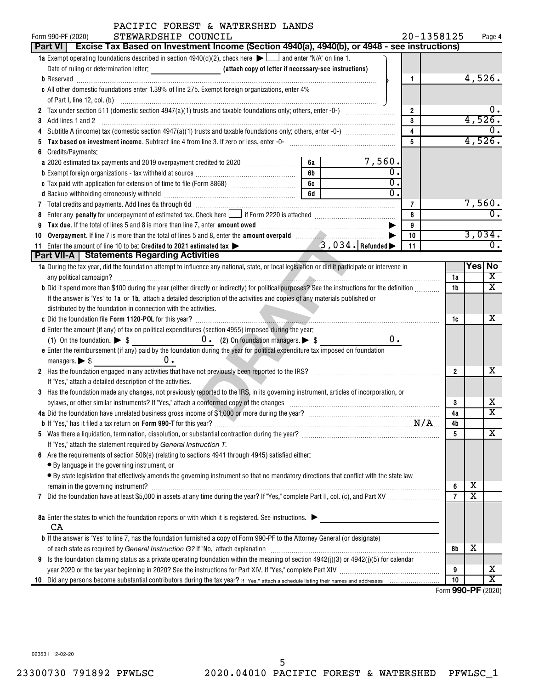|    | PACIFIC FOREST & WATERSHED LANDS                                                                                                                                                                                               |    |                  |                |            |                |                         |                         |
|----|--------------------------------------------------------------------------------------------------------------------------------------------------------------------------------------------------------------------------------|----|------------------|----------------|------------|----------------|-------------------------|-------------------------|
|    | STEWARDSHIP COUNCIL<br>Form 990-PF (2020)                                                                                                                                                                                      |    |                  |                | 20-1358125 |                |                         | Page 4                  |
|    | Part VI   Excise Tax Based on Investment Income (Section 4940(a), 4940(b), or 4948 - see instructions)                                                                                                                         |    |                  |                |            |                |                         |                         |
|    | 1a Exempt operating foundations described in section $4940(d)(2)$ , check here $\blacktriangleright$ and enter "N/A" on line 1.                                                                                                |    |                  |                |            |                |                         |                         |
|    |                                                                                                                                                                                                                                |    |                  |                |            |                | 4,526.                  |                         |
|    |                                                                                                                                                                                                                                |    |                  | 1              |            |                |                         |                         |
|    | c All other domestic foundations enter 1.39% of line 27b. Exempt foreign organizations, enter 4%                                                                                                                               |    |                  |                |            |                |                         |                         |
|    |                                                                                                                                                                                                                                |    |                  |                |            |                |                         | 0.                      |
|    |                                                                                                                                                                                                                                |    |                  | $\overline{2}$ |            |                | 4,526.                  |                         |
| 3  |                                                                                                                                                                                                                                |    |                  | 3              |            |                |                         | 0.                      |
|    |                                                                                                                                                                                                                                |    |                  | 4<br>5         |            |                | 4,526.                  |                         |
|    | Tax based on investment income. Subtract line 4 from line 3. If zero or less, enter -0- manufactured contains and the substantial metal of the Manufacture of the Sandard Container and the Sandard Manufacture of the Sandard |    |                  |                |            |                |                         |                         |
| 6  | Credits/Payments:                                                                                                                                                                                                              | 6a |                  |                |            |                |                         |                         |
|    | a 2020 estimated tax payments and 2019 overpayment credited to 2020 [11, 12, 13, 13, 13, 13, 13, 13, 13, 13, 1                                                                                                                 |    | $7,560$ .        |                |            |                |                         |                         |
|    |                                                                                                                                                                                                                                | 6b |                  |                |            |                |                         |                         |
|    |                                                                                                                                                                                                                                | 6c | $\overline{0}$ . |                |            |                |                         |                         |
|    | d Backup withholding erroneously withheld manufactured contains and an analyzed of the Backup withholding erroneously withheld manufactured contains and an analyzed of the Backup of Backup and Backup of Backup and Backup o |    |                  |                |            |                |                         |                         |
|    |                                                                                                                                                                                                                                |    |                  | 7              |            |                | 7,560.                  | σ.                      |
| 8  |                                                                                                                                                                                                                                |    |                  | 8              |            |                |                         |                         |
|    |                                                                                                                                                                                                                                |    |                  | 9              |            |                |                         |                         |
| 10 |                                                                                                                                                                                                                                |    |                  | 10             |            |                | 3,034.                  |                         |
|    | 11 Enter the amount of line 10 to be: Credited to 2021 estimated tax > 3, 034. Refunded                                                                                                                                        |    |                  | 11             |            |                |                         | Ο.                      |
|    | Part VII-A   Statements Regarding Activities                                                                                                                                                                                   |    |                  |                |            |                | Yes No                  |                         |
|    | 1a During the tax year, did the foundation attempt to influence any national, state, or local legislation or did it participate or intervene in                                                                                |    |                  |                |            |                |                         | x                       |
|    |                                                                                                                                                                                                                                |    |                  |                |            | 1a             |                         | x                       |
|    | b Did it spend more than \$100 during the year (either directly or indirectly) for political purposes? See the instructions for the definition                                                                                 |    |                  |                |            | 1b             |                         |                         |
|    | If the answer is "Yes" to 1a or 1b, attach a detailed description of the activities and copies of any materials published or                                                                                                   |    |                  |                |            |                |                         |                         |
|    | distributed by the foundation in connection with the activities.                                                                                                                                                               |    |                  |                |            |                |                         |                         |
|    |                                                                                                                                                                                                                                |    |                  |                |            | 1c             |                         | х                       |
|    | d Enter the amount (if any) of tax on political expenditures (section 4955) imposed during the year:                                                                                                                           |    |                  |                |            |                |                         |                         |
|    |                                                                                                                                                                                                                                |    | 0.               |                |            |                |                         |                         |
|    | e Enter the reimbursement (if any) paid by the foundation during the year for political expenditure tax imposed on foundation                                                                                                  |    |                  |                |            |                |                         |                         |
|    | 0.<br>managers. $\triangleright$ \$                                                                                                                                                                                            |    |                  |                |            |                |                         |                         |
|    | 2 Has the foundation engaged in any activities that have not previously been reported to the IRS? [[[[[[[[[[[[[[[[[[[[[[[[[]]]]]]]]]]                                                                                          |    |                  |                |            | $\overline{2}$ |                         | x                       |
|    | If "Yes," attach a detailed description of the activities.                                                                                                                                                                     |    |                  |                |            |                |                         |                         |
|    | 3 Has the foundation made any changes, not previously reported to the IRS, in its governing instrument, articles of incorporation, or                                                                                          |    |                  |                |            |                |                         |                         |
|    |                                                                                                                                                                                                                                |    |                  |                |            | 3              |                         | х                       |
|    | 4a Did the foundation have unrelated business gross income of \$1,000 or more during the year?                                                                                                                                 |    |                  |                |            | 4a             |                         | $\overline{\text{x}}$   |
|    |                                                                                                                                                                                                                                |    |                  |                |            | 4b             |                         |                         |
|    |                                                                                                                                                                                                                                |    |                  |                |            | 5              |                         | x                       |
|    | If "Yes," attach the statement required by General Instruction T.                                                                                                                                                              |    |                  |                |            |                |                         |                         |
| 6  | Are the requirements of section 508(e) (relating to sections 4941 through 4945) satisfied either:                                                                                                                              |    |                  |                |            |                |                         |                         |
|    | • By language in the governing instrument, or                                                                                                                                                                                  |    |                  |                |            |                |                         |                         |
|    | • By state legislation that effectively amends the governing instrument so that no mandatory directions that conflict with the state law                                                                                       |    |                  |                |            |                |                         |                         |
|    |                                                                                                                                                                                                                                |    |                  |                |            | 6              | х                       |                         |
|    |                                                                                                                                                                                                                                |    |                  |                |            | $\overline{7}$ | $\overline{\textbf{x}}$ |                         |
|    |                                                                                                                                                                                                                                |    |                  |                |            |                |                         |                         |
|    | 8a Enter the states to which the foundation reports or with which it is registered. See instructions.                                                                                                                          |    |                  |                |            |                |                         |                         |
|    | CA                                                                                                                                                                                                                             |    |                  |                |            |                |                         |                         |
|    | <b>b</b> If the answer is "Yes" to line 7, has the foundation furnished a copy of Form 990-PF to the Attorney General (or designate)                                                                                           |    |                  |                |            |                |                         |                         |
|    |                                                                                                                                                                                                                                |    |                  |                |            | 8b             | х                       |                         |
| 9  | Is the foundation claiming status as a private operating foundation within the meaning of section 4942(j)(3) or 4942(j)(5) for calendar                                                                                        |    |                  |                |            |                |                         |                         |
|    |                                                                                                                                                                                                                                |    |                  |                |            | 9              |                         | х                       |
|    |                                                                                                                                                                                                                                |    |                  |                |            | 10             |                         | $\overline{\textbf{x}}$ |

Form (2020) **990-PF**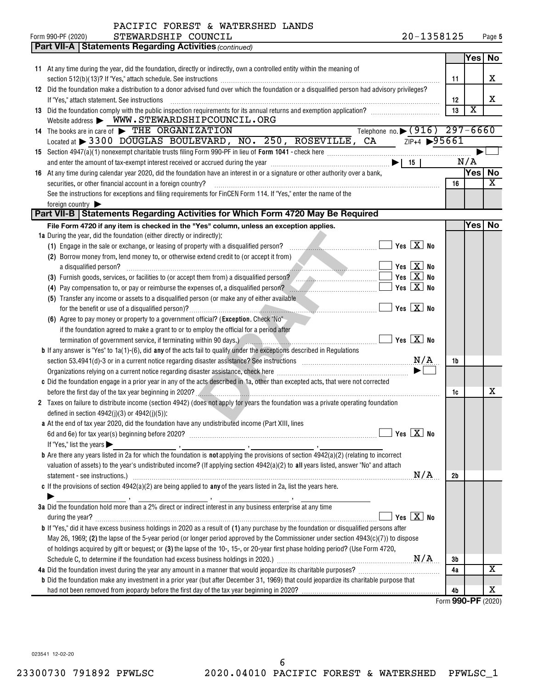| PACIFIC FOREST & WATERSHED LANDS |  |  |
|----------------------------------|--|--|
|----------------------------------|--|--|

|    | <b>Part VII-A   Statements Regarding Activities (continued)</b>                                                                                                                                                                                                                                                                                                                                                                                                                   |     |                         |    |
|----|-----------------------------------------------------------------------------------------------------------------------------------------------------------------------------------------------------------------------------------------------------------------------------------------------------------------------------------------------------------------------------------------------------------------------------------------------------------------------------------|-----|-------------------------|----|
|    |                                                                                                                                                                                                                                                                                                                                                                                                                                                                                   |     | Yes∣                    | No |
|    | 11 At any time during the year, did the foundation, directly or indirectly, own a controlled entity within the meaning of                                                                                                                                                                                                                                                                                                                                                         |     |                         |    |
|    |                                                                                                                                                                                                                                                                                                                                                                                                                                                                                   | 11  |                         | х  |
|    | 12 Did the foundation make a distribution to a donor advised fund over which the foundation or a disqualified person had advisory privileges?                                                                                                                                                                                                                                                                                                                                     |     |                         |    |
|    | If "Yes," attach statement. See instructions<br>$\begin{minipage}[b]{0.5\textwidth} \centering \begin{tabular}{ c c c c c } \hline \multicolumn{1}{ c }{\textbf{0.5}} \multicolumn{1}{ c }{\textbf{0.5}} \multicolumn{1}{ c }{\textbf{0.5}} \multicolumn{1}{ c }{\textbf{0.5}} \multicolumn{1}{ c }{\textbf{0.5}} \multicolumn{1}{ c }{\textbf{0.5}} \multicolumn{1}{ c }{\textbf{0.5}} \multicolumn{1}{ c }{\textbf{0.5}} \multicolumn{1}{ c }{\textbf{0.5}} \multicolumn{1}{ c$ | 12  |                         | х  |
|    |                                                                                                                                                                                                                                                                                                                                                                                                                                                                                   | 13  | $\overline{\textbf{x}}$ |    |
|    | Website address > WWW.STEWARDSHIPCOUNCIL.ORG                                                                                                                                                                                                                                                                                                                                                                                                                                      |     |                         |    |
|    | Telephone no. (916) 297-6660<br>14 The books are in care of FIHE ORGANIZATION                                                                                                                                                                                                                                                                                                                                                                                                     |     |                         |    |
|    | Located at > 3300 DOUGLAS BOULEVARD, NO. 250, ROSEVILLE, CA ZIP+4 >95661                                                                                                                                                                                                                                                                                                                                                                                                          |     |                         |    |
|    |                                                                                                                                                                                                                                                                                                                                                                                                                                                                                   |     |                         |    |
|    |                                                                                                                                                                                                                                                                                                                                                                                                                                                                                   |     | N/A                     |    |
| 16 | At any time during calendar year 2020, did the foundation have an interest in or a signature or other authority over a bank,                                                                                                                                                                                                                                                                                                                                                      |     | $Yes$ No                |    |
|    | securities, or other financial account in a foreign country?                                                                                                                                                                                                                                                                                                                                                                                                                      | 16  |                         | x  |
|    | See the instructions for exceptions and filing requirements for FinCEN Form 114. If "Yes," enter the name of the                                                                                                                                                                                                                                                                                                                                                                  |     |                         |    |
|    | foreign country                                                                                                                                                                                                                                                                                                                                                                                                                                                                   |     |                         |    |
|    | Part VII-B   Statements Regarding Activities for Which Form 4720 May Be Required                                                                                                                                                                                                                                                                                                                                                                                                  |     |                         |    |
|    | File Form 4720 if any item is checked in the "Yes" column, unless an exception applies.                                                                                                                                                                                                                                                                                                                                                                                           |     | Yes   No                |    |
|    | 1a During the year, did the foundation (either directly or indirectly):                                                                                                                                                                                                                                                                                                                                                                                                           |     |                         |    |
|    | $\Box$ Yes $\boxed{\text{X}}$ No<br>(1) Engage in the sale or exchange, or leasing of property with a disqualified person?                                                                                                                                                                                                                                                                                                                                                        |     |                         |    |
|    | (2) Borrow money from, lend money to, or otherwise extend credit to (or accept it from)                                                                                                                                                                                                                                                                                                                                                                                           |     |                         |    |
|    | $\Box$ Yes $\boxed{\text{X}}$ No<br>a disqualified person?                                                                                                                                                                                                                                                                                                                                                                                                                        |     |                         |    |
|    | $Yes \quad X$ No<br>(3) Furnish goods, services, or facilities to (or accept them from) a disqualified person?                                                                                                                                                                                                                                                                                                                                                                    |     |                         |    |
|    | Yes $X$ No                                                                                                                                                                                                                                                                                                                                                                                                                                                                        |     |                         |    |
|    | (5) Transfer any income or assets to a disqualified person (or make any of either available                                                                                                                                                                                                                                                                                                                                                                                       |     |                         |    |
|    | $\Box$ Yes $\boxed{\textbf{X}}$ No                                                                                                                                                                                                                                                                                                                                                                                                                                                |     |                         |    |
|    | (6) Agree to pay money or property to a government official? (Exception. Check "No"                                                                                                                                                                                                                                                                                                                                                                                               |     |                         |    |
|    | if the foundation agreed to make a grant to or to employ the official for a period after                                                                                                                                                                                                                                                                                                                                                                                          |     |                         |    |
|    | termination of government service, if terminating within 90 days.) $\sqrt{1+\frac{1}{2}}$ m.                                                                                                                                                                                                                                                                                                                                                                                      |     |                         |    |
|    | <b>b</b> If any answer is "Yes" to $1a(1)$ -(6), did any of the acts fail to qualify under the exceptions described in Regulations                                                                                                                                                                                                                                                                                                                                                |     |                         |    |
|    | section 53.4941(d)-3 or in a current notice regarding disaster assistance? See instructions $M/A$                                                                                                                                                                                                                                                                                                                                                                                 | 1b  |                         |    |
|    | Organizations relying on a current notice regarding disaster assistance, check here manufactured accordinations relying on a current reduced assistance, check here manufactured and $\blacktriangleright$ [                                                                                                                                                                                                                                                                      |     |                         |    |
|    | c Did the foundation engage in a prior year in any of the acts described in 1a, other than excepted acts, that were not corrected                                                                                                                                                                                                                                                                                                                                                 |     |                         |    |
|    | before the first day of the tax year beginning in 2020?                                                                                                                                                                                                                                                                                                                                                                                                                           | 1c  |                         | x  |
|    | 2 Taxes on failure to distribute income (section 4942) (does not apply for years the foundation was a private operating foundation                                                                                                                                                                                                                                                                                                                                                |     |                         |    |
|    | defined in section $4942(j)(3)$ or $4942(j)(5)$ ):                                                                                                                                                                                                                                                                                                                                                                                                                                |     |                         |    |
|    | a At the end of tax year 2020, did the foundation have any undistributed income (Part XIII, lines                                                                                                                                                                                                                                                                                                                                                                                 |     |                         |    |
|    | $\Box$ Yes $\Box X$ No                                                                                                                                                                                                                                                                                                                                                                                                                                                            |     |                         |    |
|    | If "Yes," list the years                                                                                                                                                                                                                                                                                                                                                                                                                                                          |     |                         |    |
|    | valuation of assets) to the year's undistributed income? (If applying section 4942(a)(2) to all years listed, answer "No" and attach                                                                                                                                                                                                                                                                                                                                              |     |                         |    |
|    | N/A<br>statement - see instructions.) www.assessment.com/news/community/interface-                                                                                                                                                                                                                                                                                                                                                                                                | 2b  |                         |    |
|    | c If the provisions of section $4942(a)(2)$ are being applied to any of the years listed in 2a, list the years here.                                                                                                                                                                                                                                                                                                                                                              |     |                         |    |
|    |                                                                                                                                                                                                                                                                                                                                                                                                                                                                                   |     |                         |    |
|    | 3a Did the foundation hold more than a 2% direct or indirect interest in any business enterprise at any time                                                                                                                                                                                                                                                                                                                                                                      |     |                         |    |
|    | Yes $X$ No                                                                                                                                                                                                                                                                                                                                                                                                                                                                        |     |                         |    |
|    | <b>b</b> If "Yes," did it have excess business holdings in 2020 as a result of (1) any purchase by the foundation or disqualified persons after                                                                                                                                                                                                                                                                                                                                   |     |                         |    |
|    | May 26, 1969; (2) the lapse of the 5-year period (or longer period approved by the Commissioner under section 4943(c)(7)) to dispose                                                                                                                                                                                                                                                                                                                                              |     |                         |    |
|    | of holdings acquired by gift or bequest; or (3) the lapse of the 10-, 15-, or 20-year first phase holding period? (Use Form 4720,                                                                                                                                                                                                                                                                                                                                                 |     |                         |    |
|    |                                                                                                                                                                                                                                                                                                                                                                                                                                                                                   | 3b  |                         |    |
|    |                                                                                                                                                                                                                                                                                                                                                                                                                                                                                   | 4a  |                         | х  |
|    | <b>b</b> Did the foundation make any investment in a prior year (but after December 31, 1969) that could jeopardize its charitable purpose that                                                                                                                                                                                                                                                                                                                                   |     |                         |    |
|    |                                                                                                                                                                                                                                                                                                                                                                                                                                                                                   | 4b  |                         | x  |
|    |                                                                                                                                                                                                                                                                                                                                                                                                                                                                                   | 000 |                         |    |

Form (2020) **990-PF**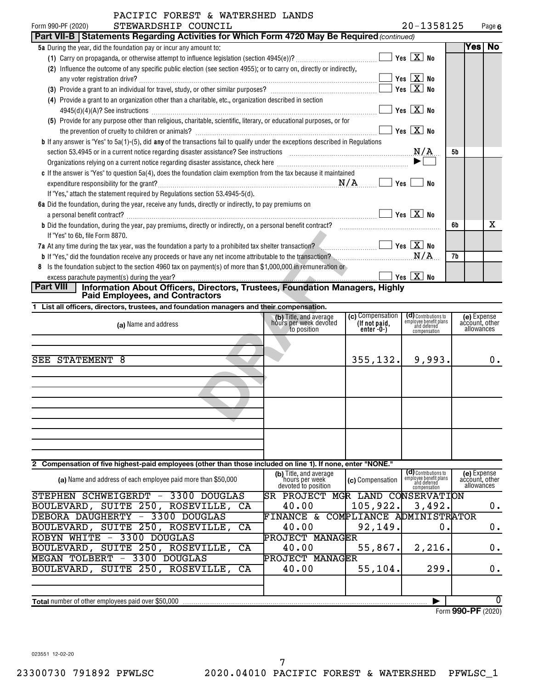| FACIFIC FUNESI & WAIERSHED DANDS<br>STEWARDSHIP COUNCIL                                                                                    |     |                                    | 20-1358125 |      |           |
|--------------------------------------------------------------------------------------------------------------------------------------------|-----|------------------------------------|------------|------|-----------|
| Form 990-PF (2020)<br>Part VII-B   Statements Regarding Activities for Which Form 4720 May Be Required (continued)                         |     |                                    |            |      | Page 6    |
|                                                                                                                                            |     |                                    |            | Yesl | <b>No</b> |
| 5a During the year, did the foundation pay or incur any amount to:                                                                         |     |                                    |            |      |           |
|                                                                                                                                            |     | Yes $X$ No                         |            |      |           |
| Influence the outcome of any specific public election (see section 4955); or to carry on, directly or indirectly,<br>(2)                   |     |                                    |            |      |           |
|                                                                                                                                            |     | $\sqrt{\mathsf{Yes}\mathbf{X}}$ No |            |      |           |
|                                                                                                                                            |     | Yes $X$ No                         |            |      |           |
| (4) Provide a grant to an organization other than a charitable, etc., organization described in section                                    |     |                                    |            |      |           |
|                                                                                                                                            |     | Yes $X$ No                         |            |      |           |
| (5) Provide for any purpose other than religious, charitable, scientific, literary, or educational purposes, or for                        |     |                                    |            |      |           |
|                                                                                                                                            |     | Yes $X$ No                         |            |      |           |
| <b>b</b> If any answer is "Yes" to $5a(1)$ -(5), did any of the transactions fail to qualify under the exceptions described in Regulations |     |                                    |            |      |           |
|                                                                                                                                            |     | N/A                                | 5b         |      |           |
|                                                                                                                                            |     | ▶                                  |            |      |           |
| c If the answer is "Yes" to question 5a(4), does the foundation claim exemption from the tax because it maintained                         |     |                                    |            |      |           |
|                                                                                                                                            | Yes | No                                 |            |      |           |
| If "Yes," attach the statement required by Regulations section 53.4945-5(d).                                                               |     |                                    |            |      |           |
| 6a Did the foundation, during the year, receive any funds, directly or indirectly, to pay premiums on                                      |     |                                    |            |      |           |
|                                                                                                                                            |     | Yes $\boxed{X}$ No                 |            |      |           |
| b Did the foundation, during the year, pay premiums, directly or indirectly, on a personal benefit contract?                               |     |                                    | 6b         |      | x         |
| If "Yes" to 6b, file Form 8870.                                                                                                            |     |                                    |            |      |           |
| 7a At any time during the tax year, was the foundation a party to a prohibited tax shelter transaction? $\Box$ Yes $X$ No                  |     |                                    |            |      |           |
| <b>b</b> If "Yes," did the foundation receive any proceeds or have any net income attributable to the transaction?                         |     | N/A                                | 7b         |      |           |
| Is the foundation subject to the section 4960 tax on payment(s) of more than \$1,000,000 in remuneration or<br>8                           |     |                                    |            |      |           |
| excess parachute payment(s) during the year?                                                                                               |     | Yes $X$ No                         |            |      |           |
| <b>Dart VIII</b> Information About Officers Directors Trustees Foundation Mensgers Highly                                                  |     |                                    |            |      |           |

| Part VIII | Information About Officers, Directors, Trustees, Foundation Managers, Highly |  |
|-----------|------------------------------------------------------------------------------|--|
|           | <b>Paid Employees, and Contractors</b>                                       |  |

|  | 1 List all officers, directors, trustees, and foundation managers and their compensation. |  |
|--|-------------------------------------------------------------------------------------------|--|
|  |                                                                                           |  |

| If "Yes" to 6b, file Form 8870.                                                                                                            |                                                                 |                                                       |                                                                                |    |                                             |    |
|--------------------------------------------------------------------------------------------------------------------------------------------|-----------------------------------------------------------------|-------------------------------------------------------|--------------------------------------------------------------------------------|----|---------------------------------------------|----|
| 7a At any time during the tax year, was the foundation a party to a prohibited tax shelter transaction?                                    |                                                                 |                                                       | Yes $X$ No                                                                     |    |                                             |    |
| <b>b</b> If "Yes," did the foundation receive any proceeds or have any net income attributable to the transaction?                         |                                                                 |                                                       | N/A                                                                            | 7b |                                             |    |
| Is the foundation subject to the section 4960 tax on payment(s) of more than \$1,000,000 in remuneration or<br>8                           |                                                                 |                                                       |                                                                                |    |                                             |    |
| excess parachute payment(s) during the year?                                                                                               |                                                                 |                                                       | Yes $X$ No                                                                     |    |                                             |    |
| <b>Part VIII</b><br>Information About Officers, Directors, Trustees, Foundation Managers, Highly<br><b>Paid Employees, and Contractors</b> |                                                                 |                                                       |                                                                                |    |                                             |    |
| 1 List all officers, directors, trustees, and foundation managers and their compensation.                                                  |                                                                 |                                                       |                                                                                |    |                                             |    |
| (a) Name and address                                                                                                                       | (b) Title, and average<br>hours per week devoted<br>to position | (c) Compensation<br>(If not paid,<br>enter $-0$ - $)$ | (d) Contributions to<br>employee benefit plans<br>and deferred<br>compensation |    | (e) Expense<br>account, other<br>allowances |    |
|                                                                                                                                            |                                                                 |                                                       |                                                                                |    |                                             |    |
| SEE<br>STATEMENT 8                                                                                                                         |                                                                 | 355, 132.                                             | 9,993.                                                                         |    |                                             | 0. |
|                                                                                                                                            |                                                                 |                                                       |                                                                                |    |                                             |    |
|                                                                                                                                            |                                                                 |                                                       |                                                                                |    |                                             |    |
|                                                                                                                                            |                                                                 |                                                       |                                                                                |    |                                             |    |
| 2 Compensation of five highest-paid employees (other than those included on line 1). If none, enter "NONE."                                |                                                                 |                                                       |                                                                                |    |                                             |    |

#### Contributions to employee benefit plans and deferred compensation **(b)** Title, and average<br>hours per week<br>**(c)** Compensation (a) Name and address of each employee paid more than \$50,000 **Compensation Name and address of each employee paid more than \$50,000 <b>Compensation**<br>Revoted to position **Total** number of other employees paid over \$50,000 | **(e)** Expense<br>account, other<br>allowances STEPHEN SCHWEIGERDT - 3300 DOUGLAS SR PROJECT MGR LAND CONSERVATION BOULEVARD, SUITE 250, ROSEVILLE, CA  $\begin{array}{|c|c|c|c|c|c|}\ \hline \end{array}$  (  $\begin{array}{c} 105,922. & 3,492. & \end{array}$ DEBORA DAUGHERTY - 3300 DOUGLAS FINANCE & COMPLIANCE ADMINISTRATOR BOULEVARD, SUITE 250, ROSEVILLE, CA  $\begin{bmatrix} 40.00 & | & 92,149. \end{bmatrix}$  0. 0. ROBYN WHITE - 3300 DOUGLAS PROJECT MANAGER BOULEVARD, SUITE 250, ROSEVILLE, CA | 40.00 | 55,867. 2,216. 0. MEGAN TOLBERT - 3300 DOUGLAS PROJECT MANAGER  $\overline{\text{BouLEVARD}}$ , suite 250, roseville, CA  $\left| \begin{array}{cc} 40.00 & \left| \begin{array}{c} 55,104. \right| \end{array} \right. \end{array}$  299. $\left| \begin{array}{c} 0.100 & \left| \begin{array}{c} 0.000 & \left| \begin{array}{c} 0.000 & \left| \end{array} \right| \end{array} \right. \end{array} \right.$  $\overline{0}$

Form (2020) **990-PF**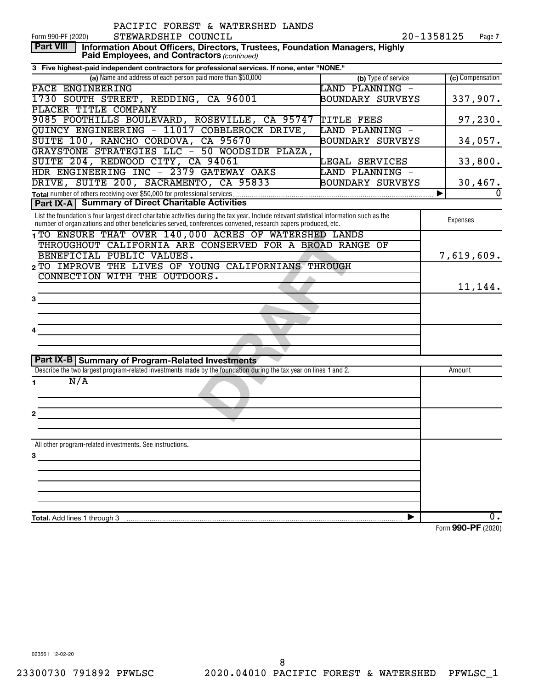| 20-1358125<br>STEWARDSHIP COUNCIL<br>Form 990-PF (2020)<br>Page 7<br><b>Part VIII</b><br>Information About Officers, Directors, Trustees, Foundation Managers, Highly<br>Paid Employees, and Contractors (continued)<br>3 Five highest-paid independent contractors for professional services. If none, enter "NONE."<br>(a) Name and address of each person paid more than \$50,000<br>(c) Compensation<br>(b) Type of service<br>LAND PLANNING -<br>PACE ENGINEERING<br>1730 SOUTH STREET, REDDING, CA 96001<br>337,907.<br>BOUNDARY SURVEYS<br>PLACER TITLE COMPANY<br>9085 FOOTHILLS BOULEVARD, ROSEVILLE, CA 95747<br>97,230.<br>TITLE FEES<br>OUINCY ENGINEERING - 11017 COBBLEROCK DRIVE,<br>LAND PLANNING -<br>SUITE 100, RANCHO CORDOVA, CA 95670<br>BOUNDARY SURVEYS<br>34,057.<br>GRAYSTONE STRATEGIES LLC - 50 WOODSIDE PLAZA,<br>SUITE 204, REDWOOD CITY, CA 94061<br>33,800.<br>LEGAL SERVICES |          |
|--------------------------------------------------------------------------------------------------------------------------------------------------------------------------------------------------------------------------------------------------------------------------------------------------------------------------------------------------------------------------------------------------------------------------------------------------------------------------------------------------------------------------------------------------------------------------------------------------------------------------------------------------------------------------------------------------------------------------------------------------------------------------------------------------------------------------------------------------------------------------------------------------------------|----------|
|                                                                                                                                                                                                                                                                                                                                                                                                                                                                                                                                                                                                                                                                                                                                                                                                                                                                                                              |          |
|                                                                                                                                                                                                                                                                                                                                                                                                                                                                                                                                                                                                                                                                                                                                                                                                                                                                                                              |          |
|                                                                                                                                                                                                                                                                                                                                                                                                                                                                                                                                                                                                                                                                                                                                                                                                                                                                                                              |          |
|                                                                                                                                                                                                                                                                                                                                                                                                                                                                                                                                                                                                                                                                                                                                                                                                                                                                                                              |          |
|                                                                                                                                                                                                                                                                                                                                                                                                                                                                                                                                                                                                                                                                                                                                                                                                                                                                                                              |          |
|                                                                                                                                                                                                                                                                                                                                                                                                                                                                                                                                                                                                                                                                                                                                                                                                                                                                                                              |          |
|                                                                                                                                                                                                                                                                                                                                                                                                                                                                                                                                                                                                                                                                                                                                                                                                                                                                                                              |          |
|                                                                                                                                                                                                                                                                                                                                                                                                                                                                                                                                                                                                                                                                                                                                                                                                                                                                                                              |          |
|                                                                                                                                                                                                                                                                                                                                                                                                                                                                                                                                                                                                                                                                                                                                                                                                                                                                                                              |          |
|                                                                                                                                                                                                                                                                                                                                                                                                                                                                                                                                                                                                                                                                                                                                                                                                                                                                                                              |          |
| HDR ENGINEERING INC - 2379 GATEWAY OAKS<br>LAND PLANNING -                                                                                                                                                                                                                                                                                                                                                                                                                                                                                                                                                                                                                                                                                                                                                                                                                                                   |          |
| DRIVE, SUITE 200, SACRAMENTO, CA 95833<br>BOUNDARY SURVEYS<br>30,467.                                                                                                                                                                                                                                                                                                                                                                                                                                                                                                                                                                                                                                                                                                                                                                                                                                        |          |
| Total number of others receiving over \$50,000 for professional services<br>▶                                                                                                                                                                                                                                                                                                                                                                                                                                                                                                                                                                                                                                                                                                                                                                                                                                | $\Omega$ |
| <b>Part IX-A   Summary of Direct Charitable Activities</b>                                                                                                                                                                                                                                                                                                                                                                                                                                                                                                                                                                                                                                                                                                                                                                                                                                                   |          |
| List the foundation's four largest direct charitable activities during the tax year. Include relevant statistical information such as the<br>Expenses<br>number of organizations and other beneficiaries served, conferences convened, research papers produced, etc.                                                                                                                                                                                                                                                                                                                                                                                                                                                                                                                                                                                                                                        |          |
| 1 TO ENSURE THAT OVER 140,000 ACRES OF WATERSHED LANDS                                                                                                                                                                                                                                                                                                                                                                                                                                                                                                                                                                                                                                                                                                                                                                                                                                                       |          |
| THROUGHOUT CALIFORNIA ARE CONSERVED FOR A BROAD RANGE OF                                                                                                                                                                                                                                                                                                                                                                                                                                                                                                                                                                                                                                                                                                                                                                                                                                                     |          |
| BENEFICIAL PUBLIC VALUES.<br>7,619,609.                                                                                                                                                                                                                                                                                                                                                                                                                                                                                                                                                                                                                                                                                                                                                                                                                                                                      |          |
| 2 TO IMPROVE THE LIVES OF YOUNG CALIFORNIANS THROUGH                                                                                                                                                                                                                                                                                                                                                                                                                                                                                                                                                                                                                                                                                                                                                                                                                                                         |          |
| CONNECTION WITH THE OUTDOORS.                                                                                                                                                                                                                                                                                                                                                                                                                                                                                                                                                                                                                                                                                                                                                                                                                                                                                |          |
| 11,144.                                                                                                                                                                                                                                                                                                                                                                                                                                                                                                                                                                                                                                                                                                                                                                                                                                                                                                      |          |
| 3                                                                                                                                                                                                                                                                                                                                                                                                                                                                                                                                                                                                                                                                                                                                                                                                                                                                                                            |          |
|                                                                                                                                                                                                                                                                                                                                                                                                                                                                                                                                                                                                                                                                                                                                                                                                                                                                                                              |          |
| 4                                                                                                                                                                                                                                                                                                                                                                                                                                                                                                                                                                                                                                                                                                                                                                                                                                                                                                            |          |
|                                                                                                                                                                                                                                                                                                                                                                                                                                                                                                                                                                                                                                                                                                                                                                                                                                                                                                              |          |
|                                                                                                                                                                                                                                                                                                                                                                                                                                                                                                                                                                                                                                                                                                                                                                                                                                                                                                              |          |
| Part IX-B Summary of Program-Related Investments                                                                                                                                                                                                                                                                                                                                                                                                                                                                                                                                                                                                                                                                                                                                                                                                                                                             |          |
| Describe the two largest program-related investments made by the foundation during the tax year on lines 1 and 2.<br>Amount                                                                                                                                                                                                                                                                                                                                                                                                                                                                                                                                                                                                                                                                                                                                                                                  |          |
| N/A<br>1.                                                                                                                                                                                                                                                                                                                                                                                                                                                                                                                                                                                                                                                                                                                                                                                                                                                                                                    |          |
|                                                                                                                                                                                                                                                                                                                                                                                                                                                                                                                                                                                                                                                                                                                                                                                                                                                                                                              |          |
| 2                                                                                                                                                                                                                                                                                                                                                                                                                                                                                                                                                                                                                                                                                                                                                                                                                                                                                                            |          |
|                                                                                                                                                                                                                                                                                                                                                                                                                                                                                                                                                                                                                                                                                                                                                                                                                                                                                                              |          |
|                                                                                                                                                                                                                                                                                                                                                                                                                                                                                                                                                                                                                                                                                                                                                                                                                                                                                                              |          |
| All other program-related investments. See instructions.                                                                                                                                                                                                                                                                                                                                                                                                                                                                                                                                                                                                                                                                                                                                                                                                                                                     |          |
| 3                                                                                                                                                                                                                                                                                                                                                                                                                                                                                                                                                                                                                                                                                                                                                                                                                                                                                                            |          |
|                                                                                                                                                                                                                                                                                                                                                                                                                                                                                                                                                                                                                                                                                                                                                                                                                                                                                                              |          |
|                                                                                                                                                                                                                                                                                                                                                                                                                                                                                                                                                                                                                                                                                                                                                                                                                                                                                                              |          |
|                                                                                                                                                                                                                                                                                                                                                                                                                                                                                                                                                                                                                                                                                                                                                                                                                                                                                                              |          |
|                                                                                                                                                                                                                                                                                                                                                                                                                                                                                                                                                                                                                                                                                                                                                                                                                                                                                                              |          |
| 0.                                                                                                                                                                                                                                                                                                                                                                                                                                                                                                                                                                                                                                                                                                                                                                                                                                                                                                           |          |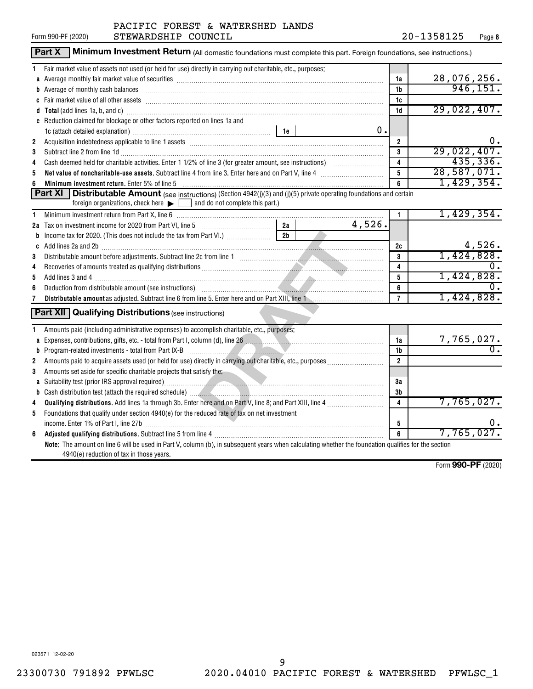|              | <b>Part X</b><br>Minimum Investment Return (All domestic foundations must complete this part. Foreign foundations, see instructions.)                                                                                                |                         |                        |
|--------------|--------------------------------------------------------------------------------------------------------------------------------------------------------------------------------------------------------------------------------------|-------------------------|------------------------|
|              | Fair market value of assets not used (or held for use) directly in carrying out charitable, etc., purposes:                                                                                                                          |                         |                        |
|              | a Average monthly fair market value of securities [11] match match match match of the control of the securities match match match match match match match match match match match match match match match match match match ma       | 1a                      | 28,076,256.            |
|              | b Average of monthly cash balances [11] All and the main contract the state of monthly cash balances                                                                                                                                 | 1b                      | 946, 151.              |
|              |                                                                                                                                                                                                                                      | 1c                      |                        |
|              |                                                                                                                                                                                                                                      | 1d                      | 29,022,407.            |
|              | <b>e</b> Reduction claimed for blockage or other factors reported on lines 1a and                                                                                                                                                    |                         |                        |
|              | 0.                                                                                                                                                                                                                                   |                         |                        |
| $\mathbf{2}$ |                                                                                                                                                                                                                                      | $\overline{2}$          | υ.                     |
| 3            | Subtract line 2 from line 1d <b>Machinese and Contract Line 2</b> from line 1d <b>machinese and contract line 2</b> from line 1d                                                                                                     | 3                       | 29,022,407.            |
| 4            |                                                                                                                                                                                                                                      | 4                       | 435,336.               |
| 5            |                                                                                                                                                                                                                                      | 5                       | 28,587,071.            |
| 6            | Minimum investment return. Enter 5% of line 5                                                                                                                                                                                        | 6                       | 1,429,354.             |
|              | Part XI<br><b>Distributable Amount</b> (see instructions) (Section 4942(j)(3) and (j)(5) private operating foundations and certain<br>foreign organizations, check here $\blacktriangleright$ and do not complete this part.)        |                         |                        |
| 1            | Minimum investment return from Part X, line 6 [11] Minimum material and the intervention of the Minimum investment return from Part X, line 6                                                                                        | $\mathbf{1}$            | 1,429,354.             |
|              | 4,526.<br>2a Tax on investment income for 2020 from Part VI, line 5 [100] [100] [20] Tax on investment income for 2020 from Part VI, line 5<br>2a                                                                                    |                         |                        |
|              | $2b$                                                                                                                                                                                                                                 |                         |                        |
|              | c Add lines 2a and 2b (11) and 20 (20) and 20 (20) and 20 (20) and 20 (20) and 20 (20) and 20 (20) and 20 (20) and 20 (20) and 20 (20) and 20 (20) and 20 (20) and 20 (20) and 20 (20) and 20 (20) and 20 (20) and 20 (20) and       | 2c                      | 4,526.                 |
| 3            |                                                                                                                                                                                                                                      | 3                       | 1,424,828.             |
| 4            |                                                                                                                                                                                                                                      | $\overline{\mathbf{4}}$ |                        |
| 5            | Add lines 3 and 4 <b>mass contract to the contract of the contract of the contract of the contract of the contract of the contract of the contract of the contract of the contract of the contract of the contract of the contra</b> | 5                       | 1,424,828.             |
| 6            |                                                                                                                                                                                                                                      | 6                       |                        |
| 7            |                                                                                                                                                                                                                                      | $\overline{7}$          | 1,424,828.             |
|              | <b>Part XII</b> Qualifying Distributions (see instructions)                                                                                                                                                                          |                         |                        |
|              | Amounts paid (including administrative expenses) to accomplish charitable, etc., purposes:                                                                                                                                           |                         |                        |
|              | a Expenses, contributions, gifts, etc. - total from Part I, column (d), line 26 [11] manus and manuscriptions, contributions, gifts, etc. - total from Part I, column (d), line 26                                                   | 1a                      | 7,765,027.             |
|              | <b>b</b> Program-related investments - total from Part IX-B                                                                                                                                                                          | 1 <sub>b</sub>          | σ.                     |
| 2            |                                                                                                                                                                                                                                      | $\overline{2}$          |                        |
| 3            | Amounts set aside for specific charitable projects that satisfy the:                                                                                                                                                                 |                         |                        |
|              |                                                                                                                                                                                                                                      | 3a                      |                        |
|              |                                                                                                                                                                                                                                      | 3b                      |                        |
| 4            |                                                                                                                                                                                                                                      | 4                       | 7,765,027.             |
| 5            | Foundations that qualify under section 4940(e) for the reduced rate of tax on net investment                                                                                                                                         |                         |                        |
|              |                                                                                                                                                                                                                                      | 5                       | Ο.                     |
| 6            |                                                                                                                                                                                                                                      | 6                       | 7,765,027.             |
|              | Note: The amount on line 6 will be used in Part V, column (b), in subsequent years when calculating whether the foundation qualifies for the section<br>4940(e) reduction of tax in those years.                                     |                         |                        |
|              |                                                                                                                                                                                                                                      |                         | $Form$ QQO_DF $(2020)$ |

Form (2020) **990-PF**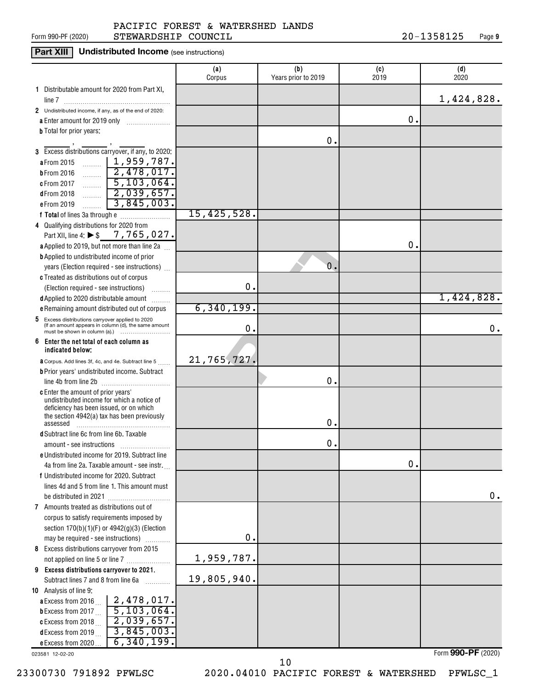#### Form 990-PF (2020)  ${\tt STEWARDSHIP}$   ${\tt COUNTIL}$   ${\tt 20-1358125}$   ${\tt Page}$ PACIFIC FOREST & WATERSHED LANDS

### **Part XIII** Undistributed Income (see instructions)

|                                                                                                          | (a)<br>Corpus | (b)<br>Years prior to 2019 | (c)<br>2019   | (d)<br>2020        |
|----------------------------------------------------------------------------------------------------------|---------------|----------------------------|---------------|--------------------|
| 1 Distributable amount for 2020 from Part XI,                                                            |               |                            |               |                    |
|                                                                                                          |               |                            |               | 1,424,828.         |
| 2 Undistributed income, if any, as of the end of 2020:                                                   |               |                            |               |                    |
|                                                                                                          |               |                            | 0.            |                    |
| <b>b</b> Total for prior years:                                                                          |               |                            |               |                    |
|                                                                                                          |               | Ο.                         |               |                    |
| 3 Excess distributions carryover, if any, to 2020:                                                       |               |                            |               |                    |
| $\sim$   1,959,787.<br>a From 2015                                                                       |               |                            |               |                    |
| 2,478,017.<br><b>b</b> From 2016                                                                         |               |                            |               |                    |
| $\frac{5,103,064.}{2}$<br>c From 2017                                                                    |               |                            |               |                    |
| $\sim$ 2,039,657.<br><b>dFrom 2018</b>                                                                   |               |                            |               |                    |
| 3,845,003.<br>e From 2019<br><u>.</u>                                                                    |               |                            |               |                    |
|                                                                                                          | 15,425,528.   |                            |               |                    |
| 4 Qualifying distributions for 2020 from                                                                 |               |                            |               |                    |
| Part XII, line 4: ▶ \$7, 765, 027.                                                                       |               |                            |               |                    |
| a Applied to 2019, but not more than line 2a                                                             |               |                            | О.            |                    |
| <b>b</b> Applied to undistributed income of prior                                                        |               |                            |               |                    |
| years (Election required - see instructions)                                                             |               | 0.                         |               |                    |
| c Treated as distributions out of corpus                                                                 |               |                            |               |                    |
| (Election required - see instructions)                                                                   | $\mathbf 0$ . |                            |               |                    |
| d Applied to 2020 distributable amount                                                                   |               |                            |               | 1,424,828.         |
| e Remaining amount distributed out of corpus                                                             | 6,340,199.    |                            |               |                    |
| 5 Excess distributions carryover applied to 2020<br>(If an amount appears in column (d), the same amount | Ο.            |                            |               | 0.                 |
| 6 Enter the net total of each column as                                                                  |               |                            |               |                    |
| indicated below:                                                                                         |               |                            |               |                    |
| <b>a</b> Corpus. Add lines 3f, 4c, and 4e. Subtract line 5                                               | 21,765,727.   |                            |               |                    |
| <b>b</b> Prior years' undistributed income. Subtract                                                     |               |                            |               |                    |
|                                                                                                          |               | 0.                         |               |                    |
| c Enter the amount of prior years'                                                                       |               |                            |               |                    |
| undistributed income for which a notice of                                                               |               |                            |               |                    |
| deficiency has been issued, or on which<br>the section 4942(a) tax has been previously                   |               |                            |               |                    |
| assessed                                                                                                 |               | 0.                         |               |                    |
| d Subtract line 6c from line 6b. Taxable                                                                 |               |                            |               |                    |
|                                                                                                          |               | О.                         |               |                    |
| e Undistributed income for 2019. Subtract line                                                           |               |                            |               |                    |
| 4a from line 2a. Taxable amount - see instr.                                                             |               |                            | $\mathbf 0$ . |                    |
| f Undistributed income for 2020. Subtract                                                                |               |                            |               |                    |
| lines 4d and 5 from line 1. This amount must                                                             |               |                            |               |                    |
| be distributed in 2021                                                                                   |               |                            |               | 0.                 |
| 7 Amounts treated as distributions out of                                                                |               |                            |               |                    |
| corpus to satisfy requirements imposed by                                                                |               |                            |               |                    |
| section $170(b)(1)(F)$ or $4942(g)(3)$ (Election                                                         |               |                            |               |                    |
| may be required - see instructions)                                                                      | 0.            |                            |               |                    |
| 8 Excess distributions carryover from 2015                                                               |               |                            |               |                    |
| not applied on line 5 or line 7                                                                          | 1,959,787.    |                            |               |                    |
| 9 Excess distributions carryover to 2021.                                                                |               |                            |               |                    |
| Subtract lines 7 and 8 from line 6a<br>.                                                                 | 19,805,940.   |                            |               |                    |
| 10 Analysis of line 9:                                                                                   |               |                            |               |                    |
| <b>a</b> Excess from 2016 $\left  2,478,017 \right $                                                     |               |                            |               |                    |
| <b>b</b> Excess from 2017 $\boxed{5, 103, 064}$ .                                                        |               |                            |               |                    |
| 2,039,657.<br>c Excess from 2018                                                                         |               |                            |               |                    |
| 3,845,003.<br>d Excess from 2019 $\ldots$                                                                |               |                            |               |                    |
| 6,340,199.<br>e Excess from 2020                                                                         |               |                            |               | Form 990-PF (2020) |
| 023581 12-02-20                                                                                          |               |                            |               |                    |

023581 12-02-20

10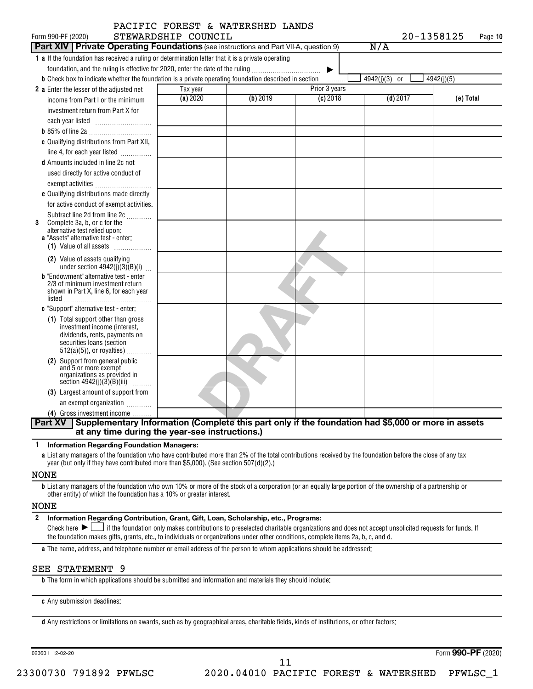| Form 990-PF (2020)                                                                                                                                                                                                                                                                                   | STEWARDSHIP COUNCIL | PACIFIC FOREST & WATERSHED LANDS |               | 20-1358125    | Page 10    |
|------------------------------------------------------------------------------------------------------------------------------------------------------------------------------------------------------------------------------------------------------------------------------------------------------|---------------------|----------------------------------|---------------|---------------|------------|
| <b>Part XIV   Private Operating Foundations</b> (see instructions and Part VII-A, question 9)                                                                                                                                                                                                        |                     |                                  |               | N/A           |            |
| 1 a If the foundation has received a ruling or determination letter that it is a private operating<br>foundation, and the ruling is effective for 2020, enter the date of the ruling<br><b>b</b> Check box to indicate whether the foundation is a private operating foundation described in section |                     |                                  | ▶<br>.        | 4942(j)(3) or | 4942(j)(5) |
| 2 a Enter the lesser of the adjusted net                                                                                                                                                                                                                                                             | Tax year            |                                  | Prior 3 years |               |            |
| income from Part I or the minimum<br>investment return from Part X for                                                                                                                                                                                                                               | (a) 2020            | (b) 2019                         | $(c)$ 2018    | $(d)$ 2017    | (e) Total  |
|                                                                                                                                                                                                                                                                                                      |                     |                                  |               |               |            |
| c Qualifying distributions from Part XII,<br>line 4, for each year listed<br><b>d</b> Amounts included in line 2c not                                                                                                                                                                                |                     |                                  |               |               |            |
| used directly for active conduct of<br>exempt activities                                                                                                                                                                                                                                             |                     |                                  |               |               |            |
| e Qualifying distributions made directly<br>for active conduct of exempt activities.                                                                                                                                                                                                                 |                     |                                  |               |               |            |
| Subtract line 2d from line 2c<br>Complete 3a, b, or c for the<br>3<br>alternative test relied upon:<br>a "Assets" alternative test - enter:<br>$(1)$ Value of all assets $\ldots$                                                                                                                    |                     |                                  |               |               |            |
| (2) Value of assets qualifying<br>under section $4942(j)(3)(B)(i)$                                                                                                                                                                                                                                   |                     |                                  |               |               |            |
| <b>b</b> "Endowment" alternative test - enter<br>2/3 of minimum investment return<br>shown in Part X, line 6, for each year<br>listed                                                                                                                                                                |                     |                                  |               |               |            |
| c "Support" alternative test - enter:                                                                                                                                                                                                                                                                |                     |                                  |               |               |            |
| (1) Total support other than gross<br>investment income (interest,<br>dividends, rents, payments on<br>securities loans (section<br>$512(a)(5)$ , or royalties)                                                                                                                                      |                     |                                  |               |               |            |
| (2) Support from general public<br>and 5 or more exempt<br>organizations as provided in<br>section $4942(j)(3)(B)(iii)$<br>.                                                                                                                                                                         |                     |                                  |               |               |            |
| (3) Largest amount of support from                                                                                                                                                                                                                                                                   |                     |                                  |               |               |            |
| an exempt organization                                                                                                                                                                                                                                                                               |                     |                                  |               |               |            |
| (4) Gross investment income                                                                                                                                                                                                                                                                          |                     |                                  |               |               |            |
| Supplementary Information (Complete this part only if the foundation had \$5,000 or more in assets<br><b>Part XV</b><br>at any time during the year-see instructions.)                                                                                                                               |                     |                                  |               |               |            |

**1 Information Regarding Foundation Managers:**

**a** List any managers of the foundation who have contributed more than 2% of the total contributions received by the foundation before the close of any tax year (but only if they have contributed more than \$5,000). (See section 507(d)(2).)

#### NONE

**b** List any managers of the foundation who own 10% or more of the stock of a corporation (or an equally large portion of the ownership of a partnership or other entity) of which the foundation has a 10% or greater interest.

#### NONE

**2 Information Regarding Contribution, Grant, Gift, Loan, Scholarship, etc., Programs:** Final check here  $\sum_{n=1}^{\infty}$  if the foundation only makes contributions to preselected charitable organizations and does not accept unsolicited requests for funds. If the foundation makes gifts, grants, etc., to individuals or organizations under other conditions, complete items 2a, b, c, and d.

**a** The name, address, and telephone number or email address of the person to whom applications should be addressed:

#### SEE STATEMENT 9

**b** The form in which applications should be submitted and information and materials they should include:

**c** Any submission deadlines:

**d** Any restrictions or limitations on awards, such as by geographical areas, charitable fields, kinds of institutions, or other factors: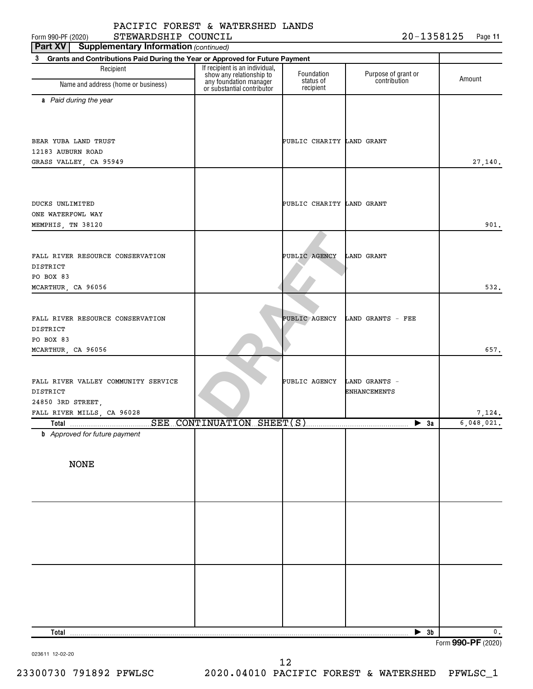Form 990-PF (2020)  ${\tt STEWARDSHIP\_COUNTL} \hspace{-0.2cm} {\bf \large \begin{array}{c} \hbox{\hspace{1cm} I} \end{array}}$   ${\tt 20-1358125} \hspace{-0.2cm} \begin{array}{c} \hbox{\hspace{1cm}Page \end{array}}$ STEWARDSHIP COUNCIL 20-1358125

**11**

| <b>Supplementary Information (continued)</b><br>Part XV                           |                                                            |                           |                                     |                      |
|-----------------------------------------------------------------------------------|------------------------------------------------------------|---------------------------|-------------------------------------|----------------------|
| Grants and Contributions Paid During the Year or Approved for Future Payment<br>3 |                                                            |                           |                                     |                      |
| Recipient                                                                         | If recipient is an individual,<br>show any relationship to | Foundation<br>status of   | Purpose of grant or<br>contribution | Amount               |
| Name and address (home or business)                                               | any foundation manager<br>or substantial contributor       | recipient                 |                                     |                      |
| a Paid during the year                                                            |                                                            |                           |                                     |                      |
|                                                                                   |                                                            |                           |                                     |                      |
|                                                                                   |                                                            |                           |                                     |                      |
| BEAR YUBA LAND TRUST                                                              |                                                            | PUBLIC CHARITY LAND GRANT |                                     |                      |
| 12183 AUBURN ROAD                                                                 |                                                            |                           |                                     |                      |
| GRASS VALLEY, CA 95949                                                            |                                                            |                           |                                     | 27,140.              |
|                                                                                   |                                                            |                           |                                     |                      |
|                                                                                   |                                                            |                           |                                     |                      |
| DUCKS UNLIMITED                                                                   |                                                            | PUBLIC CHARITY LAND GRANT |                                     |                      |
| ONE WATERFOWL WAY                                                                 |                                                            |                           |                                     | 901.                 |
| MEMPHIS, TN 38120                                                                 |                                                            |                           |                                     |                      |
|                                                                                   |                                                            |                           |                                     |                      |
| FALL RIVER RESOURCE CONSERVATION                                                  |                                                            | PUBLIC AGENCY             | <b>LAND GRANT</b>                   |                      |
| <b>DISTRICT</b>                                                                   |                                                            |                           |                                     |                      |
| PO BOX 83                                                                         |                                                            |                           |                                     |                      |
| MCARTHUR, CA 96056                                                                |                                                            |                           |                                     | 532.                 |
|                                                                                   |                                                            |                           |                                     |                      |
| FALL RIVER RESOURCE CONSERVATION                                                  |                                                            | PUBLIC AGENCY             | LAND GRANTS - FEE                   |                      |
| DISTRICT                                                                          |                                                            |                           |                                     |                      |
| PO BOX 83                                                                         |                                                            |                           |                                     |                      |
| MCARTHUR, CA 96056                                                                |                                                            |                           |                                     | 657.                 |
|                                                                                   |                                                            |                           |                                     |                      |
| FALL RIVER VALLEY COMMUNITY SERVICE                                               |                                                            | PUBLIC AGENCY             | LAND GRANTS -                       |                      |
| DISTRICT                                                                          |                                                            |                           | <b>ENHANCEMENTS</b>                 |                      |
| 24850 3RD STREET,                                                                 |                                                            |                           |                                     |                      |
| FALL RIVER MILLS, CA 96028                                                        |                                                            |                           |                                     | 7,124.<br>6,048,021. |
| <b>b</b> Approved for future payment                                              |                                                            |                           | $\blacktriangleright$ 3a            |                      |
|                                                                                   |                                                            |                           |                                     |                      |
|                                                                                   |                                                            |                           |                                     |                      |
| <b>NONE</b>                                                                       |                                                            |                           |                                     |                      |
|                                                                                   |                                                            |                           |                                     |                      |
|                                                                                   |                                                            |                           |                                     |                      |
|                                                                                   |                                                            |                           |                                     |                      |
|                                                                                   |                                                            |                           |                                     |                      |
|                                                                                   |                                                            |                           |                                     |                      |
|                                                                                   |                                                            |                           |                                     |                      |
|                                                                                   |                                                            |                           |                                     |                      |
|                                                                                   |                                                            |                           |                                     |                      |
|                                                                                   |                                                            |                           |                                     |                      |
|                                                                                   |                                                            |                           |                                     |                      |
|                                                                                   |                                                            |                           |                                     |                      |
|                                                                                   |                                                            |                           |                                     |                      |
| Total                                                                             |                                                            |                           | $\blacktriangleright$ 3b            | 0.                   |

023611 12-02-20

Form (2020) **990-PF**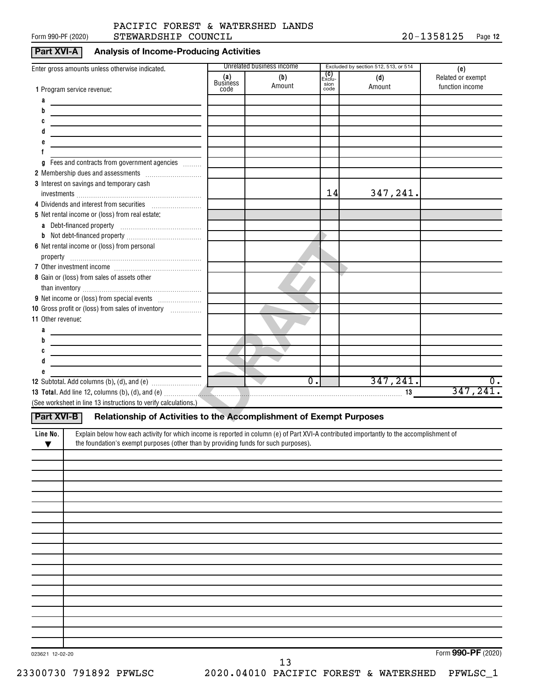#### Form 990-PF (2020)  ${\tt STEWARDSHIP}$   ${\tt COUNTIL}$   ${\tt 20-1358125}$   ${\tt Page}$ PACIFIC FOREST & WATERSHED LANDS

#### **Part XVI-A Analysis of Income-Producing Activities**

|                                                                                                                                                                                                                                |                        | Unrelated business income |                         | Excluded by section 512, 513, or 514 |                                             |
|--------------------------------------------------------------------------------------------------------------------------------------------------------------------------------------------------------------------------------|------------------------|---------------------------|-------------------------|--------------------------------------|---------------------------------------------|
| Enter gross amounts unless otherwise indicated.                                                                                                                                                                                | (a)<br><b>Business</b> | (b)<br>Amount             | _ (C)<br>Exclu-<br>sion | (d)<br>Amount                        | (e)<br>Related or exempt<br>function income |
| 1 Program service revenue:                                                                                                                                                                                                     | code                   |                           | code                    |                                      |                                             |
| а                                                                                                                                                                                                                              |                        |                           |                         |                                      |                                             |
| b                                                                                                                                                                                                                              |                        |                           |                         |                                      |                                             |
| C<br>d                                                                                                                                                                                                                         |                        |                           |                         |                                      |                                             |
| <u> 1980 - Andrea Station Barbara, amerikan personal (h. 1980)</u>                                                                                                                                                             |                        |                           |                         |                                      |                                             |
|                                                                                                                                                                                                                                |                        |                           |                         |                                      |                                             |
| Fees and contracts from government agencies<br>g                                                                                                                                                                               |                        |                           |                         |                                      |                                             |
|                                                                                                                                                                                                                                |                        |                           |                         |                                      |                                             |
| 3 Interest on savings and temporary cash                                                                                                                                                                                       |                        |                           |                         |                                      |                                             |
|                                                                                                                                                                                                                                |                        |                           | 14                      | 347,241.                             |                                             |
|                                                                                                                                                                                                                                |                        |                           |                         |                                      |                                             |
| 5 Net rental income or (loss) from real estate:                                                                                                                                                                                |                        |                           |                         |                                      |                                             |
|                                                                                                                                                                                                                                |                        |                           |                         |                                      |                                             |
|                                                                                                                                                                                                                                |                        |                           |                         |                                      |                                             |
| 6 Net rental income or (loss) from personal                                                                                                                                                                                    |                        |                           |                         |                                      |                                             |
|                                                                                                                                                                                                                                |                        |                           |                         |                                      |                                             |
|                                                                                                                                                                                                                                |                        |                           |                         |                                      |                                             |
| 8 Gain or (loss) from sales of assets other                                                                                                                                                                                    |                        |                           |                         |                                      |                                             |
|                                                                                                                                                                                                                                |                        |                           |                         |                                      |                                             |
|                                                                                                                                                                                                                                |                        |                           |                         |                                      |                                             |
| 10 Gross profit or (loss) from sales of inventory                                                                                                                                                                              |                        |                           |                         |                                      |                                             |
| 11 Other revenue:                                                                                                                                                                                                              |                        |                           |                         |                                      |                                             |
| a                                                                                                                                                                                                                              |                        |                           |                         |                                      |                                             |
| b<br><u> 1989 - Andrea Andrew Maria (h. 1989).</u>                                                                                                                                                                             |                        |                           |                         |                                      |                                             |
| C<br><u> 1980 - Andrea Andrew Maria (h. 1980).</u>                                                                                                                                                                             |                        |                           |                         |                                      |                                             |
| d<br><u> 1989 - Johann Barbara, martxa eta idazlea (h. 1989).</u>                                                                                                                                                              |                        |                           |                         |                                      |                                             |
|                                                                                                                                                                                                                                | <u>and</u> T           | $\overline{0}$ .          |                         | 347, 241.                            | $\overline{0}$ .                            |
| 13 Total. Add line 12, columns (b), (d), and (e) manufactured and contain a series of the series of the series of the series of the series of the series of the series of the series of the series of the series of the series |                        |                           |                         |                                      | 347,241.                                    |
| (See worksheet in line 13 instructions to verify calculations.)                                                                                                                                                                |                        |                           |                         |                                      |                                             |
|                                                                                                                                                                                                                                |                        |                           |                         |                                      |                                             |
| Relationship of Activities to the Accomplishment of Exempt Purposes<br>Part XVI-B                                                                                                                                              |                        |                           |                         |                                      |                                             |
| Explain below how each activity for which income is reported in column (e) of Part XVI-A contributed importantly to the accomplishment of<br>Line No.                                                                          |                        |                           |                         |                                      |                                             |
| the foundation's exempt purposes (other than by providing funds for such purposes).<br>▼                                                                                                                                       |                        |                           |                         |                                      |                                             |
|                                                                                                                                                                                                                                |                        |                           |                         |                                      |                                             |
|                                                                                                                                                                                                                                |                        |                           |                         |                                      |                                             |
|                                                                                                                                                                                                                                |                        |                           |                         |                                      |                                             |
|                                                                                                                                                                                                                                |                        |                           |                         |                                      |                                             |
|                                                                                                                                                                                                                                |                        |                           |                         |                                      |                                             |
|                                                                                                                                                                                                                                |                        |                           |                         |                                      |                                             |
|                                                                                                                                                                                                                                |                        |                           |                         |                                      |                                             |
|                                                                                                                                                                                                                                |                        |                           |                         |                                      |                                             |
|                                                                                                                                                                                                                                |                        |                           |                         |                                      |                                             |
|                                                                                                                                                                                                                                |                        |                           |                         |                                      |                                             |
|                                                                                                                                                                                                                                |                        |                           |                         |                                      |                                             |
|                                                                                                                                                                                                                                |                        |                           |                         |                                      |                                             |
|                                                                                                                                                                                                                                |                        |                           |                         |                                      |                                             |
|                                                                                                                                                                                                                                |                        |                           |                         |                                      |                                             |
|                                                                                                                                                                                                                                |                        |                           |                         |                                      |                                             |
|                                                                                                                                                                                                                                |                        |                           |                         |                                      |                                             |
|                                                                                                                                                                                                                                |                        |                           |                         |                                      |                                             |

023621 12-02-20

Form (2020) **990-PF**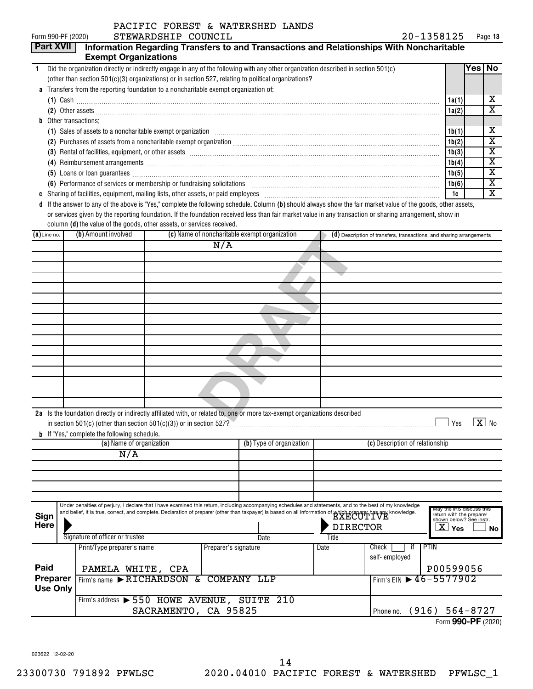| Form 990-PF (2020)       |                             | STEWARDSHIP COUNCIL                                                                                                                                                                                                                                                                                                                                                                                                                                                                                                                                                                      | 20-1358125               | Page 13                 |
|--------------------------|-----------------------------|------------------------------------------------------------------------------------------------------------------------------------------------------------------------------------------------------------------------------------------------------------------------------------------------------------------------------------------------------------------------------------------------------------------------------------------------------------------------------------------------------------------------------------------------------------------------------------------|--------------------------|-------------------------|
| <b>Part XVII</b>         | <b>Exempt Organizations</b> | Information Regarding Transfers to and Transactions and Relationships With Noncharitable                                                                                                                                                                                                                                                                                                                                                                                                                                                                                                 |                          |                         |
| $\mathbf{1}$             |                             | Did the organization directly or indirectly engage in any of the following with any other organization described in section 501(c)                                                                                                                                                                                                                                                                                                                                                                                                                                                       |                          | Yes No                  |
|                          |                             | (other than section 501(c)(3) organizations) or in section 527, relating to political organizations?                                                                                                                                                                                                                                                                                                                                                                                                                                                                                     |                          |                         |
|                          |                             | a Transfers from the reporting foundation to a noncharitable exempt organization of:                                                                                                                                                                                                                                                                                                                                                                                                                                                                                                     |                          |                         |
|                          |                             | $(1)$ Cash $\ldots$                                                                                                                                                                                                                                                                                                                                                                                                                                                                                                                                                                      | 1a(1)                    | x                       |
|                          |                             | (2) Other assets <b>construction and construction of the construction</b> of the construction of the construction of the construction of the construction of the construction of the construction of the construction of the constr                                                                                                                                                                                                                                                                                                                                                      | 1a(2)                    | $\overline{\textbf{x}}$ |
| Other transactions:<br>b |                             |                                                                                                                                                                                                                                                                                                                                                                                                                                                                                                                                                                                          |                          |                         |
|                          |                             | (1) Sales of assets to a noncharitable exempt organization [1] Content material contents and a noncharitable exempt organization [1] [1] Sales of assets to a noncharitable exempt organization [1] [1] [1] [1] [1] [1] [1] [1                                                                                                                                                                                                                                                                                                                                                           | 1b(1)                    | х                       |
|                          |                             |                                                                                                                                                                                                                                                                                                                                                                                                                                                                                                                                                                                          | 1b(2)                    | X                       |
|                          |                             | (3) Rental of facilities, equipment, or other assets [111] All and the content of the set of the content of the set of the content of the set of the set of the set of the set of the set of the set of the set of the set of                                                                                                                                                                                                                                                                                                                                                            | 1b(3)                    | х                       |
|                          |                             |                                                                                                                                                                                                                                                                                                                                                                                                                                                                                                                                                                                          | 1b(4)                    | х                       |
|                          |                             | (5) Loans or loan guarantees <b>commissions</b> and a construction of the construction of the construction of the construction of the construction of the construction of the construction of the construction of the construction                                                                                                                                                                                                                                                                                                                                                       | 1b(5)                    | $\overline{\textbf{x}}$ |
|                          |                             | (6) Performance of services or membership or fundraising solicitations [11] matter content to the series of services or membership or fundraising solicitations [11] matter content to the service of the service of the servi                                                                                                                                                                                                                                                                                                                                                           | 1b(6)                    | $\overline{\mathbf{x}}$ |
| C                        |                             |                                                                                                                                                                                                                                                                                                                                                                                                                                                                                                                                                                                          | 1c                       | $\overline{\mathbf{X}}$ |
| $(a)$ Line no.           | (b) Amount involved         | column (d) the value of the goods, other assets, or services received.<br>(c) Name of noncharitable exempt organization<br>(d) Description of transfers, transactions, and sharing arrangements                                                                                                                                                                                                                                                                                                                                                                                          |                          |                         |
|                          |                             | N/A                                                                                                                                                                                                                                                                                                                                                                                                                                                                                                                                                                                      |                          |                         |
|                          |                             |                                                                                                                                                                                                                                                                                                                                                                                                                                                                                                                                                                                          |                          |                         |
|                          |                             |                                                                                                                                                                                                                                                                                                                                                                                                                                                                                                                                                                                          |                          |                         |
|                          |                             |                                                                                                                                                                                                                                                                                                                                                                                                                                                                                                                                                                                          |                          |                         |
|                          |                             |                                                                                                                                                                                                                                                                                                                                                                                                                                                                                                                                                                                          |                          |                         |
|                          |                             |                                                                                                                                                                                                                                                                                                                                                                                                                                                                                                                                                                                          |                          |                         |
|                          |                             |                                                                                                                                                                                                                                                                                                                                                                                                                                                                                                                                                                                          |                          |                         |
|                          |                             |                                                                                                                                                                                                                                                                                                                                                                                                                                                                                                                                                                                          |                          |                         |
|                          |                             |                                                                                                                                                                                                                                                                                                                                                                                                                                                                                                                                                                                          |                          |                         |
|                          |                             |                                                                                                                                                                                                                                                                                                                                                                                                                                                                                                                                                                                          |                          |                         |
|                          |                             |                                                                                                                                                                                                                                                                                                                                                                                                                                                                                                                                                                                          |                          |                         |
|                          |                             |                                                                                                                                                                                                                                                                                                                                                                                                                                                                                                                                                                                          |                          |                         |
|                          |                             |                                                                                                                                                                                                                                                                                                                                                                                                                                                                                                                                                                                          |                          |                         |
|                          |                             |                                                                                                                                                                                                                                                                                                                                                                                                                                                                                                                                                                                          |                          |                         |
|                          |                             |                                                                                                                                                                                                                                                                                                                                                                                                                                                                                                                                                                                          |                          |                         |
|                          |                             | 2a Is the foundation directly or indirectly affiliated with, or related to, one or more tax-exempt organizations described<br>$\mathbf{r} = \mathbf{r} \cdot \mathbf{r} + \mathbf{r} \cdot \mathbf{r} + \mathbf{r} \cdot \mathbf{r} + \mathbf{r} \cdot \mathbf{r} + \mathbf{r} \cdot \mathbf{r} + \mathbf{r} \cdot \mathbf{r} + \mathbf{r} \cdot \mathbf{r} + \mathbf{r} \cdot \mathbf{r} + \mathbf{r} \cdot \mathbf{r} + \mathbf{r} \cdot \mathbf{r} + \mathbf{r} \cdot \mathbf{r} + \mathbf{r} \cdot \mathbf{r} + \mathbf{r} \cdot \mathbf{r} + \mathbf{r} \cdot \mathbf{r} + \mathbf$ | $\overline{\phantom{a}}$ | [ডা …                   |

|                                                    | 2a Is the foundation directly or indirectly affiliated with, or related to, one or more tax-exempt organizations described |                                                                                                                                                               |     |                |                 |                          |  |                                        |                                                     |           |
|----------------------------------------------------|----------------------------------------------------------------------------------------------------------------------------|---------------------------------------------------------------------------------------------------------------------------------------------------------------|-----|----------------|-----------------|--------------------------|--|----------------------------------------|-----------------------------------------------------|-----------|
|                                                    |                                                                                                                            |                                                                                                                                                               |     |                |                 |                          |  |                                        | Yes                                                 | $X _{N0}$ |
|                                                    |                                                                                                                            | <b>b</b> If "Yes," complete the following schedule.                                                                                                           |     |                |                 |                          |  |                                        |                                                     |           |
|                                                    |                                                                                                                            | (a) Name of organization                                                                                                                                      |     |                |                 | (b) Type of organization |  | (c) Description of relationship        |                                                     |           |
|                                                    |                                                                                                                            | N/A                                                                                                                                                           |     |                |                 |                          |  |                                        |                                                     |           |
|                                                    |                                                                                                                            |                                                                                                                                                               |     |                |                 |                          |  |                                        |                                                     |           |
|                                                    |                                                                                                                            |                                                                                                                                                               |     |                |                 |                          |  |                                        |                                                     |           |
|                                                    |                                                                                                                            |                                                                                                                                                               |     |                |                 |                          |  |                                        |                                                     |           |
|                                                    |                                                                                                                            |                                                                                                                                                               |     |                |                 |                          |  |                                        |                                                     |           |
|                                                    |                                                                                                                            | Under penalties of perjury, I declare that I have examined this return, including accompanying schedules and statements, and to the best of my knowledge      |     |                |                 |                          |  |                                        | May the IRS discuss this                            |           |
| Sign                                               |                                                                                                                            | and belief, it is true, correct, and complete. Declaration of preparer (other than taxpayer) is based on all information of which preparer has any knowledge. |     |                |                 |                          |  |                                        | return with the preparer<br>shown below? See instr. |           |
| Here                                               |                                                                                                                            |                                                                                                                                                               |     |                | <b>DIRECTOR</b> |                          |  |                                        | $\overline{\text{X}}$ Yes                           | No        |
| Signature of officer or trustee                    |                                                                                                                            |                                                                                                                                                               |     |                | Date            | Title                    |  |                                        |                                                     |           |
| Print/Type preparer's name<br>Preparer's signature |                                                                                                                            |                                                                                                                                                               |     | Date           | Check           | PTIN                     |  |                                        |                                                     |           |
|                                                    |                                                                                                                            |                                                                                                                                                               |     |                |                 |                          |  | self-employed                          |                                                     |           |
| Paid                                               |                                                                                                                            | PAMELA WHITE, CPA                                                                                                                                             |     |                |                 |                          |  |                                        | P00599056                                           |           |
| Preparer                                           |                                                                                                                            | Firm's name RICHARDSON                                                                                                                                        | ି ହ | <b>COMPANY</b> |                 | LLP                      |  | Firm's EIN $\triangleright$ 46-5577902 |                                                     |           |
| $II$ aa Onka                                       |                                                                                                                            |                                                                                                                                                               |     |                |                 |                          |  |                                        |                                                     |           |

Firm's address > 550 HOWE AVENUE, SUITE 210

| SACRAMENTO, CA 95825 |  | Phone no. (916) $564 - 8727$ |
|----------------------|--|------------------------------|
|                      |  | Form 990-PF (2020)           |

023622 12-02-20

**Use Only**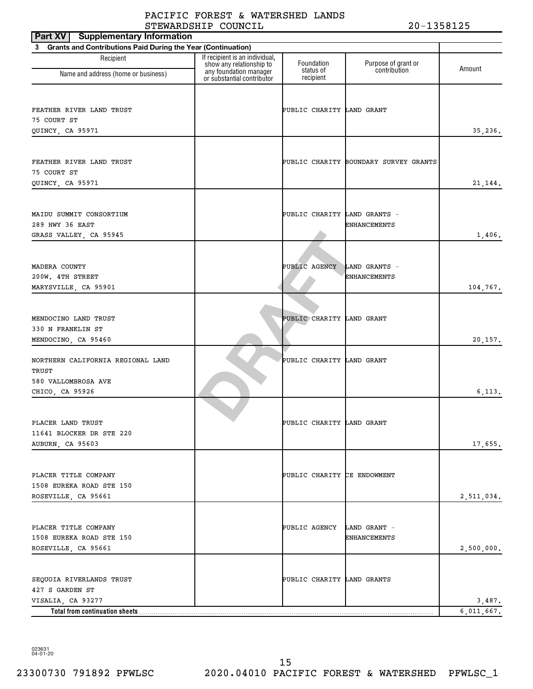| Part XV   Supplementary Information                                      |                                                            |                              |                                       |            |
|--------------------------------------------------------------------------|------------------------------------------------------------|------------------------------|---------------------------------------|------------|
| <b>Grants and Contributions Paid During the Year (Continuation)</b><br>3 |                                                            |                              |                                       |            |
| Recipient                                                                | If recipient is an individual,<br>show any relationship to | Foundation                   | Purpose of grant or                   | Amount     |
| Name and address (home or business)                                      | any foundation manager<br>or substantial contributor       | status of<br>recipient       | contribution                          |            |
|                                                                          |                                                            |                              |                                       |            |
| FEATHER RIVER LAND TRUST                                                 |                                                            | PUBLIC CHARITY LAND GRANT    |                                       |            |
| 75 COURT ST                                                              |                                                            |                              |                                       |            |
| QUINCY, CA 95971                                                         |                                                            |                              |                                       | 35,236.    |
|                                                                          |                                                            |                              |                                       |            |
| FEATHER RIVER LAND TRUST                                                 |                                                            |                              | PUBLIC CHARITY BOUNDARY SURVEY GRANTS |            |
| 75 COURT ST<br>QUINCY, CA 95971                                          |                                                            |                              |                                       |            |
|                                                                          |                                                            |                              |                                       | 21,144.    |
| MAIDU SUMMIT CONSORTIUM                                                  |                                                            | PUBLIC CHARITY LAND GRANTS - |                                       |            |
| 289 HWY 36 EAST                                                          |                                                            |                              | <b>ENHANCEMENTS</b>                   |            |
| GRASS VALLEY, CA 95945                                                   |                                                            |                              |                                       | 1,406.     |
|                                                                          |                                                            |                              |                                       |            |
| MADERA COUNTY                                                            |                                                            | PUBLIC AGENCY                | LAND GRANTS -                         |            |
| 200W. 4TH STREET                                                         |                                                            |                              | <b>ENHANCEMENTS</b>                   |            |
| MARYSVILLE, CA 95901                                                     |                                                            |                              |                                       | 104,767.   |
|                                                                          |                                                            |                              |                                       |            |
|                                                                          |                                                            |                              |                                       |            |
| MENDOCINO LAND TRUST                                                     |                                                            | PUBLIC CHARITY LAND GRANT    |                                       |            |
| 330 N FRANKLIN ST<br>MENDOCINO, CA 95460                                 |                                                            |                              |                                       | 20,157.    |
|                                                                          |                                                            |                              |                                       |            |
| NORTHERN CALIFORNIA REGIONAL LAND                                        |                                                            | PUBLIC CHARITY LAND GRANT    |                                       |            |
| TRUST                                                                    |                                                            |                              |                                       |            |
| 580 VALLOMBROSA AVE                                                      |                                                            |                              |                                       |            |
| CHICO, CA 95926                                                          |                                                            |                              |                                       | 6, 113.    |
|                                                                          |                                                            |                              |                                       |            |
| PLACER LAND TRUST                                                        |                                                            | PUBLIC CHARITY LAND GRANT    |                                       |            |
| 11641 BLOCKER DR STE 220                                                 |                                                            |                              |                                       |            |
| AUBURN, CA 95603                                                         |                                                            |                              |                                       | 17,655.    |
|                                                                          |                                                            |                              |                                       |            |
| PLACER TITLE COMPANY                                                     |                                                            | PUBLIC CHARITY CE ENDOWMENT  |                                       |            |
| 1508 EUREKA ROAD STE 150                                                 |                                                            |                              |                                       |            |
| ROSEVILLE, CA 95661                                                      |                                                            |                              |                                       | 2,511,034. |
|                                                                          |                                                            |                              |                                       |            |
| PLACER TITLE COMPANY                                                     |                                                            | PUBLIC AGENCY LAND GRANT -   |                                       |            |
| 1508 EUREKA ROAD STE 150                                                 |                                                            |                              | <b>ENHANCEMENTS</b>                   |            |
| ROSEVILLE, CA 95661                                                      |                                                            |                              |                                       | 2,500,000. |
|                                                                          |                                                            |                              |                                       |            |
| SEQUOIA RIVERLANDS TRUST                                                 |                                                            | PUBLIC CHARITY LAND GRANTS   |                                       |            |
| 427 S GARDEN ST                                                          |                                                            |                              |                                       |            |
| VISALIA, CA 93277                                                        |                                                            |                              |                                       | 3,487.     |
| Total from continuation sheets                                           |                                                            |                              |                                       | 6,011,667. |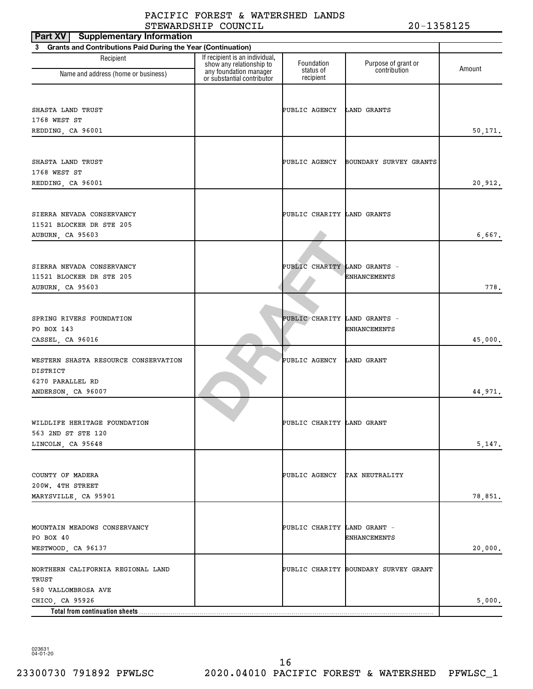| <b>Supplementary Information</b><br>Part XV                                                   |                                                                                      |                              |                                      |         |
|-----------------------------------------------------------------------------------------------|--------------------------------------------------------------------------------------|------------------------------|--------------------------------------|---------|
| <b>Grants and Contributions Paid During the Year (Continuation)</b><br>3                      |                                                                                      |                              |                                      |         |
| Recipient                                                                                     | If recipient is an individual,<br>show any relationship to<br>any foundation manager | Foundation<br>status of      | Purpose of grant or<br>contribution  | Amount  |
| Name and address (home or business)                                                           | or substantial contributor                                                           | recipient                    |                                      |         |
| SHASTA LAND TRUST<br>1768 WEST ST<br>REDDING, CA 96001                                        |                                                                                      | PUBLIC AGENCY                | LAND GRANTS                          | 50,171. |
| SHASTA LAND TRUST<br>1768 WEST ST<br>REDDING, CA 96001                                        |                                                                                      | PUBLIC AGENCY                | BOUNDARY SURVEY GRANTS               | 20,912. |
| SIERRA NEVADA CONSERVANCY<br>11521 BLOCKER DR STE 205<br>AUBURN, CA 95603                     |                                                                                      | PUBLIC CHARITY LAND GRANTS   |                                      | 6,667.  |
| SIERRA NEVADA CONSERVANCY<br>11521 BLOCKER DR STE 205<br>AUBURN, CA 95603                     |                                                                                      | PUBLIC CHARITY LAND GRANTS - | ENHANCEMENTS                         | 778.    |
| SPRING RIVERS FOUNDATION<br>PO BOX 143<br>CASSEL, CA 96016                                    |                                                                                      | PUBLIC CHARITY LAND GRANTS - | <b>ENHANCEMENTS</b>                  | 45,000. |
| WESTERN SHASTA RESOURCE CONSERVATION<br>DISTRICT<br>6270 PARALLEL RD                          |                                                                                      | PUBLIC AGENCY                | LAND GRANT                           | 44,971. |
| ANDERSON, CA 96007<br>WILDLIFE HERITAGE FOUNDATION<br>563 2ND ST STE 120<br>LINCOLN, CA 95648 |                                                                                      | PUBLIC CHARITY LAND GRANT    |                                      | 5,147.  |
| COUNTY OF MADERA<br>200W. 4TH STREET<br>MARYSVILLE, CA 95901                                  |                                                                                      | PUBLIC AGENCY TAX NEUTRALITY |                                      | 78,851. |
| MOUNTAIN MEADOWS CONSERVANCY<br>PO BOX 40<br>WESTWOOD, CA 96137                               |                                                                                      | PUBLIC CHARITY LAND GRANT -  | <b>ENHANCEMENTS</b>                  | 20,000. |
| NORTHERN CALIFORNIA REGIONAL LAND<br>TRUST<br>580 VALLOMBROSA AVE                             |                                                                                      |                              | PUBLIC CHARITY BOUNDARY SURVEY GRANT |         |
| CHICO, CA 95926                                                                               |                                                                                      |                              |                                      | 5,000.  |
| Total from continuation sheets                                                                |                                                                                      |                              |                                      |         |

23300730 791892 PFWLSC 2020.04010 PACIFIC FOREST & WATERSHED PFWLSC\_1 16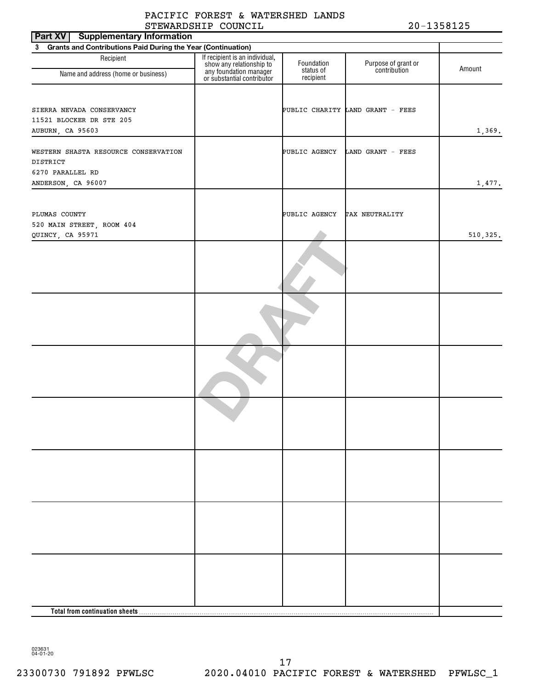| Part XV<br><b>Supplementary Information</b>                    |                                                                                                                    |                         |                                     |           |
|----------------------------------------------------------------|--------------------------------------------------------------------------------------------------------------------|-------------------------|-------------------------------------|-----------|
| 3 Grants and Contributions Paid During the Year (Continuation) |                                                                                                                    |                         |                                     |           |
| Recipient<br>Name and address (home or business)               | If recipient is an individual,<br>show any relationship to<br>any foundation manager<br>or substantial contributor | Foundation<br>status of | Purpose of grant or<br>contribution | Amount    |
|                                                                |                                                                                                                    | recipient               |                                     |           |
|                                                                |                                                                                                                    |                         |                                     |           |
|                                                                |                                                                                                                    |                         |                                     |           |
| SIERRA NEVADA CONSERVANCY<br>11521 BLOCKER DR STE 205          |                                                                                                                    |                         | PUBLIC CHARITY LAND GRANT - FEES    |           |
| AUBURN, CA 95603                                               |                                                                                                                    |                         |                                     | 1,369.    |
|                                                                |                                                                                                                    |                         |                                     |           |
| WESTERN SHASTA RESOURCE CONSERVATION                           |                                                                                                                    | PUBLIC AGENCY           | LAND GRANT - FEES                   |           |
| DISTRICT                                                       |                                                                                                                    |                         |                                     |           |
| 6270 PARALLEL RD                                               |                                                                                                                    |                         |                                     |           |
| ANDERSON, CA 96007                                             |                                                                                                                    |                         |                                     | 1,477.    |
|                                                                |                                                                                                                    |                         |                                     |           |
|                                                                |                                                                                                                    |                         |                                     |           |
| PLUMAS COUNTY<br>520 MAIN STREET, ROOM 404                     |                                                                                                                    | PUBLIC AGENCY           | TAX NEUTRALITY                      |           |
| QUINCY, CA 95971                                               |                                                                                                                    |                         |                                     | 510, 325. |
|                                                                |                                                                                                                    |                         |                                     |           |
|                                                                |                                                                                                                    |                         |                                     |           |
|                                                                |                                                                                                                    |                         |                                     |           |
|                                                                |                                                                                                                    |                         |                                     |           |
|                                                                |                                                                                                                    |                         |                                     |           |
|                                                                |                                                                                                                    |                         |                                     |           |
|                                                                |                                                                                                                    |                         |                                     |           |
|                                                                |                                                                                                                    |                         |                                     |           |
|                                                                |                                                                                                                    |                         |                                     |           |
|                                                                |                                                                                                                    |                         |                                     |           |
|                                                                |                                                                                                                    |                         |                                     |           |
|                                                                |                                                                                                                    |                         |                                     |           |
|                                                                |                                                                                                                    |                         |                                     |           |
|                                                                |                                                                                                                    |                         |                                     |           |
|                                                                |                                                                                                                    |                         |                                     |           |
|                                                                |                                                                                                                    |                         |                                     |           |
|                                                                |                                                                                                                    |                         |                                     |           |
|                                                                |                                                                                                                    |                         |                                     |           |
|                                                                |                                                                                                                    |                         |                                     |           |
|                                                                |                                                                                                                    |                         |                                     |           |
|                                                                |                                                                                                                    |                         |                                     |           |
|                                                                |                                                                                                                    |                         |                                     |           |
|                                                                |                                                                                                                    |                         |                                     |           |
|                                                                |                                                                                                                    |                         |                                     |           |
|                                                                |                                                                                                                    |                         |                                     |           |
|                                                                |                                                                                                                    |                         |                                     |           |
|                                                                |                                                                                                                    |                         |                                     |           |
|                                                                |                                                                                                                    |                         |                                     |           |
|                                                                |                                                                                                                    |                         |                                     |           |
|                                                                |                                                                                                                    |                         |                                     |           |
|                                                                |                                                                                                                    |                         |                                     |           |
|                                                                |                                                                                                                    |                         |                                     |           |
|                                                                |                                                                                                                    |                         |                                     |           |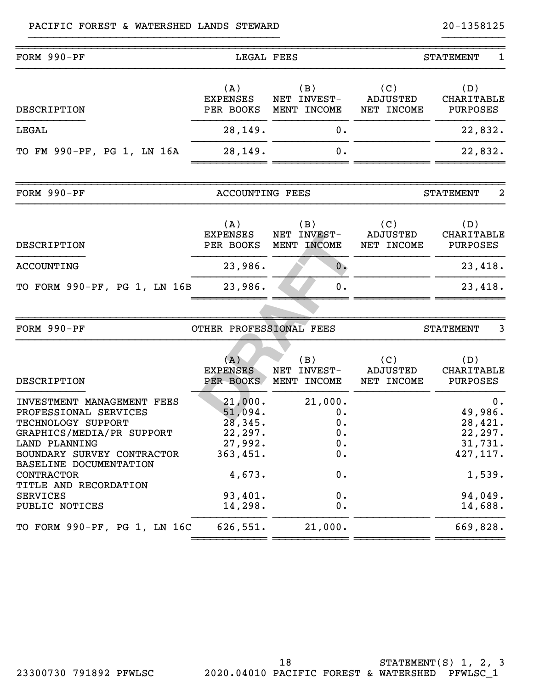#### PACIFIC FOREST & WATERSHED LANDS STEWARD 20-1358125

| FORM 990-PF                                                                                                                                                                                                                                                 | LEGAL FEES                                                                                      |                                                            |                                      | $\mathbf 1$<br><b>STATEMENT</b>                                                                 |
|-------------------------------------------------------------------------------------------------------------------------------------------------------------------------------------------------------------------------------------------------------------|-------------------------------------------------------------------------------------------------|------------------------------------------------------------|--------------------------------------|-------------------------------------------------------------------------------------------------|
| DESCRIPTION                                                                                                                                                                                                                                                 | (A)<br><b>EXPENSES</b><br>PER BOOKS                                                             | (B)<br>NET INVEST-<br>MENT INCOME                          | (C)<br><b>ADJUSTED</b><br>NET INCOME | (D)<br>CHARITABLE<br>PURPOSES                                                                   |
| LEGAL                                                                                                                                                                                                                                                       | 28,149.                                                                                         | 0.                                                         |                                      | 22,832.                                                                                         |
| TO FM 990-PF, PG 1, LN 16A                                                                                                                                                                                                                                  | 28,149.                                                                                         | 0.                                                         |                                      | 22,832.                                                                                         |
| FORM 990-PF                                                                                                                                                                                                                                                 | <b>ACCOUNTING FEES</b>                                                                          |                                                            |                                      | $\overline{2}$<br><b>STATEMENT</b>                                                              |
| DESCRIPTION                                                                                                                                                                                                                                                 | (A)<br><b>EXPENSES</b><br>PER BOOKS                                                             | (B)<br>NET INVEST-<br>MENT INCOME                          | (C)<br><b>ADJUSTED</b><br>NET INCOME | (D)<br>CHARITABLE<br><b>PURPOSES</b>                                                            |
| <b>ACCOUNTING</b>                                                                                                                                                                                                                                           | 23,986.                                                                                         | 0.                                                         |                                      | 23,418.                                                                                         |
| TO FORM 990-PF, PG 1, LN 16B                                                                                                                                                                                                                                | 23,986.                                                                                         | 0.                                                         |                                      | 23,418.                                                                                         |
|                                                                                                                                                                                                                                                             |                                                                                                 |                                                            |                                      |                                                                                                 |
| FORM 990-PF                                                                                                                                                                                                                                                 | OTHER PROFESSIONAL FEES                                                                         |                                                            |                                      | 3<br><b>STATEMENT</b>                                                                           |
| DESCRIPTION                                                                                                                                                                                                                                                 | (A)<br><b>EXPENSES</b><br>PER BOOKS                                                             | (B)<br>NET INVEST-<br>MENT INCOME                          | (C)<br><b>ADJUSTED</b><br>NET INCOME | (D)<br>CHARITABLE<br>PURPOSES                                                                   |
| INVESTMENT MANAGEMENT FEES<br>PROFESSIONAL SERVICES<br>TECHNOLOGY SUPPORT<br>GRAPHICS/MEDIA/PR SUPPORT<br>LAND PLANNING<br>BOUNDARY SURVEY CONTRACTOR<br>BASELINE DOCUMENTATION<br>CONTRACTOR<br>TITLE AND RECORDATION<br><b>SERVICES</b><br>PUBLIC NOTICES | 21,000.<br>51,094.<br>28,345.<br>22,297.<br>27,992.<br>363,451.<br>4,673.<br>93,401.<br>14,298. | 21,000.<br>0.<br>0.<br>0.<br>$0$ .<br>0.<br>0.<br>0.<br>0. |                                      | $0$ .<br>49,986.<br>28,421.<br>22, 297.<br>31,731.<br>427, 117.<br>1,539.<br>94,049.<br>14,688. |
| TO FORM 990-PF, PG 1, LN 16C                                                                                                                                                                                                                                | 626,551.                                                                                        | 21,000.                                                    |                                      | 669,828.                                                                                        |
|                                                                                                                                                                                                                                                             |                                                                                                 |                                                            |                                      |                                                                                                 |

}}}}}}}}}}}}}}}}}}}}}}}}}}}}}}}}}}}}}}}} }}}}}}}}}}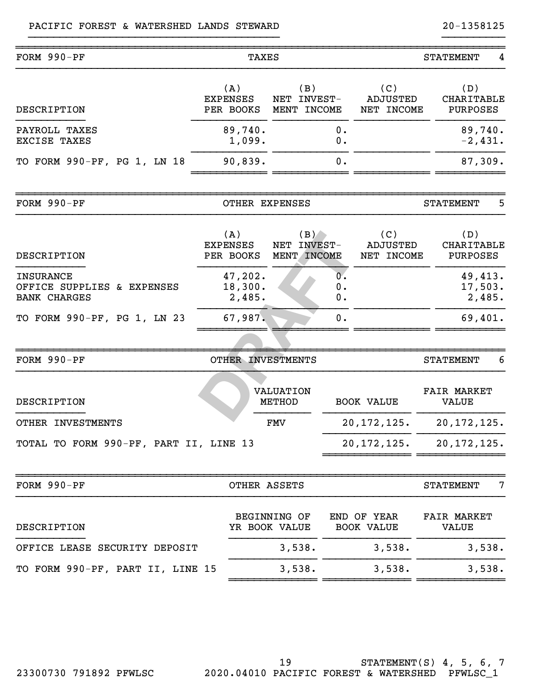| FORM 990-PF                                                           | <b>TAXES</b>                        |                                      | <b>STATEMENT</b>             |                                      |                                      |    |
|-----------------------------------------------------------------------|-------------------------------------|--------------------------------------|------------------------------|--------------------------------------|--------------------------------------|----|
| DESCRIPTION                                                           | (A)<br><b>EXPENSES</b><br>PER BOOKS | (B)<br>NET INVEST-<br>MENT INCOME    |                              | (C)<br><b>ADJUSTED</b><br>NET INCOME | (D)<br><b>CHARITABLE</b><br>PURPOSES |    |
| PAYROLL TAXES<br>EXCISE TAXES                                         | 89,740.<br>1,099.                   |                                      | 0.<br>$0$ .                  |                                      | 89,740.<br>$-2,431.$                 |    |
| TO FORM 990-PF, PG 1, LN 18                                           | 90,839.                             |                                      | 0.                           |                                      | 87,309.                              |    |
| FORM 990-PF                                                           |                                     | OTHER EXPENSES                       |                              |                                      | <b>STATEMENT</b>                     | 5. |
| <b>DESCRIPTION</b>                                                    | (A)<br><b>EXPENSES</b><br>PER BOOKS | (B)<br>NET INVEST-<br>MENT INCOME    |                              | (C)<br><b>ADJUSTED</b><br>NET INCOME | (D)<br><b>CHARITABLE</b><br>PURPOSES |    |
| <b>INSURANCE</b><br>OFFICE SUPPLIES & EXPENSES<br><b>BANK CHARGES</b> | 47,202.<br>18,300.<br>2,485.        |                                      | $\overline{0}$ .<br>0.<br>0. |                                      | 49,413.<br>17,503.<br>2,485.         |    |
| TO FORM 990-PF, PG 1, LN 23                                           | 67,987.                             |                                      | 0.                           |                                      | 69,401.                              |    |
| FORM 990-PF                                                           | OTHER INVESTMENTS                   |                                      |                              |                                      | <b>STATEMENT</b>                     | 6  |
| <b>DESCRIPTION</b>                                                    |                                     | <b>VALUATION</b><br>METHOD           |                              | <b>BOOK VALUE</b>                    | <b>FAIR MARKET</b><br><b>VALUE</b>   |    |
| OTHER INVESTMENTS                                                     |                                     | <b>FMV</b>                           |                              | 20, 172, 125.                        | 20, 172, 125.                        |    |
| TOTAL TO FORM 990-PF, PART II, LINE 13                                |                                     |                                      |                              | 20,172,125.                          | 20, 172, 125.                        |    |
| FORM 990-PF                                                           |                                     | OTHER ASSETS                         |                              |                                      | <b>STATEMENT</b>                     | 7  |
| DESCRIPTION                                                           |                                     | <b>BEGINNING OF</b><br>YR BOOK VALUE |                              | END OF YEAR<br><b>BOOK VALUE</b>     | <b>FAIR MARKET</b><br><b>VALUE</b>   |    |
| OFFICE LEASE SECURITY DEPOSIT                                         |                                     | 3,538.                               |                              | 3,538.                               | 3,538.                               |    |
| TO FORM 990-PF, PART II, LINE 15                                      |                                     | 3,538.                               |                              | 3,538.                               | 3,538.                               |    |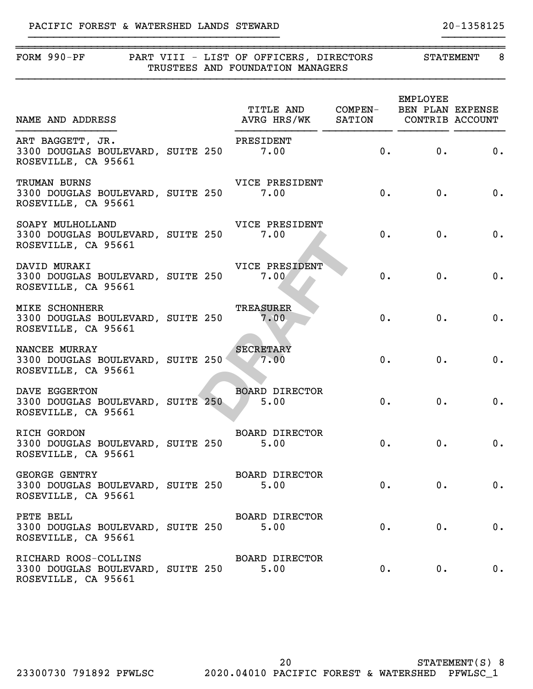#### PACIFIC FOREST & WATERSHED LANDS STEWARD 20-1358125

#### ~~~~~~~~~~~~~~~~~~~~~~~~~~~~~~~~~~~~~~~~~~~~~~~~~~~~~~~~~~~~~~~~~~~~~~~~~~~~~~ FORM 990-PF PART VIII - LIST OF OFFICERS, DIRECTORS TRUSTEES AND FOUNDATION MANAGERS }}}}}}}}}}}}}}}}}}}}}}}}}}}}}}}}}}}}}}}}}}}}}}}}}}}}}}}}}}}}}}}}}}}}}}}}}}}}}} }}}}}}}}}}}}}}}}}}}}}}}}}}}}}}}}}}}}}}}} }}}}}}}}}}

| <b>STATEMENT</b> |  |
|------------------|--|
|                  |  |

|                                                                                                                          |  | TITLE AND COMPEN- BEN PLAN EXPENSE |       | EMPLOYEE   |                                |
|--------------------------------------------------------------------------------------------------------------------------|--|------------------------------------|-------|------------|--------------------------------|
| ART BAGGETT, JR.<br>3300 DOUGLAS BOULEVARD, SUITE 250 7.00 (0. 0. 0. 0. 0. 0.<br>ART BAGGETT, JR.<br>ROSEVILLE, CA 95661 |  |                                    |       |            |                                |
| TRUMAN BURNS<br>3300 DOUGLAS BOULEVARD, SUITE 250 7.00<br>ROSEVILLE, CA 95661                                            |  | VICE PRESIDENT                     |       | $0.$ 0. 0. |                                |
| SOAPY MULHOLLAND<br>3300 DOUGLAS BOULEVARD, SUITE 250 7.00<br>ROSEVILLE, CA 95661                                        |  | VICE PRESIDENT                     |       | 0.         | 0. 0.                          |
| DAVID MURAKI<br>3300 DOUGLAS BOULEVARD, SUITE 250 7.00<br>ROSEVILLE, CA 95661                                            |  | VICE PRESIDENT                     |       | 0.         | 0. 0.                          |
| <b>MIKE SCHONHERR</b><br>3300 DOUGLAS BOULEVARD, SUITE 250<br>ROSEVILLE, CA 95661                                        |  | TREASURER<br>7.00                  |       | 0.<br>0.   | 0.                             |
| NANCEE MURRAY<br>3300 DOUGLAS BOULEVARD, SUITE 250 7.00<br>ROSEVILLE, CA 95661                                           |  | SECRETARY                          |       | 0.<br>0.   | 0.                             |
| DAVE EGGERTON<br>3300 DOUGLAS BOULEVARD, SUITE 250<br>ROSEVILLE, CA 95661                                                |  | BOARD DIRECTOR<br>5.00             |       | 0.         | 0.<br>$\overline{\phantom{a}}$ |
| RICH GORDON<br>3300 DOUGLAS BOULEVARD, SUITE 250 5.00<br>ROSEVILLE, CA 95661                                             |  | BOARD DIRECTOR                     |       | 0.         | 0. 0.                          |
| GEORGE GENTRY BOARD DIRECTOR<br>3300 DOUGLAS BOULEVARD, SUITE 250 5.00<br><b>GEORGE GENTRY</b><br>ROSEVILLE, CA 95661    |  |                                    | 0.    | $0$ .      | $0$ .                          |
| PETE BELL<br>3300 DOUGLAS BOULEVARD, SUITE 250<br>ROSEVILLE, CA 95661                                                    |  | <b>BOARD DIRECTOR</b><br>5.00      | 0.    | 0.         | 0.                             |
| RICHARD ROOS-COLLINS<br>3300 DOUGLAS BOULEVARD, SUITE 250<br>ROSEVILLE, CA 95661                                         |  | <b>BOARD DIRECTOR</b><br>5.00      | $0$ . | $0$ .      | 0.                             |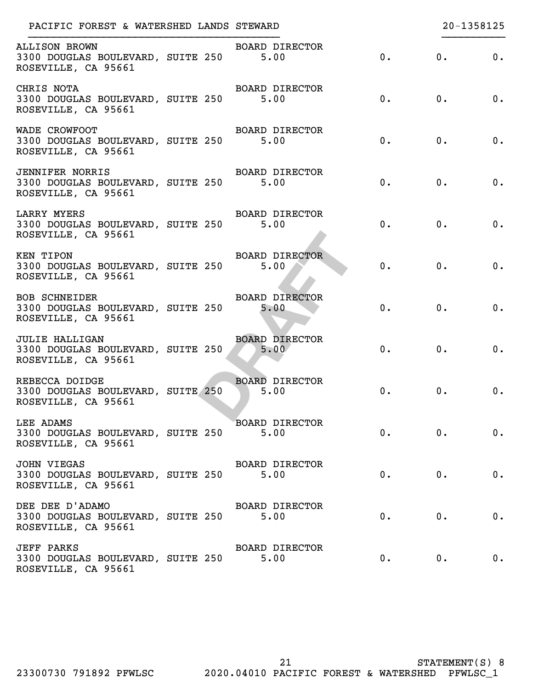| PACIFIC FOREST & WATERSHED LANDS STEWARD                                                |                               |       |       | 20-1358125 |
|-----------------------------------------------------------------------------------------|-------------------------------|-------|-------|------------|
| <b>ALLISON BROWN</b><br>3300 DOUGLAS BOULEVARD, SUITE 250<br>ROSEVILLE, CA 95661        | BOARD DIRECTOR<br>5.00        | 0.    | 0.    | 0.         |
| CHRIS NOTA<br>3300 DOUGLAS BOULEVARD, SUITE 250<br>ROSEVILLE, CA 95661                  | BOARD DIRECTOR<br>5.00        | 0.    | 0.    | 0.         |
| WADE CROWFOOT<br>3300 DOUGLAS BOULEVARD, SUITE 250 5.00<br>ROSEVILLE, CA 95661          | BOARD DIRECTOR                | 0.    | 0.    | 0.         |
| <b>JENNIFER NORRIS</b><br>3300 DOUGLAS BOULEVARD, SUITE 250 5.00<br>ROSEVILLE, CA 95661 | BOARD DIRECTOR                | 0.    | 0.    | 0.         |
| LARRY MYERS<br>3300 DOUGLAS BOULEVARD, SUITE 250 5.00<br>ROSEVILLE, CA 95661            | BOARD DIRECTOR                | 0.    | 0.    | 0.         |
| KEN TIPON<br>3300 DOUGLAS BOULEVARD, SUITE 250<br>ROSEVILLE, CA 95661                   | BOARD DIRECTOR<br>5.00        | 0.    | 0.    | 0.         |
| <b>BOB SCHNEIDER</b><br>3300 DOUGLAS BOULEVARD, SUITE 250<br>ROSEVILLE, CA 95661        | <b>BOARD DIRECTOR</b><br>5.00 | 0.    | 0.    | 0.         |
| <b>JULIE HALLIGAN</b><br>3300 DOUGLAS BOULEVARD, SUITE 250<br>ROSEVILLE, CA 95661       | <b>BOARD DIRECTOR</b><br>5.00 | 0.    | 0.    | 0.         |
| REBECCA DOIDGE<br>3300 DOUGLAS BOULEVARD, SUITE 250<br>ROSEVILLE, CA 95661              | BOARD DIRECTOR<br>5.00        | $0$ . | 0.    | 0.         |
| LEE ADAMS<br>3300 DOUGLAS BOULEVARD, SUITE 250<br>ROSEVILLE, CA 95661                   | BOARD DIRECTOR<br>5.00        | 0.    | 0.    | 0.         |
| JOHN VIEGAS<br>3300 DOUGLAS BOULEVARD, SUITE 250<br>ROSEVILLE, CA 95661                 | <b>BOARD DIRECTOR</b><br>5.00 | $0$ . | 0.    | 0.         |
| DEE DEE D'ADAMO<br>3300 DOUGLAS BOULEVARD, SUITE 250<br>ROSEVILLE, CA 95661             | <b>BOARD DIRECTOR</b><br>5.00 | $0$ . | 0.    | 0.         |
| <b>JEFF PARKS</b><br>3300 DOUGLAS BOULEVARD, SUITE 250<br>ROSEVILLE, CA 95661           | <b>BOARD DIRECTOR</b><br>5.00 | 0.    | $0$ . | 0.         |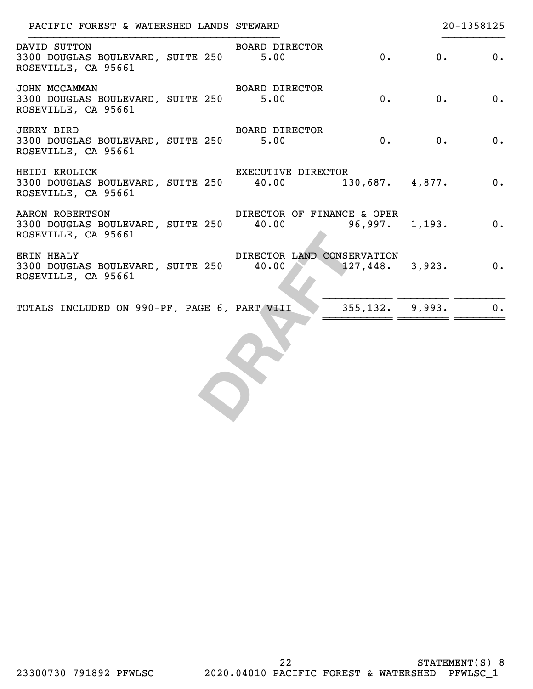| PACIFIC FOREST & WATERSHED LANDS STEWARD                                            |                             | 20-1358125                                     |
|-------------------------------------------------------------------------------------|-----------------------------|------------------------------------------------|
| DAVID SUTTON<br>3300 DOUGLAS BOULEVARD, SUITE 250 5.00<br>ROSEVILLE, CA 95661       | <b>BOARD DIRECTOR</b><br>0. | 0.<br>0.                                       |
| JOHN MCCAMMAN<br>3300 DOUGLAS BOULEVARD, SUITE 250 5.00<br>ROSEVILLE, CA 95661      | BOARD DIRECTOR<br>0.        | 0.<br>0.                                       |
| <b>JERRY BIRD</b><br>3300 DOUGLAS BOULEVARD, SUITE 250 5.00<br>ROSEVILLE, CA 95661  | <b>BOARD DIRECTOR</b><br>0. | 0.<br>$\overline{0}$ .                         |
| HEIDI KROLICK<br>3300 DOUGLAS BOULEVARD, SUITE 250 40.00<br>ROSEVILLE, CA 95661     | <b>EXECUTIVE DIRECTOR</b>   | 130,687. 4,877.<br>$\overline{\phantom{a}}$ 0. |
| AARON ROBERTSON<br>3300 DOUGLAS BOULEVARD, SUITE 250 40.00<br>ROSEVILLE, CA 95661   | DIRECTOR OF FINANCE & OPER  | $96,997.$ 1,193. 0.                            |
| <b>ERIN HEALY</b><br>3300 DOUGLAS BOULEVARD, SUITE 250 40.00<br>ROSEVILLE, CA 95661 | DIRECTOR LAND CONSERVATION  | $\overline{\mathbf{0}}$ .<br>$127,448.$ 3,923. |
| TOTALS INCLUDED ON 990-PF, PAGE 6, PART VIII                                        | $355, 132.$ 9,993.          | $0$ .                                          |
|                                                                                     |                             |                                                |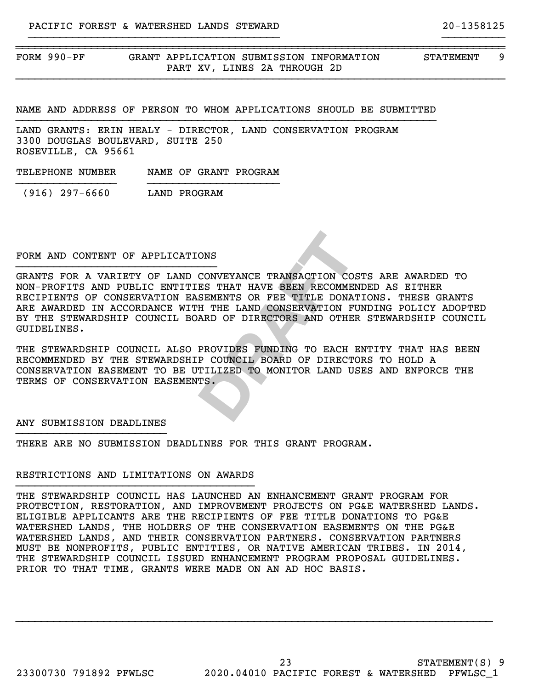FORM 990-PF GRANT APPLICATION SUBMISSION INFORMATION STATEMENT 9 PART XV, LINES 2A THROUGH 2D

NAME AND ADDRESS OF PERSON TO WHOM APPLICATIONS SHOULD BE SUBMITTED }}}}}}}}}}}}}}}}}}}}}}}}}}}}}}}}}}}}}}}}}}}}}}}}}}}}}}}}}}}}}}}}}}}

~~~~~~~~~~~~~~~~~~~~~~~~~~~~~~~~~~~~~~~~~~~~~~~~~~~~~~~~~~~~~~~~~~~~~~~~~~~~~~

}}}}}}}}}}}}}}}}}}}}}}}}}}}}}}}}}}}}}}}} }}}}}}}}}}

}}}}}}}}}}}}}}}}}}}}}}}}}}}}}}}}}}}}}}}}}}}}}}}}}}}}}}}}}}}}}}}}}}}}}}}}}}}}}}

LAND GRANTS: ERIN HEALY - DIRECTOR, LAND CONSERVATION PROGRAM 3300 DOUGLAS BOULEVARD, SUITE 250 ROSEVILLE, CA 95661

TELEPHONE NUMBER NAME OF GRANT PROGRAM }}}}}}}}}}}}}}}} }}}}}}}}}}}}}}}}}}}}}

(916) 297-6660 LAND PROGRAM

#### FORM AND CONTENT OF APPLICATIONS }}}}}}}}}}}}}}}}}}}}}}}}}}}}}}}}

ONS<br>
CONVEYANCE TRANSACTION COSTS *I*<br>
ES THAT HAVE BEEN RECOMMENDED<br>
SEMENTS OR FEE TITLE DONATIONS<br>
H THE LAND CONSERVATION FUNDIN<br>
ARD OF DIRECTORS AND OTHER STI<br>
PROVIDES FUNDING TO EACH ENTIT<br>
P COUNCIL BOARD OF DIREC GRANTS FOR A VARIETY OF LAND CONVEYANCE TRANSACTION COSTS ARE AWARDED TO NON-PROFITS AND PUBLIC ENTITIES THAT HAVE BEEN RECOMMENDED AS EITHER RECIPIENTS OF CONSERVATION EASEMENTS OR FEE TITLE DONATIONS. THESE GRANTS ARE AWARDED IN ACCORDANCE WITH THE LAND CONSERVATION FUNDING POLICY ADOPTED BY THE STEWARDSHIP COUNCIL BOARD OF DIRECTORS AND OTHER STEWARDSHIP COUNCIL GUIDELINES.

THE STEWARDSHIP COUNCIL ALSO PROVIDES FUNDING TO EACH ENTITY THAT HAS BEEN RECOMMENDED BY THE STEWARDSHIP COUNCIL BOARD OF DIRECTORS TO HOLD A CONSERVATION EASEMENT TO BE UTILIZED TO MONITOR LAND USES AND ENFORCE THE TERMS OF CONSERVATION EASEMENTS.

#### ANY SUBMISSION DEADLINES }}}}}}}}}}}}}}}}}}}}}}}}

THERE ARE NO SUBMISSION DEADLINES FOR THIS GRANT PROGRAM.

#### RESTRICTIONS AND LIMITATIONS ON AWARDS }}}}}}}}}}}}}}}}}}}}}}}}}}}}}}}}}}}}}}

THE STEWARDSHIP COUNCIL HAS LAUNCHED AN ENHANCEMENT GRANT PROGRAM FOR PROTECTION, RESTORATION, AND IMPROVEMENT PROJECTS ON PG&E WATERSHED LANDS. ELIGIBLE APPLICANTS ARE THE RECIPIENTS OF FEE TITLE DONATIONS TO PG&E WATERSHED LANDS, THE HOLDERS OF THE CONSERVATION EASEMENTS ON THE PG&E WATERSHED LANDS, AND THEIR CONSERVATION PARTNERS. CONSERVATION PARTNERS MUST BE NONPROFITS, PUBLIC ENTITIES, OR NATIVE AMERICAN TRIBES. IN 2014, THE STEWARDSHIP COUNCIL ISSUED ENHANCEMENT PROGRAM PROPOSAL GUIDELINES. PRIOR TO THAT TIME, GRANTS WERE MADE ON AN AD HOC BASIS.

}}}}}}}}}}}}}}}}}}}}}}}}}}}}}}}}}}}}}}}}}}}}}}}}}}}}}}}}}}}}}}}}}}}}}}}}}}}}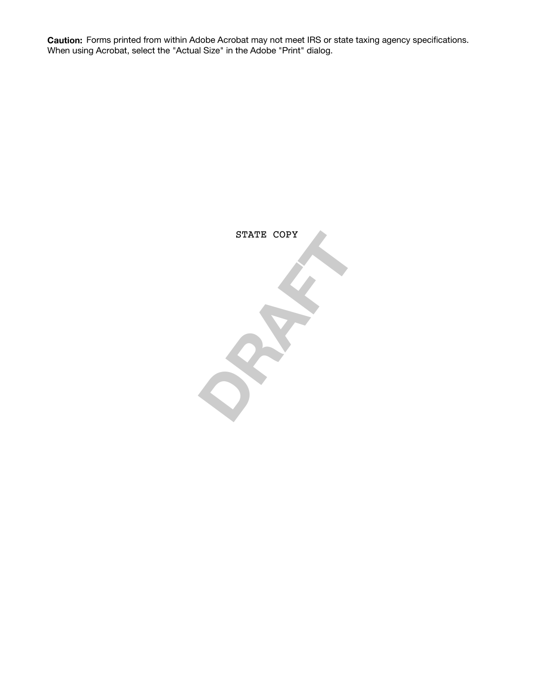**Caution:** Forms printed from within Adobe Acrobat may not meet IRS or state taxing agency specifications. When using Acrobat, select the "Actual Size" in the Adobe "Print" dialog.

> **DRAFT** STATE COPY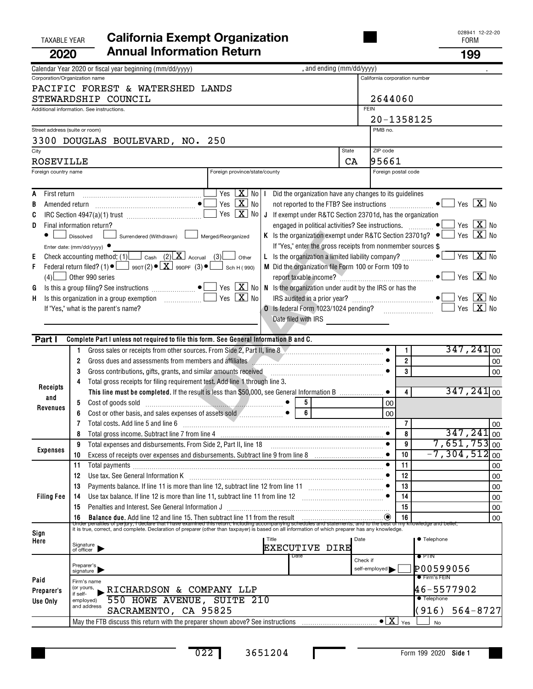|      | <b>TAXABLE YEAR</b>            |                        | <b>California Exempt Organization</b>                                                                                                                                                                                                                                                                                                                                                                                     |          |                                                             |                |                      |                           | 028941 12-22-20<br><b>FORM</b>                           |          |
|------|--------------------------------|------------------------|---------------------------------------------------------------------------------------------------------------------------------------------------------------------------------------------------------------------------------------------------------------------------------------------------------------------------------------------------------------------------------------------------------------------------|----------|-------------------------------------------------------------|----------------|----------------------|---------------------------|----------------------------------------------------------|----------|
|      | 2020                           |                        | <b>Annual Information Return</b>                                                                                                                                                                                                                                                                                                                                                                                          |          |                                                             |                |                      |                           | 199                                                      |          |
|      |                                |                        | , and ending (mm/dd/yyyy)<br>Calendar Year 2020 or fiscal year beginning (mm/dd/yyyy)                                                                                                                                                                                                                                                                                                                                     |          |                                                             |                |                      |                           |                                                          |          |
|      | Corporation/Organization name  |                        |                                                                                                                                                                                                                                                                                                                                                                                                                           |          | California corporation number                               |                |                      |                           |                                                          |          |
|      |                                |                        | PACIFIC FOREST & WATERSHED LANDS<br>STEWARDSHIP COUNCIL                                                                                                                                                                                                                                                                                                                                                                   |          | 2644060                                                     |                |                      |                           |                                                          |          |
|      |                                |                        | Additional information. See instructions.                                                                                                                                                                                                                                                                                                                                                                                 |          | <b>FEIN</b>                                                 |                |                      |                           |                                                          |          |
|      | Street address (suite or room) |                        |                                                                                                                                                                                                                                                                                                                                                                                                                           |          | 20-1358125<br>PMB no.                                       |                |                      |                           |                                                          |          |
|      |                                |                        | 3300 DOUGLAS BOULEVARD, NO. 250                                                                                                                                                                                                                                                                                                                                                                                           |          |                                                             |                |                      |                           |                                                          |          |
| City |                                |                        | State                                                                                                                                                                                                                                                                                                                                                                                                                     |          | ZIP code                                                    |                |                      |                           |                                                          |          |
|      | <b>ROSEVILLE</b>               |                        |                                                                                                                                                                                                                                                                                                                                                                                                                           | CA       | 95661                                                       |                |                      |                           |                                                          |          |
|      | Foreign country name           |                        | Foreign province/state/county                                                                                                                                                                                                                                                                                                                                                                                             |          | Foreign postal code                                         |                |                      |                           |                                                          |          |
| A    | First return                   |                        | Yes $\boxed{\mathbf{X}}$ No   I Did the organization have any changes to its guidelines                                                                                                                                                                                                                                                                                                                                   |          |                                                             |                |                      |                           |                                                          |          |
| B    |                                |                        | Yes $\boxed{\mathbf{X}}$ No<br>not reported to the FTB? See instructions <b>COVID-10</b>                                                                                                                                                                                                                                                                                                                                  |          |                                                             |                |                      |                           | Yes $\boxed{\mathbf{X}}$ No                              |          |
| C    |                                |                        | Yes $\boxed{\mathbf{X}}$ No $\boxed{\mathbf{J}}$ If exempt under R&TC Section 23701d, has the organization                                                                                                                                                                                                                                                                                                                |          |                                                             |                |                      |                           |                                                          |          |
| D    |                                |                        | engaged in political activities? See instructions.<br>Final information return?                                                                                                                                                                                                                                                                                                                                           |          |                                                             |                |                      | $\bullet$                 | Yes $X$ No                                               |          |
|      | $\bullet$                      | Dissolved              | K Is the organization exempt under R&TC Section 23701g? $\bullet$ [<br>Surrendered (Withdrawn) [<br>Merged/Reorganized<br>If "Yes," enter the gross receipts from nonmember sources \$                                                                                                                                                                                                                                    |          |                                                             |                |                      |                           | Yes $X$ No                                               |          |
| Е    |                                |                        | Enter date: (mm/dd/yyyy) $\bullet$<br>Check accounting method: (1) $\Box$ Cash (2) $\Box$ Accrual (3) other<br>L Is the organization a limited liability company?                                                                                                                                                                                                                                                         |          |                                                             |                |                      | $\bullet$                 | $Yes \  \  \boxed{\mathbf{X}} \  \  \boxed{\mathbf{No}}$ |          |
| F    |                                |                        | Federal return filed? (1) $\bullet$ $\Box$ 990T(2) $\bullet$ $\boxed{\mathbf{X}}$ 990PF (3) $\bullet$ $\Box$ Sch H (990)<br>M Did the organization file Form 100 or Form 109 to                                                                                                                                                                                                                                           |          |                                                             |                |                      |                           |                                                          |          |
|      |                                |                        | $(4)$ Other 990 series                                                                                                                                                                                                                                                                                                                                                                                                    |          |                                                             |                |                      |                           | Yes $\boxed{\mathbf{X}}$ No                              |          |
| G    |                                |                        | $Yes$ $\boxed{\mathbf{X}}$ No<br>Is this a group filing? See instructions $\begin{picture}(16,17) \put(0,0){\line(1,0){155}} \put(0,0){\line(1,0){155}} \put(0,0){\line(1,0){155}} \put(0,0){\line(1,0){155}} \put(0,0){\line(1,0){155}} \put(0,0){\line(1,0){155}} \put(0,0){\line(1,0){155}} \put(0,0){\line(1,0){155}} \put(0,0){\line(1,0){155}} \put(0,0$<br>N Is the organization under audit by the IRS or has the |          |                                                             |                |                      |                           |                                                          |          |
| H.   |                                |                        | Yes $\boxed{\mathbf{X}}$ No<br>Is this organization in a group exemption [1] [1] Is this organization in a group exemption                                                                                                                                                                                                                                                                                                |          |                                                             |                |                      |                           | Yes $X$ No                                               |          |
|      |                                |                        | If "Yes," what is the parent's name?<br>O Is federal Form 1023/1024 pending?<br>Date filed with IRS                                                                                                                                                                                                                                                                                                                       |          |                                                             |                |                      |                           | Yes $X$ No                                               |          |
|      |                                |                        |                                                                                                                                                                                                                                                                                                                                                                                                                           |          | <u> 1980 - Jan Barbara Barbara, prima politik politik (</u> |                |                      |                           |                                                          |          |
|      | Part I                         |                        | Complete Part I unless not required to file this form. See General Information B and C.                                                                                                                                                                                                                                                                                                                                   |          |                                                             |                |                      |                           |                                                          |          |
|      |                                | 1.                     | Gross sales or receipts from other sources. From Side 2, Part II, line 8                                                                                                                                                                                                                                                                                                                                                  |          |                                                             | $\mathbf{1}$   |                      | $347,241$ <sub>00</sub>   |                                                          |          |
|      |                                | 2                      | Gross dues and assessments from members and affiliates <b>Constitution</b> of the same of the set of the set of the set of the set of the set of the set of the set of the set of the set of the set of the set of the set of the s                                                                                                                                                                                       |          |                                                             | 2              |                      |                           |                                                          | 00       |
|      |                                | 3                      | Gross contributions, gifts, grants, and similar amounts received                                                                                                                                                                                                                                                                                                                                                          |          |                                                             | 3              |                      |                           |                                                          | 00       |
|      | Receipts                       | 4                      | Total gross receipts for filing requirement test. Add line 1 through line 3.<br>This line must be completed. If the result is less than \$50,000, see General Information B                                                                                                                                                                                                                                               |          |                                                             | 4 <sup>1</sup> |                      | $347,241$ <sub>00</sub>   |                                                          |          |
|      | and                            | 5                      | 5<br>Cost of goods sold                                                                                                                                                                                                                                                                                                                                                                                                   |          | 00                                                          |                |                      |                           |                                                          |          |
|      | Revenues                       | 6                      | 6                                                                                                                                                                                                                                                                                                                                                                                                                         |          | 00                                                          |                |                      |                           |                                                          |          |
|      |                                | 7                      | Total costs. Add line 5 and line 6                                                                                                                                                                                                                                                                                                                                                                                        |          |                                                             | 7              |                      |                           |                                                          | 00       |
|      |                                | 8                      |                                                                                                                                                                                                                                                                                                                                                                                                                           |          |                                                             | 8              |                      | 347,241                   |                                                          | 00 ا     |
|      | <b>Expenses</b>                | 9                      | Total expenses and disbursements. From Side 2, Part II, line 18                                                                                                                                                                                                                                                                                                                                                           |          |                                                             | 9              |                      | $7,651,753$ <sub>00</sub> |                                                          |          |
|      |                                | 10                     | Excess of receipts over expenses and disbursements. Subtract line 9 from line 8 [11, 11, 11, 11, 11, 11, 11, 1                                                                                                                                                                                                                                                                                                            |          |                                                             | 10<br>11       |                      | $-7,304,512]_{00}$        |                                                          |          |
|      |                                | 11<br>12               | Total payments<br>Use tax. See General Information K <b>manufacture and Construction</b> Oscillation Oscillation Oscillation Oscillation O                                                                                                                                                                                                                                                                                |          |                                                             | 12             |                      |                           |                                                          | 00<br>00 |
|      |                                | 13                     |                                                                                                                                                                                                                                                                                                                                                                                                                           |          |                                                             | 13             |                      |                           |                                                          | 00       |
|      | <b>Filing Fee</b>              | 14                     |                                                                                                                                                                                                                                                                                                                                                                                                                           |          |                                                             | 14             |                      |                           |                                                          | 00       |
|      |                                | 15                     | Penalties and Interest. See General Information J                                                                                                                                                                                                                                                                                                                                                                         |          |                                                             | 15             |                      |                           |                                                          | 00       |
|      |                                | 16                     |                                                                                                                                                                                                                                                                                                                                                                                                                           |          | $\odot$                                                     | 16             |                      |                           |                                                          | 00       |
| Sign |                                |                        | Under penalties of perjury, I declare that I have examined this return, including accompanying schedules and statements, and to the best of my knowledge and belief,<br>It is true, correct, and complete. Declaration of prepare                                                                                                                                                                                         |          |                                                             |                |                      |                           |                                                          |          |
| Here |                                |                        | Title<br>Signature<br>of officer  <br>EXECUTIVE DIRE                                                                                                                                                                                                                                                                                                                                                                      | Date     |                                                             |                | ● Telephone          |                           |                                                          |          |
|      |                                |                        | Date                                                                                                                                                                                                                                                                                                                                                                                                                      | Check if |                                                             |                | $\bullet$ PTIN       |                           |                                                          |          |
|      |                                |                        | Preparer's<br>signature                                                                                                                                                                                                                                                                                                                                                                                                   |          | self-employed                                               |                |                      | P00599056                 |                                                          |          |
| Paid |                                |                        | Firm's name                                                                                                                                                                                                                                                                                                                                                                                                               |          |                                                             |                | <b>•</b> Firm's FEIN |                           |                                                          |          |
|      | Preparer's                     | (or yours,<br>if self- | RICHARDSON & COMPANY LLP                                                                                                                                                                                                                                                                                                                                                                                                  |          |                                                             |                |                      | 46-5577902                |                                                          |          |
|      | Use Only                       |                        | 550 HOWE AVENUE, SUITE 210<br>employed)<br>and address                                                                                                                                                                                                                                                                                                                                                                    |          |                                                             |                | <b>• Telephone</b>   |                           |                                                          |          |
|      |                                |                        | SACRAMENTO, CA 95825                                                                                                                                                                                                                                                                                                                                                                                                      |          |                                                             |                | (916)                |                           | $564 - 8727$                                             |          |
|      |                                |                        | May the FTB discuss this return with the preparer shown above? See instructions [11,111] May the FTB discuss this return with the preparer shown above? See instructions                                                                                                                                                                                                                                                  |          | $\overline{\bullet X}$ Yes                                  |                | <b>No</b>            |                           |                                                          |          |

022 3651204

Г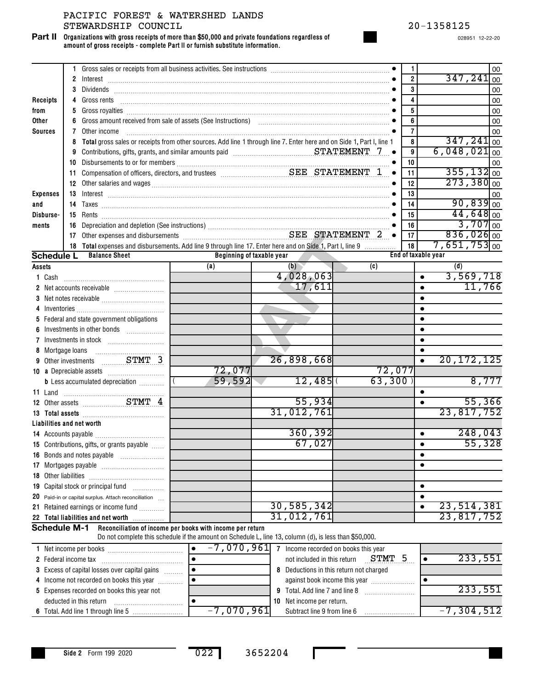**Organizations with gross receipts of more than \$50,000 and private foundations regardless of amount of gross receipts - complete Part II or furnish substitute information. Part II**

|                           |              | Gross sales or receipts from all business activities. See instructions [11] Cass sales or receipts from all business activities. See instructions [11] Cass and School Cass and School Cass and School Cass and School Cass an                                                                                          |                                                                                                        |            |        | 1<br>$\overline{\mathbf{2}}$ |                     | 347,241                   | 00                     |
|---------------------------|--------------|-------------------------------------------------------------------------------------------------------------------------------------------------------------------------------------------------------------------------------------------------------------------------------------------------------------------------|--------------------------------------------------------------------------------------------------------|------------|--------|------------------------------|---------------------|---------------------------|------------------------|
|                           | $\mathbf{2}$ | $\blacksquare$                                                                                                                                                                                                                                                                                                          |                                                                                                        |            |        | $\overline{\mathbf{3}}$      |                     |                           | 00                     |
|                           | 3            |                                                                                                                                                                                                                                                                                                                         |                                                                                                        |            |        | 4                            |                     |                           | 00                     |
| Receipts                  | 4            | Gross rents $\begin{bmatrix} 0 & 0 & 0 & 0 \\ 0 & 0 & 0 & 0 \\ 0 & 0 & 0 & 0 \\ 0 & 0 & 0 & 0 \\ 0 & 0 & 0 & 0 \\ 0 & 0 & 0 & 0 & 0 \\ 0 & 0 & 0 & 0 & 0 \\ 0 & 0 & 0 & 0 & 0 \\ 0 & 0 & 0 & 0 & 0 \\ 0 & 0 & 0 & 0 & 0 & 0 \\ 0 & 0 & 0 & 0 & 0 & 0 \\ 0 & 0 & 0 & 0 & 0 & 0 & 0 \\ 0 & 0 & 0 & 0 & 0 & 0 & 0 \\ 0 & $ |                                                                                                        |            |        | 5                            |                     |                           | 00                     |
| from<br>Other             | 5<br>6       |                                                                                                                                                                                                                                                                                                                         |                                                                                                        |            |        | $\overline{6}$               |                     |                           | 00                     |
| <b>Sources</b>            | 7            | Other income                                                                                                                                                                                                                                                                                                            |                                                                                                        |            |        | $\overline{7}$               |                     |                           | 00                     |
|                           | 8            | Total gross sales or receipts from other sources. Add line 1 through line 7. Enter here and on Side 1, Part I, line 1                                                                                                                                                                                                   |                                                                                                        |            |        | 8                            |                     | $347,241$ <sub>00</sub>   | 00                     |
|                           | 9            | Contributions, gifts, grants, and similar amounts paid material material strate STATEMENT 7                                                                                                                                                                                                                             |                                                                                                        |            |        | 9                            |                     | $6,048,021$ <sub>00</sub> |                        |
|                           | 10           |                                                                                                                                                                                                                                                                                                                         |                                                                                                        |            |        | 10                           |                     |                           | 00                     |
|                           | 11           |                                                                                                                                                                                                                                                                                                                         |                                                                                                        |            |        | 11                           |                     | $355, 132 _{00}$          |                        |
|                           |              |                                                                                                                                                                                                                                                                                                                         |                                                                                                        |            |        | 12                           |                     | $273,380$ <sub>00</sub>   |                        |
| <b>Expenses</b>           | 13           | 12 Other salaries and wages <i>[11]</i> Mages <b>and State of the Constantine Constantine Constantine Constantine Constantine Constantine Constantine Constantine Constantine Constantine Constantine Constantine Constantine Constan</b>                                                                               |                                                                                                        |            |        | 13                           |                     |                           | 00                     |
| and                       |              |                                                                                                                                                                                                                                                                                                                         |                                                                                                        |            |        | 14                           |                     |                           | $90,839$ <sub>00</sub> |
| Disburse-                 |              |                                                                                                                                                                                                                                                                                                                         |                                                                                                        |            |        | 15                           |                     |                           | $44,648$ <sub>00</sub> |
|                           | 16           |                                                                                                                                                                                                                                                                                                                         |                                                                                                        |            |        | 16                           |                     |                           | $3,707$ <sub>00</sub>  |
| ments                     |              |                                                                                                                                                                                                                                                                                                                         |                                                                                                        |            |        | 17                           |                     | $836,026$ <sub>00</sub>   |                        |
|                           |              | 18 Total expenses and disbursements. Add line 9 through line 17. Enter here and on Side 1, Part I, line 9                                                                                                                                                                                                               |                                                                                                        |            |        | 18                           |                     | $7,651,753$ <sub>00</sub> |                        |
| <b>Schedule L</b>         |              | <b>Balance Sheet</b>                                                                                                                                                                                                                                                                                                    | Beginning of taxable year                                                                              |            |        |                              | End of taxable year |                           |                        |
| Assets                    |              |                                                                                                                                                                                                                                                                                                                         | (a)                                                                                                    | (b)        | (c)    |                              |                     | (d)                       |                        |
| 1 Cash                    |              |                                                                                                                                                                                                                                                                                                                         |                                                                                                        | 4,028,063  |        |                              |                     | 3,569,718                 |                        |
|                           |              |                                                                                                                                                                                                                                                                                                                         |                                                                                                        | 17,611     |        |                              |                     |                           | 11,766                 |
|                           |              |                                                                                                                                                                                                                                                                                                                         |                                                                                                        |            |        |                              |                     |                           |                        |
|                           |              |                                                                                                                                                                                                                                                                                                                         |                                                                                                        |            |        |                              |                     |                           |                        |
|                           |              | 5 Federal and state government obligations                                                                                                                                                                                                                                                                              |                                                                                                        |            |        |                              |                     |                           |                        |
|                           |              | Investments in other bonds                                                                                                                                                                                                                                                                                              |                                                                                                        |            |        |                              |                     |                           |                        |
|                           |              |                                                                                                                                                                                                                                                                                                                         |                                                                                                        |            |        |                              |                     |                           |                        |
| 8 Mortgage loans          |              |                                                                                                                                                                                                                                                                                                                         |                                                                                                        |            |        |                              |                     |                           |                        |
|                           |              | 9 Other investments  STMT 3                                                                                                                                                                                                                                                                                             |                                                                                                        | 26,898,668 |        |                              |                     | 20, 172, 125              |                        |
|                           |              |                                                                                                                                                                                                                                                                                                                         | 72,077                                                                                                 |            | 72,077 |                              |                     |                           |                        |
|                           |              | <b>b</b> Less accumulated depreciation <i></i>                                                                                                                                                                                                                                                                          | 59,592                                                                                                 | 12,485     | 63,300 |                              |                     |                           | 8,777                  |
|                           |              |                                                                                                                                                                                                                                                                                                                         |                                                                                                        |            |        |                              | $\bullet$           |                           |                        |
|                           |              | 12 Other assets STMT 4                                                                                                                                                                                                                                                                                                  |                                                                                                        | 55,934     |        |                              |                     |                           | 55,366                 |
|                           |              | 13 Total assets <b>manufactures 13</b> Total assets <b>13</b>                                                                                                                                                                                                                                                           |                                                                                                        | 31,012,761 |        |                              |                     | 23,817,752                |                        |
| Liabilities and net worth |              |                                                                                                                                                                                                                                                                                                                         |                                                                                                        |            |        |                              |                     |                           |                        |
|                           |              |                                                                                                                                                                                                                                                                                                                         |                                                                                                        | 360, 392   |        |                              | $\bullet$           |                           | 248,043                |
|                           |              | 15 Contributions, gifts, or grants payable                                                                                                                                                                                                                                                                              |                                                                                                        | 67,027     |        |                              | $\bullet$           |                           | 55,328                 |
|                           |              |                                                                                                                                                                                                                                                                                                                         |                                                                                                        |            |        |                              | ٠                   |                           |                        |
|                           |              |                                                                                                                                                                                                                                                                                                                         |                                                                                                        |            |        |                              |                     |                           |                        |
|                           |              |                                                                                                                                                                                                                                                                                                                         |                                                                                                        |            |        |                              |                     |                           |                        |
|                           |              | 19 Capital stock or principal fund                                                                                                                                                                                                                                                                                      |                                                                                                        |            |        |                              | $\bullet$           |                           |                        |
|                           |              | 20 Paid-in or capital surplus. Attach reconciliation                                                                                                                                                                                                                                                                    |                                                                                                        |            |        |                              |                     |                           |                        |
|                           |              | 21 Retained earnings or income fund                                                                                                                                                                                                                                                                                     |                                                                                                        | 30,585,342 |        |                              |                     | 23, 514, 381              |                        |
|                           |              | 22 Total liabilities and net worth                                                                                                                                                                                                                                                                                      |                                                                                                        | 31,012,761 |        |                              |                     | 23,817,752                |                        |
| <b>Schedule M-1</b>       |              |                                                                                                                                                                                                                                                                                                                         | Reconciliation of income per books with income per return                                              |            |        |                              |                     |                           |                        |
|                           |              |                                                                                                                                                                                                                                                                                                                         | Do not complete this schedule if the amount on Schedule L, line 13, column (d), is less than \$50,000. |            |        |                              |                     |                           |                        |

| 1 Net income per books                               | $-7,070,961$ |   | Income recorded on books this year    |              |
|------------------------------------------------------|--------------|---|---------------------------------------|--------------|
| 2 Federal income tax                                 |              |   | STMT<br>not included in this return   | 233,551      |
| <b>3</b> Excess of capital losses over capital gains |              | 8 | Deductions in this return not charged |              |
| 4 Income not recorded on books this year             |              |   | against book income this year         |              |
| 5 Expenses recorded on books this year not           |              |   | 9 Total. Add line 7 and line 8        | 233,551      |
| deducted in this return                              |              |   | <b>10</b> Net income per return.      |              |
|                                                      | -7,070,961   |   | Subtract line 9 from line 6           | $-7,304,512$ |

п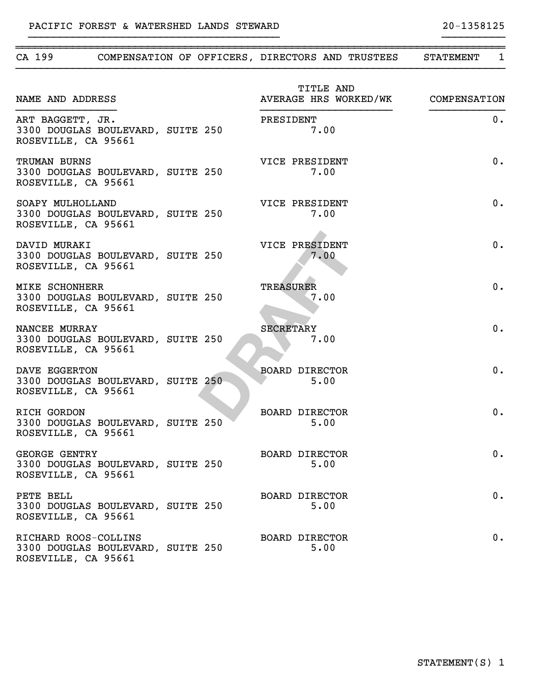| CA 199                                                                            |  | COMPENSATION OF OFFICERS, DIRECTORS AND TRUSTEES<br>STATEMENT<br>1 |
|-----------------------------------------------------------------------------------|--|--------------------------------------------------------------------|
| NAME AND ADDRESS                                                                  |  | TITLE AND<br>AVERAGE HRS WORKED/WK COMPENSATION                    |
| ART BAGGETT, JR.<br>3300 DOUGLAS BOULEVARD, SUITE 250<br>ROSEVILLE, CA 95661      |  | $0$ .<br>PRESIDENT<br>7.00                                         |
| TRUMAN BURNS<br>3300 DOUGLAS BOULEVARD, SUITE 250<br>ROSEVILLE, CA 95661          |  | 0.<br>VICE PRESIDENT<br>7.00                                       |
| SOAPY MULHOLLAND<br>3300 DOUGLAS BOULEVARD, SUITE 250<br>ROSEVILLE, CA 95661      |  | 0.<br>VICE PRESIDENT<br>7.00                                       |
| DAVID MURAKI<br>3300 DOUGLAS BOULEVARD, SUITE 250<br>ROSEVILLE, CA 95661          |  | 0.<br>VICE PRESIDENT<br>7.00                                       |
| <b>MIKE SCHONHERR</b><br>3300 DOUGLAS BOULEVARD, SUITE 250<br>ROSEVILLE, CA 95661 |  | 0.<br><b>TREASURER</b><br>7.00                                     |
| NANCEE MURRAY<br>3300 DOUGLAS BOULEVARD, SUITE 250<br>ROSEVILLE, CA 95661         |  | 0.<br><b>SECRETARY</b><br>7.00                                     |
| DAVE EGGERTON<br>3300 DOUGLAS BOULEVARD, SUITE 250<br>ROSEVILLE, CA 95661         |  | 0.<br><b>BOARD DIRECTOR</b><br>5.00                                |
| RICH GORDON<br>3300 DOUGLAS BOULEVARD, SUITE 250<br>ROSEVILLE, CA 95661           |  | 0.<br><b>BOARD DIRECTOR</b><br>5.00                                |
| <b>GEORGE GENTRY</b><br>3300 DOUGLAS BOULEVARD, SUITE 250<br>ROSEVILLE, CA 95661  |  | $0$ .<br>BOARD DIRECTOR<br>5.00                                    |
| PETE BELL<br>3300 DOUGLAS BOULEVARD, SUITE 250<br>ROSEVILLE, CA 95661             |  | 0.<br><b>BOARD DIRECTOR</b><br>5.00                                |
| RICHARD ROOS-COLLINS<br>3300 DOUGLAS BOULEVARD, SUITE 250<br>ROSEVILLE, CA 95661  |  | 0.<br><b>BOARD DIRECTOR</b><br>5.00                                |

~~~~~~~~~~~~~~~~~~~~~~~~~~~~~~~~~~~~~~~~~~~~~~~~~~~~~~~~~~~~~~~~~~~~~~~~~~~~~~

}}}}}}}}}}}}}}}}}}}}}}}}}}}}}}}}}}}}}}}} }}}}}}}}}}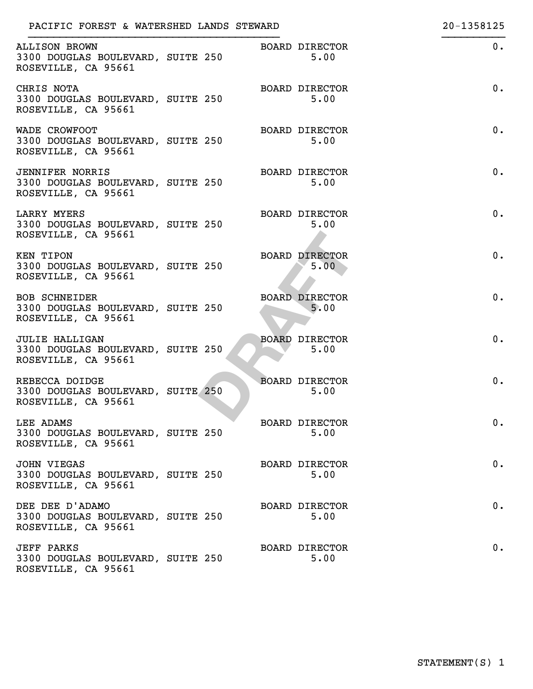| PACIFIC FOREST & WATERSHED LANDS STEWARD                                           |  |                               | 20-1358125 |
|------------------------------------------------------------------------------------|--|-------------------------------|------------|
| <b>ALLISON BROWN</b><br>3300 DOUGLAS BOULEVARD, SUITE 250<br>ROSEVILLE, CA 95661   |  | <b>BOARD DIRECTOR</b><br>5.00 | 0.         |
| CHRIS NOTA<br>3300 DOUGLAS BOULEVARD, SUITE 250<br>ROSEVILLE, CA 95661             |  | <b>BOARD DIRECTOR</b><br>5.00 | 0.         |
| WADE CROWFOOT<br>3300 DOUGLAS BOULEVARD, SUITE 250<br>ROSEVILLE, CA 95661          |  | <b>BOARD DIRECTOR</b><br>5.00 | 0.         |
| <b>JENNIFER NORRIS</b><br>3300 DOUGLAS BOULEVARD, SUITE 250<br>ROSEVILLE, CA 95661 |  | <b>BOARD DIRECTOR</b><br>5.00 | 0.         |
| <b>LARRY MYERS</b><br>3300 DOUGLAS BOULEVARD, SUITE 250<br>ROSEVILLE, CA 95661     |  | <b>BOARD DIRECTOR</b><br>5.00 | 0.         |
| <b>KEN TIPON</b><br>3300 DOUGLAS BOULEVARD, SUITE 250<br>ROSEVILLE, CA 95661       |  | <b>BOARD DIRECTOR</b><br>5.00 | 0.         |
| <b>BOB SCHNEIDER</b><br>3300 DOUGLAS BOULEVARD, SUITE 250<br>ROSEVILLE, CA 95661   |  | <b>BOARD DIRECTOR</b><br>5.00 | 0.         |
| <b>JULIE HALLIGAN</b><br>3300 DOUGLAS BOULEVARD, SUITE 250<br>ROSEVILLE, CA 95661  |  | <b>BOARD DIRECTOR</b><br>5.00 | 0.         |
| REBECCA DOIDGE<br>3300 DOUGLAS BOULEVARD, SUITE 250<br>ROSEVILLE, CA 95661         |  | <b>BOARD DIRECTOR</b><br>5.00 | 0.         |
| LEE ADAMS<br>3300 DOUGLAS BOULEVARD, SUITE 250<br>ROSEVILLE, CA 95661              |  | <b>BOARD DIRECTOR</b><br>5.00 | $0$ .      |
| <b>JOHN VIEGAS</b><br>3300 DOUGLAS BOULEVARD, SUITE 250<br>ROSEVILLE, CA 95661     |  | <b>BOARD DIRECTOR</b><br>5.00 | 0.         |
| DEE DEE D'ADAMO<br>3300 DOUGLAS BOULEVARD, SUITE 250<br>ROSEVILLE, CA 95661        |  | <b>BOARD DIRECTOR</b><br>5.00 | 0.         |
| <b>JEFF PARKS</b><br>3300 DOUGLAS BOULEVARD, SUITE 250<br>ROSEVILLE, CA 95661      |  | <b>BOARD DIRECTOR</b><br>5.00 | 0.         |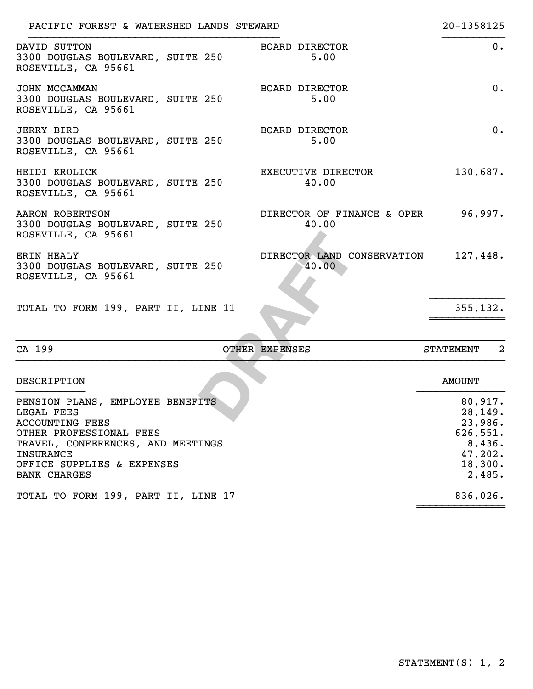| PACIFIC FOREST & WATERSHED LANDS STEWARD                                                                                                                                                                          |                                              | 20-1358125                                                                           |
|-------------------------------------------------------------------------------------------------------------------------------------------------------------------------------------------------------------------|----------------------------------------------|--------------------------------------------------------------------------------------|
| DAVID SUTTON<br>3300 DOUGLAS BOULEVARD, SUITE 250<br>ROSEVILLE, CA 95661                                                                                                                                          | BOARD DIRECTOR<br>5.00                       | $0$ .                                                                                |
| JOHN MCCAMMAN<br>3300 DOUGLAS BOULEVARD, SUITE 250<br>ROSEVILLE, CA 95661                                                                                                                                         | <b>BOARD DIRECTOR</b><br>5.00                | 0.                                                                                   |
| <b>JERRY BIRD</b><br>3300 DOUGLAS BOULEVARD, SUITE 250<br>ROSEVILLE, CA 95661                                                                                                                                     | <b>BOARD DIRECTOR</b><br>5.00                | 0.                                                                                   |
| HEIDI KROLICK<br>3300 DOUGLAS BOULEVARD, SUITE 250<br>ROSEVILLE, CA 95661                                                                                                                                         | EXECUTIVE DIRECTOR<br>40.00                  | 130,687.                                                                             |
| AARON ROBERTSON<br>3300 DOUGLAS BOULEVARD, SUITE 250<br>ROSEVILLE, CA 95661                                                                                                                                       | DIRECTOR OF FINANCE & OPER<br>40.00          | 96,997.                                                                              |
| <b>ERIN HEALY</b><br>3300 DOUGLAS BOULEVARD, SUITE 250<br>ROSEVILLE, CA 95661                                                                                                                                     | DIRECTOR LAND CONSERVATION 127,448.<br>40.00 |                                                                                      |
| TOTAL TO FORM 199, PART II, LINE 11                                                                                                                                                                               |                                              | 355, 132.                                                                            |
| CA 199                                                                                                                                                                                                            | OTHER EXPENSES                               | $\overline{2}$<br>STATEMENT                                                          |
| DESCRIPTION                                                                                                                                                                                                       |                                              | <b>AMOUNT</b>                                                                        |
| PENSION PLANS, EMPLOYEE BENEFITS<br>LEGAL FEES<br><b>ACCOUNTING FEES</b><br>OTHER PROFESSIONAL FEES<br>TRAVEL, CONFERENCES, AND MEETINGS<br><b>INSURANCE</b><br>OFFICE SUPPLIES & EXPENSES<br><b>BANK CHARGES</b> |                                              | 80,917.<br>28, 149.<br>23,986.<br>626,551.<br>8,436.<br>47,202.<br>18,300.<br>2,485. |
| TOTAL TO FORM 199, PART II, LINE 17                                                                                                                                                                               |                                              | 836,026.                                                                             |

~~~~~~~~~~~~~~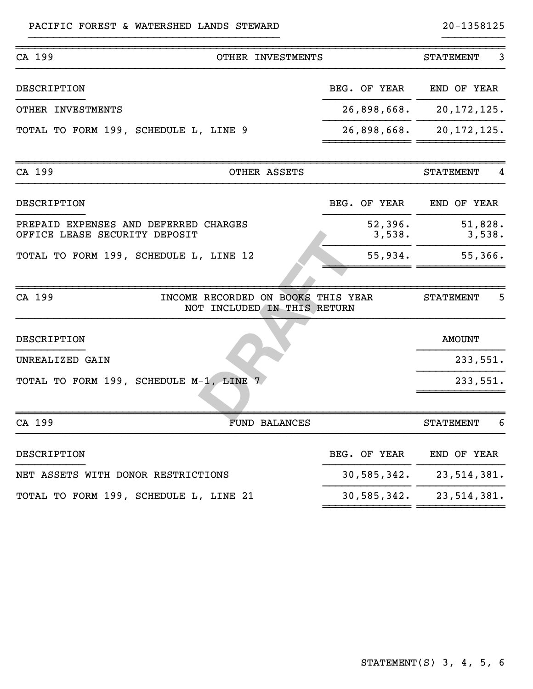| CA 199                                                                 |                                                                   | OTHER INVESTMENTS    |                   | <b>STATEMENT</b>  | 3 |
|------------------------------------------------------------------------|-------------------------------------------------------------------|----------------------|-------------------|-------------------|---|
| DESCRIPTION                                                            |                                                                   |                      | BEG. OF YEAR      | END OF YEAR       |   |
| OTHER INVESTMENTS                                                      |                                                                   |                      | 26,898,668.       | 20, 172, 125.     |   |
| TOTAL TO FORM 199, SCHEDULE L, LINE 9                                  |                                                                   |                      | 26,898,668.       | 20, 172, 125.     |   |
| CA 199                                                                 |                                                                   | OTHER ASSETS         |                   | <b>STATEMENT</b>  | 4 |
| DESCRIPTION                                                            |                                                                   |                      | BEG. OF YEAR      | END OF YEAR       |   |
| PREPAID EXPENSES AND DEFERRED CHARGES<br>OFFICE LEASE SECURITY DEPOSIT |                                                                   |                      | 52,396.<br>3,538. | 51,828.<br>3,538. |   |
| TOTAL TO FORM 199, SCHEDULE L, LINE 12                                 |                                                                   |                      | 55,934.           | 55,366.           |   |
| CA 199                                                                 | INCOME RECORDED ON BOOKS THIS YEAR<br>NOT INCLUDED IN THIS RETURN |                      |                   | <b>STATEMENT</b>  | 5 |
| DESCRIPTION                                                            |                                                                   |                      |                   | <b>AMOUNT</b>     |   |
| UNREALIZED GAIN                                                        |                                                                   |                      |                   | 233,551.          |   |
| TOTAL TO FORM 199, SCHEDULE M-1, LINE 7                                |                                                                   |                      |                   | 233,551.          |   |
| CA 199                                                                 |                                                                   | <b>FUND BALANCES</b> |                   | <b>STATEMENT</b>  | 6 |
| DESCRIPTION                                                            |                                                                   |                      | BEG. OF YEAR      | END OF YEAR       |   |
| NET ASSETS WITH DONOR RESTRICTIONS                                     |                                                                   |                      | 30,585,342.       | 23, 514, 381.     |   |
| TOTAL TO FORM 199, SCHEDULE L, LINE 21                                 |                                                                   |                      | 30,585,342.       | 23, 514, 381.     |   |

~~~~~~~~~~~~~~ ~~~~~~~~~~~~~~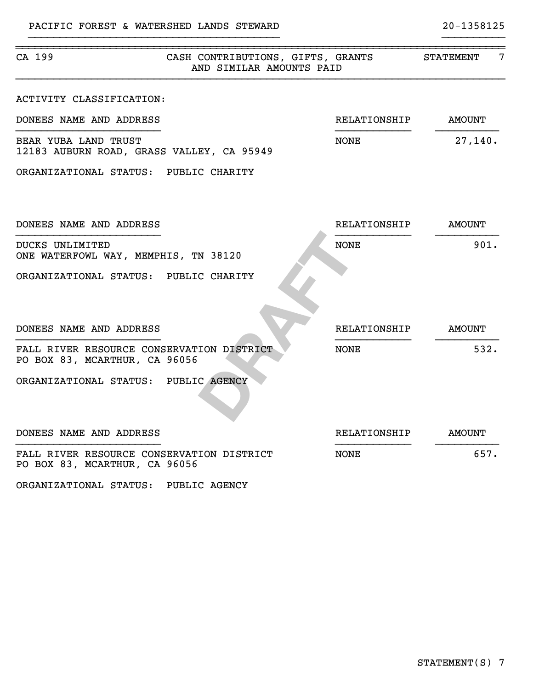| CA 199                                                                     | CASH CONTRIBUTIONS, GIFTS, GRANTS<br>AND SIMILAR AMOUNTS PAID |                     | 7<br><b>STATEMENT</b> |
|----------------------------------------------------------------------------|---------------------------------------------------------------|---------------------|-----------------------|
| ACTIVITY CLASSIFICATION:<br>DONEES NAME AND ADDRESS                        |                                                               | RELATIONSHIP        | <b>AMOUNT</b>         |
| BEAR YUBA LAND TRUST<br>12183 AUBURN ROAD, GRASS VALLEY, CA 95949          |                                                               | <b>NONE</b>         | 27,140.               |
| ORGANIZATIONAL STATUS: PUBLIC CHARITY                                      |                                                               |                     |                       |
| DONEES NAME AND ADDRESS                                                    |                                                               | <b>RELATIONSHIP</b> | <b>AMOUNT</b>         |
| DUCKS UNLIMITED<br>ONE WATERFOWL WAY, MEMPHIS, TN 38120                    |                                                               | <b>NONE</b>         | 901.                  |
| ORGANIZATIONAL STATUS: PUBLIC CHARITY                                      |                                                               |                     |                       |
| DONEES NAME AND ADDRESS                                                    |                                                               | RELATIONSHIP        | <b>AMOUNT</b>         |
| FALL RIVER RESOURCE CONSERVATION DISTRICT<br>PO BOX 83, MCARTHUR, CA 96056 |                                                               | NONE                | 532.                  |
| ORGANIZATIONAL STATUS: PUBLIC AGENCY                                       |                                                               |                     |                       |
| DONEES NAME AND ADDRESS                                                    |                                                               | RELATIONSHIP        | <b>AMOUNT</b>         |
| FALL RIVER RESOURCE CONSERVATION DISTRICT<br>PO BOX 83, MCARTHUR, CA 96056 |                                                               | <b>NONE</b>         | 657.                  |

ORGANIZATIONAL STATUS: PUBLIC AGENCY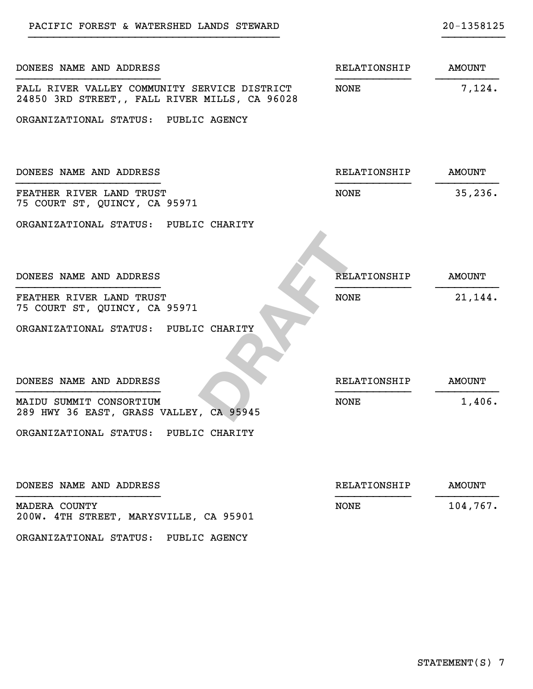| DONEES NAME AND ADDRESS                                            | RELATIONSHIP        | <b>AMOUNT</b> |
|--------------------------------------------------------------------|---------------------|---------------|
| FALL RIVER VALLEY COMMUNITY SERVICE DISTRICT                       | NONE                |               |
| 24850 3RD STREET,, FALL RIVER MILLS, CA 96028                      |                     | 7,124.        |
| ORGANIZATIONAL STATUS: PUBLIC AGENCY                               |                     |               |
| DONEES NAME AND ADDRESS                                            | RELATIONSHIP        | <b>AMOUNT</b> |
| FEATHER RIVER LAND TRUST<br>75 COURT ST, QUINCY, CA 95971          | <b>NONE</b>         | 35, 236.      |
| ORGANIZATIONAL STATUS: PUBLIC CHARITY                              |                     |               |
| DONEES NAME AND ADDRESS                                            | <b>RELATIONSHIP</b> | <b>AMOUNT</b> |
| FEATHER RIVER LAND TRUST<br>75 COURT ST, QUINCY, CA 95971          | <b>NONE</b>         | 21,144.       |
| ORGANIZATIONAL STATUS: PUBLIC CHARITY                              |                     |               |
| DONEES NAME AND ADDRESS                                            | RELATIONSHIP        | <b>AMOUNT</b> |
| MAIDU SUMMIT CONSORTIUM<br>289 HWY 36 EAST, GRASS VALLEY, CA 95945 | <b>NONE</b>         | 1,406.        |
| ORGANIZATIONAL STATUS: PUBLIC CHARITY                              |                     |               |
| DONEES NAME AND ADDRESS                                            | RELATIONSHIP        | <b>AMOUNT</b> |
| MADERA COUNTY<br>200W. 4TH STREET, MARYSVILLE, CA 95901            | <b>NONE</b>         | 104,767.      |

PACIFIC FOREST & WATERSHED LANDS STEWARD 20-1358125

ORGANIZATIONAL STATUS: PUBLIC AGENCY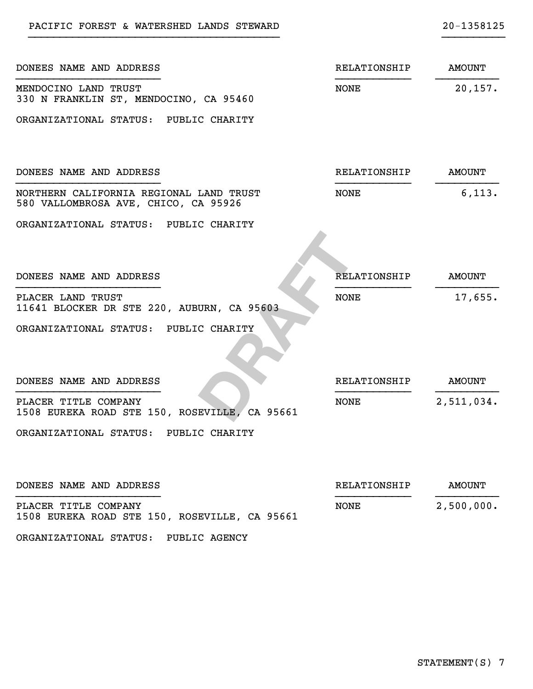| DONEES NAME AND ADDRESS                                                         | RELATIONSHIP        | <b>AMOUNT</b> |
|---------------------------------------------------------------------------------|---------------------|---------------|
| MENDOCINO LAND TRUST<br>330 N FRANKLIN ST, MENDOCINO, CA 95460                  | <b>NONE</b>         | 20, 157.      |
| ORGANIZATIONAL STATUS: PUBLIC CHARITY                                           |                     |               |
| DONEES NAME AND ADDRESS                                                         | RELATIONSHIP        | AMOUNT        |
| NORTHERN CALIFORNIA REGIONAL LAND TRUST<br>580 VALLOMBROSA AVE, CHICO, CA 95926 | <b>NONE</b>         | 6,113.        |
| ORGANIZATIONAL STATUS: PUBLIC CHARITY                                           |                     |               |
| DONEES NAME AND ADDRESS                                                         | RELATIONSHIP        | <b>AMOUNT</b> |
| PLACER LAND TRUST<br>11641 BLOCKER DR STE 220, AUBURN, CA 95603                 | <b>NONE</b>         | 17,655.       |
| ORGANIZATIONAL STATUS: PUBLIC CHARITY                                           |                     |               |
| DONEES NAME AND ADDRESS                                                         | RELATIONSHIP        | <b>AMOUNT</b> |
| PLACER TITLE COMPANY<br>1508 EUREKA ROAD STE 150, ROSEVILLE, CA 95661           | NONE                | 2,511,034.    |
| ORGANIZATIONAL STATUS: PUBLIC CHARITY                                           |                     |               |
| DONEES NAME AND ADDRESS                                                         | <b>RELATIONSHIP</b> | <b>AMOUNT</b> |
| PLACER TITLE COMPANY<br>1508 EUREKA ROAD STE 150, ROSEVILLE, CA 95661           | <b>NONE</b>         | 2,500,000.    |

ORGANIZATIONAL STATUS: PUBLIC AGENCY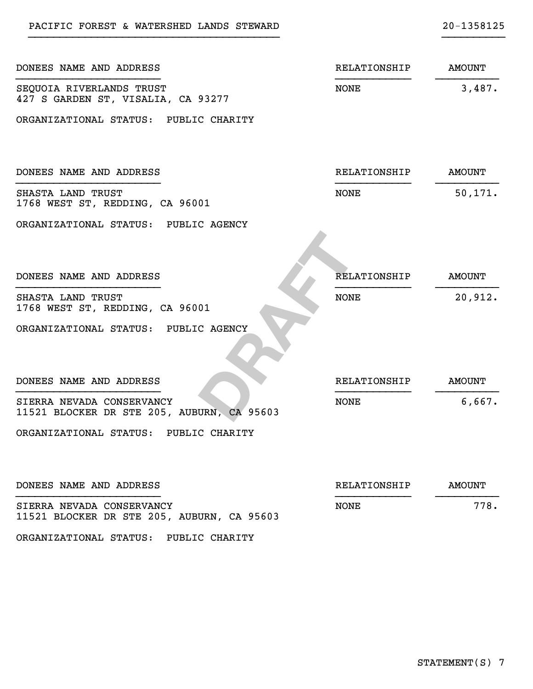| DONEES NAME AND ADDRESS                                                 | RELATIONSHIP        | <b>AMOUNT</b> |
|-------------------------------------------------------------------------|---------------------|---------------|
| SEQUOIA RIVERLANDS TRUST<br>427 S GARDEN ST, VISALIA, CA 93277          | <b>NONE</b>         | 3,487.        |
| ORGANIZATIONAL STATUS: PUBLIC CHARITY                                   |                     |               |
| DONEES NAME AND ADDRESS                                                 | RELATIONSHIP        | <b>AMOUNT</b> |
| SHASTA LAND TRUST<br>1768 WEST ST, REDDING, CA 96001                    | <b>NONE</b>         | 50, 171.      |
| ORGANIZATIONAL STATUS: PUBLIC AGENCY                                    |                     |               |
|                                                                         |                     |               |
| DONEES NAME AND ADDRESS                                                 | <b>RELATIONSHIP</b> | <b>AMOUNT</b> |
| SHASTA LAND TRUST<br>1768 WEST ST, REDDING, CA 96001                    | <b>NONE</b>         | 20,912.       |
| ORGANIZATIONAL STATUS: PUBLIC AGENCY                                    |                     |               |
|                                                                         |                     |               |
| DONEES NAME AND ADDRESS                                                 | RELATIONSHIP        | <b>AMOUNT</b> |
| SIERRA NEVADA CONSERVANCY<br>11521 BLOCKER DR STE 205, AUBURN, CA 95603 | <b>NONE</b>         | 6,667.        |
| ORGANIZATIONAL STATUS: PUBLIC CHARITY                                   |                     |               |
|                                                                         |                     |               |
| DONEES NAME AND ADDRESS                                                 | RELATIONSHIP        | <b>AMOUNT</b> |
| SIERRA NEVADA CONSERVANCY<br>11521 BLOCKER DR STE 205, AUBURN, CA 95603 | <b>NONE</b>         | 778.          |

ORGANIZATIONAL STATUS: PUBLIC CHARITY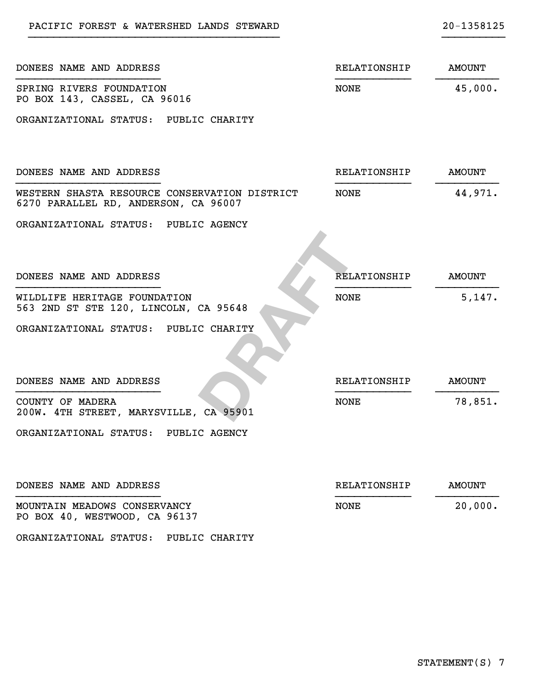| DONEES NAME AND ADDRESS                                                               | RELATIONSHIP        | <b>AMOUNT</b> |
|---------------------------------------------------------------------------------------|---------------------|---------------|
| SPRING RIVERS FOUNDATION<br>PO BOX 143, CASSEL, CA 96016                              | NONE                | 45,000.       |
| ORGANIZATIONAL STATUS: PUBLIC CHARITY                                                 |                     |               |
| DONEES NAME AND ADDRESS                                                               | RELATIONSHIP        | <b>AMOUNT</b> |
| WESTERN SHASTA RESOURCE CONSERVATION DISTRICT<br>6270 PARALLEL RD, ANDERSON, CA 96007 | NONE                | 44,971.       |
| ORGANIZATIONAL STATUS: PUBLIC AGENCY                                                  |                     |               |
| DONEES NAME AND ADDRESS                                                               | <b>RELATIONSHIP</b> | <b>AMOUNT</b> |
| WILDLIFE HERITAGE FOUNDATION<br>563 2ND ST STE 120, LINCOLN, CA 95648                 | <b>NONE</b>         | 5,147.        |
| ORGANIZATIONAL STATUS: PUBLIC CHARITY                                                 |                     |               |
| DONEES NAME AND ADDRESS                                                               | RELATIONSHIP        | <b>AMOUNT</b> |
| COUNTY OF MADERA<br>200W. 4TH STREET, MARYSVILLE, CA 95901                            | NONE                | 78,851.       |
| ORGANIZATIONAL STATUS: PUBLIC AGENCY                                                  |                     |               |
| DONEES NAME AND ADDRESS                                                               | <b>RELATIONSHIP</b> | <b>AMOUNT</b> |
| MOUNTAIN MEADOWS CONSERVANCY<br>PO BOX 40, WESTWOOD, CA 96137                         | <b>NONE</b>         | 20,000.       |

ORGANIZATIONAL STATUS: PUBLIC CHARITY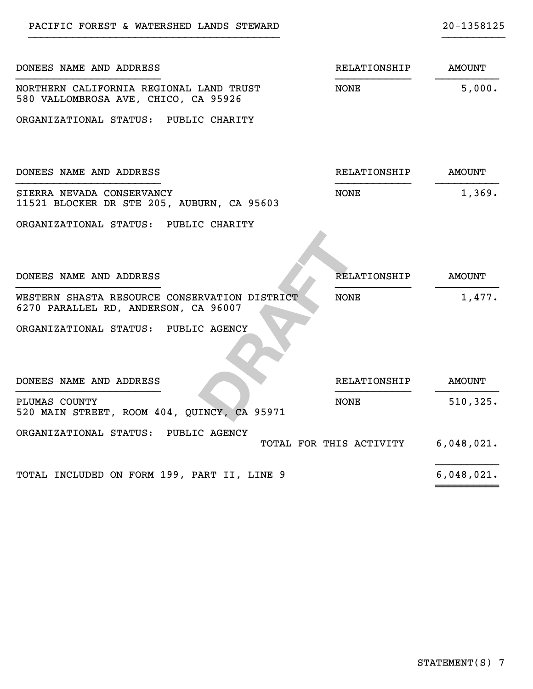| DONEES NAME AND ADDRESS                                                               | RELATIONSHIP            | <b>AMOUNT</b> |
|---------------------------------------------------------------------------------------|-------------------------|---------------|
| NORTHERN CALIFORNIA REGIONAL LAND TRUST<br>580 VALLOMBROSA AVE, CHICO, CA 95926       | <b>NONE</b>             | 5,000.        |
| ORGANIZATIONAL STATUS: PUBLIC CHARITY                                                 |                         |               |
| DONEES NAME AND ADDRESS                                                               | RELATIONSHIP            | <b>AMOUNT</b> |
| SIERRA NEVADA CONSERVANCY<br>11521 BLOCKER DR STE 205, AUBURN, CA 95603               | <b>NONE</b>             | 1,369.        |
| ORGANIZATIONAL STATUS: PUBLIC CHARITY                                                 |                         |               |
| DONEES NAME AND ADDRESS                                                               | <b>RELATIONSHIP</b>     | <b>AMOUNT</b> |
| WESTERN SHASTA RESOURCE CONSERVATION DISTRICT<br>6270 PARALLEL RD, ANDERSON, CA 96007 | <b>NONE</b>             | 1,477.        |
| ORGANIZATIONAL STATUS: PUBLIC AGENCY                                                  |                         |               |
| DONEES NAME AND ADDRESS                                                               | RELATIONSHIP            | <b>AMOUNT</b> |
| PLUMAS COUNTY<br>520 MAIN STREET, ROOM 404, QUINCY, CA 95971                          | <b>NONE</b>             | 510, 325.     |
| ORGANIZATIONAL STATUS: PUBLIC AGENCY                                                  | TOTAL FOR THIS ACTIVITY | 6,048,021.    |
| TOTAL INCLUDED ON FORM 199, PART II, LINE 9                                           |                         | 6,048,021.    |

~~~~~~~~~~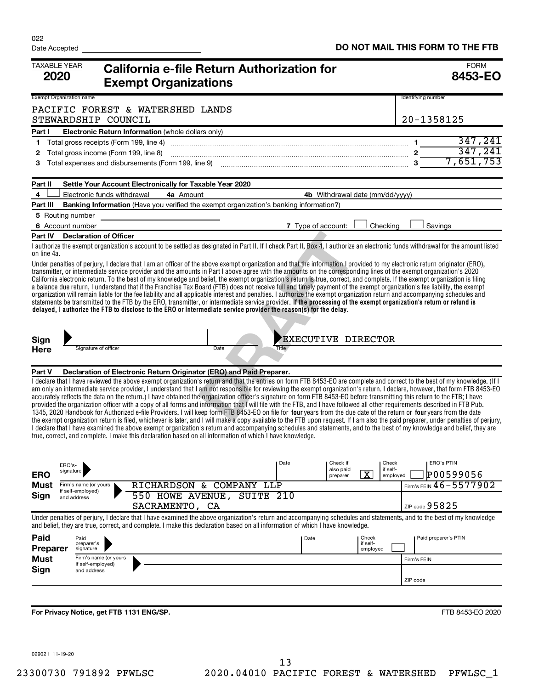| <b>TAXABLE YEAR</b><br><b>2020</b>                  | California e-file Return Authorization for<br><b>Exempt Organizations</b>                                                                                                                                                                                                                                                                                                                                                                                                                                                                                                                                                                                                                                                                                                                                                                                                                                                                                                                                                                                                                                                                                                                                                                                                                                                                                             |                           |                                        |                               |                   | <b>FORM</b><br>8453-EO |
|-----------------------------------------------------|-----------------------------------------------------------------------------------------------------------------------------------------------------------------------------------------------------------------------------------------------------------------------------------------------------------------------------------------------------------------------------------------------------------------------------------------------------------------------------------------------------------------------------------------------------------------------------------------------------------------------------------------------------------------------------------------------------------------------------------------------------------------------------------------------------------------------------------------------------------------------------------------------------------------------------------------------------------------------------------------------------------------------------------------------------------------------------------------------------------------------------------------------------------------------------------------------------------------------------------------------------------------------------------------------------------------------------------------------------------------------|---------------------------|----------------------------------------|-------------------------------|-------------------|------------------------|
| Exempt Organization name                            |                                                                                                                                                                                                                                                                                                                                                                                                                                                                                                                                                                                                                                                                                                                                                                                                                                                                                                                                                                                                                                                                                                                                                                                                                                                                                                                                                                       |                           |                                        |                               |                   | Identifying number     |
| STEWARDSHIP COUNCIL                                 | PACIFIC FOREST & WATERSHED LANDS                                                                                                                                                                                                                                                                                                                                                                                                                                                                                                                                                                                                                                                                                                                                                                                                                                                                                                                                                                                                                                                                                                                                                                                                                                                                                                                                      |                           |                                        |                               |                   | 20-1358125             |
| Part I                                              | Electronic Return Information (whole dollars only)                                                                                                                                                                                                                                                                                                                                                                                                                                                                                                                                                                                                                                                                                                                                                                                                                                                                                                                                                                                                                                                                                                                                                                                                                                                                                                                    |                           |                                        |                               |                   |                        |
| Total gross receipts (Form 199, line 4)<br>1        |                                                                                                                                                                                                                                                                                                                                                                                                                                                                                                                                                                                                                                                                                                                                                                                                                                                                                                                                                                                                                                                                                                                                                                                                                                                                                                                                                                       |                           |                                        |                               |                   | 347,241                |
| 2                                                   |                                                                                                                                                                                                                                                                                                                                                                                                                                                                                                                                                                                                                                                                                                                                                                                                                                                                                                                                                                                                                                                                                                                                                                                                                                                                                                                                                                       |                           |                                        |                               |                   |                        |
| з                                                   | Total gross income (Form 199, line 8)<br>Total expenses and disbursements (Form 199, line 9)<br>$\frac{2}{3}\overline{\frac{347,241}{7,651,753}}$                                                                                                                                                                                                                                                                                                                                                                                                                                                                                                                                                                                                                                                                                                                                                                                                                                                                                                                                                                                                                                                                                                                                                                                                                     |                           |                                        |                               |                   |                        |
| Part II                                             | Settle Your Account Electronically for Taxable Year 2020                                                                                                                                                                                                                                                                                                                                                                                                                                                                                                                                                                                                                                                                                                                                                                                                                                                                                                                                                                                                                                                                                                                                                                                                                                                                                                              |                           |                                        |                               |                   |                        |
| 4<br>Electronic funds withdrawal                    | 4a Amount                                                                                                                                                                                                                                                                                                                                                                                                                                                                                                                                                                                                                                                                                                                                                                                                                                                                                                                                                                                                                                                                                                                                                                                                                                                                                                                                                             |                           | <b>4b</b> Withdrawal date (mm/dd/yyyy) |                               |                   |                        |
| Part III                                            | <b>Banking Information</b> (Have you verified the exempt organization's banking information?)                                                                                                                                                                                                                                                                                                                                                                                                                                                                                                                                                                                                                                                                                                                                                                                                                                                                                                                                                                                                                                                                                                                                                                                                                                                                         |                           |                                        |                               |                   |                        |
| 5 Routing number                                    |                                                                                                                                                                                                                                                                                                                                                                                                                                                                                                                                                                                                                                                                                                                                                                                                                                                                                                                                                                                                                                                                                                                                                                                                                                                                                                                                                                       |                           |                                        |                               |                   |                        |
| 6 Account number                                    |                                                                                                                                                                                                                                                                                                                                                                                                                                                                                                                                                                                                                                                                                                                                                                                                                                                                                                                                                                                                                                                                                                                                                                                                                                                                                                                                                                       | 7 Type of account:        |                                        |                               | Checking          | Savings                |
| Part IV<br><b>Declaration of Officer</b>            |                                                                                                                                                                                                                                                                                                                                                                                                                                                                                                                                                                                                                                                                                                                                                                                                                                                                                                                                                                                                                                                                                                                                                                                                                                                                                                                                                                       |                           |                                        |                               |                   |                        |
| on line 4a.                                         | I authorize the exempt organization's account to be settled as designated in Part II. If I check Part II, Box 4, I authorize an electronic funds withdrawal for the amount listed                                                                                                                                                                                                                                                                                                                                                                                                                                                                                                                                                                                                                                                                                                                                                                                                                                                                                                                                                                                                                                                                                                                                                                                     |                           |                                        |                               |                   |                        |
|                                                     | transmitter, or intermediate service provider and the amounts in Part I above agree with the amounts on the corresponding lines of the exempt organization's 2020<br>California electronic return. To the best of my knowledge and belief, the exempt organization's return is true, correct, and complete. If the exempt organization is filing<br>a balance due return, I understand that if the Franchise Tax Board (FTB) does not receive full and timely payment of the exempt organization's fee liability, the exempt<br>organization will remain liable for the fee liability and all applicable interest and penalties. I authorize the exempt organization return and accompanying schedules and<br>statements be transmitted to the FTB by the ERO, transmitter, or intermediate service provider. If the processing of the exempt organization's return or refund is<br>delayed, I authorize the FTB to disclose to the ERO or intermediate service provider the reason(s) for the delay.                                                                                                                                                                                                                                                                                                                                                                 |                           |                                        |                               |                   |                        |
| Sign                                                |                                                                                                                                                                                                                                                                                                                                                                                                                                                                                                                                                                                                                                                                                                                                                                                                                                                                                                                                                                                                                                                                                                                                                                                                                                                                                                                                                                       | <b>EXECUTIVE DIRECTOR</b> |                                        |                               |                   |                        |
| Signature of officer<br><b>Here</b>                 | Date                                                                                                                                                                                                                                                                                                                                                                                                                                                                                                                                                                                                                                                                                                                                                                                                                                                                                                                                                                                                                                                                                                                                                                                                                                                                                                                                                                  | Title                     |                                        |                               |                   |                        |
| Part V                                              | Declaration of Electronic Return Originator (ERO) and Paid Preparer.                                                                                                                                                                                                                                                                                                                                                                                                                                                                                                                                                                                                                                                                                                                                                                                                                                                                                                                                                                                                                                                                                                                                                                                                                                                                                                  |                           |                                        |                               |                   |                        |
| ERO's-<br>signature                                 | I declare that I have reviewed the above exempt organization's return and that the entries on form FTB 8453-EO are complete and correct to the best of my knowledge. (If I<br>am only an intermediate service provider, I understand that I am not responsible for reviewing the exempt organization's return. I declare, however, that form FTB 8453-EO<br>accurately reflects the data on the return.) I have obtained the organization officer's signature on form FTB 8453-EO before transmitting this return to the FTB; I have<br>provided the organization officer with a copy of all forms and information that I will file with the FTB, and I have followed all other requirements described in FTB Pub.<br>1345, 2020 Handbook for Authorized e-file Providers. I will keep form FTB 8453-EO on file for four years from the due date of the return or four years from the date<br>the exempt organization return is filed, whichever is later, and I will make a copy available to the FTB upon request. If I am also the paid preparer, under penalties of perjury,<br>I declare that I have examined the above exempt organization's return and accompanying schedules and statements, and to the best of my knowledge and belief, they are<br>true, correct, and complete. I make this declaration based on all information of which I have knowledge. | Date                      | Check if<br>also paid                  |                               | Check<br>if self- | <b>ERO's PTIN</b>      |
| <b>ERO</b>                                          |                                                                                                                                                                                                                                                                                                                                                                                                                                                                                                                                                                                                                                                                                                                                                                                                                                                                                                                                                                                                                                                                                                                                                                                                                                                                                                                                                                       |                           | preparer                               | $\overline{\texttt{x}}$       | emploved          | P00599056              |
| Must<br>Firm's name (or yours<br>if self-employed)  | RICHARDSON & COMPANY LLP                                                                                                                                                                                                                                                                                                                                                                                                                                                                                                                                                                                                                                                                                                                                                                                                                                                                                                                                                                                                                                                                                                                                                                                                                                                                                                                                              |                           |                                        |                               |                   | Firm's FEIN 46-5577902 |
| Sign<br>and address                                 | 550 HOWE AVENUE, SUITE 210<br>SACRAMENTO, CA                                                                                                                                                                                                                                                                                                                                                                                                                                                                                                                                                                                                                                                                                                                                                                                                                                                                                                                                                                                                                                                                                                                                                                                                                                                                                                                          |                           |                                        |                               |                   | ZIP code $95825$       |
|                                                     | Under penalties of perjury, I declare that I have examined the above organization's return and accompanying schedules and statements, and to the best of my knowledge<br>and belief, they are true, correct, and complete. I make this declaration based on all information of which I have knowledge.                                                                                                                                                                                                                                                                                                                                                                                                                                                                                                                                                                                                                                                                                                                                                                                                                                                                                                                                                                                                                                                                |                           |                                        |                               |                   |                        |
| Paid<br>Paid<br>preparer's<br>Preparer<br>signature |                                                                                                                                                                                                                                                                                                                                                                                                                                                                                                                                                                                                                                                                                                                                                                                                                                                                                                                                                                                                                                                                                                                                                                                                                                                                                                                                                                       | Date                      |                                        | Check<br>if self-<br>employed |                   | Paid preparer's PTIN   |
| <b>Must</b><br>Firm's name (or yours                |                                                                                                                                                                                                                                                                                                                                                                                                                                                                                                                                                                                                                                                                                                                                                                                                                                                                                                                                                                                                                                                                                                                                                                                                                                                                                                                                                                       |                           |                                        |                               |                   | Firm's FEIN            |
| if self-employed)<br>Sign<br>and address            |                                                                                                                                                                                                                                                                                                                                                                                                                                                                                                                                                                                                                                                                                                                                                                                                                                                                                                                                                                                                                                                                                                                                                                                                                                                                                                                                                                       |                           |                                        |                               |                   | ZIP code               |
|                                                     |                                                                                                                                                                                                                                                                                                                                                                                                                                                                                                                                                                                                                                                                                                                                                                                                                                                                                                                                                                                                                                                                                                                                                                                                                                                                                                                                                                       |                           |                                        |                               |                   |                        |
|                                                     |                                                                                                                                                                                                                                                                                                                                                                                                                                                                                                                                                                                                                                                                                                                                                                                                                                                                                                                                                                                                                                                                                                                                                                                                                                                                                                                                                                       |                           |                                        |                               |                   |                        |
| For Privacy Notice, get FTB 1131 ENG/SP.            |                                                                                                                                                                                                                                                                                                                                                                                                                                                                                                                                                                                                                                                                                                                                                                                                                                                                                                                                                                                                                                                                                                                                                                                                                                                                                                                                                                       |                           |                                        |                               |                   | FTB 8453-EO 2020       |

029021 11-19-20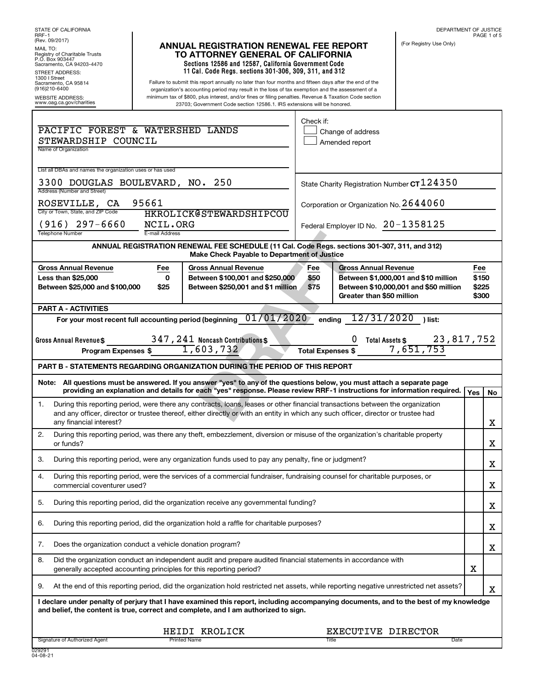| RRF-1                                                                                                                                                                                                                         |                |                                                                                                                                                                                                            |                          |                                         | DEPARTMENT OF JUSTICE                       |                | PAGE 1 of 5 |
|-------------------------------------------------------------------------------------------------------------------------------------------------------------------------------------------------------------------------------|----------------|------------------------------------------------------------------------------------------------------------------------------------------------------------------------------------------------------------|--------------------------|-----------------------------------------|---------------------------------------------|----------------|-------------|
| (Rev. 09/2017)<br>MAIL TO:                                                                                                                                                                                                    |                | <b>ANNUAL REGISTRATION RENEWAL FEE REPORT</b>                                                                                                                                                              |                          |                                         | (For Registry Use Only)                     |                |             |
| Registry of Charitable Trusts<br>P.O. Box 903447                                                                                                                                                                              |                | TO ATTORNEY GENERAL OF CALIFORNIA<br>Sections 12586 and 12587, California Government Code                                                                                                                  |                          |                                         |                                             |                |             |
| Sacramento, CA 94203-4470<br><b>STREET ADDRESS:</b>                                                                                                                                                                           |                | 11 Cal. Code Regs. sections 301-306, 309, 311, and 312                                                                                                                                                     |                          |                                         |                                             |                |             |
| 1300   Street<br>Sacramento, CA 95814<br>(916)210-6400                                                                                                                                                                        |                | Failure to submit this report annually no later than four months and fifteen days after the end of the<br>organization's accounting period may result in the loss of tax exemption and the assessment of a |                          |                                         |                                             |                |             |
| <b>WEBSITE ADDRESS:</b>                                                                                                                                                                                                       |                | minimum tax of \$800, plus interest, and/or fines or filing penalties. Revenue & Taxation Code section                                                                                                     |                          |                                         |                                             |                |             |
| www.oag.ca.gov/charities                                                                                                                                                                                                      |                | 23703; Government Code section 12586.1. IRS extensions will be honored.                                                                                                                                    |                          |                                         |                                             |                |             |
|                                                                                                                                                                                                                               |                |                                                                                                                                                                                                            | Check if:                |                                         |                                             |                |             |
| PACIFIC FOREST & WATERSHED LANDS                                                                                                                                                                                              |                |                                                                                                                                                                                                            |                          | Change of address                       |                                             |                |             |
| STEWARDSHIP COUNCIL<br>Name of Organization                                                                                                                                                                                   |                |                                                                                                                                                                                                            |                          | Amended report                          |                                             |                |             |
|                                                                                                                                                                                                                               |                |                                                                                                                                                                                                            |                          |                                         |                                             |                |             |
| List all DBAs and names the organization uses or has used                                                                                                                                                                     |                |                                                                                                                                                                                                            |                          |                                         |                                             |                |             |
| 3300 DOUGLAS BOULEVARD,                                                                                                                                                                                                       |                | NO. 250                                                                                                                                                                                                    |                          |                                         | State Charity Registration Number CT 124350 |                |             |
| Address (Number and Street)                                                                                                                                                                                                   |                |                                                                                                                                                                                                            |                          |                                         |                                             |                |             |
| 95661<br>ROSEVILLE, CA<br>City or Town, State, and ZIP Code                                                                                                                                                                   |                | <b>HKROLICK@STEWARDSHIPCOU</b>                                                                                                                                                                             |                          | Corporation or Organization No. 2644060 |                                             |                |             |
| $(916)$ 297-6660                                                                                                                                                                                                              | NCIL.ORG       |                                                                                                                                                                                                            |                          | Federal Employer ID No. $20 - 1358125$  |                                             |                |             |
| <b>Telephone Number</b>                                                                                                                                                                                                       | E-mail Address |                                                                                                                                                                                                            |                          |                                         |                                             |                |             |
|                                                                                                                                                                                                                               |                | ANNUAL REGISTRATION RENEWAL FEE SCHEDULE (11 Cal. Code Regs. sections 301-307, 311, and 312)<br>Make Check Payable to Department of Justice                                                                |                          |                                         |                                             |                |             |
| <b>Gross Annual Revenue</b>                                                                                                                                                                                                   | Fee            | <b>Gross Annual Revenue</b>                                                                                                                                                                                | Fee                      | <b>Gross Annual Revenue</b>             |                                             | Fee            |             |
| <b>Less than \$25,000</b>                                                                                                                                                                                                     | 0              | Between \$100,001 and \$250,000                                                                                                                                                                            | \$50                     |                                         | Between \$1,000,001 and \$10 million        | \$150          |             |
| Between \$25,000 and \$100,000                                                                                                                                                                                                | \$25           | Between \$250,001 and \$1 million                                                                                                                                                                          | \$75                     | Greater than \$50 million               | Between \$10,000,001 and \$50 million       | \$225<br>\$300 |             |
| <b>PART A - ACTIVITIES</b>                                                                                                                                                                                                    |                |                                                                                                                                                                                                            |                          |                                         |                                             |                |             |
| For your most recent full accounting period (beginning                                                                                                                                                                        |                | 01/01/2020                                                                                                                                                                                                 | ending                   | 12/31/2020                              | ) list:                                     |                |             |
|                                                                                                                                                                                                                               |                |                                                                                                                                                                                                            |                          |                                         |                                             |                |             |
| Gross Annual Revenue\$                                                                                                                                                                                                        |                | 347, 241 Noncash Contributions \$                                                                                                                                                                          |                          |                                         | 23,817,752                                  |                |             |
|                                                                                                                                                                                                                               |                |                                                                                                                                                                                                            |                          | <b>Total Assets \$</b>                  |                                             |                |             |
| Program Expenses \$                                                                                                                                                                                                           |                | $\overline{1,603,732}$                                                                                                                                                                                     | <b>Total Expenses \$</b> |                                         | 7,651,753                                   |                |             |
| PART B - STATEMENTS REGARDING ORGANIZATION DURING THE PERIOD OF THIS REPORT                                                                                                                                                   |                |                                                                                                                                                                                                            |                          |                                         |                                             |                |             |
| Note: All questions must be answered. If you answer "yes" to any of the questions below, you must attach a separate page                                                                                                      |                |                                                                                                                                                                                                            |                          |                                         |                                             |                |             |
|                                                                                                                                                                                                                               |                | providing an explanation and details for each "ves" response. Please review RRF-1 instructions for information required.                                                                                   |                          |                                         |                                             | Yes            | No          |
| 1.                                                                                                                                                                                                                            |                | During this reporting period, were there any contracts, loans, leases or other financial transactions between the organization                                                                             |                          |                                         |                                             |                |             |
|                                                                                                                                                                                                                               |                | and any officer, director or trustee thereof, either directly or with an entity in which any such officer, director or trustee had                                                                         |                          |                                         |                                             |                |             |
| any financial interest?                                                                                                                                                                                                       |                |                                                                                                                                                                                                            |                          |                                         |                                             |                | х           |
| 2.<br>or funds?                                                                                                                                                                                                               |                | During this reporting period, was there any theft, embezzlement, diversion or misuse of the organization's charitable property                                                                             |                          |                                         |                                             |                | х           |
| 3.                                                                                                                                                                                                                            |                | During this reporting period, were any organization funds used to pay any penalty, fine or judgment?                                                                                                       |                          |                                         |                                             |                |             |
| 4.                                                                                                                                                                                                                            |                | During this reporting period, were the services of a commercial fundraiser, fundraising counsel for charitable purposes, or                                                                                |                          |                                         |                                             |                | х           |
| commercial coventurer used?                                                                                                                                                                                                   |                |                                                                                                                                                                                                            |                          |                                         |                                             |                | х           |
| 5.                                                                                                                                                                                                                            |                | During this reporting period, did the organization receive any governmental funding?                                                                                                                       |                          |                                         |                                             |                | х           |
| 6.                                                                                                                                                                                                                            |                | During this reporting period, did the organization hold a raffle for charitable purposes?                                                                                                                  |                          |                                         |                                             |                |             |
| Does the organization conduct a vehicle donation program?<br>7.                                                                                                                                                               |                |                                                                                                                                                                                                            |                          |                                         |                                             |                | х           |
|                                                                                                                                                                                                                               |                |                                                                                                                                                                                                            |                          |                                         |                                             |                | х           |
| 8.<br>generally accepted accounting principles for this reporting period?                                                                                                                                                     |                | Did the organization conduct an independent audit and prepare audited financial statements in accordance with                                                                                              |                          |                                         |                                             | х              |             |
| 9.                                                                                                                                                                                                                            |                | At the end of this reporting period, did the organization hold restricted net assets, while reporting negative unrestricted net assets?                                                                    |                          |                                         |                                             |                | х           |
| I declare under penalty of perjury that I have examined this report, including accompanying documents, and to the best of my knowledge<br>and belief, the content is true, correct and complete, and I am authorized to sign. |                |                                                                                                                                                                                                            |                          |                                         |                                             |                |             |
|                                                                                                                                                                                                                               |                | HEIDI KROLICK                                                                                                                                                                                              |                          | EXECUTIVE DIRECTOR                      |                                             |                |             |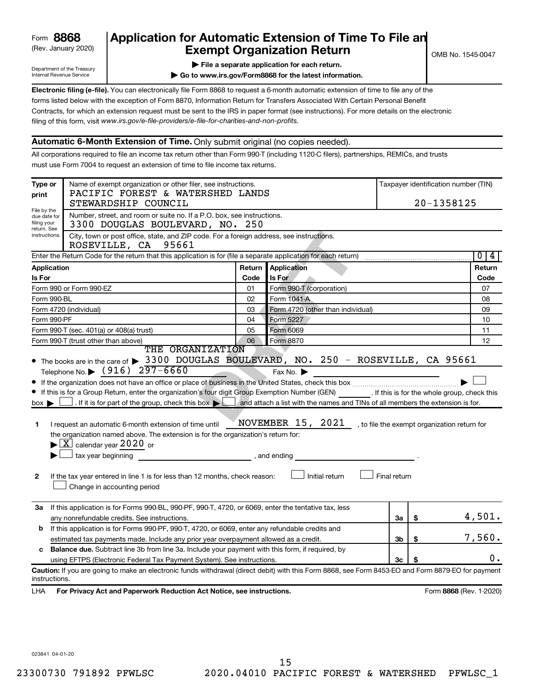# (Rev. January 2020) **Cxempt Organization Return** Manuary 2020) and the settern **Canadian Exempt Organization Return Form 8868 Application for Automatic Extension of Time To File an**<br>**Exempt Organization Return**

Department of the Treasury Internal Revenue Service

|  | $\blacktriangleright$ File a separate application for each return. |  |  |
|--|--------------------------------------------------------------------|--|--|

**| Go to www.irs.gov/Form8868 for the latest information.**

**Electronic filing (e-file).** You can electronically file Form 8868 to request a 6-month automatic extension of time to file any of the filing of this form, visit www.irs.gov/e-file-providers/e-file-for-charities-and-non-profits. forms listed below with the exception of Form 8870, Information Return for Transfers Associated With Certain Personal Benefit Contracts, for which an extension request must be sent to the IRS in paper format (see instructions). For more details on the electronic

### **Automatic 6-Month Extension of Time.** Only submit original (no copies needed).

All corporations required to file an income tax return other than Form 990-T (including 1120-C filers), partnerships, REMICs, and trusts must use Form 7004 to request an extension of time to file income tax returns.

| Type or<br>print                                          | Name of exempt organization or other filer, see instructions.<br>PACIFIC FOREST & WATERSHED LANDS                                                                                                                                                                                                                                                                                                                                                                                                                                                                                                                                                                                                                                                                                                                                                           |        |                                                                      |              |    | Taxpayer identification number (TIN)         |
|-----------------------------------------------------------|-------------------------------------------------------------------------------------------------------------------------------------------------------------------------------------------------------------------------------------------------------------------------------------------------------------------------------------------------------------------------------------------------------------------------------------------------------------------------------------------------------------------------------------------------------------------------------------------------------------------------------------------------------------------------------------------------------------------------------------------------------------------------------------------------------------------------------------------------------------|--------|----------------------------------------------------------------------|--------------|----|----------------------------------------------|
|                                                           | STEWARDSHIP COUNCIL                                                                                                                                                                                                                                                                                                                                                                                                                                                                                                                                                                                                                                                                                                                                                                                                                                         |        |                                                                      |              |    | 20-1358125                                   |
| File by the<br>due date for<br>filing your<br>return. See | Number, street, and room or suite no. If a P.O. box, see instructions.<br>3300 DOUGLAS BOULEVARD, NO. 250                                                                                                                                                                                                                                                                                                                                                                                                                                                                                                                                                                                                                                                                                                                                                   |        |                                                                      |              |    |                                              |
| instructions.                                             | City, town or post office, state, and ZIP code. For a foreign address, see instructions.<br>ROSEVILLE, CA 95661                                                                                                                                                                                                                                                                                                                                                                                                                                                                                                                                                                                                                                                                                                                                             |        |                                                                      |              |    |                                              |
|                                                           | Enter the Return Code for the return that this application is for (file a separate application for each return)                                                                                                                                                                                                                                                                                                                                                                                                                                                                                                                                                                                                                                                                                                                                             |        |                                                                      |              |    | 0 4                                          |
| Application                                               |                                                                                                                                                                                                                                                                                                                                                                                                                                                                                                                                                                                                                                                                                                                                                                                                                                                             | Return | <b>Application</b>                                                   |              |    | Return                                       |
| Is For                                                    |                                                                                                                                                                                                                                                                                                                                                                                                                                                                                                                                                                                                                                                                                                                                                                                                                                                             | Code   | Is For                                                               |              |    | Code                                         |
|                                                           | Form 990 or Form 990-EZ                                                                                                                                                                                                                                                                                                                                                                                                                                                                                                                                                                                                                                                                                                                                                                                                                                     | 01     | Form 990-T (corporation)                                             |              |    | 07                                           |
| Form 990-BL                                               |                                                                                                                                                                                                                                                                                                                                                                                                                                                                                                                                                                                                                                                                                                                                                                                                                                                             | 02     | Form 1041-A                                                          |              |    | 08                                           |
|                                                           | Form 4720 (individual)                                                                                                                                                                                                                                                                                                                                                                                                                                                                                                                                                                                                                                                                                                                                                                                                                                      | 03     | Form 4720 (other than individual)                                    |              |    | 09                                           |
| Form 990-PF                                               |                                                                                                                                                                                                                                                                                                                                                                                                                                                                                                                                                                                                                                                                                                                                                                                                                                                             | 04     | Form 5227                                                            |              |    | 10                                           |
|                                                           | Form 990-T (sec. 401(a) or 408(a) trust)                                                                                                                                                                                                                                                                                                                                                                                                                                                                                                                                                                                                                                                                                                                                                                                                                    | 05     | Form 6069                                                            |              |    | 11                                           |
|                                                           | Form 990-T (trust other than above)<br>THE ORGANIZATION                                                                                                                                                                                                                                                                                                                                                                                                                                                                                                                                                                                                                                                                                                                                                                                                     | 06     | Form 8870                                                            |              |    | 12                                           |
| $box \blacktriangleright$<br>1<br>2<br>За                 | Telephone No. $\triangleright$ (916) $2\overline{97-6660}$<br>If this is for a Group Return, enter the organization's four digit Group Exemption Number (GEN) [If this is for the whole group, check this<br>. If it is for part of the group, check this box $\blacktriangleright$ and attach a list with the names and TINs of all members the extension is for.<br>I request an automatic 6-month extension of time until<br>the organization named above. The extension is for the organization's return for:<br>$\blacktriangleright$ $\lfloor$ X $\rfloor$ calendar year 2020 or<br>tax year beginning<br>and ending and ending<br>If the tax year entered in line 1 is for less than 12 months, check reason:<br>Change in accounting period<br>If this application is for Forms 990-BL, 990-PF, 990-T, 4720, or 6069, enter the tentative tax, less |        | Fax No. $\blacktriangleright$<br>NOVEMBER 15, 2021<br>Initial return | Final return |    | , to file the exempt organization return for |
|                                                           | any nonrefundable credits. See instructions.                                                                                                                                                                                                                                                                                                                                                                                                                                                                                                                                                                                                                                                                                                                                                                                                                |        |                                                                      | За           | \$ | 4,501.                                       |
| b                                                         | If this application is for Forms 990-PF, 990-T, 4720, or 6069, enter any refundable credits and                                                                                                                                                                                                                                                                                                                                                                                                                                                                                                                                                                                                                                                                                                                                                             |        |                                                                      |              |    |                                              |
|                                                           | estimated tax payments made. Include any prior year overpayment allowed as a credit.                                                                                                                                                                                                                                                                                                                                                                                                                                                                                                                                                                                                                                                                                                                                                                        |        |                                                                      | 3b           | \$ | 7,560.                                       |
| c                                                         | <b>Balance due.</b> Subtract line 3b from line 3a. Include your payment with this form, if required, by                                                                                                                                                                                                                                                                                                                                                                                                                                                                                                                                                                                                                                                                                                                                                     |        |                                                                      |              |    |                                              |
|                                                           | using EFTPS (Electronic Federal Tax Payment System). See instructions.                                                                                                                                                                                                                                                                                                                                                                                                                                                                                                                                                                                                                                                                                                                                                                                      |        |                                                                      | 3c           |    | 0.                                           |
| instructions.<br>LHA                                      | Caution: If you are going to make an electronic funds withdrawal (direct debit) with this Form 8868, see Form 8453-EO and Form 8879-EO for payment<br>For Privacy Act and Paperwork Reduction Act Notice, see instructions.                                                                                                                                                                                                                                                                                                                                                                                                                                                                                                                                                                                                                                 |        |                                                                      |              |    | Form 8868 (Rev. 1-2020)                      |

023841 04-01-20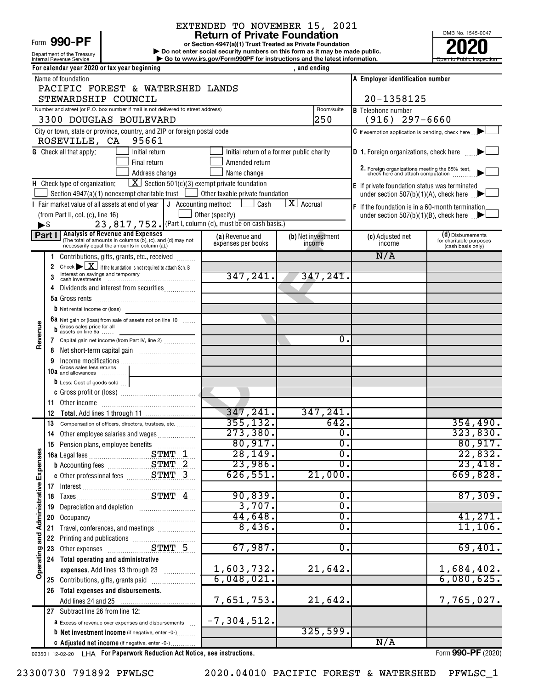#### Form 990-PF

Department of the Treasury<br>Internal Revenue Service

# EXTENDED TO NOVEMBER 15, 2021<br>Return of Private Foundation

**or Section 4947(a)(1) Trust Treated as Private Foundation | Do not enter social security numbers on this form as it may be made public. POOPR**<br> **EXECUTER SECUTE AND SOLUTE SECUTE AND SECUTE AND SECUTE AND SECUTE AND SECUTE AND SECUTE AND SECUTE AND SECUTE A<br>
<b>POOPER SECUTE AND SOLUTE AND SOLUTE AND SOLUTE AND SECUTE AND SOLUTE AND SOLUTE AND SOLUTE AND SE** 

OMB No. 1545-0047 Internal Revenue Service **Internal Revenue Service Concernation** Go to www.irs.gov/Form990PF for instructions and the latest information.

|                                      |                          | For calendar year 2020 or tax year beginning                                                                                                                                                           |                                           | , and ending                    |                                                                                     |
|--------------------------------------|--------------------------|--------------------------------------------------------------------------------------------------------------------------------------------------------------------------------------------------------|-------------------------------------------|---------------------------------|-------------------------------------------------------------------------------------|
|                                      |                          | Name of foundation                                                                                                                                                                                     |                                           |                                 | A Employer identification number                                                    |
|                                      |                          | PACIFIC FOREST & WATERSHED LANDS                                                                                                                                                                       |                                           |                                 |                                                                                     |
|                                      |                          | STEWARDSHIP COUNCIL                                                                                                                                                                                    |                                           |                                 | 20-1358125                                                                          |
|                                      |                          | Number and street (or P.O. box number if mail is not delivered to street address)                                                                                                                      |                                           | Room/suite                      | <b>B</b> Telephone number                                                           |
|                                      |                          | 3300 DOUGLAS BOULEVARD                                                                                                                                                                                 |                                           | 250                             | $(916)$ 297-6660                                                                    |
|                                      |                          | City or town, state or province, country, and ZIP or foreign postal code                                                                                                                               |                                           |                                 | $\mathsf C$ If exemption application is pending, check here $\Box$                  |
|                                      |                          | 95661<br>ROSEVILLE, CA                                                                                                                                                                                 |                                           |                                 |                                                                                     |
|                                      |                          | <b>G</b> Check all that apply:<br>Initial return                                                                                                                                                       | Initial return of a former public charity |                                 | <b>D</b> 1. Foreign organizations, check here                                       |
|                                      |                          | Final return                                                                                                                                                                                           | Amended return                            |                                 |                                                                                     |
|                                      |                          | Address change                                                                                                                                                                                         | Name change                               |                                 | 2. Foreign organizations meeting the 85% test,<br>check here and attach computation |
|                                      |                          | $\boxed{\mathbf{X}}$ Section 501(c)(3) exempt private foundation<br>H Check type of organization:                                                                                                      |                                           |                                 | E If private foundation status was terminated                                       |
|                                      |                          | Section 4947(a)(1) nonexempt charitable trust                                                                                                                                                          | Other taxable private foundation          |                                 | under section 507(b)(1)(A), check here $\Box$                                       |
|                                      |                          | I Fair market value of all assets at end of year $\vert \mathbf{J} \vert$ Accounting method:                                                                                                           | Cash                                      | $\overline{\mathbf{X}}$ Accrual | <b>F</b> If the foundation is in a 60-month termination                             |
|                                      |                          | (from Part II, col. (c), line 16)                                                                                                                                                                      | Other (specify)                           |                                 | under section $507(b)(1)(B)$ , check here $\Box$                                    |
|                                      | $\blacktriangleright$ \$ | 23, 817, 752. (Part I, column (d), must be on cash basis.)                                                                                                                                             |                                           |                                 |                                                                                     |
|                                      |                          | <b>Part I</b> Analysis of Revenue and Expenses<br>(The total of amounts in columns (b), (c), and (d) may not                                                                                           | (a) Revenue and<br>expenses per books     | (b) Net investment              | (d) Disbursements<br>(c) Adjusted net<br>for charitable purposes<br>income          |
|                                      |                          | necessarily equal the amounts in column (a).)                                                                                                                                                          |                                           | income                          | (cash basis only)                                                                   |
|                                      | 1                        | Contributions, gifts, grants, etc., received                                                                                                                                                           |                                           |                                 | N/A                                                                                 |
|                                      | 2                        | Check $\blacktriangleright \boxed{\mathbf{X}}$ if the foundation is not required to attach Sch. B<br>Interest on savings and temporary                                                                 |                                           |                                 |                                                                                     |
|                                      | 3                        | $\begin{array}{ll}\n\text{case set} & \text{or} & \text{or} & \text{or} & \text{or} & \text{or} & \text{or} \\ \text{cash investments} & \text{} & \text{} & \text{} & \text{} & \text{}\n\end{array}$ | 347,241.                                  | 347,241.                        |                                                                                     |
|                                      |                          | Dividends and interest from securities                                                                                                                                                                 |                                           |                                 |                                                                                     |
|                                      |                          |                                                                                                                                                                                                        |                                           |                                 |                                                                                     |
|                                      |                          | $b$ Net rental income or (loss)                                                                                                                                                                        |                                           |                                 |                                                                                     |
|                                      |                          | 6a Net gain or (loss) from sale of assets not on line 10<br>Gross sales price for all                                                                                                                  |                                           |                                 |                                                                                     |
| Revenue                              |                          | assets on line 6a                                                                                                                                                                                      |                                           |                                 | 0.                                                                                  |
|                                      | 7                        | Capital gain net income (from Part IV, line 2)                                                                                                                                                         |                                           |                                 |                                                                                     |
|                                      | 8                        |                                                                                                                                                                                                        |                                           |                                 |                                                                                     |
|                                      | 9                        | Gross sales less returns                                                                                                                                                                               |                                           |                                 |                                                                                     |
|                                      |                          | 10a and allowances                                                                                                                                                                                     |                                           |                                 |                                                                                     |
|                                      |                          | D Less: Cost of goods sold                                                                                                                                                                             |                                           |                                 |                                                                                     |
|                                      | 11                       |                                                                                                                                                                                                        |                                           |                                 |                                                                                     |
|                                      | 12                       |                                                                                                                                                                                                        | 347,241.                                  | 347, 241.                       |                                                                                     |
|                                      | 13                       | Compensation of officers, directors, trustees, etc.                                                                                                                                                    | 355, 132.                                 |                                 | 642.<br>354,490.                                                                    |
|                                      | 14                       | Other employee salaries and wages                                                                                                                                                                      | 273,380.                                  |                                 | 323,830.<br>$\overline{\mathbf{0}}$ .                                               |
|                                      |                          | 15 Pension plans, employee benefits                                                                                                                                                                    | 80,917.                                   |                                 | 80,917.<br>σ.                                                                       |
| ŋ,                                   |                          |                                                                                                                                                                                                        | 28, 149.                                  |                                 | 22,832.<br>$\overline{0}$ .                                                         |
|                                      |                          | <b>b</b> Accounting fees STMT 2                                                                                                                                                                        | 23,986.                                   |                                 | 23,418.<br>σ.                                                                       |
|                                      |                          |                                                                                                                                                                                                        | 626,551.                                  | 21,000.                         | 669,828.                                                                            |
|                                      |                          |                                                                                                                                                                                                        |                                           |                                 |                                                                                     |
|                                      |                          |                                                                                                                                                                                                        | 90,839.                                   |                                 | 87,309.<br>0.                                                                       |
|                                      | 19                       |                                                                                                                                                                                                        | 3,707.                                    |                                 | σ.                                                                                  |
|                                      | 20                       |                                                                                                                                                                                                        | 44,648.                                   |                                 | 41,271.<br>0.                                                                       |
|                                      | 21                       | Travel, conferences, and meetings                                                                                                                                                                      | 8,436.                                    |                                 | 11,106.<br>0.                                                                       |
|                                      | 22                       | Printing and publications<br>Other expenses<br>CTMT 5                                                                                                                                                  |                                           |                                 |                                                                                     |
|                                      | 23                       |                                                                                                                                                                                                        | 67,987.                                   |                                 | 69,401.<br>Ο.                                                                       |
|                                      | 24                       | Total operating and administrative                                                                                                                                                                     |                                           |                                 |                                                                                     |
| Operating and Administrative Expense |                          | expenses. Add lines 13 through 23                                                                                                                                                                      | 1,603,732.                                | 21,642.                         | 1,684,402.                                                                          |
|                                      |                          | 25 Contributions, gifts, grants paid                                                                                                                                                                   | 6,048,021.                                |                                 | 6,080,625.                                                                          |
|                                      | 26                       | Total expenses and disbursements.                                                                                                                                                                      |                                           |                                 |                                                                                     |
|                                      |                          |                                                                                                                                                                                                        | 7,651,753.                                | 21,642.                         | 7,765,027.                                                                          |
|                                      |                          | 27 Subtract line 26 from line 12:                                                                                                                                                                      |                                           |                                 |                                                                                     |
|                                      |                          | <b>a</b> Excess of revenue over expenses and disbursements                                                                                                                                             | $-7, 304, 512.$                           |                                 |                                                                                     |
|                                      |                          | <b>b</b> Net investment income (if negative, enter -0-)                                                                                                                                                |                                           | 325,599.                        |                                                                                     |
|                                      |                          | C Adjusted net income (if negative, enter -0-)                                                                                                                                                         |                                           |                                 | N/A                                                                                 |

023501 12-02-20 **For Paperwork Reduction Act Notice, see instructions.** LHA Form (2020)

Form **990-PF** (2020)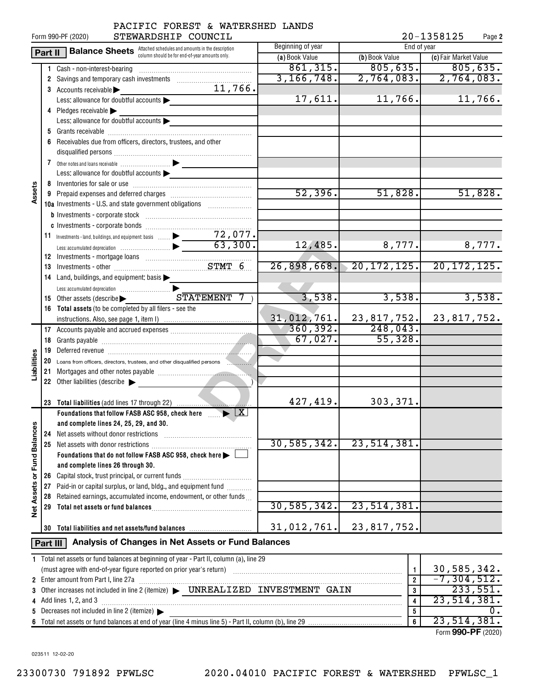| 20-1358125<br>STEWARDSHIP COUNCIL<br>Form 990-PF (2020)<br>Page 2 |                                                                |                                                                                                                    |                   |                  |                       |  |  |  |
|-------------------------------------------------------------------|----------------------------------------------------------------|--------------------------------------------------------------------------------------------------------------------|-------------------|------------------|-----------------------|--|--|--|
|                                                                   | Part II                                                        | <b>Balance Sheets</b> Attached schedules and amounts in the description                                            | Beginning of year | End of year      |                       |  |  |  |
|                                                                   |                                                                | column should be for end-of-year amounts only.                                                                     | (a) Book Value    | (b) Book Value   | (c) Fair Market Value |  |  |  |
|                                                                   |                                                                | 1 Cash - non-interest-bearing                                                                                      | 861, 315.         | 805, 635.        | 805,635.              |  |  |  |
|                                                                   |                                                                |                                                                                                                    | 3, 166, 748.      | 2,764,083.       | 2,764,083.            |  |  |  |
|                                                                   |                                                                | 11,766.<br>3 Accounts receivable                                                                                   |                   |                  |                       |  |  |  |
|                                                                   |                                                                | Less: allowance for doubtful accounts                                                                              | 17,611.           | 11,766.          | 11,766.               |  |  |  |
|                                                                   |                                                                | 4 Pledges receivable                                                                                               |                   |                  |                       |  |  |  |
|                                                                   |                                                                | Less: allowance for doubtful accounts                                                                              |                   |                  |                       |  |  |  |
|                                                                   |                                                                |                                                                                                                    |                   |                  |                       |  |  |  |
|                                                                   |                                                                | Receivables due from officers, directors, trustees, and other                                                      |                   |                  |                       |  |  |  |
|                                                                   |                                                                | disqualified persons [[11] March 1999] March 1999 (12] March 1999 (13] March 1999 (13] March 1999 (13] March 1     |                   |                  |                       |  |  |  |
|                                                                   |                                                                |                                                                                                                    |                   |                  |                       |  |  |  |
|                                                                   |                                                                | Less: allowance for doubtful accounts                                                                              |                   |                  |                       |  |  |  |
|                                                                   |                                                                |                                                                                                                    |                   |                  |                       |  |  |  |
| Assets                                                            |                                                                |                                                                                                                    | 52,396.           | 51,828.          | 51,828.               |  |  |  |
|                                                                   |                                                                | 10a Investments - U.S. and state government obligations                                                            |                   |                  |                       |  |  |  |
|                                                                   |                                                                |                                                                                                                    |                   |                  |                       |  |  |  |
|                                                                   |                                                                |                                                                                                                    |                   |                  |                       |  |  |  |
|                                                                   |                                                                |                                                                                                                    |                   |                  |                       |  |  |  |
|                                                                   |                                                                |                                                                                                                    | 12,485.           | 8,777.           | 8,777.                |  |  |  |
|                                                                   |                                                                | 12 Investments - mortgage loans<br>13 Investments - other<br>2008 November 2008                                    |                   |                  |                       |  |  |  |
|                                                                   |                                                                |                                                                                                                    | 26,898,668.       | 20, 172, 125.    | 20, 172, 125.         |  |  |  |
|                                                                   |                                                                | 14 Land, buildings, and equipment: basis >                                                                         |                   |                  |                       |  |  |  |
|                                                                   |                                                                |                                                                                                                    |                   |                  |                       |  |  |  |
|                                                                   |                                                                | 15 Other assets (describe > STATEMENT<br>7 <sub>1</sub>                                                            | 3,538.            | 3,538.           | 3,538.                |  |  |  |
|                                                                   |                                                                | 16 Total assets (to be completed by all filers - see the                                                           |                   |                  |                       |  |  |  |
|                                                                   |                                                                |                                                                                                                    | 31,012,761.       | 23,817,752.      | 23,817,752.           |  |  |  |
|                                                                   |                                                                |                                                                                                                    | 360, 392.         | 248,043.         |                       |  |  |  |
|                                                                   |                                                                |                                                                                                                    | 67,027.           | 55,328.          |                       |  |  |  |
|                                                                   |                                                                |                                                                                                                    |                   |                  |                       |  |  |  |
| Liabilities                                                       |                                                                |                                                                                                                    |                   |                  |                       |  |  |  |
|                                                                   |                                                                |                                                                                                                    |                   |                  |                       |  |  |  |
|                                                                   |                                                                | 22 Other liabilities (describe                                                                                     |                   |                  |                       |  |  |  |
|                                                                   |                                                                |                                                                                                                    |                   |                  |                       |  |  |  |
|                                                                   |                                                                |                                                                                                                    | 427,419.          | 303,371.         |                       |  |  |  |
|                                                                   |                                                                | Foundations that follow FASB ASC 958, check here $\ldots$ $\blacktriangleright$ $\lfloor x \rfloor$                |                   |                  |                       |  |  |  |
|                                                                   |                                                                | and complete lines 24, 25, 29, and 30.                                                                             |                   |                  |                       |  |  |  |
|                                                                   | 24                                                             | Net assets without donor restrictions                                                                              | 30, 585, 342.     | 23, 514, 381.    |                       |  |  |  |
| <b>Fund Balances</b>                                              | 25                                                             |                                                                                                                    |                   |                  |                       |  |  |  |
|                                                                   |                                                                | Foundations that do not follow FASB ASC 958, check here >                                                          |                   |                  |                       |  |  |  |
|                                                                   |                                                                | and complete lines 26 through 30.                                                                                  |                   |                  |                       |  |  |  |
| ৯                                                                 | 26                                                             | Capital stock, trust principal, or current funds<br>Paid-in or capital surplus, or land, bldg., and equipment fund |                   |                  |                       |  |  |  |
| <b>Net Assets</b>                                                 | 27<br>28                                                       | Retained earnings, accumulated income, endowment, or other funds                                                   |                   |                  |                       |  |  |  |
|                                                                   |                                                                |                                                                                                                    | 30, 585, 342.     | 23, 514, 381.    |                       |  |  |  |
|                                                                   |                                                                |                                                                                                                    |                   |                  |                       |  |  |  |
|                                                                   |                                                                | 30 Total liabilities and net assets/fund balances                                                                  | 31,012,761.       | 23, 817, 752.    |                       |  |  |  |
|                                                                   |                                                                |                                                                                                                    |                   |                  |                       |  |  |  |
|                                                                   | Analysis of Changes in Net Assets or Fund Balances<br>Part III |                                                                                                                    |                   |                  |                       |  |  |  |
|                                                                   |                                                                | 1 Total net assets or fund balances at beginning of year - Part II, column (a), line 29                            |                   |                  |                       |  |  |  |
|                                                                   |                                                                |                                                                                                                    |                   | $\mathbf{1}$     | 30,585,342.           |  |  |  |
|                                                                   |                                                                | 2 Enter amount from Part I, line 27a                                                                               |                   | $\overline{2}$   | $-7, 304, 512.$       |  |  |  |
|                                                                   |                                                                |                                                                                                                    |                   | 3                | 233,551.              |  |  |  |
|                                                                   |                                                                | 4 Add lines 1, 2, and 3                                                                                            |                   | 4                | 23, 514, 381.         |  |  |  |
|                                                                   |                                                                | 5 Decreases not included in line 2 (itemize) >                                                                     |                   | 5                | 0.                    |  |  |  |
|                                                                   |                                                                |                                                                                                                    |                   | $\boldsymbol{6}$ | 23,514,381.           |  |  |  |

| 2 Enter amount from Part I, line 27a                                            |   | .304,512.          |
|---------------------------------------------------------------------------------|---|--------------------|
| 3 Other increases not included in line 2 (itemize) > UNREALIZED INVESTMENT GAIN |   | 233,551.           |
| 4 Add lines 1, 2, and 3                                                         |   | 23,514,381.        |
| 5 Decreases not included in line 2 (itemize) $\blacktriangleright$              |   |                    |
|                                                                                 | 6 | 23,514,381.        |
|                                                                                 |   | Form 990-PF (2020) |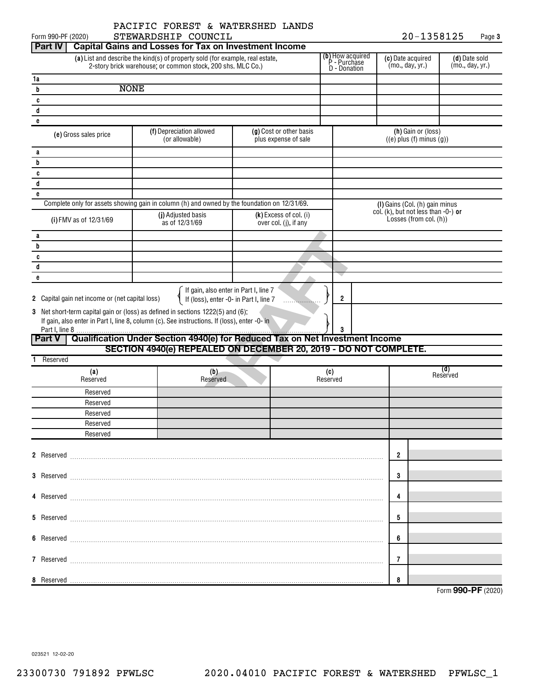$20 - 1358125$  Page 3

| Form 990-PF (2020)                              | STEWARDSHIP COUNCIL                                                                                                                                                |                                                 |   |                 |                                                         |                                           | 20-1358125                                           |                                  | Page 3 |
|-------------------------------------------------|--------------------------------------------------------------------------------------------------------------------------------------------------------------------|-------------------------------------------------|---|-----------------|---------------------------------------------------------|-------------------------------------------|------------------------------------------------------|----------------------------------|--------|
| <b>Part IV</b>                                  | <b>Capital Gains and Losses for Tax on Investment Income</b>                                                                                                       |                                                 |   |                 |                                                         |                                           |                                                      |                                  |        |
|                                                 | (a) List and describe the kind(s) of property sold (for example, real estate,<br>2-story brick warehouse; or common stock, 200 shs. MLC Co.)                       |                                                 |   |                 | <b>(b)</b> How acquired<br>P - Purchase<br>D - Donation | (c) Date acquired<br>(mo., day, yr.)      |                                                      | (d) Date sold<br>(mo., day, yr.) |        |
| 1a                                              |                                                                                                                                                                    |                                                 |   |                 |                                                         |                                           |                                                      |                                  |        |
| b                                               | <b>NONE</b>                                                                                                                                                        |                                                 |   |                 |                                                         |                                           |                                                      |                                  |        |
| c                                               |                                                                                                                                                                    |                                                 |   |                 |                                                         |                                           |                                                      |                                  |        |
| d                                               |                                                                                                                                                                    |                                                 |   |                 |                                                         |                                           |                                                      |                                  |        |
| e                                               |                                                                                                                                                                    |                                                 |   |                 |                                                         |                                           |                                                      |                                  |        |
| (e) Gross sales price                           | (f) Depreciation allowed<br>(or allowable)                                                                                                                         | (g) Cost or other basis<br>plus expense of sale |   |                 |                                                         |                                           | (h) Gain or (loss)<br>$((e)$ plus $(f)$ minus $(g))$ |                                  |        |
| a                                               |                                                                                                                                                                    |                                                 |   |                 |                                                         |                                           |                                                      |                                  |        |
| b                                               |                                                                                                                                                                    |                                                 |   |                 |                                                         |                                           |                                                      |                                  |        |
| c                                               |                                                                                                                                                                    |                                                 |   |                 |                                                         |                                           |                                                      |                                  |        |
| d                                               |                                                                                                                                                                    |                                                 |   |                 |                                                         |                                           |                                                      |                                  |        |
| e                                               |                                                                                                                                                                    |                                                 |   |                 |                                                         |                                           |                                                      |                                  |        |
|                                                 | Complete only for assets showing gain in column (h) and owned by the foundation on 12/31/69.                                                                       |                                                 |   |                 |                                                         | (I) Gains (Col. (h) gain minus            |                                                      |                                  |        |
| (i) FMV as of 12/31/69                          | (j) Adjusted basis<br>as of 12/31/69                                                                                                                               | (k) Excess of col. (i)<br>over col. (j), if any |   |                 |                                                         | col. $(k)$ , but not less than $-0$ -) or | Losses (from col. (h))                               |                                  |        |
| a                                               |                                                                                                                                                                    |                                                 |   |                 |                                                         |                                           |                                                      |                                  |        |
| b                                               |                                                                                                                                                                    |                                                 |   |                 |                                                         |                                           |                                                      |                                  |        |
| c                                               |                                                                                                                                                                    |                                                 |   |                 |                                                         |                                           |                                                      |                                  |        |
| d                                               |                                                                                                                                                                    |                                                 |   |                 |                                                         |                                           |                                                      |                                  |        |
| e                                               |                                                                                                                                                                    |                                                 |   |                 |                                                         |                                           |                                                      |                                  |        |
| 2 Capital gain net income or (net capital loss) | If gain, also enter in Part I, line 7<br>If (loss), enter -0- in Part I, line 7<br>3 Net short-term capital gain or (loss) as defined in sections 1222(5) and (6): |                                                 | . | $\overline{2}$  |                                                         |                                           |                                                      |                                  |        |
|                                                 | If gain, also enter in Part I, line 8, column (c). See instructions. If (loss), enter -0- in                                                                       |                                                 |   |                 |                                                         |                                           |                                                      |                                  |        |
| <b>Part V</b>                                   | Qualification Under Section 4940(e) for Reduced Tax on Net Investment Income<br>SECTION 4940(e) REPEALED ON DECEMBER 20, 2019 - DO NOT COMPLETE.                   |                                                 |   |                 |                                                         |                                           |                                                      |                                  |        |
| Reserved<br>1.                                  |                                                                                                                                                                    |                                                 |   |                 |                                                         |                                           |                                                      |                                  |        |
|                                                 |                                                                                                                                                                    |                                                 |   |                 |                                                         |                                           |                                                      | (d)                              |        |
| (a)<br>Reserved                                 | (b)<br>Reserved                                                                                                                                                    |                                                 |   | (c)<br>Reserved |                                                         |                                           |                                                      | Reserved                         |        |
| Reserved                                        |                                                                                                                                                                    |                                                 |   |                 |                                                         |                                           |                                                      |                                  |        |
| Reserved                                        |                                                                                                                                                                    |                                                 |   |                 |                                                         |                                           |                                                      |                                  |        |
| Reserved                                        |                                                                                                                                                                    |                                                 |   |                 |                                                         |                                           |                                                      |                                  |        |
| Reserved                                        |                                                                                                                                                                    |                                                 |   |                 |                                                         |                                           |                                                      |                                  |        |
| Reserved                                        |                                                                                                                                                                    |                                                 |   |                 |                                                         |                                           |                                                      |                                  |        |
|                                                 |                                                                                                                                                                    |                                                 |   |                 |                                                         |                                           |                                                      |                                  |        |
|                                                 | 2 Reserved <b>Maria Communication and Communication</b> and Reserved <b>Communication</b> and Communication and Communication                                      |                                                 |   |                 |                                                         | $\overline{2}$                            |                                                      |                                  |        |
|                                                 | 3 Reserved <b>Maria Communication and Communication</b> and Reserved <b>Maria Communication</b>                                                                    |                                                 |   |                 |                                                         | 3                                         |                                                      |                                  |        |
|                                                 |                                                                                                                                                                    |                                                 |   |                 |                                                         | 4                                         |                                                      |                                  |        |
|                                                 |                                                                                                                                                                    |                                                 |   |                 |                                                         |                                           |                                                      |                                  |        |
|                                                 |                                                                                                                                                                    |                                                 |   |                 |                                                         | 5                                         |                                                      |                                  |        |
|                                                 |                                                                                                                                                                    |                                                 |   |                 |                                                         | 6                                         |                                                      |                                  |        |
|                                                 |                                                                                                                                                                    |                                                 |   |                 |                                                         | 7                                         |                                                      |                                  |        |
|                                                 |                                                                                                                                                                    |                                                 |   |                 |                                                         | 8                                         |                                                      |                                  |        |
|                                                 |                                                                                                                                                                    |                                                 |   |                 |                                                         |                                           |                                                      | Form 990-PF (2020)               |        |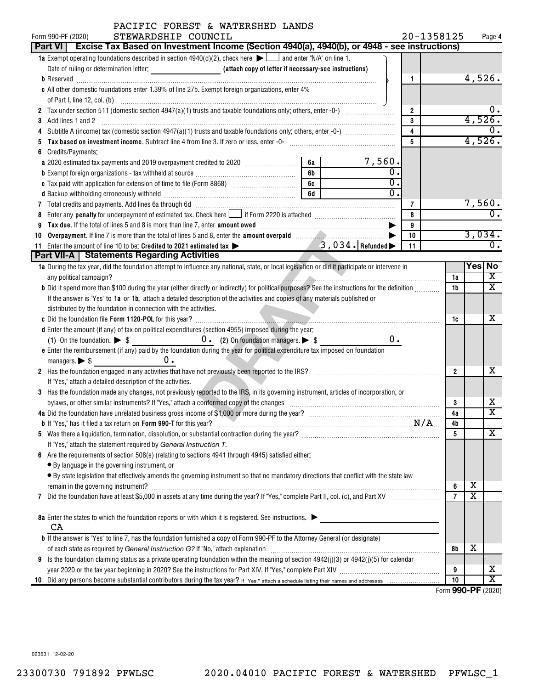| PACIFIC FOREST & WATERSHED LANDS                                                                                                                                                                                                                   |                |                       |                             |
|----------------------------------------------------------------------------------------------------------------------------------------------------------------------------------------------------------------------------------------------------|----------------|-----------------------|-----------------------------|
| STEWARDSHIP COUNCIL<br>Form 990-PF (2020)                                                                                                                                                                                                          | 20-1358125     |                       | Page 4                      |
| Part VI   Excise Tax Based on Investment Income (Section 4940(a), 4940(b), or 4948 - see instructions)                                                                                                                                             |                |                       |                             |
| 1a Exempt operating foundations described in section $4940(d)(2)$ , check here $\blacktriangleright$ $\Box$ and enter "N/A" on line 1.                                                                                                             |                |                       |                             |
|                                                                                                                                                                                                                                                    |                |                       |                             |
| 1                                                                                                                                                                                                                                                  |                |                       | 4,526.                      |
| c All other domestic foundations enter 1.39% of line 27b. Exempt foreign organizations, enter 4%                                                                                                                                                   |                |                       |                             |
|                                                                                                                                                                                                                                                    |                |                       |                             |
| $\overline{2}$                                                                                                                                                                                                                                     |                |                       | υ.                          |
| 3<br>Add lines 1 and 2<br>3                                                                                                                                                                                                                        |                |                       | 4,526.                      |
| $\overline{4}$                                                                                                                                                                                                                                     |                |                       | 0.                          |
| $\overline{5}$                                                                                                                                                                                                                                     |                |                       | 4,526.                      |
| Credits/Payments:<br>6                                                                                                                                                                                                                             |                |                       |                             |
| $7,560$ .<br>6a<br>a 2020 estimated tax payments and 2019 overpayment credited to 2020 [11, 12, 13, 13, 13, 13, 13, 13, 13, 13, 1                                                                                                                  |                |                       |                             |
| 0<br>6b                                                                                                                                                                                                                                            |                |                       |                             |
| $\overline{0}$<br>6c                                                                                                                                                                                                                               |                |                       |                             |
| $\overline{0}$ .<br>d Backup withholding erroneously withheld manufactured contains and an analyzed of the Backup withholding erroneously withheld manufactured contains and an analyzed of the Backup of Backup and Backup of Backup and Backup o |                |                       |                             |
| 7                                                                                                                                                                                                                                                  |                |                       | 7,560.                      |
| 8<br>8                                                                                                                                                                                                                                             |                |                       | $\overline{\mathbf{0}}$ .   |
| 9<br>9                                                                                                                                                                                                                                             |                |                       |                             |
| 10<br>10                                                                                                                                                                                                                                           |                |                       | 3,034.                      |
| 11 Enter the amount of line 10 to be: Credited to 2021 estimated tax > 3, 034. Refunded<br>11                                                                                                                                                      |                |                       | $\overline{0}$ .            |
| Part VII-A   Statements Regarding Activities                                                                                                                                                                                                       |                |                       |                             |
| 1a During the tax year, did the foundation attempt to influence any national, state, or local legislation or did it participate or intervene in                                                                                                    |                |                       | Yes No                      |
|                                                                                                                                                                                                                                                    | 1a             |                       | х                           |
| b Did it spend more than \$100 during the year (either directly or indirectly) for political purposes? See the instructions for the definition                                                                                                     | 1b             |                       | X                           |
| If the answer is "Yes" to 1a or 1b, attach a detailed description of the activities and copies of any materials published or                                                                                                                       |                |                       |                             |
| distributed by the foundation in connection with the activities.                                                                                                                                                                                   |                |                       |                             |
|                                                                                                                                                                                                                                                    | 1c             |                       | х                           |
| d Enter the amount (if any) of tax on political expenditures (section 4955) imposed during the year:                                                                                                                                               |                |                       |                             |
| $0$ .<br>(1) On the foundation. $\triangleright$ \$ 0. (2) On foundation managers. $\triangleright$ \$                                                                                                                                             |                |                       |                             |
| e Enter the reimbursement (if any) paid by the foundation during the year for political expenditure tax imposed on foundation                                                                                                                      |                |                       |                             |
| 0.<br>managers. $\triangleright$ \$                                                                                                                                                                                                                |                |                       |                             |
| 2 Has the foundation engaged in any activities that have not previously been reported to the IRS?<br>2 Has the foundation engaged in any activities that have not previously been reported to the IRS?                                             | $\overline{2}$ |                       | х                           |
|                                                                                                                                                                                                                                                    |                |                       |                             |
| If "Yes," attach a detailed description of the activities.                                                                                                                                                                                         |                |                       |                             |
| 3 Has the foundation made any changes, not previously reported to the IRS, in its governing instrument, articles of incorporation, or                                                                                                              |                |                       | х                           |
|                                                                                                                                                                                                                                                    | 3<br>4a        |                       | $\overline{\textnormal{x}}$ |
| 4a Did the foundation have unrelated business gross income of \$1,000 or more during the year?                                                                                                                                                     |                |                       |                             |
|                                                                                                                                                                                                                                                    | 4b             |                       | x                           |
|                                                                                                                                                                                                                                                    | 5              |                       |                             |
| If "Yes," attach the statement required by General Instruction T.                                                                                                                                                                                  |                |                       |                             |
| Are the requirements of section 508(e) (relating to sections 4941 through 4945) satisfied either:<br>6                                                                                                                                             |                |                       |                             |
| • By language in the governing instrument, or                                                                                                                                                                                                      |                |                       |                             |
| • By state legislation that effectively amends the governing instrument so that no mandatory directions that conflict with the state law                                                                                                           |                |                       |                             |
|                                                                                                                                                                                                                                                    | 6              | х                     |                             |
| 7                                                                                                                                                                                                                                                  | $\overline{7}$ | $\overline{\text{x}}$ |                             |
|                                                                                                                                                                                                                                                    |                |                       |                             |
| 8a Enter the states to which the foundation reports or with which it is registered. See instructions.                                                                                                                                              |                |                       |                             |
| CA                                                                                                                                                                                                                                                 |                |                       |                             |
| <b>b</b> If the answer is "Yes" to line 7, has the foundation furnished a copy of Form 990-PF to the Attorney General (or designate)                                                                                                               |                |                       |                             |
| of each state as required by General Instruction G? If "No," attach explanation manufactured content assets are required by General Instruction G? If "No," attach explanation manufactured content and the state of the state                     | 8b             | х                     |                             |
| Is the foundation claiming status as a private operating foundation within the meaning of section 4942(j)(3) or 4942(j)(5) for calendar<br>9                                                                                                       |                |                       |                             |
|                                                                                                                                                                                                                                                    | 9              |                       | х                           |
| 10                                                                                                                                                                                                                                                 | 10             |                       | X                           |

Form (2020) **990-PF**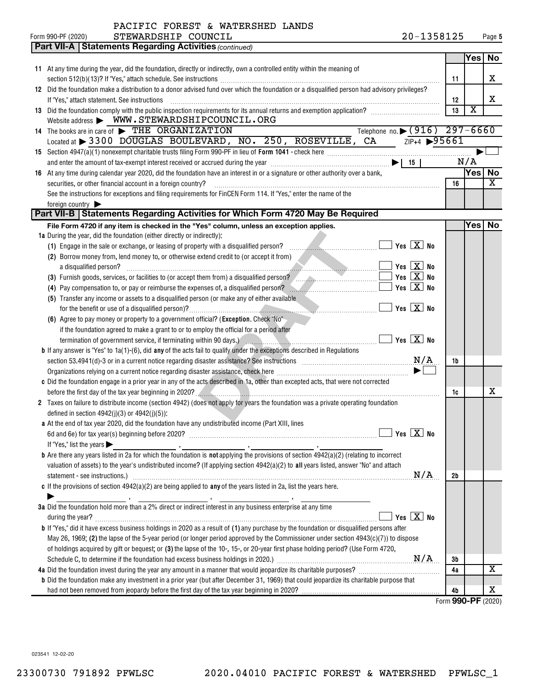| PACIFIC FOREST & WATERSHED LANDS |  |  |
|----------------------------------|--|--|
|----------------------------------|--|--|

|    | STEWARDSHIP COUNCIL<br>Form 990-PF (2020)                                                                                                                                                                                      | 20-1358125 |              |                         | Page 5                |
|----|--------------------------------------------------------------------------------------------------------------------------------------------------------------------------------------------------------------------------------|------------|--------------|-------------------------|-----------------------|
|    | <b>Part VII-A   Statements Regarding Activities (continued)</b>                                                                                                                                                                |            |              |                         |                       |
|    |                                                                                                                                                                                                                                |            |              | Yes No                  |                       |
|    | 11 At any time during the year, did the foundation, directly or indirectly, own a controlled entity within the meaning of                                                                                                      |            |              |                         |                       |
|    |                                                                                                                                                                                                                                |            | 11           |                         | х                     |
|    | 12 Did the foundation make a distribution to a donor advised fund over which the foundation or a disqualified person had advisory privileges?                                                                                  |            |              |                         |                       |
|    | If "Yes," attach statement. See instructions                                                                                                                                                                                   |            | 12           |                         | х                     |
|    | 13 Did the foundation comply with the public inspection requirements for its annual returns and exemption application?                                                                                                         |            | 13           | $\overline{\mathbf{X}}$ |                       |
|    | Website address > WWW.STEWARDSHIPCOUNCIL.ORG                                                                                                                                                                                   |            |              |                         |                       |
|    | Telephone no. $\sqrt{(916)}$ 297-6660<br>14 The books are in care of FIHE ORGANIZATION                                                                                                                                         |            |              |                         |                       |
|    | $\frac{21}{5}$ $\sqrt{218+4}$ >95661<br>Located at $>$ 3300 DOUGLAS BOULEVARD, NO. 250, ROSEVILLE, CA                                                                                                                          |            |              |                         |                       |
|    |                                                                                                                                                                                                                                |            |              |                         |                       |
|    |                                                                                                                                                                                                                                |            |              |                         |                       |
|    |                                                                                                                                                                                                                                |            |              | N/A                     |                       |
| 16 | At any time during calendar year 2020, did the foundation have an interest in or a signature or other authority over a bank,                                                                                                   |            |              | Yes   No                |                       |
|    | securities, or other financial account in a foreign country?                                                                                                                                                                   |            | 16           |                         | X                     |
|    | See the instructions for exceptions and filing requirements for FinCEN Form 114. If "Yes," enter the name of the                                                                                                               |            |              |                         |                       |
|    | foreign country                                                                                                                                                                                                                |            |              |                         |                       |
|    | Part VII-B   Statements Regarding Activities for Which Form 4720 May Be Required                                                                                                                                               |            |              |                         |                       |
|    | File Form 4720 if any item is checked in the "Yes" column, unless an exception applies.                                                                                                                                        |            |              | Yes No                  |                       |
|    | 1a During the year, did the foundation (either directly or indirectly):                                                                                                                                                        |            |              |                         |                       |
|    | $\blacksquare$ Yes $\boxed{\mathrm{X}}$ No                                                                                                                                                                                     |            |              |                         |                       |
|    | (2) Borrow money from, lend money to, or otherwise extend credit to (or accept it from)                                                                                                                                        |            |              |                         |                       |
|    | a disqualified person?                                                                                                                                                                                                         |            |              |                         |                       |
|    |                                                                                                                                                                                                                                |            |              |                         |                       |
|    |                                                                                                                                                                                                                                |            |              |                         |                       |
|    | (5) Transfer any income or assets to a disqualified person (or make any of either available                                                                                                                                    |            |              |                         |                       |
|    | $\blacksquare$ Yes $\boxed{\mathrm{X}}$ No<br>for the benefit or use of a disqualified person)?<br>L                                                                                                                           |            |              |                         |                       |
|    | (6) Agree to pay money or property to a government official? (Exception. Check "No"                                                                                                                                            |            |              |                         |                       |
|    |                                                                                                                                                                                                                                |            |              |                         |                       |
|    | if the foundation agreed to make a grant to or to employ the official for a period after                                                                                                                                       |            |              |                         |                       |
|    | termination of government service, if terminating within 90 days.) $\sqrt{1+\frac{1}{2}}$ m. (1) the $\boxed{\mathbf{X}}$ or $\boxed{\mathbf{X}}$ or                                                                           |            |              |                         |                       |
|    | <b>b</b> If any answer is "Yes" to $1a(1)-(6)$ , did any of the acts fail to qualify under the exceptions described in Regulations                                                                                             |            |              |                         |                       |
|    | section 53.4941(d)-3 or in a current notice regarding disaster assistance? See instructions $M/A$                                                                                                                              |            | 1b           |                         |                       |
|    | Organizations relying on a current notice regarding disaster assistance, check here manufactured accordinations relying on a current notice regarding disaster assistance, check here manufactured and $\blacktriangleright$ [ |            |              |                         |                       |
|    | c Did the foundation engage in a prior year in any of the acts described in 1a, other than excepted acts, that were not corrected                                                                                              |            |              |                         |                       |
|    |                                                                                                                                                                                                                                |            | 1c           |                         | x                     |
|    | 2 Taxes on failure to distribute income (section 4942) (does not apply for years the foundation was a private operating foundation                                                                                             |            |              |                         |                       |
|    | defined in section $4942(j)(3)$ or $4942(j)(5)$ :                                                                                                                                                                              |            |              |                         |                       |
|    | a At the end of tax year 2020, did the foundation have any undistributed income (Part XIII, lines                                                                                                                              |            |              |                         |                       |
|    | $\Box$ Yes $\boxed{\mathrm{X}}$ No                                                                                                                                                                                             |            |              |                         |                       |
|    | If "Yes," list the years $\blacktriangleright$                                                                                                                                                                                 |            |              |                         |                       |
|    | <b>b</b> Are there any years listed in 2a for which the foundation is <b>not</b> applying the provisions of section $4942(a)(2)$ (relating to incorrect                                                                        |            |              |                         |                       |
|    | valuation of assets) to the year's undistributed income? (If applying section 4942(a)(2) to all years listed, answer "No" and attach                                                                                           |            |              |                         |                       |
|    | statement - see instructions.)                                                                                                                                                                                                 | N/A        | 2b           |                         |                       |
|    | c If the provisions of section $4942(a)(2)$ are being applied to any of the years listed in 2a, list the years here.                                                                                                           |            |              |                         |                       |
|    |                                                                                                                                                                                                                                |            |              |                         |                       |
|    | 3a Did the foundation hold more than a 2% direct or indirect interest in any business enterprise at any time                                                                                                                   |            |              |                         |                       |
|    | Yes $X$ No<br>during the year?                                                                                                                                                                                                 |            |              |                         |                       |
|    | <b>b</b> If "Yes," did it have excess business holdings in 2020 as a result of (1) any purchase by the foundation or disqualified persons after                                                                                |            |              |                         |                       |
|    | May 26, 1969; (2) the lapse of the 5-year period (or longer period approved by the Commissioner under section $4943(c)(7)$ ) to dispose                                                                                        |            |              |                         |                       |
|    |                                                                                                                                                                                                                                |            |              |                         |                       |
|    | of holdings acquired by gift or bequest; or (3) the lapse of the 10-, 15-, or 20-year first phase holding period? (Use Form 4720,                                                                                              |            |              |                         |                       |
|    |                                                                                                                                                                                                                                |            | Зb           |                         | $\overline{\text{X}}$ |
|    |                                                                                                                                                                                                                                |            | 4a           |                         |                       |
|    | <b>b</b> Did the foundation make any investment in a prior year (but after December 31, 1969) that could jeopardize its charitable purpose that                                                                                |            |              |                         |                       |
|    |                                                                                                                                                                                                                                |            | 4b<br>$\sim$ |                         | х                     |

Form (2020) **990-PF**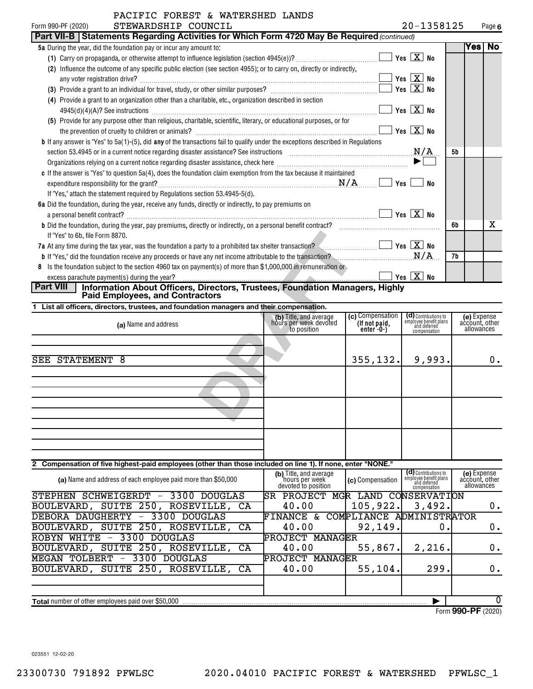| LUNDU & WAIBNONBU BANDO<br>STEWARDSHIP COUNCIL<br>Form 990-PF (2020)                                                                       |                              | 20-1358125 |         | Page 6 |
|--------------------------------------------------------------------------------------------------------------------------------------------|------------------------------|------------|---------|--------|
| Part VII-B   Statements Regarding Activities for Which Form 4720 May Be Required (continued)                                               |                              |            |         |        |
| <b>5a</b> During the year, did the foundation pay or incur any amount to:                                                                  |                              |            | Yesi No |        |
|                                                                                                                                            | Yes $X$ No                   |            |         |        |
| Influence the outcome of any specific public election (see section 4955); or to carry on, directly or indirectly,<br>(2)                   |                              |            |         |        |
| any voter registration drive?                                                                                                              | Yes $X$ No                   |            |         |        |
|                                                                                                                                            | $Yes \ \boxed{X}$ No         |            |         |        |
| (4) Provide a grant to an organization other than a charitable, etc., organization described in section                                    |                              |            |         |        |
| 4945(d)(4)(A)? See instructions                                                                                                            | Yes $X$ No                   |            |         |        |
| (5) Provide for any purpose other than religious, charitable, scientific, literary, or educational purposes, or for                        |                              |            |         |        |
|                                                                                                                                            | $\boxed{\text{X}}$ No<br>Yes |            |         |        |
| <b>b</b> If any answer is "Yes" to $5a(1)$ -(5), did any of the transactions fail to qualify under the exceptions described in Regulations |                              |            |         |        |
|                                                                                                                                            | N/A                          | 5b         |         |        |
|                                                                                                                                            |                              |            |         |        |
| c If the answer is "Yes" to question 5a(4), does the foundation claim exemption from the tax because it maintained                         |                              |            |         |        |
| N/A<br>expenditure responsibility for the grant?                                                                                           | Yes                          | No         |         |        |
| If "Yes," attach the statement required by Regulations section 53.4945-5(d).                                                               |                              |            |         |        |
| 6a Did the foundation, during the year, receive any funds, directly or indirectly, to pay premiums on                                      |                              |            |         |        |
| a personal benefit contract?                                                                                                               | $Yes \vert X \vert No$       |            |         |        |
| b Did the foundation, during the year, pay premiums, directly or indirectly, on a personal benefit contract?                               |                              | 6b         |         | x      |
| If "Yes" to 6b, file Form 8870.                                                                                                            |                              |            |         |        |
| 7a At any time during the tax year, was the foundation a party to a prohibited tax shelter transaction? $\leq$ $\ldots$ $\ldots$ $\ldots$  |                              |            |         |        |
|                                                                                                                                            |                              | 7b         |         |        |
| 8 Is the foundation subject to the section 4960 tax on payment(s) of more than \$1,000,000 in remuneration or                              |                              |            |         |        |
| excess parachute payment(s) during the year?                                                                                               | Yes $X$ No                   |            |         |        |
| <b>Part VIII</b><br>Information About Officers, Directors, Trustees, Foundation Managers, Highly<br><b>Paid Employees, and Contractors</b> |                              |            |         |        |
|                                                                                                                                            |                              |            |         |        |

| If "Yes" to 6b, file Form 8870.                                                                                                                                                                                                          |                                                                 |                                                |                                                                                |    |                                             |    |
|------------------------------------------------------------------------------------------------------------------------------------------------------------------------------------------------------------------------------------------|-----------------------------------------------------------------|------------------------------------------------|--------------------------------------------------------------------------------|----|---------------------------------------------|----|
| <b>7a</b> At any time during the tax year, was the foundation a party to a prohibited tax shelter transaction?                                                                                                                           |                                                                 |                                                | Yes $X$ No                                                                     |    |                                             |    |
| <b>b</b> If "Yes," did the foundation receive any proceeds or have any net income attributable to the transaction?<br><b>b</b> If "Yes," did the foundation receive any proceeds or have any net income attributable to the transaction? |                                                                 |                                                | N/A                                                                            | 7b |                                             |    |
| Is the foundation subject to the section 4960 tax on payment(s) of more than \$1,000,000 in remuneration or                                                                                                                              |                                                                 |                                                |                                                                                |    |                                             |    |
| excess parachute payment(s) during the year?                                                                                                                                                                                             |                                                                 |                                                | Yes $X$ No                                                                     |    |                                             |    |
| Information About Officers, Directors, Trustees, Foundation Managers, Highly<br><b>Part VIII</b><br><b>Paid Employees, and Contractors</b>                                                                                               |                                                                 |                                                |                                                                                |    |                                             |    |
| 1 List all officers, directors, trustees, and foundation managers and their compensation.                                                                                                                                                |                                                                 |                                                |                                                                                |    |                                             |    |
| (a) Name and address                                                                                                                                                                                                                     | (b) Title, and average<br>hours per week devoted<br>to position | (c) Compensation<br>(If not paid,<br>enter-0-) | (d) Contributions to<br>employee benefit plans<br>and deferred<br>compensation |    | (e) Expense<br>account, other<br>allowances |    |
| SEE STATEMENT 8                                                                                                                                                                                                                          |                                                                 | 355,132.                                       | 9,993.                                                                         |    |                                             | 0. |
|                                                                                                                                                                                                                                          |                                                                 |                                                |                                                                                |    |                                             |    |
|                                                                                                                                                                                                                                          |                                                                 |                                                |                                                                                |    |                                             |    |
|                                                                                                                                                                                                                                          |                                                                 |                                                |                                                                                |    |                                             |    |
| 2 Compensation of five highest-paid employees (other than those included on line 1). If none, enter "NONE."                                                                                                                              |                                                                 |                                                |                                                                                |    |                                             |    |
| $\mathbf{r}$ , and $\mathbf{r}$ , and $\mathbf{r}$ , and $\mathbf{r}$ , and $\mathbf{r}$ , and $\mathbf{r}$ , and $\mathbf{r}$                                                                                                           | (b) Title, and average                                          |                                                | (d) Contributions to                                                           |    | (e) Expense                                 |    |

| (a) Name and address of each employee paid more than \$50,000                       | (b) Title, and average<br>'hours per week<br>devoted to position | (c) Compensation         | ( <b>cl</b> ) Contributions to<br>employee benefit plans<br>and deferred<br>compensation | (e) Expense<br>account, other<br>allowances |
|-------------------------------------------------------------------------------------|------------------------------------------------------------------|--------------------------|------------------------------------------------------------------------------------------|---------------------------------------------|
| SCHWEIGERDT<br><b>DOUGLAS</b><br><b>STEPHEN</b><br>3300<br>$\overline{\phantom{0}}$ | <b>PROJECT</b><br><b>ISR</b><br>MGR                              | LAND                     | <b>CONSERVATION</b>                                                                      |                                             |
| SUITE 250,<br>ROSEVILLE,<br>BOULEVARD,<br>CA                                        | 40.00                                                            | 105, 922.                | 3,492.                                                                                   | 0.                                          |
| DEBORA DAUGHERTY<br>3300<br>DOUGLAS<br>$\qquad \qquad -$                            | FINANCE<br>&.                                                    | COMPLIANCE ADMINISTRATOR |                                                                                          |                                             |
| SUITE 250, ROSEVILLE,<br>BOULEVARD,<br>CA                                           | 40.00                                                            | 92, 149.                 | 0                                                                                        | $0 \cdot$                                   |
| 3300<br>ROBYN<br>WHITE<br>DOUGLAS<br>$\overline{\phantom{m}}$                       | MANAGER<br>PROJECT                                               |                          |                                                                                          |                                             |
| SUITE 250,<br>ROSEVILLE, CA<br>BOULEVARD,                                           | 40.00                                                            | 55,867.                  | 2, 216.                                                                                  | 0.                                          |
| <b>TOLBERT</b><br>3300<br><b>DOUGLAS</b><br>MEGAN<br>$\qquad \qquad -$              | <b>PROJECT MANAGER</b>                                           |                          |                                                                                          |                                             |
| SUITE 250,<br>ROSEVILLE,<br>BOULEVARD,<br>CA                                        | 40.00                                                            | 55, 104.                 | 299.                                                                                     | 0.                                          |
|                                                                                     |                                                                  |                          |                                                                                          |                                             |
|                                                                                     |                                                                  |                          |                                                                                          |                                             |
| <b>Total</b> number of other employees paid over \$50,000                           |                                                                  |                          |                                                                                          |                                             |

Form (2020) **990-PF**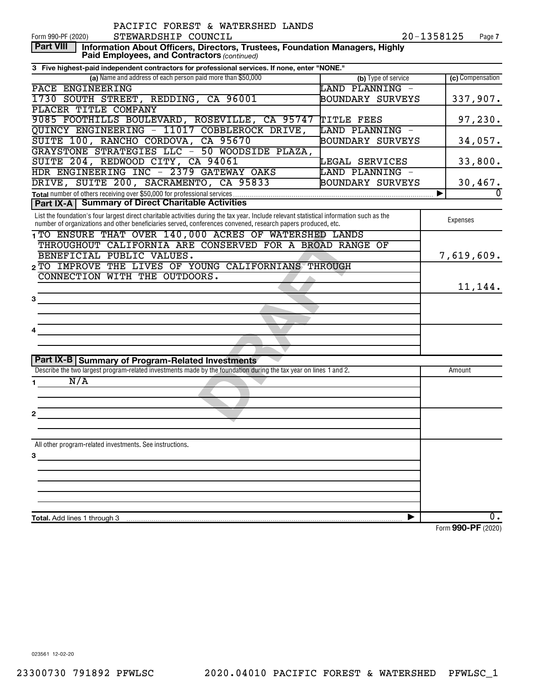| STEWARDSHIP COUNCIL<br>20-1358125<br>Form 990-PF (2020)<br>Page 7<br><b>Part VIII</b><br>Information About Officers, Directors, Trustees, Foundation Managers, Highly<br>Paid Employees, and Contractors (continued)<br>3 Five highest-paid independent contractors for professional services. If none, enter "NONE."<br>(a) Name and address of each person paid more than \$50,000<br>(c) Compensation<br>(b) Type of service<br>PACE ENGINEERING<br>LAND PLANNING -<br>337,907.<br>1730 SOUTH STREET, REDDING, CA 96001<br>BOUNDARY SURVEYS<br>PLACER TITLE COMPANY<br>9085 FOOTHILLS BOULEVARD, ROSEVILLE, CA 95747<br>97,230.<br>TITLE FEES<br>QUINCY ENGINEERING - 11017 COBBLEROCK DRIVE,<br>LAND PLANNING -<br>SUITE 100, RANCHO CORDOVA, CA 95670<br>BOUNDARY SURVEYS<br>34,057.<br>GRAYSTONE STRATEGIES LLC - 50 WOODSIDE PLAZA,<br>33,800.<br>SUITE 204, REDWOOD CITY, CA 94061<br>LEGAL SERVICES<br>HDR ENGINEERING INC - 2379 GATEWAY OAKS<br>LAND PLANNING -<br>DRIVE, SUITE 200, SACRAMENTO, CA 95833<br>BOUNDARY SURVEYS<br>30,467.<br>Total number of others receiving over \$50,000 for professional services<br>Þ<br><b>Part IX-A   Summary of Direct Charitable Activities</b><br>List the foundation's four largest direct charitable activities during the tax year. Include relevant statistical information such as the<br>Expenses<br>number of organizations and other beneficiaries served, conferences convened, research papers produced, etc.<br>1TO ENSURE THAT OVER 140,000 ACRES OF WATERSHED LANDS<br>THROUGHOUT CALIFORNIA ARE CONSERVED FOR A BROAD RANGE OF<br>BENEFICIAL PUBLIC VALUES.<br>7,619,609.<br>2 TO IMPROVE THE LIVES OF YOUNG CALIFORNIANS THROUGH<br>CONNECTION WITH THE OUTDOORS.<br>11,144.<br>3<br><b>Part IX-B Summary of Program-Related Investments</b><br>Describe the two largest program-related investments made by the foundation during the tax year on lines 1 and 2.<br>Amount<br>N/A<br>1.<br>2<br>All other program-related investments. See instructions.<br>з<br>$\overline{0}$ .<br><b>Total.</b> Add lines 1 through 3 | PACIFIC FOREST & WATERSHED LANDS |  |
|----------------------------------------------------------------------------------------------------------------------------------------------------------------------------------------------------------------------------------------------------------------------------------------------------------------------------------------------------------------------------------------------------------------------------------------------------------------------------------------------------------------------------------------------------------------------------------------------------------------------------------------------------------------------------------------------------------------------------------------------------------------------------------------------------------------------------------------------------------------------------------------------------------------------------------------------------------------------------------------------------------------------------------------------------------------------------------------------------------------------------------------------------------------------------------------------------------------------------------------------------------------------------------------------------------------------------------------------------------------------------------------------------------------------------------------------------------------------------------------------------------------------------------------------------------------------------------------------------------------------------------------------------------------------------------------------------------------------------------------------------------------------------------------------------------------------------------------------------------------------------------------------------------------------------------------------------------------------------------------------------------------------------------------------------------------------------------------------|----------------------------------|--|
|                                                                                                                                                                                                                                                                                                                                                                                                                                                                                                                                                                                                                                                                                                                                                                                                                                                                                                                                                                                                                                                                                                                                                                                                                                                                                                                                                                                                                                                                                                                                                                                                                                                                                                                                                                                                                                                                                                                                                                                                                                                                                              |                                  |  |
|                                                                                                                                                                                                                                                                                                                                                                                                                                                                                                                                                                                                                                                                                                                                                                                                                                                                                                                                                                                                                                                                                                                                                                                                                                                                                                                                                                                                                                                                                                                                                                                                                                                                                                                                                                                                                                                                                                                                                                                                                                                                                              |                                  |  |
|                                                                                                                                                                                                                                                                                                                                                                                                                                                                                                                                                                                                                                                                                                                                                                                                                                                                                                                                                                                                                                                                                                                                                                                                                                                                                                                                                                                                                                                                                                                                                                                                                                                                                                                                                                                                                                                                                                                                                                                                                                                                                              |                                  |  |
|                                                                                                                                                                                                                                                                                                                                                                                                                                                                                                                                                                                                                                                                                                                                                                                                                                                                                                                                                                                                                                                                                                                                                                                                                                                                                                                                                                                                                                                                                                                                                                                                                                                                                                                                                                                                                                                                                                                                                                                                                                                                                              |                                  |  |
|                                                                                                                                                                                                                                                                                                                                                                                                                                                                                                                                                                                                                                                                                                                                                                                                                                                                                                                                                                                                                                                                                                                                                                                                                                                                                                                                                                                                                                                                                                                                                                                                                                                                                                                                                                                                                                                                                                                                                                                                                                                                                              |                                  |  |
|                                                                                                                                                                                                                                                                                                                                                                                                                                                                                                                                                                                                                                                                                                                                                                                                                                                                                                                                                                                                                                                                                                                                                                                                                                                                                                                                                                                                                                                                                                                                                                                                                                                                                                                                                                                                                                                                                                                                                                                                                                                                                              |                                  |  |
|                                                                                                                                                                                                                                                                                                                                                                                                                                                                                                                                                                                                                                                                                                                                                                                                                                                                                                                                                                                                                                                                                                                                                                                                                                                                                                                                                                                                                                                                                                                                                                                                                                                                                                                                                                                                                                                                                                                                                                                                                                                                                              |                                  |  |
|                                                                                                                                                                                                                                                                                                                                                                                                                                                                                                                                                                                                                                                                                                                                                                                                                                                                                                                                                                                                                                                                                                                                                                                                                                                                                                                                                                                                                                                                                                                                                                                                                                                                                                                                                                                                                                                                                                                                                                                                                                                                                              |                                  |  |
|                                                                                                                                                                                                                                                                                                                                                                                                                                                                                                                                                                                                                                                                                                                                                                                                                                                                                                                                                                                                                                                                                                                                                                                                                                                                                                                                                                                                                                                                                                                                                                                                                                                                                                                                                                                                                                                                                                                                                                                                                                                                                              |                                  |  |
|                                                                                                                                                                                                                                                                                                                                                                                                                                                                                                                                                                                                                                                                                                                                                                                                                                                                                                                                                                                                                                                                                                                                                                                                                                                                                                                                                                                                                                                                                                                                                                                                                                                                                                                                                                                                                                                                                                                                                                                                                                                                                              |                                  |  |
|                                                                                                                                                                                                                                                                                                                                                                                                                                                                                                                                                                                                                                                                                                                                                                                                                                                                                                                                                                                                                                                                                                                                                                                                                                                                                                                                                                                                                                                                                                                                                                                                                                                                                                                                                                                                                                                                                                                                                                                                                                                                                              |                                  |  |
|                                                                                                                                                                                                                                                                                                                                                                                                                                                                                                                                                                                                                                                                                                                                                                                                                                                                                                                                                                                                                                                                                                                                                                                                                                                                                                                                                                                                                                                                                                                                                                                                                                                                                                                                                                                                                                                                                                                                                                                                                                                                                              |                                  |  |
|                                                                                                                                                                                                                                                                                                                                                                                                                                                                                                                                                                                                                                                                                                                                                                                                                                                                                                                                                                                                                                                                                                                                                                                                                                                                                                                                                                                                                                                                                                                                                                                                                                                                                                                                                                                                                                                                                                                                                                                                                                                                                              |                                  |  |
|                                                                                                                                                                                                                                                                                                                                                                                                                                                                                                                                                                                                                                                                                                                                                                                                                                                                                                                                                                                                                                                                                                                                                                                                                                                                                                                                                                                                                                                                                                                                                                                                                                                                                                                                                                                                                                                                                                                                                                                                                                                                                              |                                  |  |
|                                                                                                                                                                                                                                                                                                                                                                                                                                                                                                                                                                                                                                                                                                                                                                                                                                                                                                                                                                                                                                                                                                                                                                                                                                                                                                                                                                                                                                                                                                                                                                                                                                                                                                                                                                                                                                                                                                                                                                                                                                                                                              |                                  |  |
|                                                                                                                                                                                                                                                                                                                                                                                                                                                                                                                                                                                                                                                                                                                                                                                                                                                                                                                                                                                                                                                                                                                                                                                                                                                                                                                                                                                                                                                                                                                                                                                                                                                                                                                                                                                                                                                                                                                                                                                                                                                                                              |                                  |  |
|                                                                                                                                                                                                                                                                                                                                                                                                                                                                                                                                                                                                                                                                                                                                                                                                                                                                                                                                                                                                                                                                                                                                                                                                                                                                                                                                                                                                                                                                                                                                                                                                                                                                                                                                                                                                                                                                                                                                                                                                                                                                                              |                                  |  |
|                                                                                                                                                                                                                                                                                                                                                                                                                                                                                                                                                                                                                                                                                                                                                                                                                                                                                                                                                                                                                                                                                                                                                                                                                                                                                                                                                                                                                                                                                                                                                                                                                                                                                                                                                                                                                                                                                                                                                                                                                                                                                              |                                  |  |
|                                                                                                                                                                                                                                                                                                                                                                                                                                                                                                                                                                                                                                                                                                                                                                                                                                                                                                                                                                                                                                                                                                                                                                                                                                                                                                                                                                                                                                                                                                                                                                                                                                                                                                                                                                                                                                                                                                                                                                                                                                                                                              |                                  |  |
|                                                                                                                                                                                                                                                                                                                                                                                                                                                                                                                                                                                                                                                                                                                                                                                                                                                                                                                                                                                                                                                                                                                                                                                                                                                                                                                                                                                                                                                                                                                                                                                                                                                                                                                                                                                                                                                                                                                                                                                                                                                                                              |                                  |  |
|                                                                                                                                                                                                                                                                                                                                                                                                                                                                                                                                                                                                                                                                                                                                                                                                                                                                                                                                                                                                                                                                                                                                                                                                                                                                                                                                                                                                                                                                                                                                                                                                                                                                                                                                                                                                                                                                                                                                                                                                                                                                                              |                                  |  |
|                                                                                                                                                                                                                                                                                                                                                                                                                                                                                                                                                                                                                                                                                                                                                                                                                                                                                                                                                                                                                                                                                                                                                                                                                                                                                                                                                                                                                                                                                                                                                                                                                                                                                                                                                                                                                                                                                                                                                                                                                                                                                              |                                  |  |
|                                                                                                                                                                                                                                                                                                                                                                                                                                                                                                                                                                                                                                                                                                                                                                                                                                                                                                                                                                                                                                                                                                                                                                                                                                                                                                                                                                                                                                                                                                                                                                                                                                                                                                                                                                                                                                                                                                                                                                                                                                                                                              |                                  |  |
|                                                                                                                                                                                                                                                                                                                                                                                                                                                                                                                                                                                                                                                                                                                                                                                                                                                                                                                                                                                                                                                                                                                                                                                                                                                                                                                                                                                                                                                                                                                                                                                                                                                                                                                                                                                                                                                                                                                                                                                                                                                                                              |                                  |  |
|                                                                                                                                                                                                                                                                                                                                                                                                                                                                                                                                                                                                                                                                                                                                                                                                                                                                                                                                                                                                                                                                                                                                                                                                                                                                                                                                                                                                                                                                                                                                                                                                                                                                                                                                                                                                                                                                                                                                                                                                                                                                                              |                                  |  |
|                                                                                                                                                                                                                                                                                                                                                                                                                                                                                                                                                                                                                                                                                                                                                                                                                                                                                                                                                                                                                                                                                                                                                                                                                                                                                                                                                                                                                                                                                                                                                                                                                                                                                                                                                                                                                                                                                                                                                                                                                                                                                              |                                  |  |
|                                                                                                                                                                                                                                                                                                                                                                                                                                                                                                                                                                                                                                                                                                                                                                                                                                                                                                                                                                                                                                                                                                                                                                                                                                                                                                                                                                                                                                                                                                                                                                                                                                                                                                                                                                                                                                                                                                                                                                                                                                                                                              |                                  |  |
|                                                                                                                                                                                                                                                                                                                                                                                                                                                                                                                                                                                                                                                                                                                                                                                                                                                                                                                                                                                                                                                                                                                                                                                                                                                                                                                                                                                                                                                                                                                                                                                                                                                                                                                                                                                                                                                                                                                                                                                                                                                                                              |                                  |  |
|                                                                                                                                                                                                                                                                                                                                                                                                                                                                                                                                                                                                                                                                                                                                                                                                                                                                                                                                                                                                                                                                                                                                                                                                                                                                                                                                                                                                                                                                                                                                                                                                                                                                                                                                                                                                                                                                                                                                                                                                                                                                                              |                                  |  |
|                                                                                                                                                                                                                                                                                                                                                                                                                                                                                                                                                                                                                                                                                                                                                                                                                                                                                                                                                                                                                                                                                                                                                                                                                                                                                                                                                                                                                                                                                                                                                                                                                                                                                                                                                                                                                                                                                                                                                                                                                                                                                              |                                  |  |
|                                                                                                                                                                                                                                                                                                                                                                                                                                                                                                                                                                                                                                                                                                                                                                                                                                                                                                                                                                                                                                                                                                                                                                                                                                                                                                                                                                                                                                                                                                                                                                                                                                                                                                                                                                                                                                                                                                                                                                                                                                                                                              |                                  |  |
|                                                                                                                                                                                                                                                                                                                                                                                                                                                                                                                                                                                                                                                                                                                                                                                                                                                                                                                                                                                                                                                                                                                                                                                                                                                                                                                                                                                                                                                                                                                                                                                                                                                                                                                                                                                                                                                                                                                                                                                                                                                                                              |                                  |  |
|                                                                                                                                                                                                                                                                                                                                                                                                                                                                                                                                                                                                                                                                                                                                                                                                                                                                                                                                                                                                                                                                                                                                                                                                                                                                                                                                                                                                                                                                                                                                                                                                                                                                                                                                                                                                                                                                                                                                                                                                                                                                                              |                                  |  |
|                                                                                                                                                                                                                                                                                                                                                                                                                                                                                                                                                                                                                                                                                                                                                                                                                                                                                                                                                                                                                                                                                                                                                                                                                                                                                                                                                                                                                                                                                                                                                                                                                                                                                                                                                                                                                                                                                                                                                                                                                                                                                              |                                  |  |
|                                                                                                                                                                                                                                                                                                                                                                                                                                                                                                                                                                                                                                                                                                                                                                                                                                                                                                                                                                                                                                                                                                                                                                                                                                                                                                                                                                                                                                                                                                                                                                                                                                                                                                                                                                                                                                                                                                                                                                                                                                                                                              |                                  |  |
|                                                                                                                                                                                                                                                                                                                                                                                                                                                                                                                                                                                                                                                                                                                                                                                                                                                                                                                                                                                                                                                                                                                                                                                                                                                                                                                                                                                                                                                                                                                                                                                                                                                                                                                                                                                                                                                                                                                                                                                                                                                                                              |                                  |  |
|                                                                                                                                                                                                                                                                                                                                                                                                                                                                                                                                                                                                                                                                                                                                                                                                                                                                                                                                                                                                                                                                                                                                                                                                                                                                                                                                                                                                                                                                                                                                                                                                                                                                                                                                                                                                                                                                                                                                                                                                                                                                                              |                                  |  |
|                                                                                                                                                                                                                                                                                                                                                                                                                                                                                                                                                                                                                                                                                                                                                                                                                                                                                                                                                                                                                                                                                                                                                                                                                                                                                                                                                                                                                                                                                                                                                                                                                                                                                                                                                                                                                                                                                                                                                                                                                                                                                              |                                  |  |
|                                                                                                                                                                                                                                                                                                                                                                                                                                                                                                                                                                                                                                                                                                                                                                                                                                                                                                                                                                                                                                                                                                                                                                                                                                                                                                                                                                                                                                                                                                                                                                                                                                                                                                                                                                                                                                                                                                                                                                                                                                                                                              |                                  |  |
|                                                                                                                                                                                                                                                                                                                                                                                                                                                                                                                                                                                                                                                                                                                                                                                                                                                                                                                                                                                                                                                                                                                                                                                                                                                                                                                                                                                                                                                                                                                                                                                                                                                                                                                                                                                                                                                                                                                                                                                                                                                                                              |                                  |  |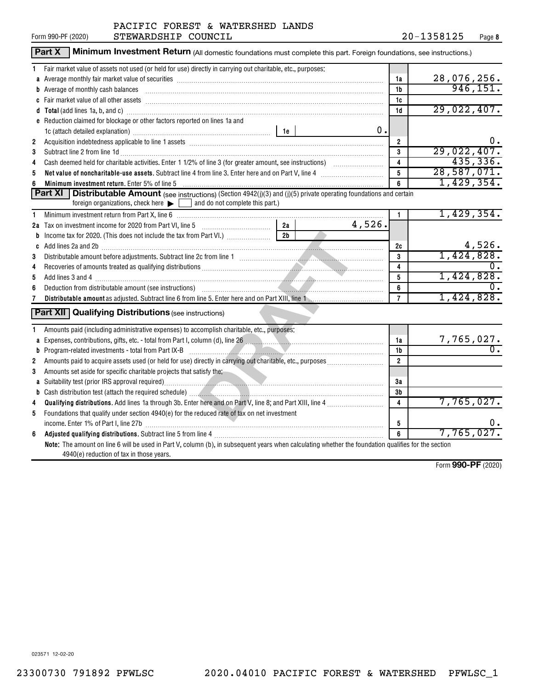|                         | Part X<br>Minimum Investment Return (All domestic foundations must complete this part. Foreign foundations, see instructions.)                                                                                                 |                |        |                         |                         |
|-------------------------|--------------------------------------------------------------------------------------------------------------------------------------------------------------------------------------------------------------------------------|----------------|--------|-------------------------|-------------------------|
| 1                       | Fair market value of assets not used (or held for use) directly in carrying out charitable, etc., purposes:                                                                                                                    |                |        |                         |                         |
|                         |                                                                                                                                                                                                                                |                |        | 1a                      | 28,076,256.             |
|                         | <b>b</b> Average of monthly cash balances                                                                                                                                                                                      |                |        | 1 <sub>b</sub>          | 946, 151.               |
|                         |                                                                                                                                                                                                                                |                |        | 1c                      |                         |
|                         |                                                                                                                                                                                                                                |                |        | 1d                      | 29,022,407.             |
|                         | e Reduction claimed for blockage or other factors reported on lines 1a and                                                                                                                                                     |                |        |                         |                         |
|                         |                                                                                                                                                                                                                                |                | 0.     |                         |                         |
| $\overline{\mathbf{2}}$ |                                                                                                                                                                                                                                |                |        | $\overline{2}$          | Ο.                      |
| 3                       | Subtract line 2 from line 1d <b>matures and the contract of the 1d</b> matures and the 1d matures and the 2 from line 1d                                                                                                       |                |        | 3                       | 29,022,407.             |
| 4                       |                                                                                                                                                                                                                                |                |        | $\overline{\mathbf{4}}$ | 435,336.                |
| 5                       | Net value of noncharitable-use assets. Subtract line 4 from line 3. Enter here and on Part V, line 4 [11, 11]                                                                                                                  |                |        | $5\phantom{.0}$         | 28,587,071.             |
|                         | Minimum investment return. Enter 5% of line 5 [11, 12] Minimum and the state of the state of the state of the state of the state of the state of the state of the state of the state of the state of the state of the state of |                |        | 6                       | 1,429,354.              |
|                         | Part XI  <br><b>Distributable Amount</b> (see instructions) (Section 4942(j)(3) and (j)(5) private operating foundations and certain                                                                                           |                |        |                         |                         |
|                         | foreign organizations, check here $\blacktriangleright$ and do not complete this part.)                                                                                                                                        |                |        |                         |                         |
| 1                       |                                                                                                                                                                                                                                |                |        | 1.                      | 1,429,354.              |
|                         | 2a Tax on investment income for 2020 from Part VI, line 5 [100] [100] [20] Tax on investment income for 2020 from Part VI, line 5                                                                                              | 2a             | 4,526. |                         |                         |
| b                       | Income tax for 2020. (This does not include the tax from Part VI.) [[[[[[[[[[[[[[[[[[[[[[[[[[[[[[[[[                                                                                                                           | 2 <sub>b</sub> |        |                         |                         |
|                         |                                                                                                                                                                                                                                |                |        | 2c                      | 4,526.                  |
| 3                       |                                                                                                                                                                                                                                |                |        | 3                       | 1,424,828.              |
| 4                       |                                                                                                                                                                                                                                |                |        | 4                       |                         |
| 5                       |                                                                                                                                                                                                                                |                |        | 5                       | 1,424,828.              |
| 6                       |                                                                                                                                                                                                                                |                |        | 6                       |                         |
| 7                       |                                                                                                                                                                                                                                |                |        | $\overline{7}$          | 1,424,828.              |
|                         | <b>Part XII</b> Qualifying Distributions (see instructions)                                                                                                                                                                    |                |        |                         |                         |
| 1                       | Amounts paid (including administrative expenses) to accomplish charitable, etc., purposes:                                                                                                                                     |                |        |                         |                         |
|                         |                                                                                                                                                                                                                                |                |        | 1a                      | $\frac{7,765,027.}{0.}$ |
|                         |                                                                                                                                                                                                                                |                |        | 1b                      |                         |
| $\mathbf{2}$            |                                                                                                                                                                                                                                |                |        | $\overline{2}$          |                         |
| 3                       | Amounts set aside for specific charitable projects that satisfy the:                                                                                                                                                           |                |        |                         |                         |
|                         | a Suitability test (prior IRS approval required) Material Community of the Suite of Australian Community of Suite Australian Community of Australian Community of Australian Community of Australian Community of Australian C |                |        | 3a                      |                         |
|                         |                                                                                                                                                                                                                                |                |        | 3 <sub>b</sub>          |                         |
| 4                       |                                                                                                                                                                                                                                |                |        | $\overline{\mathbf{4}}$ | 7,765,027.              |
| 5                       | Foundations that qualify under section 4940(e) for the reduced rate of tax on net investment                                                                                                                                   |                |        |                         |                         |
|                         |                                                                                                                                                                                                                                |                |        | 5                       |                         |
| 6                       |                                                                                                                                                                                                                                |                |        | 6                       | 7,765,027.              |
|                         | Note: The amount on line 6 will be used in Part V, column (b), in subsequent years when calculating whether the foundation qualifies for the section                                                                           |                |        |                         |                         |
|                         | 4940(e) reduction of tax in those years.                                                                                                                                                                                       |                |        |                         |                         |
|                         |                                                                                                                                                                                                                                |                |        |                         | $Form$ QQO_DF $(2020)$  |

Form (2020) **990-PF**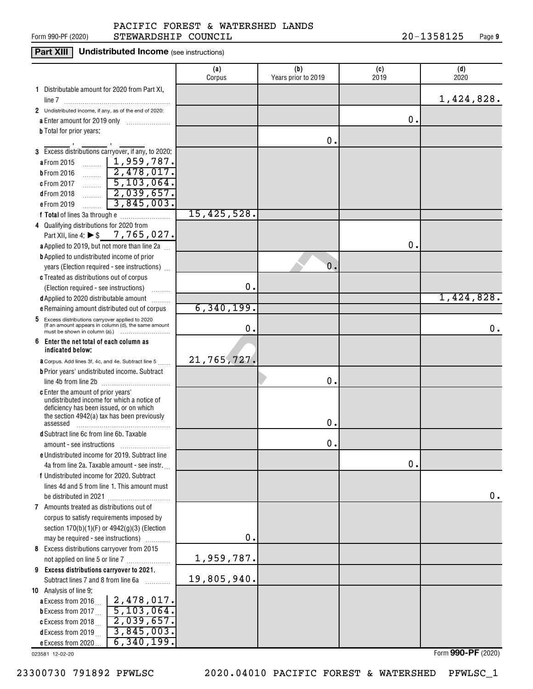#### Form 990-PF (2020)  ${\tt STEWARDSHIP}$   ${\tt COUNTIL}$   ${\tt 20-1358125}$   ${\tt Page}$ PACIFIC FOREST & WATERSHED LANDS

### **Part XIII** Undistributed Income (see instructions)

|                                                                                                             | (a)<br>Corpus | (b)<br>Years prior to 2019 | (c)<br>2019   | (d)<br>2020 |
|-------------------------------------------------------------------------------------------------------------|---------------|----------------------------|---------------|-------------|
| 1 Distributable amount for 2020 from Part XI,                                                               |               |                            |               |             |
|                                                                                                             |               |                            |               | 1,424,828.  |
| 2 Undistributed income, if any, as of the end of 2020:                                                      |               |                            | О.            |             |
| a Enter amount for 2019 only<br><b>b</b> Total for prior years:                                             |               |                            |               |             |
|                                                                                                             |               | 0.                         |               |             |
| 3 Excess distributions carryover, if any, to 2020:                                                          |               |                            |               |             |
| $\sim$   1,959,787.<br>a From 2015                                                                          |               |                            |               |             |
| 2,478,017.<br><b>b</b> From 2016                                                                            |               |                            |               |             |
| $\frac{5}{103}$ , 064.<br>c From 2017                                                                       |               |                            |               |             |
| $\boxed{2,039,657}$<br>$d$ From 2018                                                                        |               |                            |               |             |
| 3,845,003.<br>e From 2019                                                                                   |               |                            |               |             |
|                                                                                                             | 15,425,528.   |                            |               |             |
| 4 Qualifying distributions for 2020 from                                                                    |               |                            |               |             |
| Part XII, line 4: ▶ \$__ 7, 765, 027.                                                                       |               |                            |               |             |
| a Applied to 2019, but not more than line 2a                                                                |               |                            | $\mathbf 0$ . |             |
| <b>b</b> Applied to undistributed income of prior                                                           |               |                            |               |             |
| years (Election required - see instructions)                                                                |               | 0.                         |               |             |
| c Treated as distributions out of corpus                                                                    |               |                            |               |             |
| (Election required - see instructions)                                                                      | О.            |                            |               |             |
| d Applied to 2020 distributable amount                                                                      |               |                            |               | 1,424,828.  |
| e Remaining amount distributed out of corpus                                                                | 6,340,199.    |                            |               |             |
| Excess distributions carryover applied to 2020<br>5<br>(If an amount appears in column (d), the same amount | о.            |                            |               | 0.          |
| Enter the net total of each column as<br>6<br>indicated below;                                              |               |                            |               |             |
| <b>a</b> Corpus. Add lines 3f, 4c, and 4e. Subtract line 5                                                  | 21,765,727.   |                            |               |             |
| <b>b</b> Prior years' undistributed income. Subtract                                                        |               |                            |               |             |
| line 4b from line 2b                                                                                        |               | о.                         |               |             |
| <b>c</b> Enter the amount of prior years'                                                                   |               |                            |               |             |
| undistributed income for which a notice of                                                                  |               |                            |               |             |
| deficiency has been issued, or on which<br>the section 4942(a) tax has been previously                      |               |                            |               |             |
| assessed                                                                                                    |               | Ο.                         |               |             |
| d Subtract line 6c from line 6b. Taxable                                                                    |               |                            |               |             |
|                                                                                                             |               | 0.                         |               |             |
| e Undistributed income for 2019. Subtract line                                                              |               |                            |               |             |
| 4a from line 2a. Taxable amount - see instr.                                                                |               |                            | $\mathbf 0$ . |             |
| f Undistributed income for 2020. Subtract                                                                   |               |                            |               |             |
| lines 4d and 5 from line 1. This amount must                                                                |               |                            |               |             |
| be distributed in 2021                                                                                      |               |                            |               | 0.          |
| 7 Amounts treated as distributions out of                                                                   |               |                            |               |             |
| corpus to satisfy requirements imposed by                                                                   |               |                            |               |             |
| section $170(b)(1)(F)$ or $4942(g)(3)$ (Election                                                            |               |                            |               |             |
| may be required - see instructions)                                                                         | $\mathbf 0$ . |                            |               |             |
| 8 Excess distributions carryover from 2015                                                                  |               |                            |               |             |
| not applied on line 5 or line 7                                                                             | 1,959,787.    |                            |               |             |
| 9 Excess distributions carryover to 2021.                                                                   | 19,805,940.   |                            |               |             |
| Subtract lines 7 and 8 from line 6a<br>10 Analysis of line 9:                                               |               |                            |               |             |
| 2,478,017.<br>a Excess from 2016.                                                                           |               |                            |               |             |
| 5,103,064.<br><b>b</b> Excess from 2017 $\ldots$                                                            |               |                            |               |             |
| 2,039,657.<br>c Excess from 2018                                                                            |               |                            |               |             |
| 3,845,003.<br>d Excess from 2019 $\ldots$                                                                   |               |                            |               |             |
| 6, 340, 199.<br>e Excess from 2020.                                                                         |               |                            |               |             |

023581 12-02-20

Form (2020) **990-PF**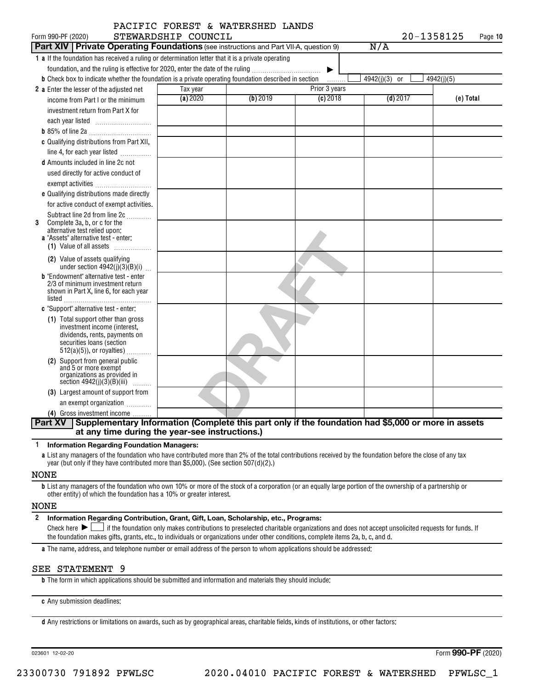|                                                                                                                      |                     | PACIFIC FOREST & WATERSHED LANDS |               |               |            |
|----------------------------------------------------------------------------------------------------------------------|---------------------|----------------------------------|---------------|---------------|------------|
| Form 990-PF (2020)                                                                                                   | STEWARDSHIP COUNCIL |                                  |               | 20-1358125    | Page 10    |
| <b>Part XIV Private Operating Foundations</b> (see instructions and Part VII-A, question 9)                          |                     |                                  |               | N/A           |            |
| 1 a If the foundation has received a ruling or determination letter that it is a private operating                   |                     |                                  |               |               |            |
| foundation, and the ruling is effective for 2020, enter the date of the ruling                                       |                     |                                  | ▶             |               |            |
| <b>b</b> Check box to indicate whether the foundation is a private operating foundation described in section         |                     |                                  | .             | 4942(j)(3) or | 4942(j)(5) |
| <b>2</b> a Enter the lesser of the adjusted net                                                                      | Tax year            |                                  | Prior 3 years |               |            |
| income from Part I or the minimum                                                                                    | (a) 2020            | (b) 2019                         | $(c)$ 2018    | $(d)$ 2017    | (e) Total  |
| investment return from Part X for                                                                                    |                     |                                  |               |               |            |
|                                                                                                                      |                     |                                  |               |               |            |
|                                                                                                                      |                     |                                  |               |               |            |
| c Qualifying distributions from Part XII,                                                                            |                     |                                  |               |               |            |
| line 4, for each year listed                                                                                         |                     |                                  |               |               |            |
| <b>d</b> Amounts included in line 2c not                                                                             |                     |                                  |               |               |            |
| used directly for active conduct of                                                                                  |                     |                                  |               |               |            |
| exempt activities                                                                                                    |                     |                                  |               |               |            |
| e Qualifying distributions made directly                                                                             |                     |                                  |               |               |            |
| for active conduct of exempt activities.                                                                             |                     |                                  |               |               |            |
| Subtract line 2d from line 2c                                                                                        |                     |                                  |               |               |            |
| 3<br>Complete 3a, b, or c for the<br>alternative test relied upon:                                                   |                     |                                  |               |               |            |
| a "Assets" alternative test - enter:                                                                                 |                     |                                  |               |               |            |
| (1) Value of all assets                                                                                              |                     |                                  |               |               |            |
| (2) Value of assets qualifying<br>under section $4942(j)(3)(B)(i)$                                                   |                     |                                  |               |               |            |
| <b>b</b> "Endowment" alternative test - enter                                                                        |                     |                                  |               |               |            |
| 2/3 of minimum investment return                                                                                     |                     |                                  |               |               |            |
| shown in Part X, line 6, for each year                                                                               |                     |                                  |               |               |            |
| listed<br>c "Support" alternative test - enter:                                                                      |                     |                                  |               |               |            |
| (1) Total support other than gross                                                                                   |                     |                                  |               |               |            |
| investment income (interest,                                                                                         |                     |                                  |               |               |            |
| dividends, rents, payments on<br>securities loans (section                                                           |                     |                                  |               |               |            |
| $512(a)(5)$ , or royalties)                                                                                          |                     |                                  |               |               |            |
| (2) Support from general public                                                                                      |                     |                                  |               |               |            |
| and 5 or more exempt                                                                                                 |                     |                                  |               |               |            |
| organizations as provided in<br>section $4942(j)(3)(B)(iii)$<br>.                                                    |                     |                                  |               |               |            |
| (3) Largest amount of support from                                                                                   |                     |                                  |               |               |            |
| an exempt organization                                                                                               |                     |                                  |               |               |            |
| (4) Gross investment income                                                                                          |                     |                                  |               |               |            |
| Supplementary Information (Complete this part only if the foundation had \$5,000 or more in assets<br><b>Part XV</b> |                     |                                  |               |               |            |
| at any time during the year-see instructions.)                                                                       |                     |                                  |               |               |            |

**1 Information Regarding Foundation Managers:**

**a** List any managers of the foundation who have contributed more than 2% of the total contributions received by the foundation before the close of any tax year (but only if they have contributed more than \$5,000). (See section 507(d)(2).)

#### NONE

**b** List any managers of the foundation who own 10% or more of the stock of a corporation (or an equally large portion of the ownership of a partnership or other entity) of which the foundation has a 10% or greater interest.

#### NONE

**2 Information Regarding Contribution, Grant, Gift, Loan, Scholarship, etc., Programs:** Check here  $\blacktriangleright\Box$  if the foundation only makes contributions to preselected charitable organizations and does not accept unsolicited requests for funds. If the foundation makes gifts, grants, etc., to individuals or organizations under other conditions, complete items 2a, b, c, and d. Check here  $\blacktriangleright$   $\lfloor$ 

**a** The name, address, and telephone number or email address of the person to whom applications should be addressed:

#### SEE STATEMENT 9

**b** The form in which applications should be submitted and information and materials they should include:

**c** Any submission deadlines:

**d** Any restrictions or limitations on awards, such as by geographical areas, charitable fields, kinds of institutions, or other factors:

023601 12-02-20

Form (2020) **990-PF**

23300730 791892 PFWLSC 2020.04010 PACIFIC FOREST & WATERSHED PFWLSC\_1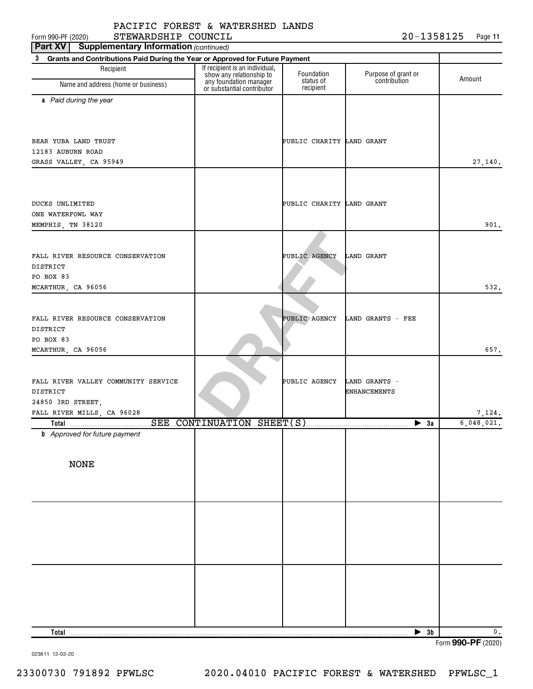Form 990-PF (2020)  ${\tt STEWARDSHIP\_COUNTL} \hspace{-0.2cm} {\bf \large \begin{array}{c} \hbox{\hspace{1cm} I} \end{array}}$   ${\tt 20-1358125} \hspace{-0.2cm} \begin{array}{c} \hbox{\hspace{1cm}Page \end{array}}$ STEWARDSHIP COUNCIL 20-1358125

| <b>Supplementary Information (continued)</b><br>Part XV                           |                                                            |                           |                                      |               |
|-----------------------------------------------------------------------------------|------------------------------------------------------------|---------------------------|--------------------------------------|---------------|
| 3<br>Grants and Contributions Paid During the Year or Approved for Future Payment |                                                            |                           |                                      |               |
| Recipient                                                                         | If recipient is an individual,<br>show any relationship to | Foundation<br>status of   | Purpose of grant or<br>contribution  | Amount        |
| Name and address (home or business)                                               | any foundation manager<br>or substantial contributor       | recipient                 |                                      |               |
| a Paid during the year                                                            |                                                            |                           |                                      |               |
|                                                                                   |                                                            |                           |                                      |               |
|                                                                                   |                                                            |                           |                                      |               |
| BEAR YUBA LAND TRUST                                                              |                                                            | PUBLIC CHARITY LAND GRANT |                                      |               |
| 12183 AUBURN ROAD                                                                 |                                                            |                           |                                      |               |
| GRASS VALLEY, CA 95949                                                            |                                                            |                           |                                      | 27,140.       |
|                                                                                   |                                                            |                           |                                      |               |
|                                                                                   |                                                            |                           |                                      |               |
|                                                                                   |                                                            |                           |                                      |               |
| DUCKS UNLIMITED<br>ONE WATERFOWL WAY                                              |                                                            | PUBLIC CHARITY LAND GRANT |                                      |               |
| MEMPHIS, TN 38120                                                                 |                                                            |                           |                                      | 901.          |
|                                                                                   |                                                            |                           |                                      |               |
|                                                                                   |                                                            |                           |                                      |               |
| FALL RIVER RESOURCE CONSERVATION                                                  |                                                            | PUBLIC AGENCY             | <b>LAND GRANT</b>                    |               |
| DISTRICT                                                                          |                                                            |                           |                                      |               |
| PO BOX 83                                                                         |                                                            |                           |                                      |               |
| MCARTHUR, CA 96056                                                                |                                                            |                           |                                      | 532.          |
|                                                                                   |                                                            |                           |                                      |               |
| FALL RIVER RESOURCE CONSERVATION                                                  |                                                            | PUBLIC AGENCY             | LAND GRANTS - FEE                    |               |
| DISTRICT                                                                          |                                                            |                           |                                      |               |
| PO BOX 83                                                                         |                                                            |                           |                                      |               |
| MCARTHUR, CA 96056                                                                |                                                            |                           |                                      | 657.          |
|                                                                                   |                                                            |                           |                                      |               |
|                                                                                   |                                                            |                           |                                      |               |
| FALL RIVER VALLEY COMMUNITY SERVICE<br>DISTRICT                                   |                                                            | PUBLIC AGENCY             | LAND GRANTS -<br><b>ENHANCEMENTS</b> |               |
| 24850 3RD STREET,                                                                 |                                                            |                           |                                      |               |
| FALL RIVER MILLS, CA 96028                                                        |                                                            |                           |                                      | 7,124.        |
|                                                                                   |                                                            |                           | $\blacktriangleright$ 3a             | 6,048,021.    |
| <b>b</b> Approved for future payment                                              |                                                            |                           |                                      |               |
|                                                                                   |                                                            |                           |                                      |               |
| <b>NONE</b>                                                                       |                                                            |                           |                                      |               |
|                                                                                   |                                                            |                           |                                      |               |
|                                                                                   |                                                            |                           |                                      |               |
|                                                                                   |                                                            |                           |                                      |               |
|                                                                                   |                                                            |                           |                                      |               |
|                                                                                   |                                                            |                           |                                      |               |
|                                                                                   |                                                            |                           |                                      |               |
|                                                                                   |                                                            |                           |                                      |               |
|                                                                                   |                                                            |                           |                                      |               |
|                                                                                   |                                                            |                           |                                      |               |
|                                                                                   |                                                            |                           |                                      |               |
|                                                                                   |                                                            |                           |                                      |               |
|                                                                                   |                                                            |                           |                                      |               |
|                                                                                   |                                                            |                           |                                      |               |
|                                                                                   |                                                            |                           |                                      |               |
| Total                                                                             |                                                            |                           | $\blacktriangleright$ 3b             | $\mathbf 0$ . |

Form (2020) **990-PF**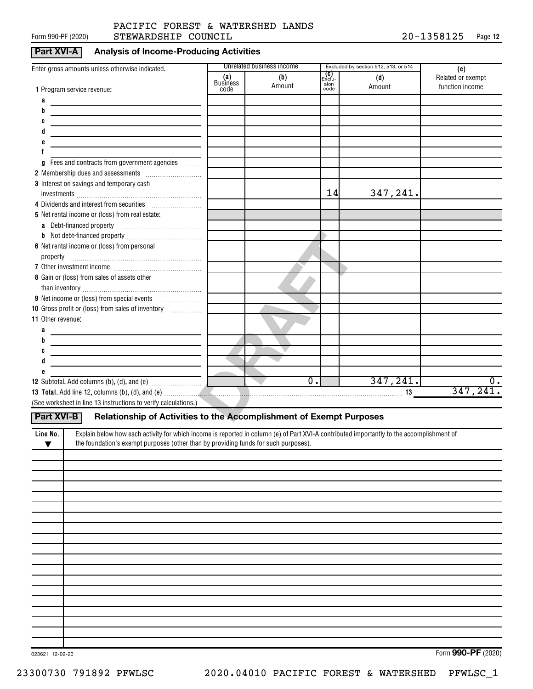#### Form 990-PF (2020)  ${\tt STEWARDSHIP}$   ${\tt COUNTIL}$   ${\tt 20-1358125}$   ${\tt Page}$ PACIFIC FOREST & WATERSHED LANDS

#### **Part XVI-A Analysis of Income-Producing Activities**

| Enter gross amounts unless otherwise indicated.                                                                                                                                                                                |                        | Unrelated business income         |                              | Excluded by section 512, 513, or 514 | (e)                                  |
|--------------------------------------------------------------------------------------------------------------------------------------------------------------------------------------------------------------------------------|------------------------|-----------------------------------|------------------------------|--------------------------------------|--------------------------------------|
|                                                                                                                                                                                                                                | (a)<br><b>Business</b> | (b)<br>Amount                     | <b>(C)</b><br>Exclu-<br>sion | (d)<br>Amount                        | Related or exempt<br>function income |
| 1 Program service revenue:<br>а                                                                                                                                                                                                | code                   |                                   | code                         |                                      |                                      |
| b                                                                                                                                                                                                                              |                        |                                   |                              |                                      |                                      |
|                                                                                                                                                                                                                                |                        |                                   |                              |                                      |                                      |
|                                                                                                                                                                                                                                |                        |                                   |                              |                                      |                                      |
|                                                                                                                                                                                                                                |                        |                                   |                              |                                      |                                      |
|                                                                                                                                                                                                                                |                        |                                   |                              |                                      |                                      |
| Fees and contracts from government agencies<br>g                                                                                                                                                                               |                        |                                   |                              |                                      |                                      |
|                                                                                                                                                                                                                                |                        |                                   |                              |                                      |                                      |
| 3 Interest on savings and temporary cash                                                                                                                                                                                       |                        |                                   | 14                           |                                      |                                      |
| 4 Dividends and interest from securities                                                                                                                                                                                       |                        |                                   |                              | 347,241.                             |                                      |
| 5 Net rental income or (loss) from real estate:                                                                                                                                                                                |                        |                                   |                              |                                      |                                      |
|                                                                                                                                                                                                                                |                        |                                   |                              |                                      |                                      |
|                                                                                                                                                                                                                                |                        |                                   |                              |                                      |                                      |
| 6 Net rental income or (loss) from personal                                                                                                                                                                                    |                        |                                   |                              |                                      |                                      |
|                                                                                                                                                                                                                                |                        |                                   |                              |                                      |                                      |
|                                                                                                                                                                                                                                |                        |                                   |                              |                                      |                                      |
| 8 Gain or (loss) from sales of assets other                                                                                                                                                                                    |                        |                                   |                              |                                      |                                      |
|                                                                                                                                                                                                                                |                        |                                   |                              |                                      |                                      |
|                                                                                                                                                                                                                                |                        |                                   |                              |                                      |                                      |
| 10 Gross profit or (loss) from sales of inventory                                                                                                                                                                              |                        |                                   |                              |                                      |                                      |
| 11 Other revenue:                                                                                                                                                                                                              |                        |                                   |                              |                                      |                                      |
| a                                                                                                                                                                                                                              |                        |                                   |                              |                                      |                                      |
| b                                                                                                                                                                                                                              |                        |                                   |                              |                                      |                                      |
|                                                                                                                                                                                                                                |                        |                                   |                              |                                      |                                      |
| đ                                                                                                                                                                                                                              |                        |                                   |                              |                                      |                                      |
|                                                                                                                                                                                                                                |                        | $\overline{0}$ .<br>$\mathcal{L}$ |                              | 347,241.                             | $\overline{0}$ .                     |
| 13 Total. Add line 12, columns (b), (d), and (e) material contracts and contact the set of the set of the set of the set of the set of the set of the set of the set of the set of the set of the set of the set of the set of |                        |                                   |                              |                                      | 347, 241.                            |
| (See worksheet in line 13 instructions to verify calculations.)                                                                                                                                                                |                        |                                   |                              |                                      |                                      |
| Part XVI-B<br>Relationship of Activities to the Accomplishment of Exempt Purposes                                                                                                                                              |                        |                                   |                              |                                      |                                      |
|                                                                                                                                                                                                                                |                        |                                   |                              |                                      |                                      |
| Explain below how each activity for which income is reported in column (e) of Part XVI-A contributed importantly to the accomplishment of<br>Line No.                                                                          |                        |                                   |                              |                                      |                                      |
| the foundation's exempt purposes (other than by providing funds for such purposes).<br>$\blacktriangledown$                                                                                                                    |                        |                                   |                              |                                      |                                      |
|                                                                                                                                                                                                                                |                        |                                   |                              |                                      |                                      |
|                                                                                                                                                                                                                                |                        |                                   |                              |                                      |                                      |
|                                                                                                                                                                                                                                |                        |                                   |                              |                                      |                                      |
|                                                                                                                                                                                                                                |                        |                                   |                              |                                      |                                      |
|                                                                                                                                                                                                                                |                        |                                   |                              |                                      |                                      |
|                                                                                                                                                                                                                                |                        |                                   |                              |                                      |                                      |
|                                                                                                                                                                                                                                |                        |                                   |                              |                                      |                                      |
|                                                                                                                                                                                                                                |                        |                                   |                              |                                      |                                      |
|                                                                                                                                                                                                                                |                        |                                   |                              |                                      |                                      |
|                                                                                                                                                                                                                                |                        |                                   |                              |                                      |                                      |
|                                                                                                                                                                                                                                |                        |                                   |                              |                                      |                                      |
|                                                                                                                                                                                                                                |                        |                                   |                              |                                      |                                      |
|                                                                                                                                                                                                                                |                        |                                   |                              |                                      |                                      |
|                                                                                                                                                                                                                                |                        |                                   |                              |                                      |                                      |
|                                                                                                                                                                                                                                |                        |                                   |                              |                                      |                                      |
|                                                                                                                                                                                                                                |                        |                                   |                              |                                      |                                      |
|                                                                                                                                                                                                                                |                        |                                   |                              |                                      |                                      |

Form (2020) **990-PF**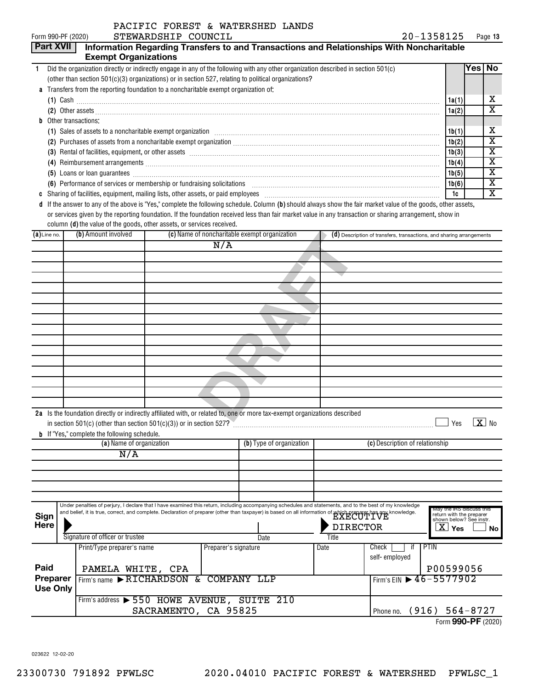| <b>Part XVII</b><br>Information Regarding Transfers to and Transactions and Relationships With Noncharitable<br><b>Exempt Organizations</b><br>Yes   No<br>Did the organization directly or indirectly engage in any of the following with any other organization described in section 501(c)<br>$\mathbf{1}$<br>(other than section 501(c)(3) organizations) or in section 527, relating to political organizations?<br>a Transfers from the reporting foundation to a noncharitable exempt organization of:<br>$(1)$ Cash $\ldots$<br>1a(1)<br>(2) Other assets <b>construction and construction of the construction</b> of the construction of the construction of the construction of the construction of the construction of the construction of the construction of the constr<br>1a(2)<br>Other transactions:<br>b<br>(1) Sales of assets to a noncharitable exempt organization [1] [1] Sales of assets to a noncharitable exempt organization [1] [1] $\sim$<br>1b(1)<br>1b(2)<br>(3) Rental of facilities, equipment, or other assets [111] All and the content of the content of facilities, equipment, or other assets<br>1b(3)<br>1b(4)<br>(5) Loans or loan guarantees <b>commissions</b> and a construction of the construction of the construction of the construction of the construction of the construction of the construction of the construction of the construction<br>1b(5)<br>(6) Performance of services or membership or fundraising solicitations [11] manufactures and performance of services or membership or fundraising solicitations [11] manufactures and performance of services or membership or<br>1b(6)<br>1c<br>d If the answer to any of the above is "Yes," complete the following schedule. Column (b) should always show the fair market value of the goods, other assets,<br>or services given by the reporting foundation. If the foundation received less than fair market value in any transaction or sharing arrangement, show in<br>column (d) the value of the goods, other assets, or services received.<br>(b) Amount involved<br>(c) Name of noncharitable exempt organization<br>$(a)$ Line no.<br>(d) Description of transfers, transactions, and sharing arrangements<br>N/A<br>2a Is the foundation directly or indirectly affiliated with, or related to, one or more tax-exempt organizations described | Form 990-PF (2020) | STEWARDSHIP COUNCIL | 20-1358125 | Page 13                 |
|---------------------------------------------------------------------------------------------------------------------------------------------------------------------------------------------------------------------------------------------------------------------------------------------------------------------------------------------------------------------------------------------------------------------------------------------------------------------------------------------------------------------------------------------------------------------------------------------------------------------------------------------------------------------------------------------------------------------------------------------------------------------------------------------------------------------------------------------------------------------------------------------------------------------------------------------------------------------------------------------------------------------------------------------------------------------------------------------------------------------------------------------------------------------------------------------------------------------------------------------------------------------------------------------------------------------------------------------------------------------------------------------------------------------------------------------------------------------------------------------------------------------------------------------------------------------------------------------------------------------------------------------------------------------------------------------------------------------------------------------------------------------------------------------------------------------------------------------------------------------------------------------------------------------------------------------------------------------------------------------------------------------------------------------------------------------------------------------------------------------------------------------------------------------------------------------------------------------------------------------------------------------------------------------------------------------------------------------------------------------|--------------------|---------------------|------------|-------------------------|
|                                                                                                                                                                                                                                                                                                                                                                                                                                                                                                                                                                                                                                                                                                                                                                                                                                                                                                                                                                                                                                                                                                                                                                                                                                                                                                                                                                                                                                                                                                                                                                                                                                                                                                                                                                                                                                                                                                                                                                                                                                                                                                                                                                                                                                                                                                                                                                     |                    |                     |            |                         |
|                                                                                                                                                                                                                                                                                                                                                                                                                                                                                                                                                                                                                                                                                                                                                                                                                                                                                                                                                                                                                                                                                                                                                                                                                                                                                                                                                                                                                                                                                                                                                                                                                                                                                                                                                                                                                                                                                                                                                                                                                                                                                                                                                                                                                                                                                                                                                                     |                    |                     |            |                         |
|                                                                                                                                                                                                                                                                                                                                                                                                                                                                                                                                                                                                                                                                                                                                                                                                                                                                                                                                                                                                                                                                                                                                                                                                                                                                                                                                                                                                                                                                                                                                                                                                                                                                                                                                                                                                                                                                                                                                                                                                                                                                                                                                                                                                                                                                                                                                                                     |                    |                     |            |                         |
|                                                                                                                                                                                                                                                                                                                                                                                                                                                                                                                                                                                                                                                                                                                                                                                                                                                                                                                                                                                                                                                                                                                                                                                                                                                                                                                                                                                                                                                                                                                                                                                                                                                                                                                                                                                                                                                                                                                                                                                                                                                                                                                                                                                                                                                                                                                                                                     |                    |                     |            |                         |
|                                                                                                                                                                                                                                                                                                                                                                                                                                                                                                                                                                                                                                                                                                                                                                                                                                                                                                                                                                                                                                                                                                                                                                                                                                                                                                                                                                                                                                                                                                                                                                                                                                                                                                                                                                                                                                                                                                                                                                                                                                                                                                                                                                                                                                                                                                                                                                     |                    |                     |            | х                       |
|                                                                                                                                                                                                                                                                                                                                                                                                                                                                                                                                                                                                                                                                                                                                                                                                                                                                                                                                                                                                                                                                                                                                                                                                                                                                                                                                                                                                                                                                                                                                                                                                                                                                                                                                                                                                                                                                                                                                                                                                                                                                                                                                                                                                                                                                                                                                                                     |                    |                     |            | $\overline{\mathbf{x}}$ |
|                                                                                                                                                                                                                                                                                                                                                                                                                                                                                                                                                                                                                                                                                                                                                                                                                                                                                                                                                                                                                                                                                                                                                                                                                                                                                                                                                                                                                                                                                                                                                                                                                                                                                                                                                                                                                                                                                                                                                                                                                                                                                                                                                                                                                                                                                                                                                                     |                    |                     |            |                         |
|                                                                                                                                                                                                                                                                                                                                                                                                                                                                                                                                                                                                                                                                                                                                                                                                                                                                                                                                                                                                                                                                                                                                                                                                                                                                                                                                                                                                                                                                                                                                                                                                                                                                                                                                                                                                                                                                                                                                                                                                                                                                                                                                                                                                                                                                                                                                                                     |                    |                     |            | х                       |
|                                                                                                                                                                                                                                                                                                                                                                                                                                                                                                                                                                                                                                                                                                                                                                                                                                                                                                                                                                                                                                                                                                                                                                                                                                                                                                                                                                                                                                                                                                                                                                                                                                                                                                                                                                                                                                                                                                                                                                                                                                                                                                                                                                                                                                                                                                                                                                     |                    |                     |            | $\overline{\texttt{x}}$ |
|                                                                                                                                                                                                                                                                                                                                                                                                                                                                                                                                                                                                                                                                                                                                                                                                                                                                                                                                                                                                                                                                                                                                                                                                                                                                                                                                                                                                                                                                                                                                                                                                                                                                                                                                                                                                                                                                                                                                                                                                                                                                                                                                                                                                                                                                                                                                                                     |                    |                     |            | $\overline{\texttt{x}}$ |
|                                                                                                                                                                                                                                                                                                                                                                                                                                                                                                                                                                                                                                                                                                                                                                                                                                                                                                                                                                                                                                                                                                                                                                                                                                                                                                                                                                                                                                                                                                                                                                                                                                                                                                                                                                                                                                                                                                                                                                                                                                                                                                                                                                                                                                                                                                                                                                     |                    |                     |            | $\overline{\texttt{x}}$ |
|                                                                                                                                                                                                                                                                                                                                                                                                                                                                                                                                                                                                                                                                                                                                                                                                                                                                                                                                                                                                                                                                                                                                                                                                                                                                                                                                                                                                                                                                                                                                                                                                                                                                                                                                                                                                                                                                                                                                                                                                                                                                                                                                                                                                                                                                                                                                                                     |                    |                     |            | $\overline{\texttt{x}}$ |
|                                                                                                                                                                                                                                                                                                                                                                                                                                                                                                                                                                                                                                                                                                                                                                                                                                                                                                                                                                                                                                                                                                                                                                                                                                                                                                                                                                                                                                                                                                                                                                                                                                                                                                                                                                                                                                                                                                                                                                                                                                                                                                                                                                                                                                                                                                                                                                     |                    |                     |            | $\overline{\textbf{x}}$ |
|                                                                                                                                                                                                                                                                                                                                                                                                                                                                                                                                                                                                                                                                                                                                                                                                                                                                                                                                                                                                                                                                                                                                                                                                                                                                                                                                                                                                                                                                                                                                                                                                                                                                                                                                                                                                                                                                                                                                                                                                                                                                                                                                                                                                                                                                                                                                                                     |                    |                     |            | $\overline{\mathtt{x}}$ |
|                                                                                                                                                                                                                                                                                                                                                                                                                                                                                                                                                                                                                                                                                                                                                                                                                                                                                                                                                                                                                                                                                                                                                                                                                                                                                                                                                                                                                                                                                                                                                                                                                                                                                                                                                                                                                                                                                                                                                                                                                                                                                                                                                                                                                                                                                                                                                                     |                    |                     |            |                         |
|                                                                                                                                                                                                                                                                                                                                                                                                                                                                                                                                                                                                                                                                                                                                                                                                                                                                                                                                                                                                                                                                                                                                                                                                                                                                                                                                                                                                                                                                                                                                                                                                                                                                                                                                                                                                                                                                                                                                                                                                                                                                                                                                                                                                                                                                                                                                                                     |                    |                     |            |                         |
|                                                                                                                                                                                                                                                                                                                                                                                                                                                                                                                                                                                                                                                                                                                                                                                                                                                                                                                                                                                                                                                                                                                                                                                                                                                                                                                                                                                                                                                                                                                                                                                                                                                                                                                                                                                                                                                                                                                                                                                                                                                                                                                                                                                                                                                                                                                                                                     |                    |                     |            |                         |
|                                                                                                                                                                                                                                                                                                                                                                                                                                                                                                                                                                                                                                                                                                                                                                                                                                                                                                                                                                                                                                                                                                                                                                                                                                                                                                                                                                                                                                                                                                                                                                                                                                                                                                                                                                                                                                                                                                                                                                                                                                                                                                                                                                                                                                                                                                                                                                     |                    |                     |            |                         |
|                                                                                                                                                                                                                                                                                                                                                                                                                                                                                                                                                                                                                                                                                                                                                                                                                                                                                                                                                                                                                                                                                                                                                                                                                                                                                                                                                                                                                                                                                                                                                                                                                                                                                                                                                                                                                                                                                                                                                                                                                                                                                                                                                                                                                                                                                                                                                                     |                    |                     |            |                         |
|                                                                                                                                                                                                                                                                                                                                                                                                                                                                                                                                                                                                                                                                                                                                                                                                                                                                                                                                                                                                                                                                                                                                                                                                                                                                                                                                                                                                                                                                                                                                                                                                                                                                                                                                                                                                                                                                                                                                                                                                                                                                                                                                                                                                                                                                                                                                                                     |                    |                     |            |                         |
|                                                                                                                                                                                                                                                                                                                                                                                                                                                                                                                                                                                                                                                                                                                                                                                                                                                                                                                                                                                                                                                                                                                                                                                                                                                                                                                                                                                                                                                                                                                                                                                                                                                                                                                                                                                                                                                                                                                                                                                                                                                                                                                                                                                                                                                                                                                                                                     |                    |                     |            |                         |
|                                                                                                                                                                                                                                                                                                                                                                                                                                                                                                                                                                                                                                                                                                                                                                                                                                                                                                                                                                                                                                                                                                                                                                                                                                                                                                                                                                                                                                                                                                                                                                                                                                                                                                                                                                                                                                                                                                                                                                                                                                                                                                                                                                                                                                                                                                                                                                     |                    |                     |            |                         |
|                                                                                                                                                                                                                                                                                                                                                                                                                                                                                                                                                                                                                                                                                                                                                                                                                                                                                                                                                                                                                                                                                                                                                                                                                                                                                                                                                                                                                                                                                                                                                                                                                                                                                                                                                                                                                                                                                                                                                                                                                                                                                                                                                                                                                                                                                                                                                                     |                    |                     |            |                         |
|                                                                                                                                                                                                                                                                                                                                                                                                                                                                                                                                                                                                                                                                                                                                                                                                                                                                                                                                                                                                                                                                                                                                                                                                                                                                                                                                                                                                                                                                                                                                                                                                                                                                                                                                                                                                                                                                                                                                                                                                                                                                                                                                                                                                                                                                                                                                                                     |                    |                     |            |                         |
|                                                                                                                                                                                                                                                                                                                                                                                                                                                                                                                                                                                                                                                                                                                                                                                                                                                                                                                                                                                                                                                                                                                                                                                                                                                                                                                                                                                                                                                                                                                                                                                                                                                                                                                                                                                                                                                                                                                                                                                                                                                                                                                                                                                                                                                                                                                                                                     |                    |                     |            |                         |
|                                                                                                                                                                                                                                                                                                                                                                                                                                                                                                                                                                                                                                                                                                                                                                                                                                                                                                                                                                                                                                                                                                                                                                                                                                                                                                                                                                                                                                                                                                                                                                                                                                                                                                                                                                                                                                                                                                                                                                                                                                                                                                                                                                                                                                                                                                                                                                     |                    |                     |            |                         |
|                                                                                                                                                                                                                                                                                                                                                                                                                                                                                                                                                                                                                                                                                                                                                                                                                                                                                                                                                                                                                                                                                                                                                                                                                                                                                                                                                                                                                                                                                                                                                                                                                                                                                                                                                                                                                                                                                                                                                                                                                                                                                                                                                                                                                                                                                                                                                                     |                    |                     |            |                         |
|                                                                                                                                                                                                                                                                                                                                                                                                                                                                                                                                                                                                                                                                                                                                                                                                                                                                                                                                                                                                                                                                                                                                                                                                                                                                                                                                                                                                                                                                                                                                                                                                                                                                                                                                                                                                                                                                                                                                                                                                                                                                                                                                                                                                                                                                                                                                                                     |                    |                     |            |                         |
|                                                                                                                                                                                                                                                                                                                                                                                                                                                                                                                                                                                                                                                                                                                                                                                                                                                                                                                                                                                                                                                                                                                                                                                                                                                                                                                                                                                                                                                                                                                                                                                                                                                                                                                                                                                                                                                                                                                                                                                                                                                                                                                                                                                                                                                                                                                                                                     |                    |                     |            |                         |
|                                                                                                                                                                                                                                                                                                                                                                                                                                                                                                                                                                                                                                                                                                                                                                                                                                                                                                                                                                                                                                                                                                                                                                                                                                                                                                                                                                                                                                                                                                                                                                                                                                                                                                                                                                                                                                                                                                                                                                                                                                                                                                                                                                                                                                                                                                                                                                     |                    |                     |            |                         |
|                                                                                                                                                                                                                                                                                                                                                                                                                                                                                                                                                                                                                                                                                                                                                                                                                                                                                                                                                                                                                                                                                                                                                                                                                                                                                                                                                                                                                                                                                                                                                                                                                                                                                                                                                                                                                                                                                                                                                                                                                                                                                                                                                                                                                                                                                                                                                                     |                    |                     |            |                         |
|                                                                                                                                                                                                                                                                                                                                                                                                                                                                                                                                                                                                                                                                                                                                                                                                                                                                                                                                                                                                                                                                                                                                                                                                                                                                                                                                                                                                                                                                                                                                                                                                                                                                                                                                                                                                                                                                                                                                                                                                                                                                                                                                                                                                                                                                                                                                                                     |                    |                     |            |                         |

|                 | 2a Is the foundation directly or indirectly affiliated with, or related to, one or more tax-exempt organizations described                                    |                      |  |                          |       |                 |                                        |                                                      |                            |
|-----------------|---------------------------------------------------------------------------------------------------------------------------------------------------------------|----------------------|--|--------------------------|-------|-----------------|----------------------------------------|------------------------------------------------------|----------------------------|
|                 | in section 501(c) (other than section 501(c)(3)) or in section 527?                                                                                           |                      |  |                          |       |                 |                                        | Yes                                                  | $\overline{\mathbf{X}}$ No |
|                 | <b>b</b> If "Yes," complete the following schedule.                                                                                                           |                      |  |                          |       |                 |                                        |                                                      |                            |
|                 | (a) Name of organization                                                                                                                                      |                      |  | (b) Type of organization |       |                 | (c) Description of relationship        |                                                      |                            |
|                 | N/A                                                                                                                                                           |                      |  |                          |       |                 |                                        |                                                      |                            |
|                 |                                                                                                                                                               |                      |  |                          |       |                 |                                        |                                                      |                            |
|                 |                                                                                                                                                               |                      |  |                          |       |                 |                                        |                                                      |                            |
|                 |                                                                                                                                                               |                      |  |                          |       |                 |                                        |                                                      |                            |
|                 |                                                                                                                                                               |                      |  |                          |       |                 |                                        |                                                      |                            |
|                 | Under penalties of perjury, I declare that I have examined this return, including accompanying schedules and statements, and to the best of my knowledge      |                      |  |                          |       |                 |                                        |                                                      |                            |
| Sign            | and belief, it is true, correct, and complete. Declaration of preparer (other than taxpayer) is based on all information of which preparer has any knowledge. |                      |  |                          |       |                 |                                        | May the IRS discuss this<br>return with the preparer |                            |
| Here            |                                                                                                                                                               |                      |  |                          |       | <b>DIRECTOR</b> |                                        | shown below? See instr.<br>$\overline{\text{X}}$ Yes | <b>No</b>                  |
|                 | Signature of officer or trustee                                                                                                                               |                      |  | Date                     | Title |                 |                                        |                                                      |                            |
|                 | Print/Type preparer's name                                                                                                                                    | Preparer's signature |  |                          | Date  |                 | Check                                  | <b>PTIN</b>                                          |                            |
|                 |                                                                                                                                                               |                      |  |                          |       |                 | self-employed                          |                                                      |                            |
| Paid            | PAMELA WHITE, CPA                                                                                                                                             |                      |  |                          |       |                 |                                        | P00599056                                            |                            |
| <b>Preparer</b> | Firm's name RICHARDSON & COMPANY LLP                                                                                                                          |                      |  |                          |       |                 | Firm's EIN $\triangleright$ 46-5577902 |                                                      |                            |
| <b>Use Only</b> |                                                                                                                                                               |                      |  |                          |       |                 |                                        |                                                      |                            |
|                 |                                                                                                                                                               |                      |  |                          |       |                 |                                        |                                                      |                            |
|                 | Firm's address > 550 HOWE AVENUE, SUITE 210                                                                                                                   |                      |  |                          |       |                 |                                        |                                                      |                            |
|                 | SACRAMENTO, CA 95825                                                                                                                                          |                      |  |                          |       |                 |                                        | Phone no. (916) 564-8727                             |                            |

Form (2020) **990-PF**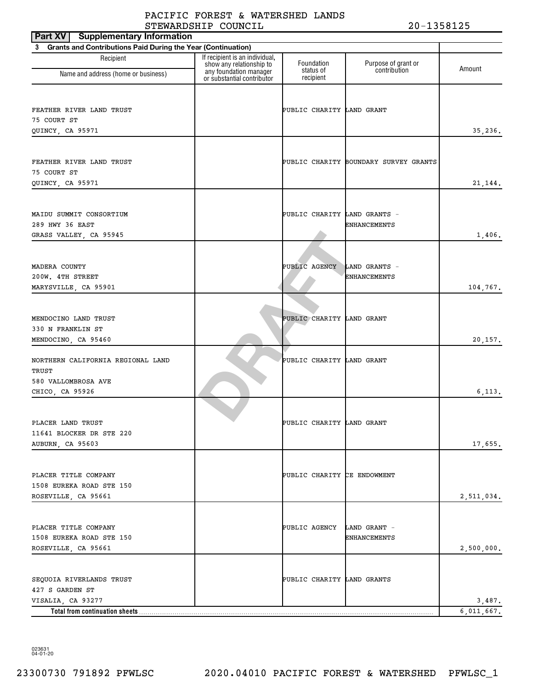| <b>Part XV</b> Supplementary Information                       |                                                            |                              |                                       |            |
|----------------------------------------------------------------|------------------------------------------------------------|------------------------------|---------------------------------------|------------|
| 3 Grants and Contributions Paid During the Year (Continuation) |                                                            |                              |                                       |            |
| Recipient                                                      | If recipient is an individual,<br>show any relationship to | Foundation                   | Purpose of grant or                   | Amount     |
| Name and address (home or business)                            | any foundation manager<br>or substantial contributor       | status of<br>recipient       | contribution                          |            |
|                                                                |                                                            |                              |                                       |            |
| FEATHER RIVER LAND TRUST                                       |                                                            | PUBLIC CHARITY LAND GRANT    |                                       |            |
| 75 COURT ST                                                    |                                                            |                              |                                       |            |
| QUINCY, CA 95971                                               |                                                            |                              |                                       | 35,236.    |
|                                                                |                                                            |                              |                                       |            |
| FEATHER RIVER LAND TRUST<br>75 COURT ST                        |                                                            |                              | PUBLIC CHARITY BOUNDARY SURVEY GRANTS |            |
| QUINCY, CA 95971                                               |                                                            |                              |                                       | 21,144.    |
|                                                                |                                                            |                              |                                       |            |
| MAIDU SUMMIT CONSORTIUM                                        |                                                            | PUBLIC CHARITY LAND GRANTS - |                                       |            |
| 289 HWY 36 EAST                                                |                                                            |                              | <b>ENHANCEMENTS</b>                   |            |
| GRASS VALLEY, CA 95945                                         |                                                            |                              |                                       | 1,406.     |
|                                                                |                                                            |                              |                                       |            |
| MADERA COUNTY                                                  |                                                            | PUBLIC AGENCY                | LAND GRANTS -                         |            |
| 200W. 4TH STREET                                               |                                                            |                              | ENHANCEMENTS                          |            |
| MARYSVILLE, CA 95901                                           |                                                            |                              |                                       | 104,767.   |
|                                                                |                                                            |                              |                                       |            |
|                                                                |                                                            |                              |                                       |            |
| MENDOCINO LAND TRUST<br>330 N FRANKLIN ST                      |                                                            | PUBLIC CHARITY LAND GRANT    |                                       |            |
| MENDOCINO, CA 95460                                            |                                                            |                              |                                       | 20,157.    |
|                                                                |                                                            |                              |                                       |            |
| NORTHERN CALIFORNIA REGIONAL LAND                              |                                                            | PUBLIC CHARITY LAND GRANT    |                                       |            |
| TRUST                                                          |                                                            |                              |                                       |            |
| 580 VALLOMBROSA AVE<br>CHICO, CA 95926                         |                                                            |                              |                                       | 6, 113.    |
|                                                                |                                                            |                              |                                       |            |
|                                                                |                                                            |                              |                                       |            |
| PLACER LAND TRUST                                              |                                                            | PUBLIC CHARITY LAND GRANT    |                                       |            |
| 11641 BLOCKER DR STE 220                                       |                                                            |                              |                                       |            |
| AUBURN, CA 95603                                               |                                                            |                              |                                       | 17,655.    |
|                                                                |                                                            |                              |                                       |            |
| PLACER TITLE COMPANY                                           |                                                            | PUBLIC CHARITY CE ENDOWMENT  |                                       |            |
| 1508 EUREKA ROAD STE 150<br>ROSEVILLE, CA 95661                |                                                            |                              |                                       |            |
|                                                                |                                                            |                              |                                       | 2,511,034. |
|                                                                |                                                            |                              |                                       |            |
| PLACER TITLE COMPANY                                           |                                                            | PUBLIC AGENCY                | LAND GRANT -                          |            |
| 1508 EUREKA ROAD STE 150                                       |                                                            |                              | <b>ENHANCEMENTS</b>                   |            |
| ROSEVILLE, CA 95661                                            |                                                            |                              |                                       | 2,500,000. |
|                                                                |                                                            |                              |                                       |            |
| SEQUOIA RIVERLANDS TRUST<br>427 S GARDEN ST                    |                                                            | PUBLIC CHARITY LAND GRANTS   |                                       |            |
| VISALIA, CA 93277                                              |                                                            |                              |                                       | 3,487.     |
| Total from continuation sheets                                 |                                                            |                              |                                       | 6,011,667. |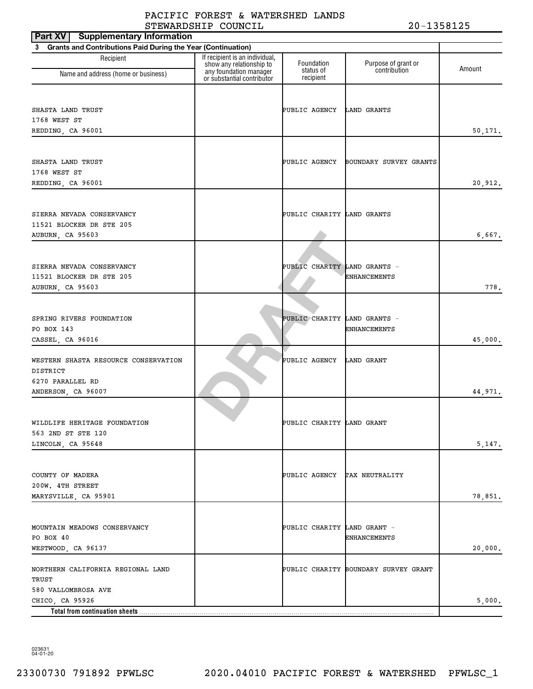| <b>Supplementary Information</b><br>Part XV                                                   |                                                                                      |                              |                                      |         |
|-----------------------------------------------------------------------------------------------|--------------------------------------------------------------------------------------|------------------------------|--------------------------------------|---------|
| <b>Grants and Contributions Paid During the Year (Continuation)</b><br>3                      |                                                                                      |                              |                                      |         |
| Recipient                                                                                     | If recipient is an individual,<br>show any relationship to<br>any foundation manager | Foundation<br>status of      | Purpose of grant or<br>contribution  | Amount  |
| Name and address (home or business)                                                           | or substantial contributor                                                           | recipient                    |                                      |         |
| SHASTA LAND TRUST<br>1768 WEST ST<br>REDDING, CA 96001                                        |                                                                                      | PUBLIC AGENCY                | LAND GRANTS                          | 50,171. |
| SHASTA LAND TRUST<br>1768 WEST ST<br>REDDING, CA 96001                                        |                                                                                      | PUBLIC AGENCY                | BOUNDARY SURVEY GRANTS               | 20,912. |
| SIERRA NEVADA CONSERVANCY<br>11521 BLOCKER DR STE 205<br>AUBURN, CA 95603                     |                                                                                      | PUBLIC CHARITY LAND GRANTS   |                                      | 6,667.  |
| SIERRA NEVADA CONSERVANCY<br>11521 BLOCKER DR STE 205<br>AUBURN, CA 95603                     |                                                                                      | PUBLIC CHARITY LAND GRANTS - | ENHANCEMENTS                         | 778.    |
| SPRING RIVERS FOUNDATION<br>PO BOX 143<br>CASSEL, CA 96016                                    |                                                                                      | PUBLIC CHARITY LAND GRANTS - | <b>ENHANCEMENTS</b>                  | 45,000. |
| WESTERN SHASTA RESOURCE CONSERVATION<br>DISTRICT<br>6270 PARALLEL RD                          |                                                                                      | PUBLIC AGENCY                | LAND GRANT                           | 44,971. |
| ANDERSON, CA 96007<br>WILDLIFE HERITAGE FOUNDATION<br>563 2ND ST STE 120<br>LINCOLN, CA 95648 |                                                                                      | PUBLIC CHARITY LAND GRANT    |                                      | 5,147.  |
| COUNTY OF MADERA<br>200W. 4TH STREET<br>MARYSVILLE, CA 95901                                  |                                                                                      | PUBLIC AGENCY TAX NEUTRALITY |                                      | 78,851. |
| MOUNTAIN MEADOWS CONSERVANCY<br>PO BOX 40<br>WESTWOOD, CA 96137                               |                                                                                      | PUBLIC CHARITY LAND GRANT -  | <b>ENHANCEMENTS</b>                  | 20,000. |
| NORTHERN CALIFORNIA REGIONAL LAND<br>TRUST<br>580 VALLOMBROSA AVE                             |                                                                                      |                              | PUBLIC CHARITY BOUNDARY SURVEY GRANT |         |
| CHICO, CA 95926                                                                               |                                                                                      |                              |                                      | 5,000.  |
| Total from continuation sheets                                                                |                                                                                      |                              |                                      |         |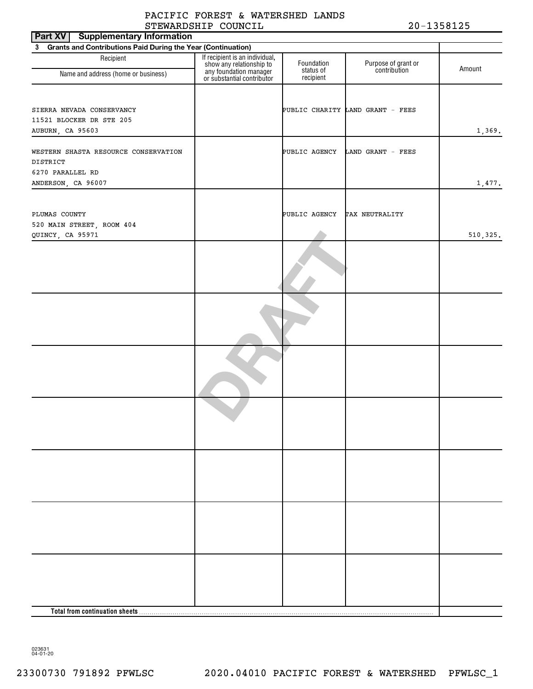| Part XV<br><b>Supplementary Information</b>                    |                                                                                                                    |                         |                                     |           |
|----------------------------------------------------------------|--------------------------------------------------------------------------------------------------------------------|-------------------------|-------------------------------------|-----------|
| 3 Grants and Contributions Paid During the Year (Continuation) |                                                                                                                    |                         |                                     |           |
| Recipient<br>Name and address (home or business)               | If recipient is an individual,<br>show any relationship to<br>any foundation manager<br>or substantial contributor | Foundation<br>status of | Purpose of grant or<br>contribution | Amount    |
|                                                                |                                                                                                                    | recipient               |                                     |           |
|                                                                |                                                                                                                    |                         |                                     |           |
|                                                                |                                                                                                                    |                         |                                     |           |
| SIERRA NEVADA CONSERVANCY<br>11521 BLOCKER DR STE 205          |                                                                                                                    |                         | PUBLIC CHARITY LAND GRANT - FEES    |           |
| AUBURN, CA 95603                                               |                                                                                                                    |                         |                                     | 1,369.    |
|                                                                |                                                                                                                    |                         |                                     |           |
| WESTERN SHASTA RESOURCE CONSERVATION                           |                                                                                                                    | PUBLIC AGENCY           | LAND GRANT - FEES                   |           |
| DISTRICT                                                       |                                                                                                                    |                         |                                     |           |
| 6270 PARALLEL RD                                               |                                                                                                                    |                         |                                     |           |
| ANDERSON, CA 96007                                             |                                                                                                                    |                         |                                     | 1,477.    |
|                                                                |                                                                                                                    |                         |                                     |           |
|                                                                |                                                                                                                    |                         |                                     |           |
| PLUMAS COUNTY<br>520 MAIN STREET, ROOM 404                     |                                                                                                                    | PUBLIC AGENCY           | TAX NEUTRALITY                      |           |
| QUINCY, CA 95971                                               |                                                                                                                    |                         |                                     | 510, 325. |
|                                                                |                                                                                                                    |                         |                                     |           |
|                                                                |                                                                                                                    |                         |                                     |           |
|                                                                |                                                                                                                    |                         |                                     |           |
|                                                                |                                                                                                                    |                         |                                     |           |
|                                                                |                                                                                                                    |                         |                                     |           |
|                                                                |                                                                                                                    |                         |                                     |           |
|                                                                |                                                                                                                    |                         |                                     |           |
|                                                                |                                                                                                                    |                         |                                     |           |
|                                                                |                                                                                                                    |                         |                                     |           |
|                                                                |                                                                                                                    |                         |                                     |           |
|                                                                |                                                                                                                    |                         |                                     |           |
|                                                                |                                                                                                                    |                         |                                     |           |
|                                                                |                                                                                                                    |                         |                                     |           |
|                                                                |                                                                                                                    |                         |                                     |           |
|                                                                |                                                                                                                    |                         |                                     |           |
|                                                                |                                                                                                                    |                         |                                     |           |
|                                                                |                                                                                                                    |                         |                                     |           |
|                                                                |                                                                                                                    |                         |                                     |           |
|                                                                |                                                                                                                    |                         |                                     |           |
|                                                                |                                                                                                                    |                         |                                     |           |
|                                                                |                                                                                                                    |                         |                                     |           |
|                                                                |                                                                                                                    |                         |                                     |           |
|                                                                |                                                                                                                    |                         |                                     |           |
|                                                                |                                                                                                                    |                         |                                     |           |
|                                                                |                                                                                                                    |                         |                                     |           |
|                                                                |                                                                                                                    |                         |                                     |           |
|                                                                |                                                                                                                    |                         |                                     |           |
|                                                                |                                                                                                                    |                         |                                     |           |
|                                                                |                                                                                                                    |                         |                                     |           |
|                                                                |                                                                                                                    |                         |                                     |           |
|                                                                |                                                                                                                    |                         |                                     |           |
|                                                                |                                                                                                                    |                         |                                     |           |
|                                                                |                                                                                                                    |                         |                                     |           |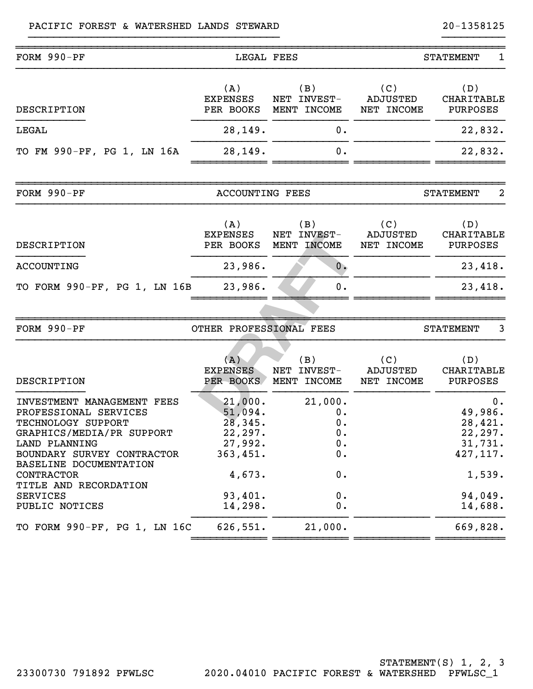#### PACIFIC FOREST & WATERSHED LANDS STEWARD 20-1358125

| FORM 990-PF                                                                                                                                                                                                                                                 | LEGAL FEES                                                                                      |                                                            |                                      | <b>STATEMENT</b><br>1                                                                        |
|-------------------------------------------------------------------------------------------------------------------------------------------------------------------------------------------------------------------------------------------------------------|-------------------------------------------------------------------------------------------------|------------------------------------------------------------|--------------------------------------|----------------------------------------------------------------------------------------------|
| DESCRIPTION                                                                                                                                                                                                                                                 | (A)<br><b>EXPENSES</b><br>PER BOOKS                                                             | (B)<br>NET INVEST-<br>MENT INCOME                          | (C)<br>ADJUSTED<br>NET INCOME        | (D)<br>CHARITABLE<br><b>PURPOSES</b>                                                         |
| LEGAL                                                                                                                                                                                                                                                       | 28,149.                                                                                         | 0.                                                         |                                      | 22,832.                                                                                      |
| TO FM 990-PF, PG 1, LN 16A                                                                                                                                                                                                                                  | 28,149.                                                                                         | 0.                                                         |                                      | 22,832.                                                                                      |
| FORM 990-PF                                                                                                                                                                                                                                                 | <b>ACCOUNTING FEES</b>                                                                          |                                                            |                                      | 2<br><b>STATEMENT</b>                                                                        |
| DESCRIPTION                                                                                                                                                                                                                                                 | (A)<br><b>EXPENSES</b><br>PER BOOKS                                                             | (B)<br>NET INVEST-<br>MENT INCOME                          | (C)<br>ADJUSTED<br>NET INCOME        | (D)<br>CHARITABLE<br><b>PURPOSES</b>                                                         |
| <b>ACCOUNTING</b>                                                                                                                                                                                                                                           | 23,986.                                                                                         | 0.                                                         |                                      | 23,418.                                                                                      |
| TO FORM 990-PF, PG 1, LN 16B                                                                                                                                                                                                                                | 23,986.                                                                                         | 0.                                                         |                                      | 23,418.                                                                                      |
|                                                                                                                                                                                                                                                             |                                                                                                 |                                                            |                                      |                                                                                              |
| FORM 990-PF                                                                                                                                                                                                                                                 | OTHER PROFESSIONAL FEES                                                                         |                                                            |                                      | <b>STATEMENT</b><br>3                                                                        |
| <b>DESCRIPTION</b>                                                                                                                                                                                                                                          | (A)<br><b>EXPENSES</b><br>PER BOOKS                                                             | (B)<br>NET INVEST-<br>MENT INCOME                          | (C)<br><b>ADJUSTED</b><br>NET INCOME | (D)<br>CHARITABLE<br><b>PURPOSES</b>                                                         |
| INVESTMENT MANAGEMENT FEES<br>PROFESSIONAL SERVICES<br>TECHNOLOGY SUPPORT<br>GRAPHICS/MEDIA/PR SUPPORT<br>LAND PLANNING<br>BOUNDARY SURVEY CONTRACTOR<br>BASELINE DOCUMENTATION<br>CONTRACTOR<br>TITLE AND RECORDATION<br><b>SERVICES</b><br>PUBLIC NOTICES | 21,000.<br>51,094.<br>28,345.<br>22,297.<br>27,992.<br>363,451.<br>4,673.<br>93,401.<br>14,298. | 21,000.<br>0.<br>0.<br>0.<br>$0$ .<br>0.<br>0.<br>0.<br>0. |                                      | 0.<br>49,986.<br>28,421.<br>22, 297.<br>31,731.<br>427, 117.<br>1,539.<br>94,049.<br>14,688. |
| TO FORM 990-PF, PG 1, LN 16C                                                                                                                                                                                                                                | 626,551.                                                                                        | 21,000.                                                    |                                      | 669,828.                                                                                     |
|                                                                                                                                                                                                                                                             |                                                                                                 |                                                            |                                      |                                                                                              |

}}}}}}}}}}}}}}}}}}}}}}}}}}}}}}}}}}}}}}}} }}}}}}}}}}

STATEMENT(S) 1, 2, 3 23300730 791892 PFWLSC 2020.04010 PACIFIC FOREST & WATERSHED PFWLSC\_1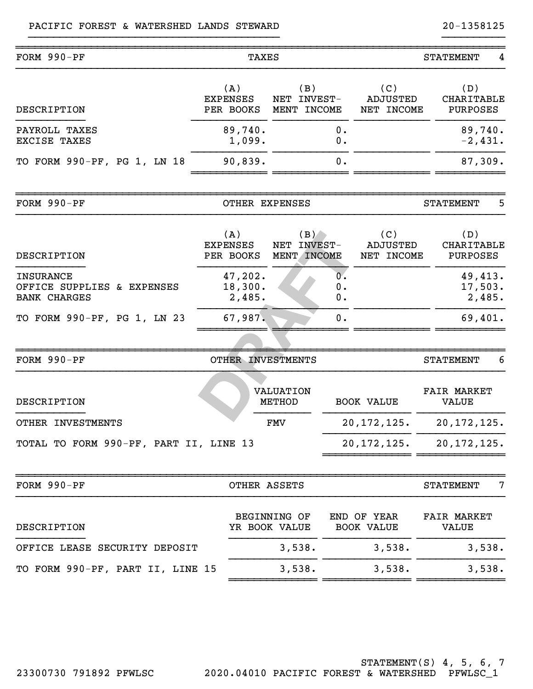| FORM 990-PF                                                           | TAXES                               |                                      | <b>STATEMENT</b><br>4            |                                      |                                      |                                      |  |
|-----------------------------------------------------------------------|-------------------------------------|--------------------------------------|----------------------------------|--------------------------------------|--------------------------------------|--------------------------------------|--|
| DESCRIPTION                                                           | (A)<br><b>EXPENSES</b><br>PER BOOKS | (B)<br>NET INVEST-<br>MENT INCOME    |                                  | (C)<br><b>ADJUSTED</b><br>NET INCOME | (D)                                  | <b>CHARITABLE</b><br><b>PURPOSES</b> |  |
| PAYROLL TAXES<br>EXCISE TAXES                                         | 89,740.<br>1,099.                   |                                      | 0.<br>0.                         |                                      | 89,740.<br>$-2,431.$                 |                                      |  |
| TO FORM 990-PF, PG 1, LN 18                                           | 90,839.                             |                                      | 0.                               |                                      | 87,309.                              |                                      |  |
| FORM 990-PF                                                           | OTHER EXPENSES                      |                                      |                                  |                                      | <b>STATEMENT</b>                     | 5                                    |  |
| DESCRIPTION                                                           | (A)<br><b>EXPENSES</b><br>PER BOOKS | (B)<br>NET INVEST-<br>MENT INCOME    |                                  | (C)<br><b>ADJUSTED</b><br>NET INCOME | (D)<br>CHARITABLE<br><b>PURPOSES</b> |                                      |  |
| <b>INSURANCE</b><br>OFFICE SUPPLIES & EXPENSES<br><b>BANK CHARGES</b> | 47,202.<br>18,300.<br>2,485.        |                                      | $0^{\circ}$<br>0.<br>О.          |                                      | 49,413.<br>17,503.<br>2,485.         |                                      |  |
| TO FORM 990-PF, PG 1, LN 23                                           | 67,987.                             |                                      | 0.                               |                                      | 69,401.                              |                                      |  |
| FORM 990-PF                                                           | OTHER INVESTMENTS                   |                                      |                                  |                                      | <b>STATEMENT</b>                     | 6                                    |  |
| DESCRIPTION                                                           |                                     | <b>VALUATION</b><br><b>METHOD</b>    |                                  | <b>BOOK VALUE</b>                    | <b>FAIR MARKET</b><br><b>VALUE</b>   |                                      |  |
| OTHER INVESTMENTS                                                     |                                     | FMV                                  |                                  | 20, 172, 125.                        | 20, 172, 125.                        |                                      |  |
| TOTAL TO FORM 990-PF, PART II, LINE 13                                |                                     |                                      |                                  | 20, 172, 125.                        | 20, 172, 125.                        |                                      |  |
| FORM 990-PF                                                           | OTHER ASSETS                        |                                      |                                  |                                      | <b>STATEMENT</b>                     | 7                                    |  |
| DESCRIPTION                                                           |                                     | <b>BEGINNING OF</b><br>YR BOOK VALUE | END OF YEAR<br><b>BOOK VALUE</b> |                                      | <b>VALUE</b>                         | <b>FAIR MARKET</b>                   |  |
| OFFICE LEASE SECURITY DEPOSIT                                         |                                     | 3,538.                               |                                  | 3,538.                               | 3,538.                               |                                      |  |
| TO FORM 990-PF, PART II, LINE 15                                      |                                     | 3,538.                               |                                  | 3,538.                               | 3,538.                               |                                      |  |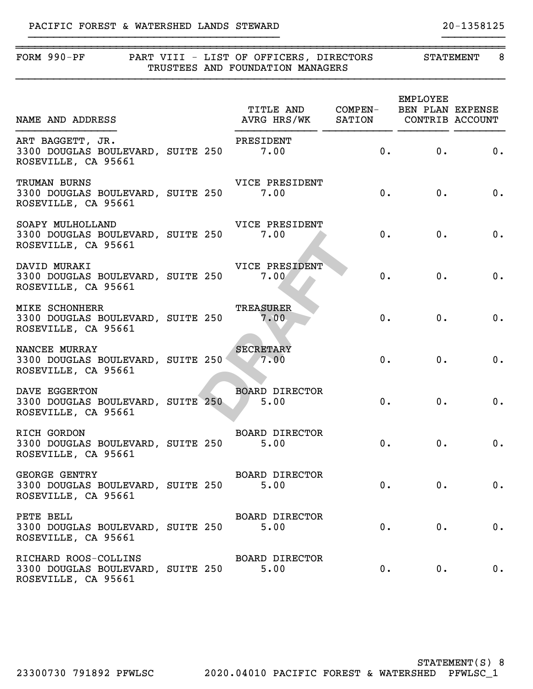### PACIFIC FOREST & WATERSHED LANDS STEWARD 20-1358125

| FORM 990-PF PART VIII - LIST OF OFFICERS, DIRECTORS                                    |  | TRUSTEES AND FOUNDATION MANAGERS                                                                               |       | STATEMENT                       | 8                           |
|----------------------------------------------------------------------------------------|--|----------------------------------------------------------------------------------------------------------------|-------|---------------------------------|-----------------------------|
| NAME AND ADDRESS                                                                       |  | TITLE AND COMPEN- BEN PLAN EXPENSE<br>TITLE AND COMPEN- BEN PLAN EXPENSE<br>AVRG HRS/WK SATION CONTRIB ACCOUNT |       | EMPLOYEE                        |                             |
| ART BAGGETT, JR.<br>3300 DOUGLAS BOULEVARD, SUITE 250 7.00<br>ROSEVILLE, CA 95661      |  | PRESIDENT                                                                                                      |       | 0. 0.                           | $\overline{\phantom{a}}$ 0. |
| TRUMAN BURNS<br>3300 DOUGLAS BOULEVARD, SUITE 250<br>ROSEVILLE, CA 95661               |  | VICE PRESIDENT<br>7.00                                                                                         | 0.    | 0.                              | 0.                          |
| SOAPY MULHOLLAND<br>3300 DOUGLAS BOULEVARD, SUITE 250<br>ROSEVILLE, CA 95661           |  | VICE PRESIDENT<br>7.00                                                                                         | 0.    | 0.                              | 0.                          |
| DAVID MURAKI<br>3300 DOUGLAS BOULEVARD, SUITE 250<br>ROSEVILLE, CA 95661               |  | VICE PRESIDENT<br>7.00                                                                                         | $0$ . | 0.                              | 0.                          |
| <b>MIKE SCHONHERR</b><br>3300 DOUGLAS BOULEVARD, SUITE 250 7.00<br>ROSEVILLE, CA 95661 |  | TREASURER                                                                                                      | 0.    | 0.                              | 0.                          |
| NANCEE MURRAY<br>3300 DOUGLAS BOULEVARD, SUITE 250 27.00<br>ROSEVILLE, CA 95661        |  | <b>SECRETARY</b>                                                                                               | $0$ . | 0.                              | 0.                          |
| DAVE EGGERTON<br>3300 DOUGLAS BOULEVARD, SUITE 250<br>ROSEVILLE, CA 95661              |  | <b>BOARD DIRECTOR</b><br>5.00                                                                                  | $0$ . | $0$ .                           | 0.                          |
| RICH GORDON<br>3300 DOUGLAS BOULEVARD, SUITE 250 5.00<br>ROSEVILLE, CA 95661           |  | BOARD DIRECTOR                                                                                                 |       | 0. 0.                           | 0.                          |
| <b>GEORGE GENTRY</b><br>3300 DOUGLAS BOULEVARD, SUITE 250 5.00<br>ROSEVILLE, CA 95661  |  | BOARD DIRECTOR                                                                                                 |       | 0.<br>$\overline{\mathbf{0}}$ . | 0.                          |
| PETE BELL<br>3300 DOUGLAS BOULEVARD, SUITE 250 5.00<br>ROSEVILLE, CA 95661             |  | BOARD DIRECTOR                                                                                                 |       | 0.<br>$\overline{\mathbf{0}}$ . | 0.                          |
| RICHARD ROOS-COLLINS<br>3300 DOUGLAS BOULEVARD, SUITE 250                              |  | BOARD DIRECTOR<br>5.00                                                                                         | 0.    | 0.                              | 0.                          |

}}}}}}}}}}}}}}}}}}}}}}}}}}}}}}}}}}}}}}}} }}}}}}}}}}

ROSEVILLE, CA 95661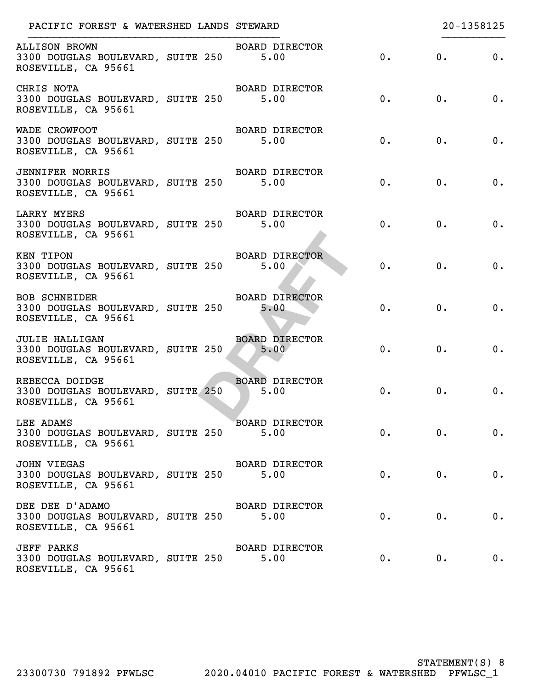| PACIFIC FOREST & WATERSHED LANDS STEWARD                                           |                               |       |       | 20-1358125 |
|------------------------------------------------------------------------------------|-------------------------------|-------|-------|------------|
| <b>ALLISON BROWN</b><br>3300 DOUGLAS BOULEVARD, SUITE 250<br>ROSEVILLE, CA 95661   | BOARD DIRECTOR<br>5.00        | 0.    | 0.    | $0$ .      |
| CHRIS NOTA<br>3300 DOUGLAS BOULEVARD, SUITE 250<br>ROSEVILLE, CA 95661             | BOARD DIRECTOR<br>5.00        | 0.    | 0.    | 0.         |
| WADE CROWFOOT<br>3300 DOUGLAS BOULEVARD, SUITE 250<br>ROSEVILLE, CA 95661          | BOARD DIRECTOR<br>5.00        | 0.    | 0.    | 0.         |
| <b>JENNIFER NORRIS</b><br>3300 DOUGLAS BOULEVARD, SUITE 250<br>ROSEVILLE, CA 95661 | BOARD DIRECTOR<br>5.00        | 0.    | 0.    | $0$ .      |
| LARRY MYERS<br>3300 DOUGLAS BOULEVARD, SUITE 250<br>ROSEVILLE, CA 95661            | BOARD DIRECTOR<br>5.00        | 0.    | 0.    | 0.         |
| KEN TIPON<br>3300 DOUGLAS BOULEVARD, SUITE 250<br>ROSEVILLE, CA 95661              | BOARD DIRECTOR<br>5.00        | 0.    | 0.    | $0$ .      |
| <b>BOB SCHNEIDER</b><br>3300 DOUGLAS BOULEVARD, SUITE 250<br>ROSEVILLE, CA 95661   | <b>BOARD DIRECTOR</b><br>5.00 | 0.    | 0.    | $0$ .      |
| <b>JULIE HALLIGAN</b><br>3300 DOUGLAS BOULEVARD, SUITE 250<br>ROSEVILLE, CA 95661  | <b>BOARD DIRECTOR</b><br>5.00 | 0.    | 0.    | 0.         |
| REBECCA DOIDGE<br>3300 DOUGLAS BOULEVARD, SUITE 250<br>ROSEVILLE, CA 95661         | BOARD DIRECTOR<br>5.00        | 0.    | 0.    | 0.         |
| LEE ADAMS<br>3300 DOUGLAS BOULEVARD, SUITE 250<br>ROSEVILLE, CA 95661              | <b>BOARD DIRECTOR</b><br>5.00 | 0.    | 0.    | 0.         |
| JOHN VIEGAS<br>3300 DOUGLAS BOULEVARD, SUITE 250<br>ROSEVILLE, CA 95661            | <b>BOARD DIRECTOR</b><br>5.00 | $0$ . | 0.    | 0.         |
| DEE DEE D'ADAMO<br>3300 DOUGLAS BOULEVARD, SUITE 250<br>ROSEVILLE, CA 95661        | <b>BOARD DIRECTOR</b><br>5.00 | $0$ . | 0.    | 0.         |
| <b>JEFF PARKS</b><br>3300 DOUGLAS BOULEVARD, SUITE 250<br>ROSEVILLE, CA 95661      | <b>BOARD DIRECTOR</b><br>5.00 | 0.    | $0$ . | 0.         |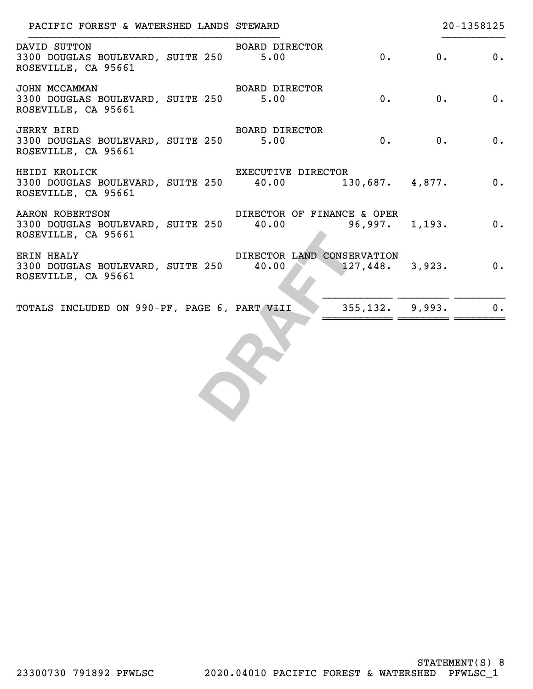| PACIFIC FOREST & WATERSHED LANDS STEWARD                                                        |                            | 20-1358125                   |  |  |  |  |  |
|-------------------------------------------------------------------------------------------------|----------------------------|------------------------------|--|--|--|--|--|
| DAVID SUTTON<br>3300 DOUGLAS BOULEVARD, SUITE 250 5.00<br>ROSEVILLE, CA 95661                   | BOARD DIRECTOR             | 0.<br>0.<br>0.               |  |  |  |  |  |
| JOHN MCCAMMAN<br>3300 DOUGLAS BOULEVARD, SUITE 250 5.00<br>ROSEVILLE, CA 95661                  | BOARD DIRECTOR<br>0.       | 0.<br>0.                     |  |  |  |  |  |
| <b>JERRY BIRD</b><br>3300 DOUGLAS BOULEVARD, SUITE 250 5.00<br>ROSEVILLE, CA 95661              | BOARD DIRECTOR             | 0.<br>0.<br>$\overline{0}$ . |  |  |  |  |  |
| HEIDI KROLICK<br>3300 DOUGLAS BOULEVARD, SUITE 250 40.00 130,687. 4,877.<br>ROSEVILLE, CA 95661 | EXECUTIVE DIRECTOR         | $\overline{0}$ .             |  |  |  |  |  |
| AARON ROBERTSON<br>3300 DOUGLAS BOULEVARD, SUITE 250 40.00<br>ROSEVILLE, CA 95661               | DIRECTOR OF FINANCE & OPER | $96,997.$ 1,193. 0.          |  |  |  |  |  |
| <b>ERIN HEALY</b><br>3300 DOUGLAS BOULEVARD, SUITE 250 40.00<br>ROSEVILLE, CA 95661             | DIRECTOR LAND CONSERVATION | $127,448.$ 3,923. 0.         |  |  |  |  |  |
| TOTALS INCLUDED ON 990-PF, PAGE 6, PART VIII                                                    | $355, 132.$ 9,993.         | 0.                           |  |  |  |  |  |
|                                                                                                 |                            |                              |  |  |  |  |  |